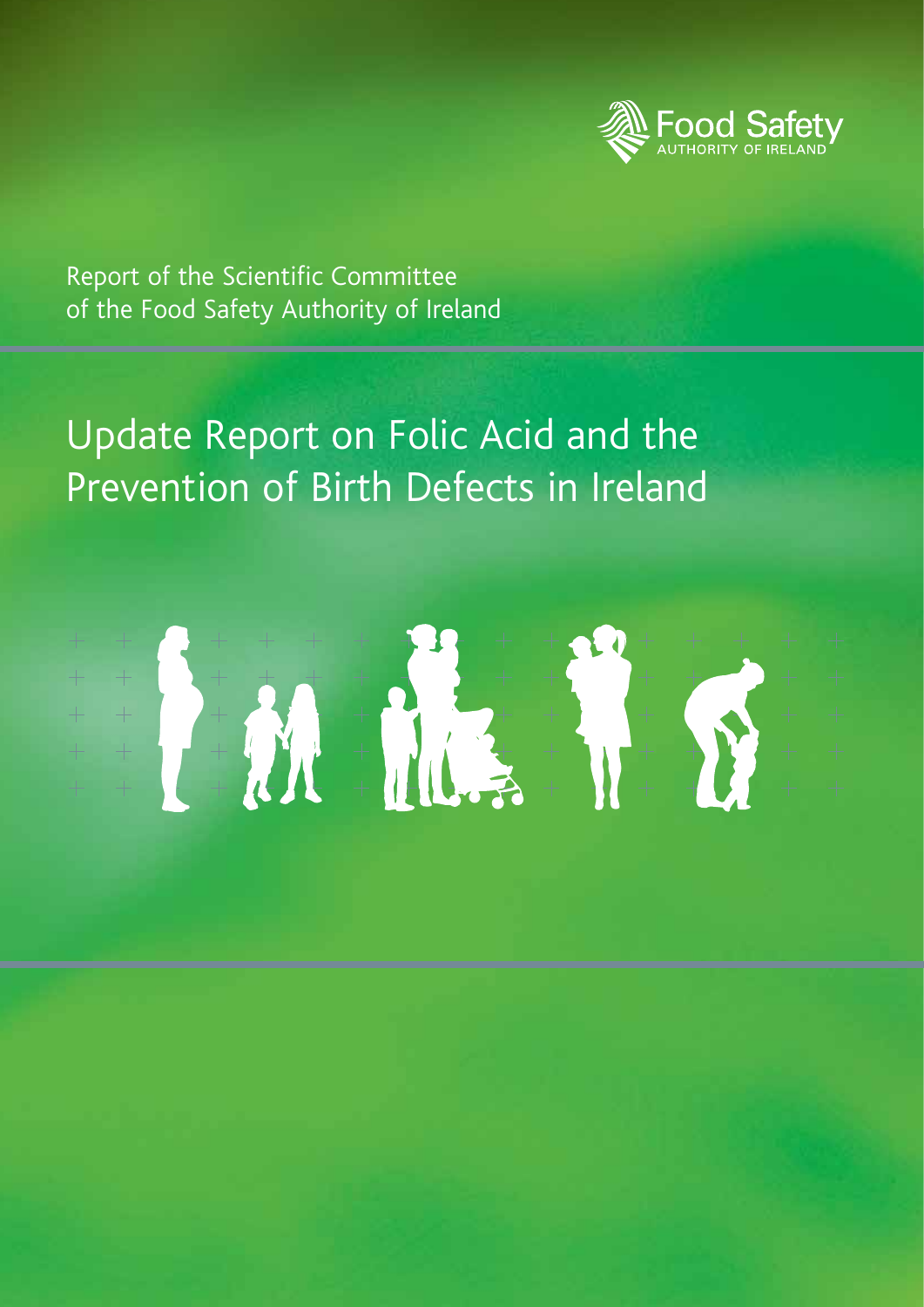

Report of the Scientific Committee of the Food Safety Authority of Ireland

# Update Report on Folic Acid and the Prevention of Birth Defects in Ireland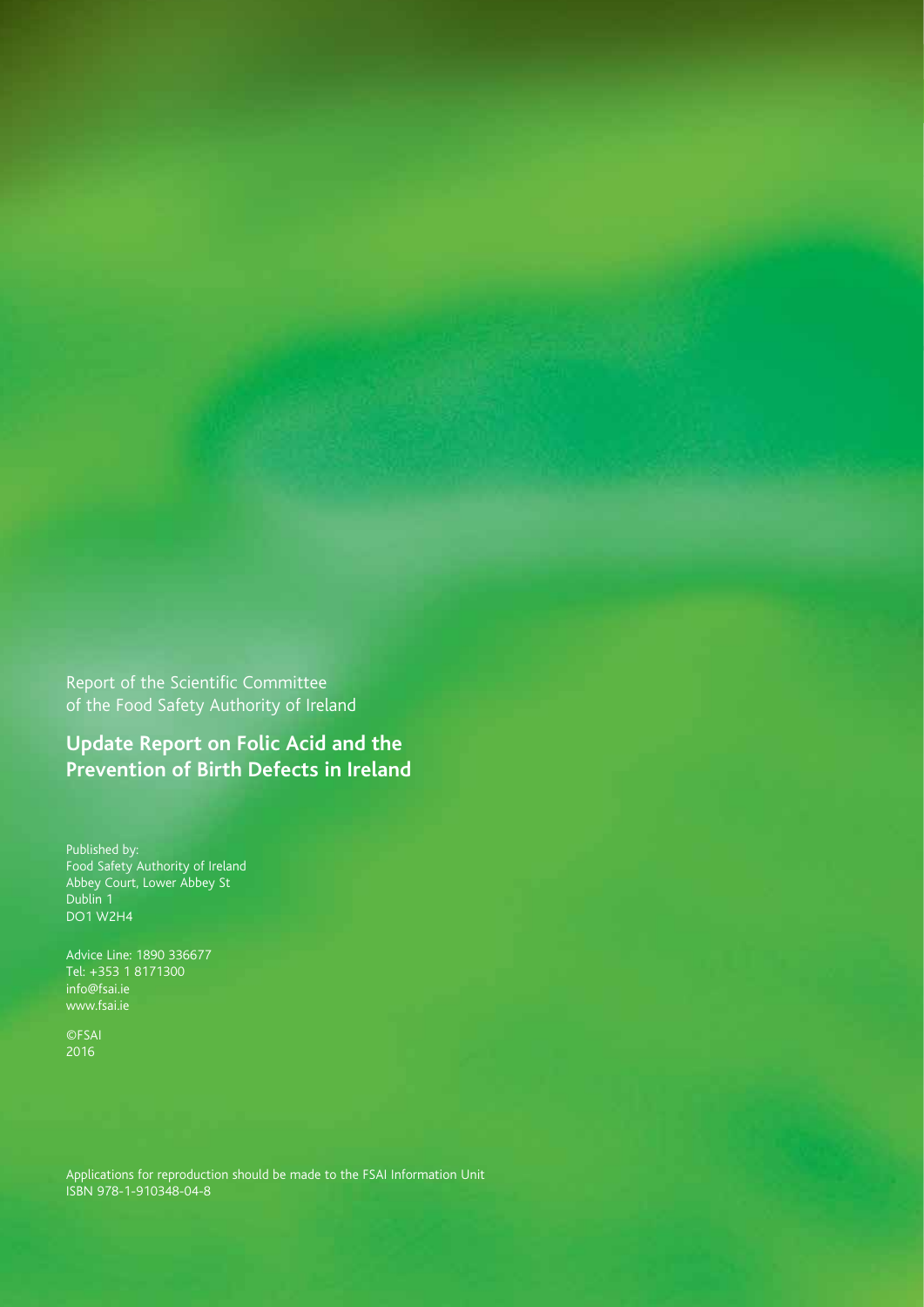Report of the Scientific Committee of the Food Safety Authority of Ireland

**Update Report on Folic Acid and the Prevention of Birth Defects in Ireland**

Published by: Food Safety Authority of Ireland Abbey Court, Lower Abbey St Dublin 1 DO1 W2H4

Advice Line: 1890 336677 Tel: +353 1 8171300 info@fsai.ie www.fsai.ie

©FSAI 2016

Applications for reproduction should be made to the FSAI Information Unit ISBN 978-1-910348-04-8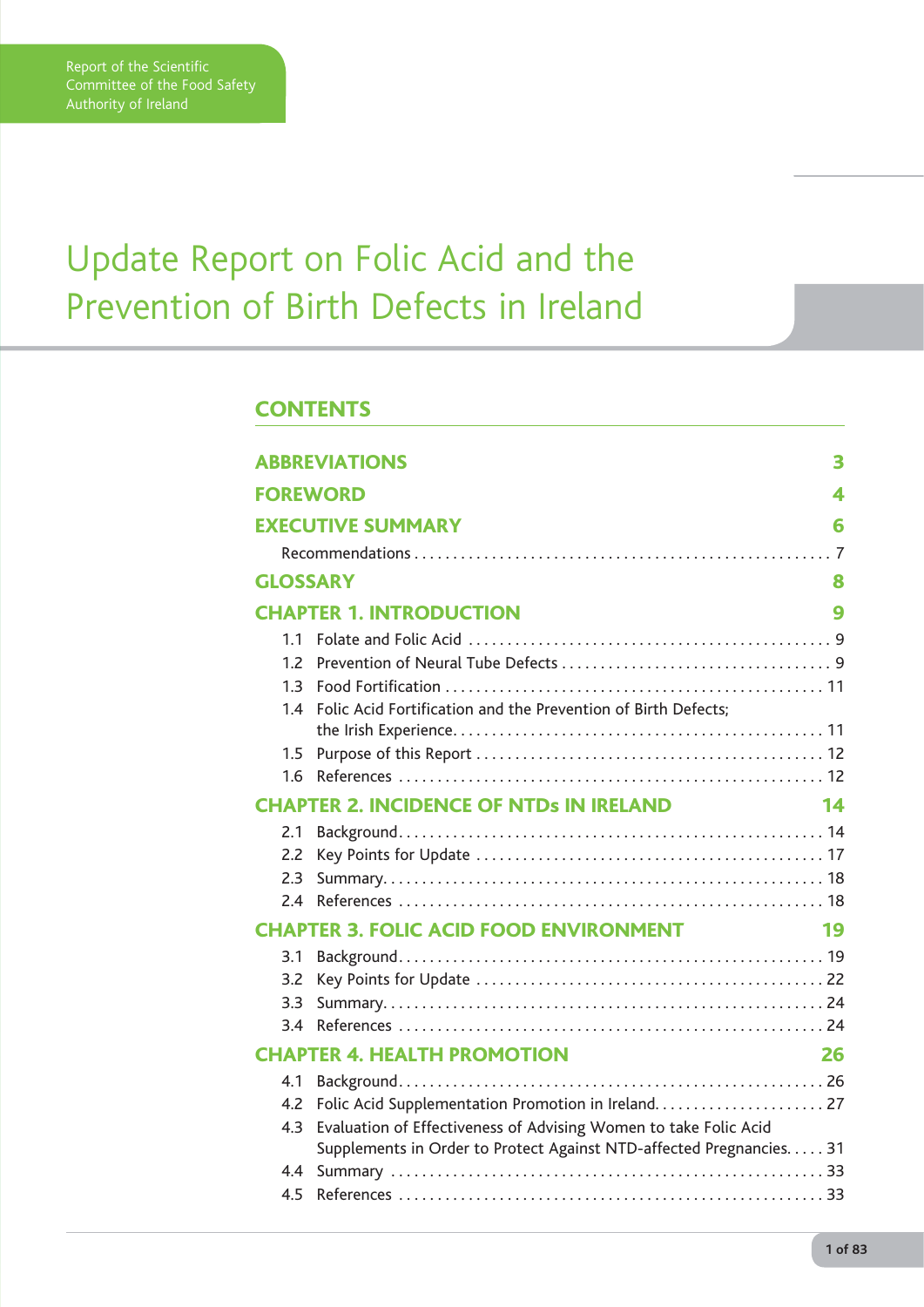# Update Report on Folic Acid and the Prevention of Birth Defects in Ireland

# **CONTENTS**

|                 | <b>ABBREVIATIONS</b>                                                | 3  |  |  |  |  |
|-----------------|---------------------------------------------------------------------|----|--|--|--|--|
|                 | <b>FOREWORD</b><br>4                                                |    |  |  |  |  |
|                 | <b>EXECUTIVE SUMMARY</b>                                            | 6  |  |  |  |  |
|                 |                                                                     |    |  |  |  |  |
| <b>GLOSSARY</b> |                                                                     | 8  |  |  |  |  |
|                 | <b>CHAPTER 1. INTRODUCTION</b>                                      | 9  |  |  |  |  |
| 1.1             |                                                                     |    |  |  |  |  |
| 1.7             |                                                                     |    |  |  |  |  |
| 1.3             |                                                                     |    |  |  |  |  |
| 14              | Folic Acid Fortification and the Prevention of Birth Defects;       |    |  |  |  |  |
| 1.5             |                                                                     |    |  |  |  |  |
| 1.6             |                                                                     |    |  |  |  |  |
|                 | <b>CHAPTER 2. INCIDENCE OF NTDs IN IRELAND</b>                      | 14 |  |  |  |  |
| 2.1             |                                                                     |    |  |  |  |  |
| 2.2             |                                                                     |    |  |  |  |  |
| 2.3             |                                                                     |    |  |  |  |  |
| 2.4             |                                                                     |    |  |  |  |  |
|                 | <b>CHAPTER 3. FOLIC ACID FOOD ENVIRONMENT</b>                       | 19 |  |  |  |  |
| 3.1             |                                                                     |    |  |  |  |  |
| 3.2             |                                                                     |    |  |  |  |  |
| 3.3             |                                                                     |    |  |  |  |  |
| 3.4             |                                                                     |    |  |  |  |  |
|                 | <b>CHAPTER 4. HEALTH PROMOTION</b>                                  | 26 |  |  |  |  |
| 4.1             |                                                                     |    |  |  |  |  |
| 4.2             |                                                                     |    |  |  |  |  |
| 4.3             | Evaluation of Effectiveness of Advising Women to take Folic Acid    |    |  |  |  |  |
|                 | Supplements in Order to Protect Against NTD-affected Pregnancies 31 |    |  |  |  |  |
| 4.4<br>4.5      |                                                                     |    |  |  |  |  |
|                 |                                                                     |    |  |  |  |  |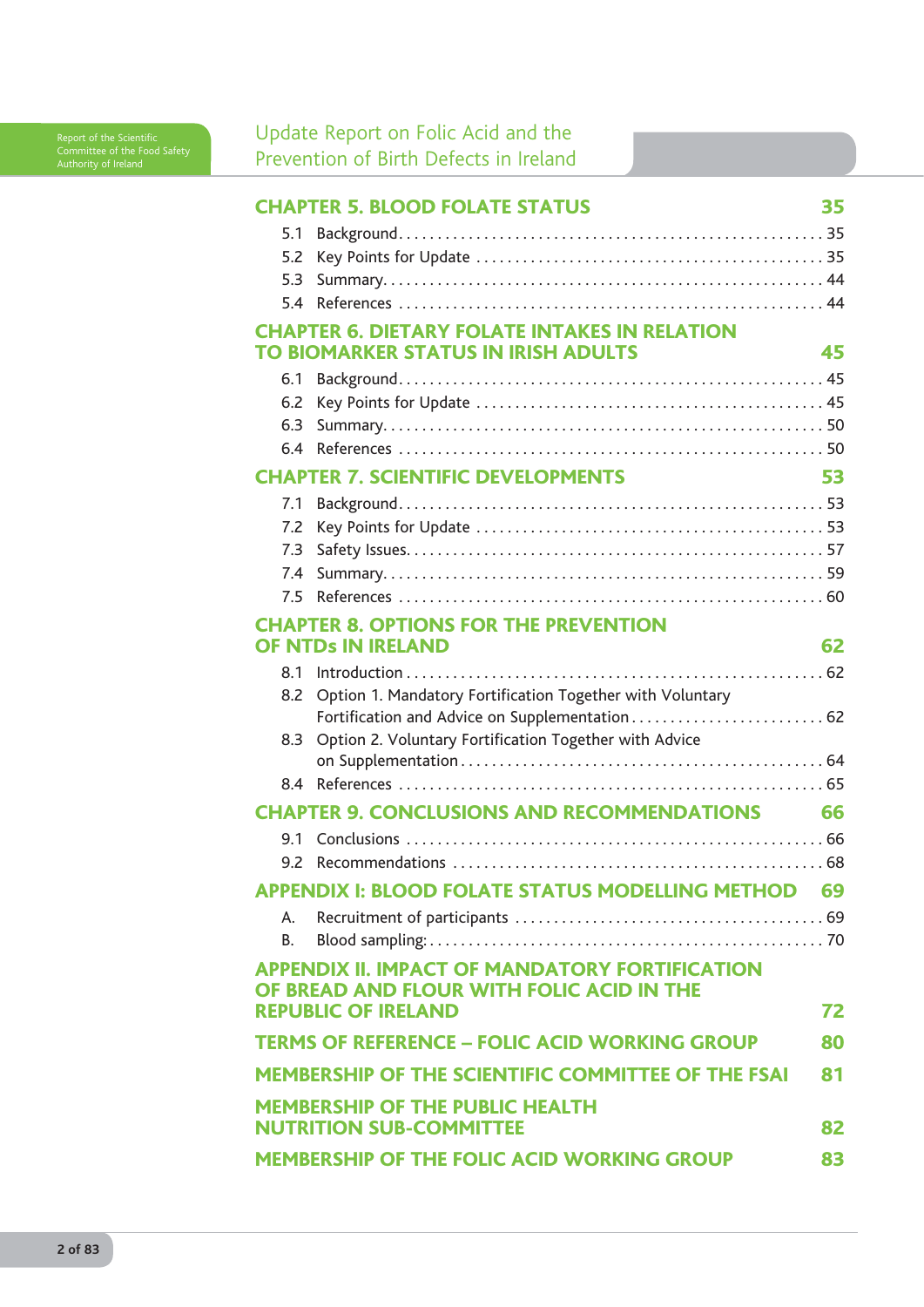|           | <b>CHAPTER 5. BLOOD FOLATE STATUS</b>                                                              | 35 |
|-----------|----------------------------------------------------------------------------------------------------|----|
| 5.1       |                                                                                                    |    |
| 5.2       |                                                                                                    |    |
| 5.3       |                                                                                                    |    |
| 5.4       |                                                                                                    |    |
|           | <b>CHAPTER 6. DIETARY FOLATE INTAKES IN RELATION</b><br><b>TO BIOMARKER STATUS IN IRISH ADULTS</b> | 45 |
| 6.1       |                                                                                                    |    |
| 6.2       |                                                                                                    |    |
| 6.3       |                                                                                                    |    |
| 6.4       |                                                                                                    |    |
|           | <b>CHAPTER 7. SCIENTIFIC DEVELOPMENTS</b>                                                          | 53 |
| 7.1       |                                                                                                    |    |
| 7.2       |                                                                                                    |    |
| 7.3       |                                                                                                    |    |
| 7.4       |                                                                                                    |    |
| 7.5       |                                                                                                    |    |
|           | <b>CHAPTER 8. OPTIONS FOR THE PREVENTION</b><br><b>OF NTDs IN IRELAND</b>                          | 62 |
| 8.1       |                                                                                                    |    |
| 8.2       | Option 1. Mandatory Fortification Together with Voluntary                                          |    |
| 8.3       | Option 2. Voluntary Fortification Together with Advice                                             |    |
|           |                                                                                                    |    |
|           |                                                                                                    |    |
|           | <b>CHAPTER 9. CONCLUSIONS AND RECOMMENDATIONS</b>                                                  | 66 |
| 9.1       |                                                                                                    |    |
| 9.2       |                                                                                                    |    |
|           | <b>APPENDIX I: BLOOD FOLATE STATUS MODELLING METHOD 69</b>                                         |    |
| А.        |                                                                                                    |    |
| <b>B.</b> |                                                                                                    |    |
|           | <b>APPENDIX II. IMPACT OF MANDATORY FORTIFICATION</b><br>OF BREAD AND FLOUR WITH FOLIC ACID IN THE |    |
|           | <b>REPUBLIC OF IRELAND</b>                                                                         | 72 |
|           | <b>TERMS OF REFERENCE - FOLIC ACID WORKING GROUP</b>                                               | 80 |
|           | <b>MEMBERSHIP OF THE SCIENTIFIC COMMITTEE OF THE FSAI</b>                                          | 81 |
|           | <b>MEMBERSHIP OF THE PUBLIC HEALTH</b>                                                             |    |
|           | <b>NUTRITION SUB-COMMITTEE</b>                                                                     | 82 |
|           | <b>MEMBERSHIP OF THE FOLIC ACID WORKING GROUP</b>                                                  | 83 |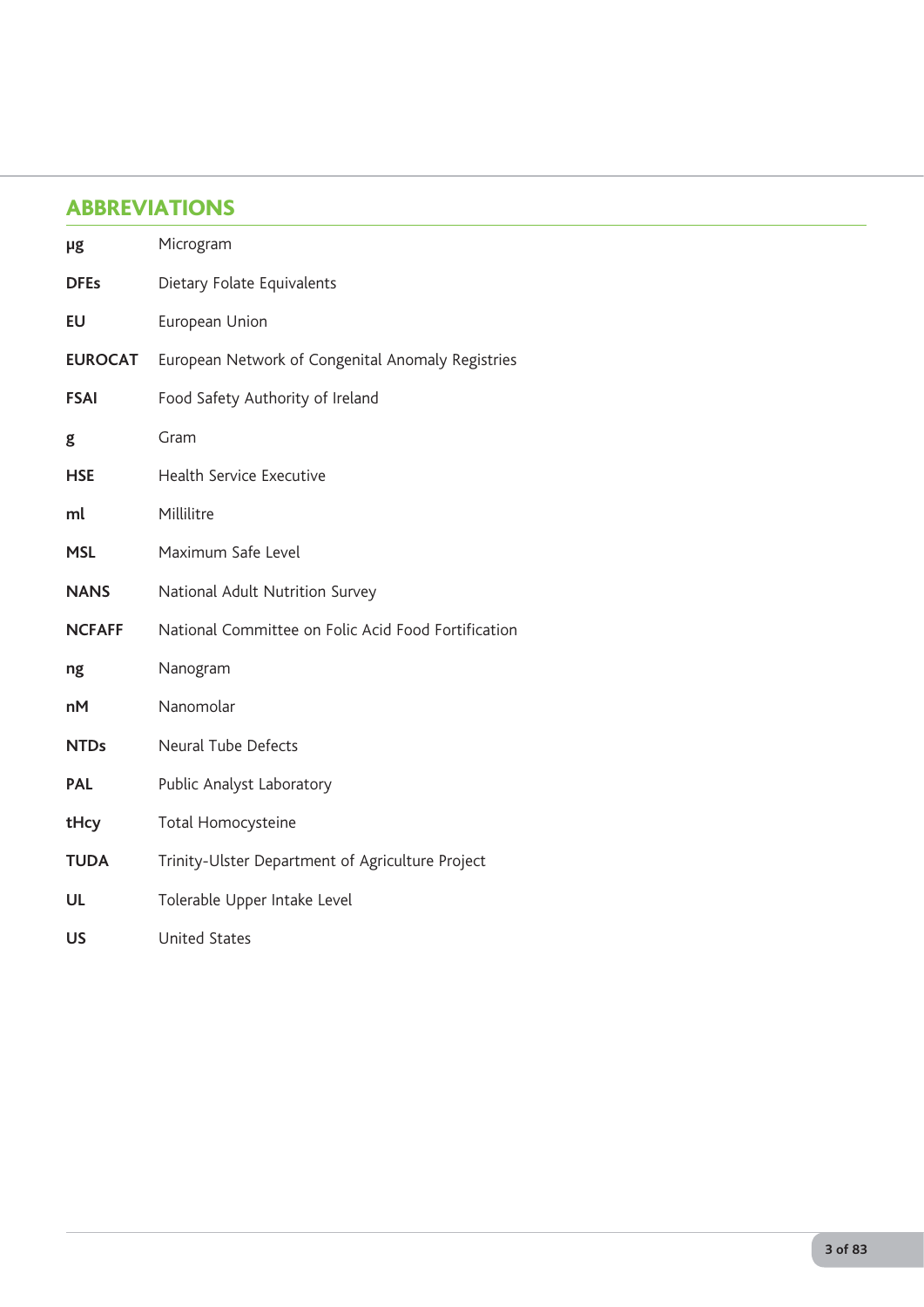# <span id="page-4-0"></span>ABBREVIATIONS

| μg             | Microgram                                           |
|----------------|-----------------------------------------------------|
| <b>DFEs</b>    | Dietary Folate Equivalents                          |
| EU             | European Union                                      |
| <b>EUROCAT</b> | European Network of Congenital Anomaly Registries   |
| <b>FSAI</b>    | Food Safety Authority of Ireland                    |
| g              | Gram                                                |
| <b>HSE</b>     | Health Service Executive                            |
| ml             | Millilitre                                          |
| <b>MSL</b>     | Maximum Safe Level                                  |
| <b>NANS</b>    | National Adult Nutrition Survey                     |
| <b>NCFAFF</b>  | National Committee on Folic Acid Food Fortification |
| ng             | Nanogram                                            |
| nM             | Nanomolar                                           |
| <b>NTDs</b>    | <b>Neural Tube Defects</b>                          |
| <b>PAL</b>     | Public Analyst Laboratory                           |
| tHcy           | Total Homocysteine                                  |
| <b>TUDA</b>    | Trinity-Ulster Department of Agriculture Project    |
| UL             | Tolerable Upper Intake Level                        |
| US             | <b>United States</b>                                |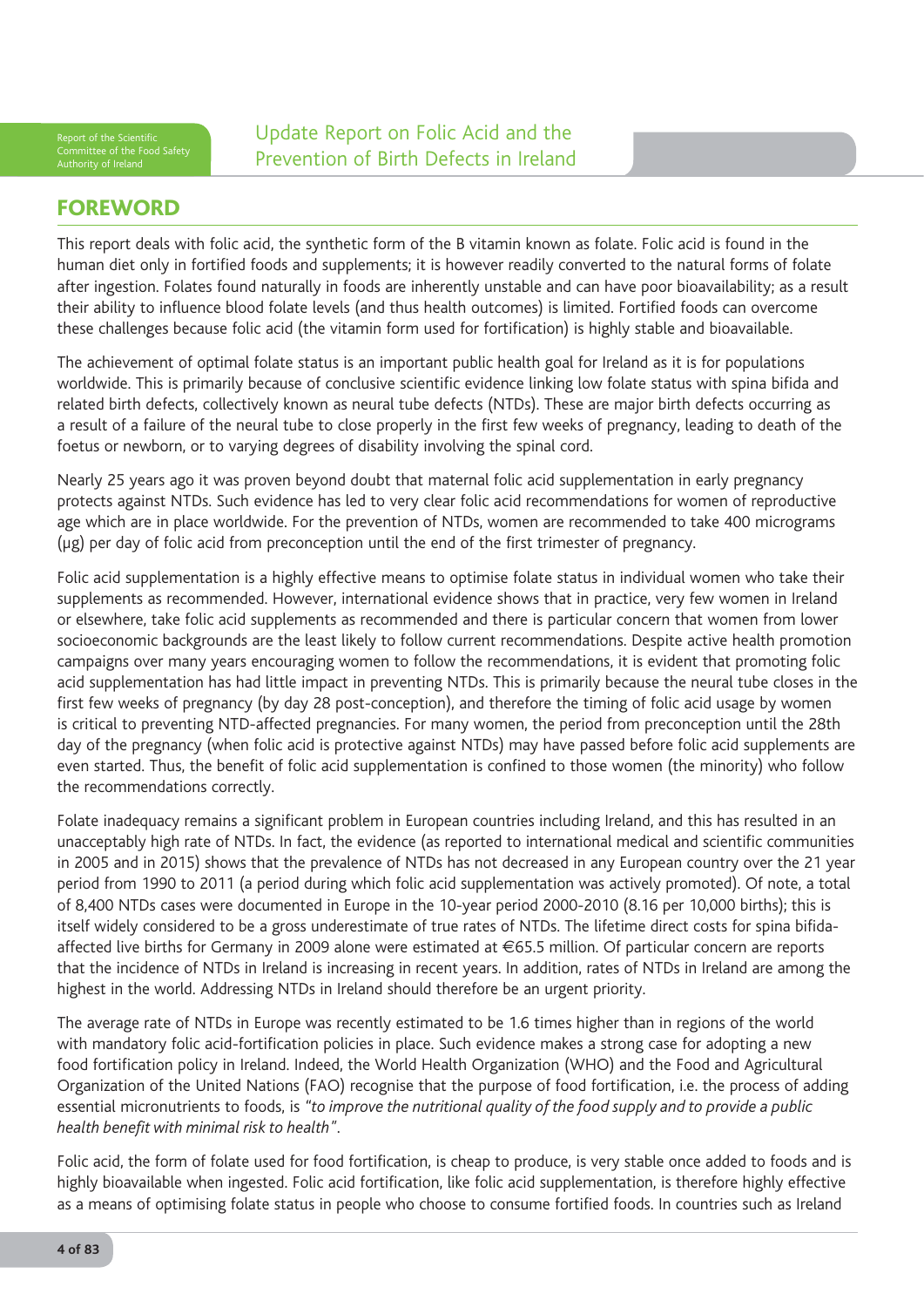# <span id="page-5-0"></span>FOREWORD

This report deals with folic acid, the synthetic form of the B vitamin known as folate. Folic acid is found in the human diet only in fortified foods and supplements; it is however readily converted to the natural forms of folate after ingestion. Folates found naturally in foods are inherently unstable and can have poor bioavailability; as a result their ability to influence blood folate levels (and thus health outcomes) is limited. Fortified foods can overcome these challenges because folic acid (the vitamin form used for fortification) is highly stable and bioavailable.

The achievement of optimal folate status is an important public health goal for Ireland as it is for populations worldwide. This is primarily because of conclusive scientific evidence linking low folate status with spina bifida and related birth defects, collectively known as neural tube defects (NTDs). These are major birth defects occurring as a result of a failure of the neural tube to close properly in the first few weeks of pregnancy, leading to death of the foetus or newborn, or to varying degrees of disability involving the spinal cord.

Nearly 25 years ago it was proven beyond doubt that maternal folic acid supplementation in early pregnancy protects against NTDs. Such evidence has led to very clear folic acid recommendations for women of reproductive age which are in place worldwide. For the prevention of NTDs, women are recommended to take 400 micrograms (µg) per day of folic acid from preconception until the end of the first trimester of pregnancy.

Folic acid supplementation is a highly effective means to optimise folate status in individual women who take their supplements as recommended. However, international evidence shows that in practice, very few women in Ireland or elsewhere, take folic acid supplements as recommended and there is particular concern that women from lower socioeconomic backgrounds are the least likely to follow current recommendations. Despite active health promotion campaigns over many years encouraging women to follow the recommendations, it is evident that promoting folic acid supplementation has had little impact in preventing NTDs. This is primarily because the neural tube closes in the first few weeks of pregnancy (by day 28 post-conception), and therefore the timing of folic acid usage by women is critical to preventing NTD-affected pregnancies. For many women, the period from preconception until the 28th day of the pregnancy (when folic acid is protective against NTDs) may have passed before folic acid supplements are even started. Thus, the benefit of folic acid supplementation is confined to those women (the minority) who follow the recommendations correctly.

Folate inadequacy remains a significant problem in European countries including Ireland, and this has resulted in an unacceptably high rate of NTDs. In fact, the evidence (as reported to international medical and scientific communities in 2005 and in 2015) shows that the prevalence of NTDs has not decreased in any European country over the 21 year period from 1990 to 2011 (a period during which folic acid supplementation was actively promoted). Of note, a total of 8,400 NTDs cases were documented in Europe in the 10-year period 2000-2010 (8.16 per 10,000 births); this is itself widely considered to be a gross underestimate of true rates of NTDs. The lifetime direct costs for spina bifidaaffected live births for Germany in 2009 alone were estimated at €65.5 million. Of particular concern are reports that the incidence of NTDs in Ireland is increasing in recent years. In addition, rates of NTDs in Ireland are among the highest in the world. Addressing NTDs in Ireland should therefore be an urgent priority.

The average rate of NTDs in Europe was recently estimated to be 1.6 times higher than in regions of the world with mandatory folic acid-fortification policies in place. Such evidence makes a strong case for adopting a new food fortification policy in Ireland. Indeed, the World Health Organization (WHO) and the Food and Agricultural Organization of the United Nations (FAO) recognise that the purpose of food fortification, i.e. the process of adding essential micronutrients to foods, is *"to improve the nutritional quality of the food supply and to provide a public health benefit with minimal risk to health"*.

Folic acid, the form of folate used for food fortification, is cheap to produce, is very stable once added to foods and is highly bioavailable when ingested. Folic acid fortification, like folic acid supplementation, is therefore highly effective as a means of optimising folate status in people who choose to consume fortified foods. In countries such as Ireland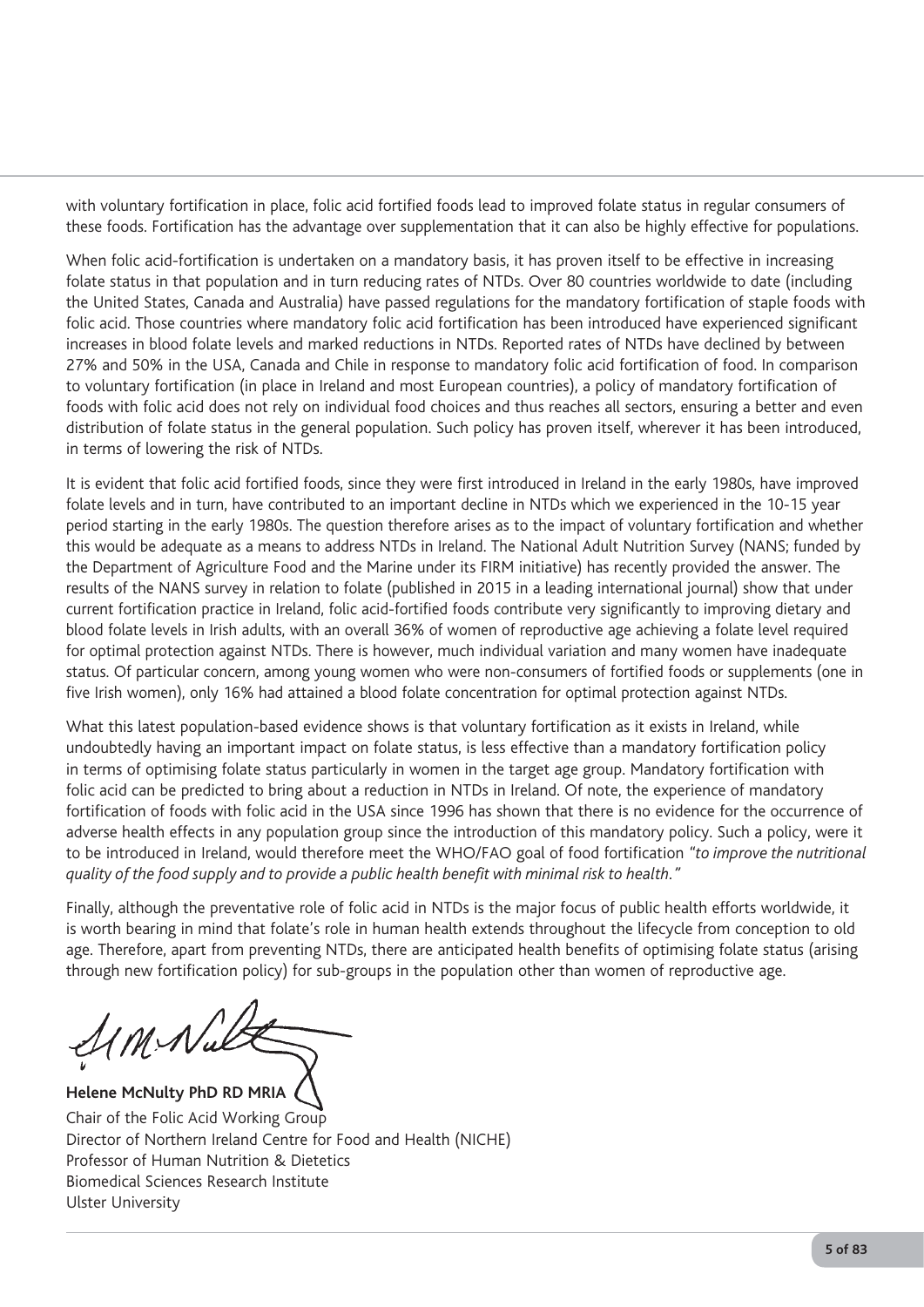with voluntary fortification in place, folic acid fortified foods lead to improved folate status in regular consumers of these foods. Fortification has the advantage over supplementation that it can also be highly effective for populations.

When folic acid-fortification is undertaken on a mandatory basis, it has proven itself to be effective in increasing folate status in that population and in turn reducing rates of NTDs. Over 80 countries worldwide to date (including the United States, Canada and Australia) have passed regulations for the mandatory fortification of staple foods with folic acid. Those countries where mandatory folic acid fortification has been introduced have experienced significant increases in blood folate levels and marked reductions in NTDs. Reported rates of NTDs have declined by between 27% and 50% in the USA, Canada and Chile in response to mandatory folic acid fortification of food. In comparison to voluntary fortification (in place in Ireland and most European countries), a policy of mandatory fortification of foods with folic acid does not rely on individual food choices and thus reaches all sectors, ensuring a better and even distribution of folate status in the general population. Such policy has proven itself, wherever it has been introduced, in terms of lowering the risk of NTDs.

It is evident that folic acid fortified foods, since they were first introduced in Ireland in the early 1980s, have improved folate levels and in turn, have contributed to an important decline in NTDs which we experienced in the 10-15 year period starting in the early 1980s. The question therefore arises as to the impact of voluntary fortification and whether this would be adequate as a means to address NTDs in Ireland. The National Adult Nutrition Survey (NANS; funded by the Department of Agriculture Food and the Marine under its FIRM initiative) has recently provided the answer. The results of the NANS survey in relation to folate (published in 2015 in a leading international journal) show that under current fortification practice in Ireland, folic acid-fortified foods contribute very significantly to improving dietary and blood folate levels in Irish adults, with an overall 36% of women of reproductive age achieving a folate level required for optimal protection against NTDs. There is however, much individual variation and many women have inadequate status. Of particular concern, among young women who were non-consumers of fortified foods or supplements (one in five Irish women), only 16% had attained a blood folate concentration for optimal protection against NTDs.

What this latest population-based evidence shows is that voluntary fortification as it exists in Ireland, while undoubtedly having an important impact on folate status, is less effective than a mandatory fortification policy in terms of optimising folate status particularly in women in the target age group. Mandatory fortification with folic acid can be predicted to bring about a reduction in NTDs in Ireland. Of note, the experience of mandatory fortification of foods with folic acid in the USA since 1996 has shown that there is no evidence for the occurrence of adverse health effects in any population group since the introduction of this mandatory policy. Such a policy, were it to be introduced in Ireland, would therefore meet the WHO/FAO goal of food fortification *"to improve the nutritional quality of the food supply and to provide a public health benefit with minimal risk to health."*

Finally, although the preventative role of folic acid in NTDs is the major focus of public health efforts worldwide, it is worth bearing in mind that folate's role in human health extends throughout the lifecycle from conception to old age. Therefore, apart from preventing NTDs, there are anticipated health benefits of optimising folate status (arising through new fortification policy) for sub-groups in the population other than women of reproductive age.

Al M. Nul

**Helene McNulty PhD RD MRIA** Chair of the Folic Acid Working Group Director of Northern Ireland Centre for Food and Health (NICHE) Professor of Human Nutrition & Dietetics Biomedical Sciences Research Institute Ulster University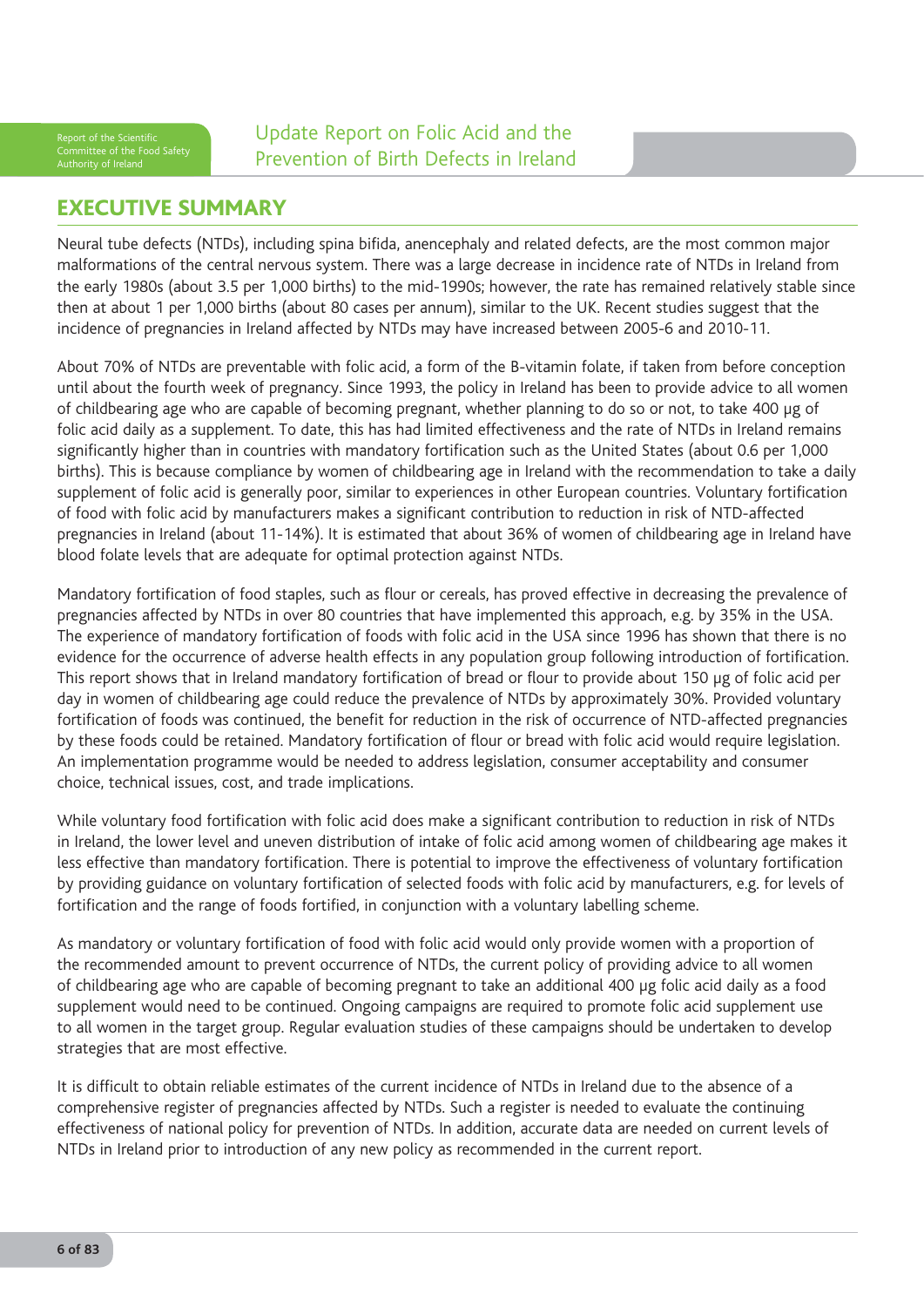# <span id="page-7-0"></span>EXECUTIVE SUMMARY

Neural tube defects (NTDs), including spina bifida, anencephaly and related defects, are the most common major malformations of the central nervous system. There was a large decrease in incidence rate of NTDs in Ireland from the early 1980s (about 3.5 per 1,000 births) to the mid-1990s; however, the rate has remained relatively stable since then at about 1 per 1,000 births (about 80 cases per annum), similar to the UK. Recent studies suggest that the incidence of pregnancies in Ireland affected by NTDs may have increased between 2005-6 and 2010-11.

About 70% of NTDs are preventable with folic acid, a form of the B-vitamin folate, if taken from before conception until about the fourth week of pregnancy. Since 1993, the policy in Ireland has been to provide advice to all women of childbearing age who are capable of becoming pregnant, whether planning to do so or not, to take 400 µg of folic acid daily as a supplement. To date, this has had limited effectiveness and the rate of NTDs in Ireland remains significantly higher than in countries with mandatory fortification such as the United States (about 0.6 per 1,000 births). This is because compliance by women of childbearing age in Ireland with the recommendation to take a daily supplement of folic acid is generally poor, similar to experiences in other European countries. Voluntary fortification of food with folic acid by manufacturers makes a significant contribution to reduction in risk of NTD-affected pregnancies in Ireland (about 11-14%). It is estimated that about 36% of women of childbearing age in Ireland have blood folate levels that are adequate for optimal protection against NTDs.

Mandatory fortification of food staples, such as flour or cereals, has proved effective in decreasing the prevalence of pregnancies affected by NTDs in over 80 countries that have implemented this approach, e.g. by 35% in the USA. The experience of mandatory fortification of foods with folic acid in the USA since 1996 has shown that there is no evidence for the occurrence of adverse health effects in any population group following introduction of fortification. This report shows that in Ireland mandatory fortification of bread or flour to provide about 150 µg of folic acid per day in women of childbearing age could reduce the prevalence of NTDs by approximately 30%. Provided voluntary fortification of foods was continued, the benefit for reduction in the risk of occurrence of NTD-affected pregnancies by these foods could be retained. Mandatory fortification of flour or bread with folic acid would require legislation. An implementation programme would be needed to address legislation, consumer acceptability and consumer choice, technical issues, cost, and trade implications.

While voluntary food fortification with folic acid does make a significant contribution to reduction in risk of NTDs in Ireland, the lower level and uneven distribution of intake of folic acid among women of childbearing age makes it less effective than mandatory fortification. There is potential to improve the effectiveness of voluntary fortification by providing guidance on voluntary fortification of selected foods with folic acid by manufacturers, e.g. for levels of fortification and the range of foods fortified, in conjunction with a voluntary labelling scheme.

As mandatory or voluntary fortification of food with folic acid would only provide women with a proportion of the recommended amount to prevent occurrence of NTDs, the current policy of providing advice to all women of childbearing age who are capable of becoming pregnant to take an additional 400 µg folic acid daily as a food supplement would need to be continued. Ongoing campaigns are required to promote folic acid supplement use to all women in the target group. Regular evaluation studies of these campaigns should be undertaken to develop strategies that are most effective.

It is difficult to obtain reliable estimates of the current incidence of NTDs in Ireland due to the absence of a comprehensive register of pregnancies affected by NTDs. Such a register is needed to evaluate the continuing effectiveness of national policy for prevention of NTDs. In addition, accurate data are needed on current levels of NTDs in Ireland prior to introduction of any new policy as recommended in the current report.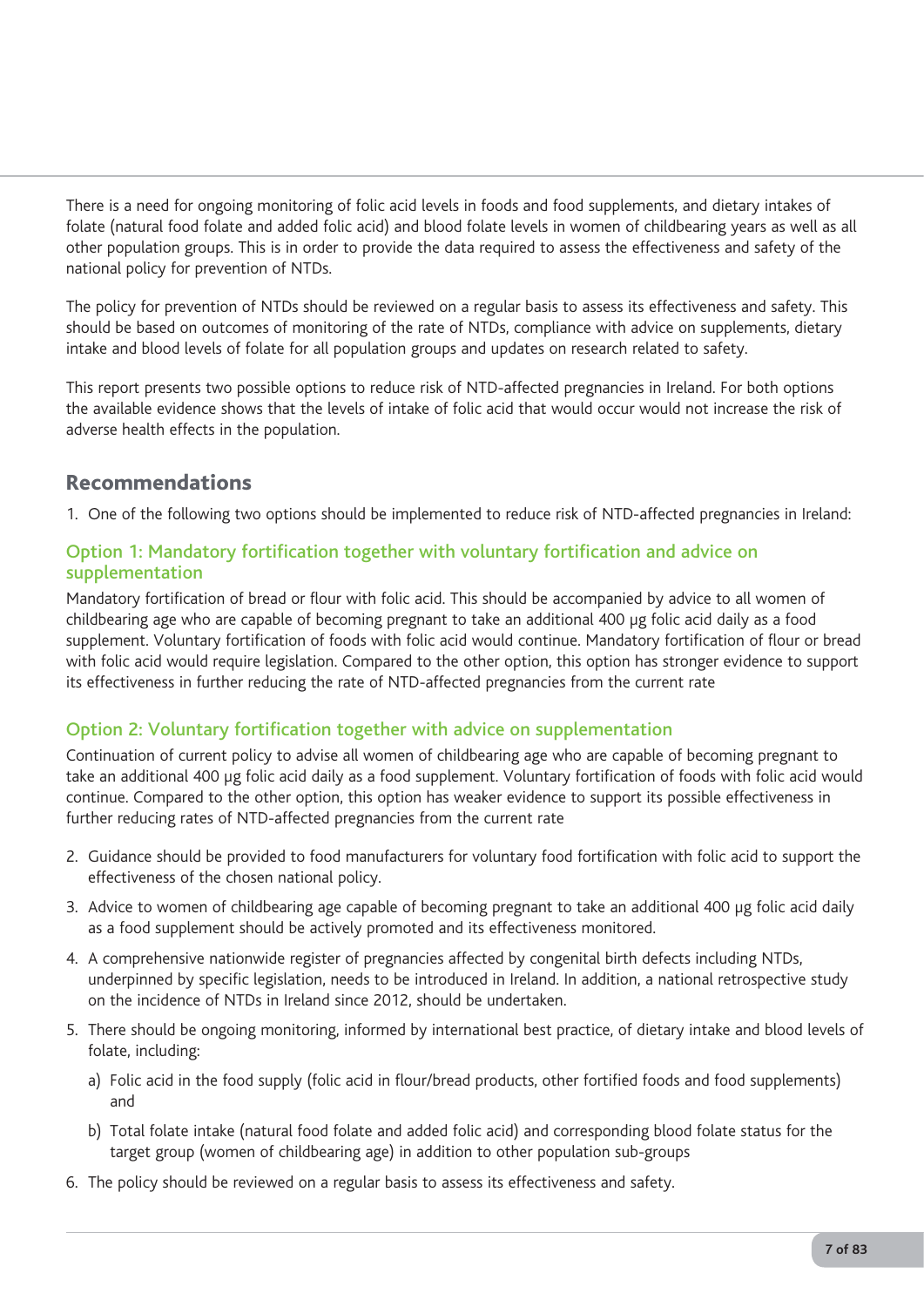<span id="page-8-0"></span>There is a need for ongoing monitoring of folic acid levels in foods and food supplements, and dietary intakes of folate (natural food folate and added folic acid) and blood folate levels in women of childbearing years as well as all other population groups. This is in order to provide the data required to assess the effectiveness and safety of the national policy for prevention of NTDs.

The policy for prevention of NTDs should be reviewed on a regular basis to assess its effectiveness and safety. This should be based on outcomes of monitoring of the rate of NTDs, compliance with advice on supplements, dietary intake and blood levels of folate for all population groups and updates on research related to safety.

This report presents two possible options to reduce risk of NTD-affected pregnancies in Ireland. For both options the available evidence shows that the levels of intake of folic acid that would occur would not increase the risk of adverse health effects in the population.

# Recommendations

1. One of the following two options should be implemented to reduce risk of NTD-affected pregnancies in Ireland:

### Option 1: Mandatory fortification together with voluntary fortification and advice on supplementation

Mandatory fortification of bread or flour with folic acid. This should be accompanied by advice to all women of childbearing age who are capable of becoming pregnant to take an additional 400 µg folic acid daily as a food supplement. Voluntary fortification of foods with folic acid would continue. Mandatory fortification of flour or bread with folic acid would require legislation. Compared to the other option, this option has stronger evidence to support its effectiveness in further reducing the rate of NTD-affected pregnancies from the current rate

### Option 2: Voluntary fortification together with advice on supplementation

Continuation of current policy to advise all women of childbearing age who are capable of becoming pregnant to take an additional 400 µg folic acid daily as a food supplement. Voluntary fortification of foods with folic acid would continue. Compared to the other option, this option has weaker evidence to support its possible effectiveness in further reducing rates of NTD-affected pregnancies from the current rate

- 2. Guidance should be provided to food manufacturers for voluntary food fortification with folic acid to support the effectiveness of the chosen national policy.
- 3. Advice to women of childbearing age capable of becoming pregnant to take an additional 400 µg folic acid daily as a food supplement should be actively promoted and its effectiveness monitored.
- 4. A comprehensive nationwide register of pregnancies affected by congenital birth defects including NTDs, underpinned by specific legislation, needs to be introduced in Ireland. In addition, a national retrospective study on the incidence of NTDs in Ireland since 2012, should be undertaken.
- 5. There should be ongoing monitoring, informed by international best practice, of dietary intake and blood levels of folate, including:
	- a) Folic acid in the food supply (folic acid in flour/bread products, other fortified foods and food supplements) and
	- b) Total folate intake (natural food folate and added folic acid) and corresponding blood folate status for the target group (women of childbearing age) in addition to other population sub-groups
- 6. The policy should be reviewed on a regular basis to assess its effectiveness and safety.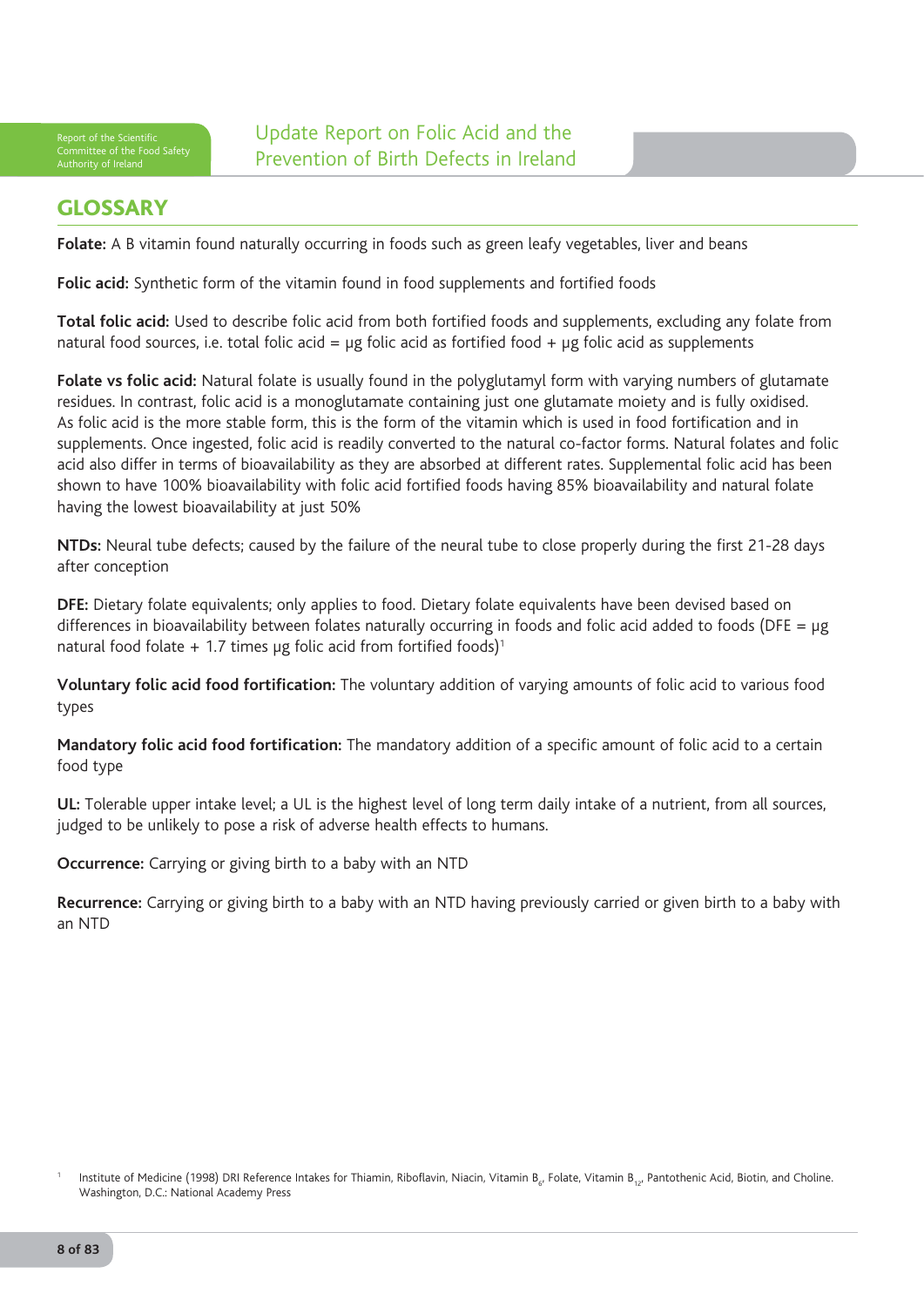<span id="page-9-0"></span>Report of the Scientifi Authority of Ireland

### GLOSSARY

**Folate:** A B vitamin found naturally occurring in foods such as green leafy vegetables, liver and beans

**Folic acid:** Synthetic form of the vitamin found in food supplements and fortified foods

**Total folic acid:** Used to describe folic acid from both fortified foods and supplements, excluding any folate from natural food sources, i.e. total folic acid =  $\mu$ g folic acid as fortified food +  $\mu$ g folic acid as supplements

**Folate vs folic acid:** Natural folate is usually found in the polyglutamyl form with varying numbers of glutamate residues. In contrast, folic acid is a monoglutamate containing just one glutamate moiety and is fully oxidised. As folic acid is the more stable form, this is the form of the vitamin which is used in food fortification and in supplements. Once ingested, folic acid is readily converted to the natural co-factor forms. Natural folates and folic acid also differ in terms of bioavailability as they are absorbed at different rates. Supplemental folic acid has been shown to have 100% bioavailability with folic acid fortified foods having 85% bioavailability and natural folate having the lowest bioavailability at just 50%

**NTDs:** Neural tube defects; caused by the failure of the neural tube to close properly during the first 21-28 days after conception

**DFE:** Dietary folate equivalents; only applies to food. Dietary folate equivalents have been devised based on differences in bioavailability between folates naturally occurring in foods and folic acid added to foods (DFE = µg natural food folate + 1.7 times  $\mu$ g folic acid from fortified foods)<sup>1</sup>

**Voluntary folic acid food fortification:** The voluntary addition of varying amounts of folic acid to various food types

**Mandatory folic acid food fortification:** The mandatory addition of a specific amount of folic acid to a certain food type

**UL:** Tolerable upper intake level; a UL is the highest level of long term daily intake of a nutrient, from all sources, judged to be unlikely to pose a risk of adverse health effects to humans.

**Occurrence:** Carrying or giving birth to a baby with an NTD

**Recurrence:** Carrying or giving birth to a baby with an NTD having previously carried or given birth to a baby with an NTD

<sup>1</sup> Institute of Medicine (1998) DRI Reference Intakes for Thiamin, Riboflavin, Niacin, Vitamin B<sub>6</sub>, Folate, Vitamin B<sub>12</sub>, Pantothenic Acid, Biotin, and Choline. Washington, D.C.: National Academy Press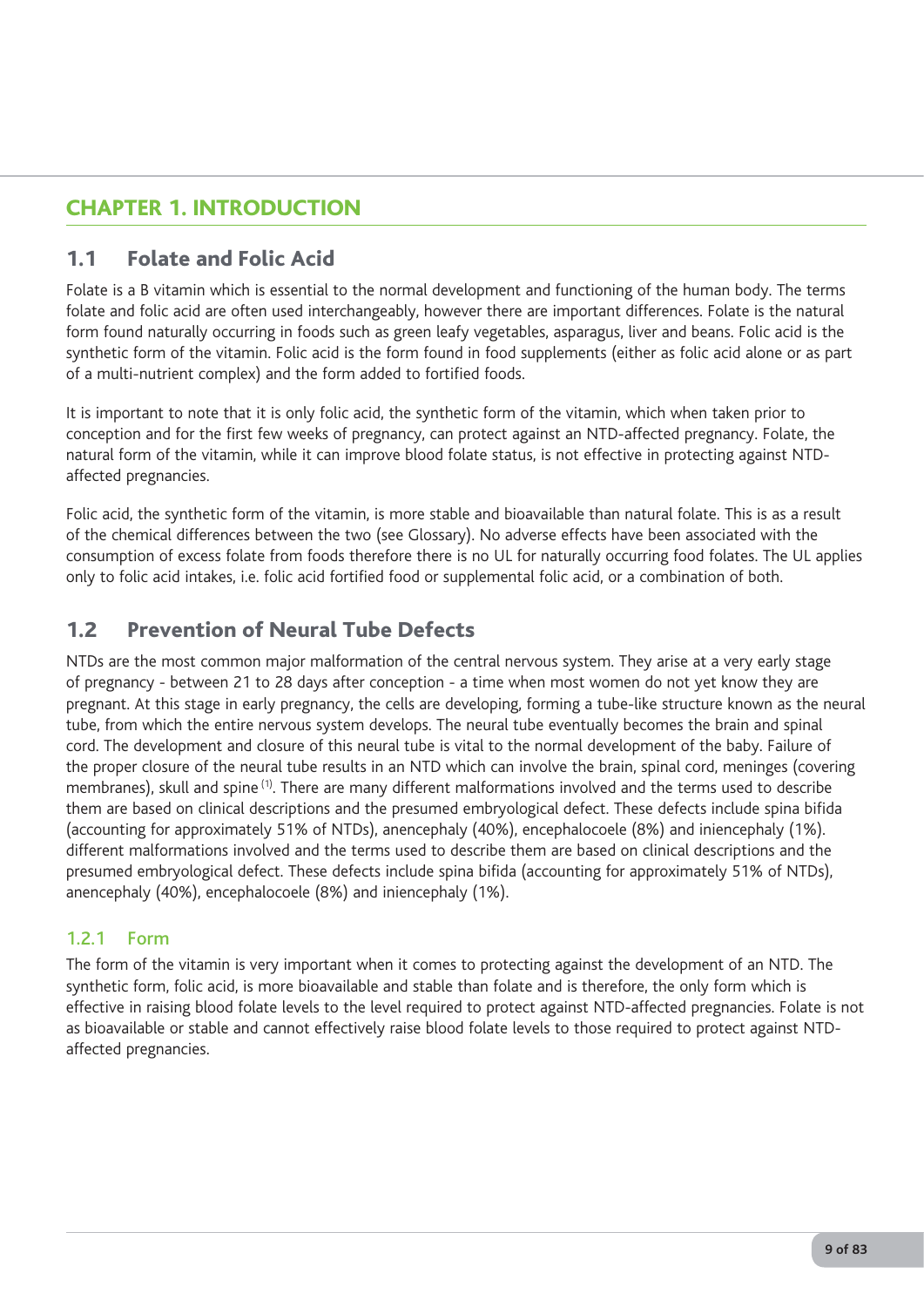# <span id="page-10-0"></span>CHAPTER 1. INTRODUCTION

# 1.1 Folate and Folic Acid

Folate is a B vitamin which is essential to the normal development and functioning of the human body. The terms folate and folic acid are often used interchangeably, however there are important differences. Folate is the natural form found naturally occurring in foods such as green leafy vegetables, asparagus, liver and beans. Folic acid is the synthetic form of the vitamin. Folic acid is the form found in food supplements (either as folic acid alone or as part of a multi-nutrient complex) and the form added to fortified foods.

It is important to note that it is only folic acid, the synthetic form of the vitamin, which when taken prior to conception and for the first few weeks of pregnancy, can protect against an NTD-affected pregnancy. Folate, the natural form of the vitamin, while it can improve blood folate status, is not effective in protecting against NTDaffected pregnancies.

Folic acid, the synthetic form of the vitamin, is more stable and bioavailable than natural folate. This is as a result of the chemical differences between the two (see Glossary). No adverse effects have been associated with the consumption of excess folate from foods therefore there is no UL for naturally occurring food folates. The UL applies only to folic acid intakes, i.e. folic acid fortified food or supplemental folic acid, or a combination of both.

# 1.2 Prevention of Neural Tube Defects

NTDs are the most common major malformation of the central nervous system. They arise at a very early stage of pregnancy - between 21 to 28 days after conception - a time when most women do not yet know they are pregnant. At this stage in early pregnancy, the cells are developing, forming a tube-like structure known as the neural tube, from which the entire nervous system develops. The neural tube eventually becomes the brain and spinal cord. The development and closure of this neural tube is vital to the normal development of the baby. Failure of the proper closure of the neural tube results in an NTD which can involve the brain, spinal cord, meninges (covering membranes), skull and spine (1). There are many different malformations involved and the terms used to describe them are based on clinical descriptions and the presumed embryological defect. These defects include spina bifida (accounting for approximately 51% of NTDs), anencephaly (40%), encephalocoele (8%) and iniencephaly (1%). different malformations involved and the terms used to describe them are based on clinical descriptions and the presumed embryological defect. These defects include spina bifida (accounting for approximately 51% of NTDs), anencephaly (40%), encephalocoele (8%) and iniencephaly (1%).

### 1.2.1 Form

The form of the vitamin is very important when it comes to protecting against the development of an NTD. The synthetic form, folic acid, is more bioavailable and stable than folate and is therefore, the only form which is effective in raising blood folate levels to the level required to protect against NTD-affected pregnancies. Folate is not as bioavailable or stable and cannot effectively raise blood folate levels to those required to protect against NTDaffected pregnancies.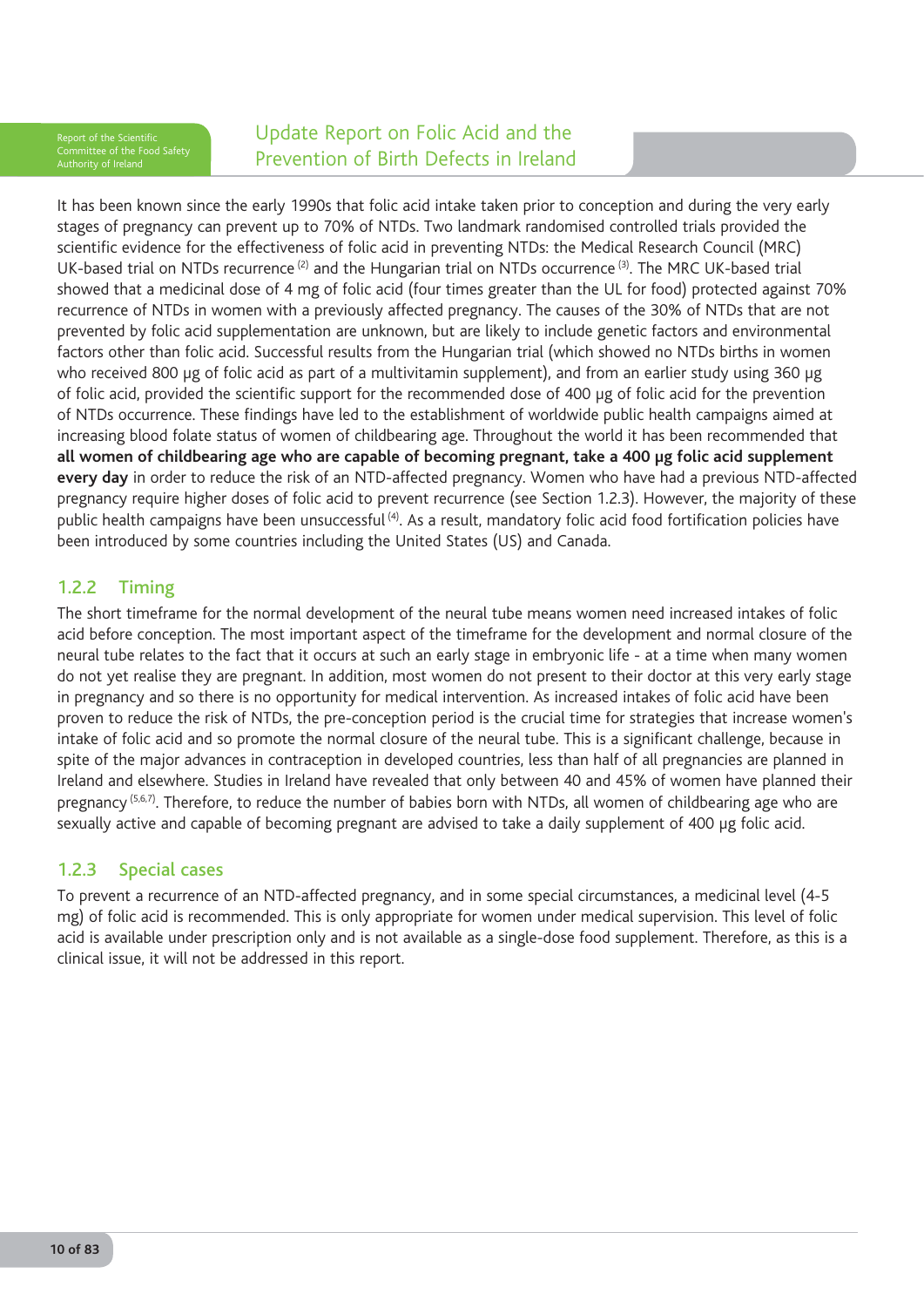Committee of the Food Safety Authority of Ireland

### Update Report on Folic Acid and the Prevention of Birth Defects in Ireland

It has been known since the early 1990s that folic acid intake taken prior to conception and during the very early stages of pregnancy can prevent up to 70% of NTDs. Two landmark randomised controlled trials provided the scientific evidence for the effectiveness of folic acid in preventing NTDs: the Medical Research Council (MRC) UK-based trial on NTDs recurrence (2) and the Hungarian trial on NTDs occurrence (3). The MRC UK-based trial showed that a medicinal dose of 4 mg of folic acid (four times greater than the UL for food) protected against 70% recurrence of NTDs in women with a previously affected pregnancy. The causes of the 30% of NTDs that are not prevented by folic acid supplementation are unknown, but are likely to include genetic factors and environmental factors other than folic acid. Successful results from the Hungarian trial (which showed no NTDs births in women who received 800 µg of folic acid as part of a multivitamin supplement), and from an earlier study using 360 µg of folic acid, provided the scientific support for the recommended dose of 400 µg of folic acid for the prevention of NTDs occurrence. These findings have led to the establishment of worldwide public health campaigns aimed at increasing blood folate status of women of childbearing age. Throughout the world it has been recommended that **all women of childbearing age who are capable of becoming pregnant, take a 400 µg folic acid supplement every day** in order to reduce the risk of an NTD-affected pregnancy. Women who have had a previous NTD-affected pregnancy require higher doses of folic acid to prevent recurrence (see Section 1.2.3). However, the majority of these public health campaigns have been unsuccessful (4). As a result, mandatory folic acid food fortification policies have been introduced by some countries including the United States (US) and Canada.

### 1.2.2 Timing

The short timeframe for the normal development of the neural tube means women need increased intakes of folic acid before conception. The most important aspect of the timeframe for the development and normal closure of the neural tube relates to the fact that it occurs at such an early stage in embryonic life - at a time when many women do not yet realise they are pregnant. In addition, most women do not present to their doctor at this very early stage in pregnancy and so there is no opportunity for medical intervention. As increased intakes of folic acid have been proven to reduce the risk of NTDs, the pre-conception period is the crucial time for strategies that increase women's intake of folic acid and so promote the normal closure of the neural tube. This is a significant challenge, because in spite of the major advances in contraception in developed countries, less than half of all pregnancies are planned in Ireland and elsewhere. Studies in Ireland have revealed that only between 40 and 45% of women have planned their pregnancy <sup>(5,6,7)</sup>. Therefore, to reduce the number of babies born with NTDs, all women of childbearing age who are sexually active and capable of becoming pregnant are advised to take a daily supplement of 400 µg folic acid.

### 1.2.3 Special cases

To prevent a recurrence of an NTD-affected pregnancy, and in some special circumstances, a medicinal level (4-5 mg) of folic acid is recommended. This is only appropriate for women under medical supervision. This level of folic acid is available under prescription only and is not available as a single-dose food supplement. Therefore, as this is a clinical issue, it will not be addressed in this report.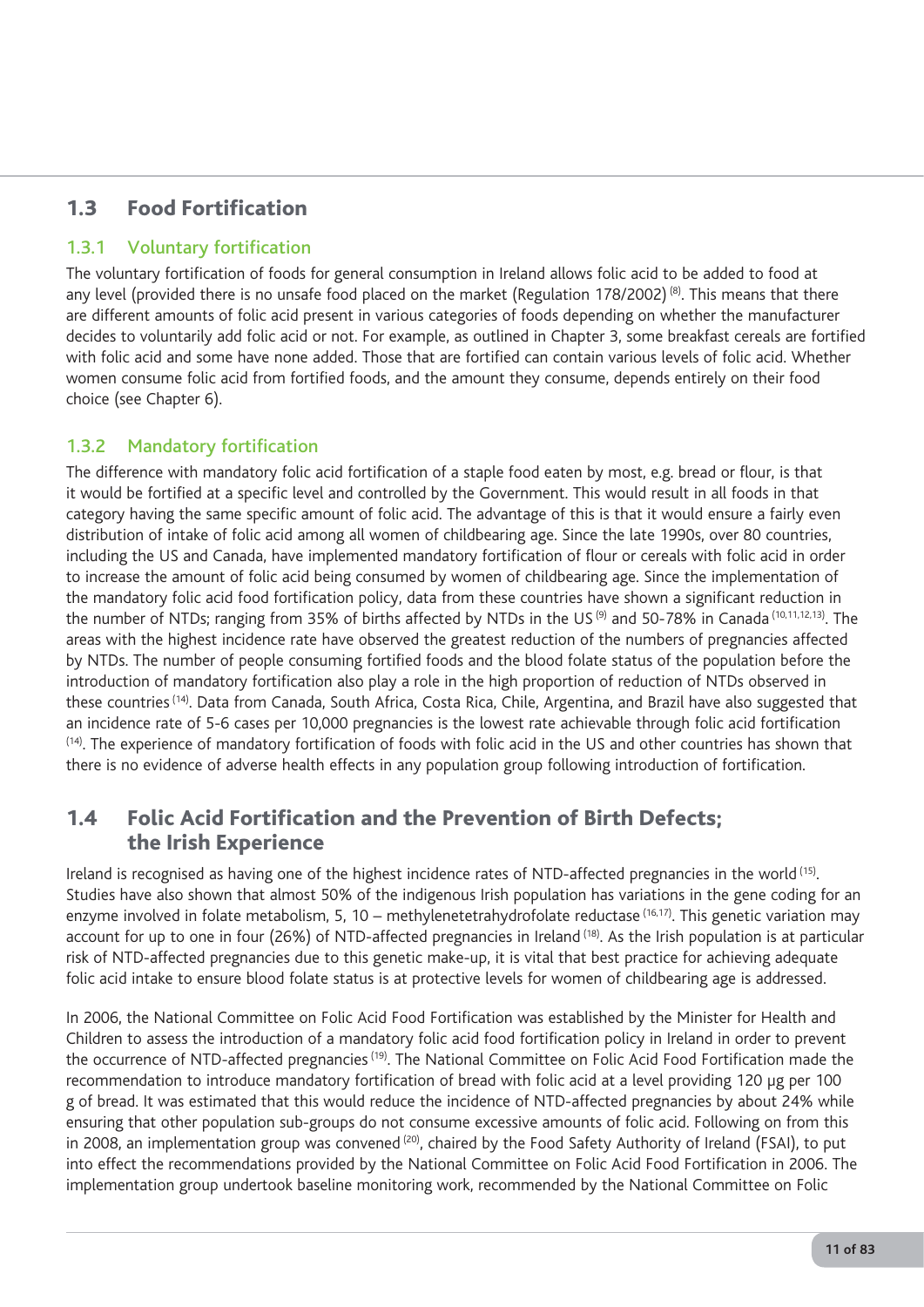# <span id="page-12-0"></span>1.3 Food Fortification

### 1.3.1 Voluntary fortification

The voluntary fortification of foods for general consumption in Ireland allows folic acid to be added to food at any level (provided there is no unsafe food placed on the market (Regulation 178/2002)<sup>(8)</sup>. This means that there are different amounts of folic acid present in various categories of foods depending on whether the manufacturer decides to voluntarily add folic acid or not. For example, as outlined in Chapter 3, some breakfast cereals are fortified with folic acid and some have none added. Those that are fortified can contain various levels of folic acid. Whether women consume folic acid from fortified foods, and the amount they consume, depends entirely on their food choice (see Chapter 6).

### 1.3.2 Mandatory fortification

The difference with mandatory folic acid fortification of a staple food eaten by most, e.g. bread or flour, is that it would be fortified at a specific level and controlled by the Government. This would result in all foods in that category having the same specific amount of folic acid. The advantage of this is that it would ensure a fairly even distribution of intake of folic acid among all women of childbearing age. Since the late 1990s, over 80 countries, including the US and Canada, have implemented mandatory fortification of flour or cereals with folic acid in order to increase the amount of folic acid being consumed by women of childbearing age. Since the implementation of the mandatory folic acid food fortification policy, data from these countries have shown a significant reduction in the number of NTDs; ranging from 35% of births affected by NTDs in the US<sup>(9)</sup> and 50-78% in Canada<sup>(10,11,12,13)</sup>. The areas with the highest incidence rate have observed the greatest reduction of the numbers of pregnancies affected by NTDs. The number of people consuming fortified foods and the blood folate status of the population before the introduction of mandatory fortification also play a role in the high proportion of reduction of NTDs observed in these countries (14). Data from Canada, South Africa, Costa Rica, Chile, Argentina, and Brazil have also suggested that an incidence rate of 5-6 cases per 10,000 pregnancies is the lowest rate achievable through folic acid fortification (14). The experience of mandatory fortification of foods with folic acid in the US and other countries has shown that there is no evidence of adverse health effects in any population group following introduction of fortification.

# 1.4 Folic Acid Fortification and the Prevention of Birth Defects; the Irish Experience

Ireland is recognised as having one of the highest incidence rates of NTD-affected pregnancies in the world (15). Studies have also shown that almost 50% of the indigenous Irish population has variations in the gene coding for an enzyme involved in folate metabolism, 5, 10 – methylenetetrahydrofolate reductase  $(16,17)$ . This genetic variation may account for up to one in four (26%) of NTD-affected pregnancies in Ireland (18). As the Irish population is at particular risk of NTD-affected pregnancies due to this genetic make-up, it is vital that best practice for achieving adequate folic acid intake to ensure blood folate status is at protective levels for women of childbearing age is addressed.

In 2006, the National Committee on Folic Acid Food Fortification was established by the Minister for Health and Children to assess the introduction of a mandatory folic acid food fortification policy in Ireland in order to prevent the occurrence of NTD-affected pregnancies (19). The National Committee on Folic Acid Food Fortification made the recommendation to introduce mandatory fortification of bread with folic acid at a level providing 120 µg per 100 g of bread. It was estimated that this would reduce the incidence of NTD-affected pregnancies by about 24% while ensuring that other population sub-groups do not consume excessive amounts of folic acid. Following on from this in 2008, an implementation group was convened (20), chaired by the Food Safety Authority of Ireland (FSAI), to put into effect the recommendations provided by the National Committee on Folic Acid Food Fortification in 2006. The implementation group undertook baseline monitoring work, recommended by the National Committee on Folic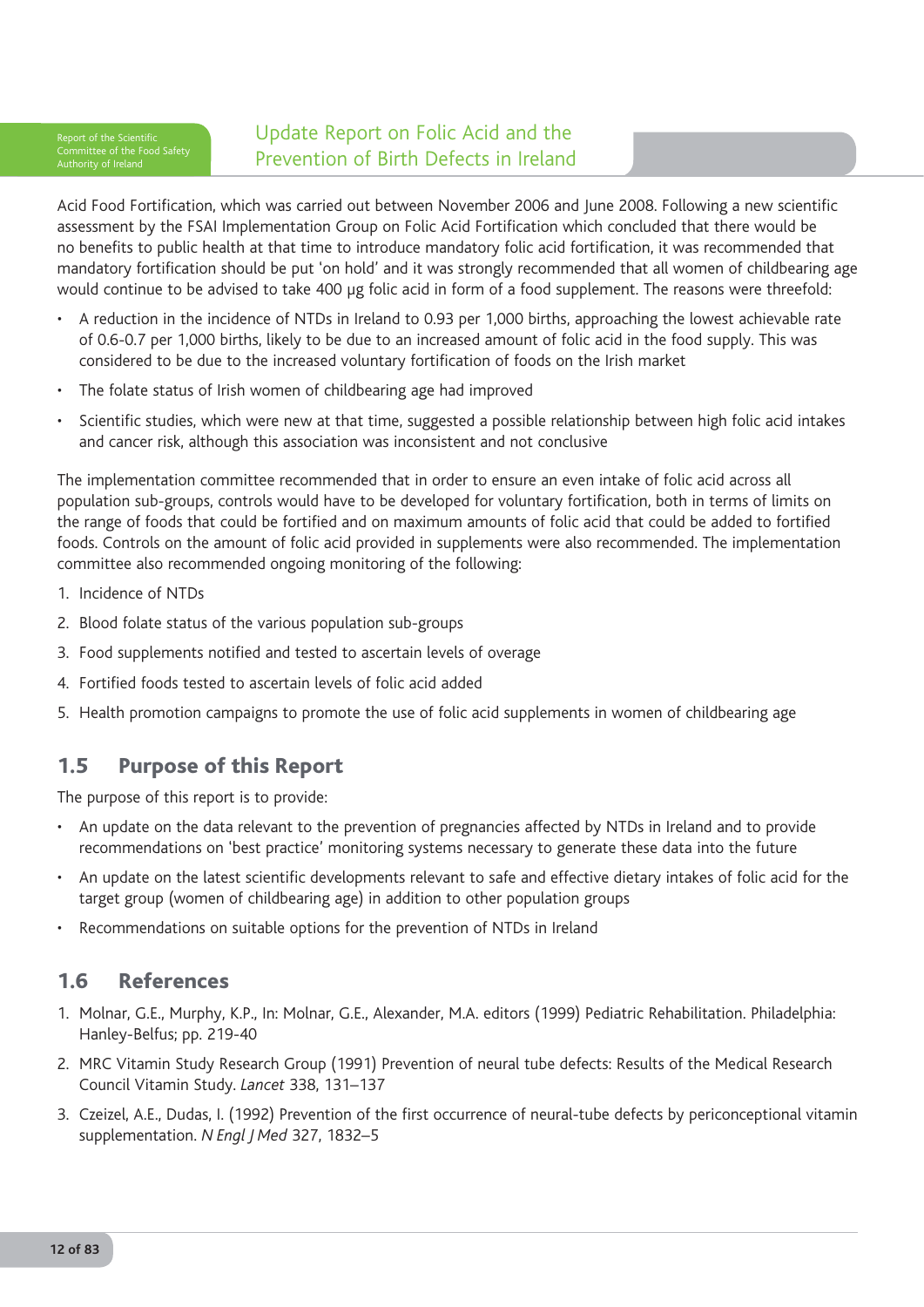# Update Report on Folic Acid and the Prevention of Birth Defects in Ireland

<span id="page-13-0"></span>Acid Food Fortification, which was carried out between November 2006 and June 2008. Following a new scientific assessment by the FSAI Implementation Group on Folic Acid Fortification which concluded that there would be no benefits to public health at that time to introduce mandatory folic acid fortification, it was recommended that mandatory fortification should be put 'on hold' and it was strongly recommended that all women of childbearing age would continue to be advised to take 400 µg folic acid in form of a food supplement. The reasons were threefold:

- A reduction in the incidence of NTDs in Ireland to 0.93 per 1,000 births, approaching the lowest achievable rate of 0.6-0.7 per 1,000 births, likely to be due to an increased amount of folic acid in the food supply. This was considered to be due to the increased voluntary fortification of foods on the Irish market
- The folate status of Irish women of childbearing age had improved
- Scientific studies, which were new at that time, suggested a possible relationship between high folic acid intakes and cancer risk, although this association was inconsistent and not conclusive

The implementation committee recommended that in order to ensure an even intake of folic acid across all population sub-groups, controls would have to be developed for voluntary fortification, both in terms of limits on the range of foods that could be fortified and on maximum amounts of folic acid that could be added to fortified foods. Controls on the amount of folic acid provided in supplements were also recommended. The implementation committee also recommended ongoing monitoring of the following:

- 1. Incidence of NTDs
- 2. Blood folate status of the various population sub-groups
- 3. Food supplements notified and tested to ascertain levels of overage
- 4. Fortified foods tested to ascertain levels of folic acid added
- 5. Health promotion campaigns to promote the use of folic acid supplements in women of childbearing age

# 1.5 Purpose of this Report

The purpose of this report is to provide:

- An update on the data relevant to the prevention of pregnancies affected by NTDs in Ireland and to provide recommendations on 'best practice' monitoring systems necessary to generate these data into the future
- An update on the latest scientific developments relevant to safe and effective dietary intakes of folic acid for the target group (women of childbearing age) in addition to other population groups
- Recommendations on suitable options for the prevention of NTDs in Ireland

### 1.6 References

- 1. Molnar, G.E., Murphy, K.P., In: Molnar, G.E., Alexander, M.A. editors (1999) Pediatric Rehabilitation. Philadelphia: Hanley-Belfus; pp. 219-40
- 2. MRC Vitamin Study Research Group (1991) Prevention of neural tube defects: Results of the Medical Research Council Vitamin Study. *Lancet* 338, 131–137
- 3. Czeizel, A.E., Dudas, I. (1992) Prevention of the first occurrence of neural-tube defects by periconceptional vitamin supplementation. *N Engl J Med* 327, 1832–5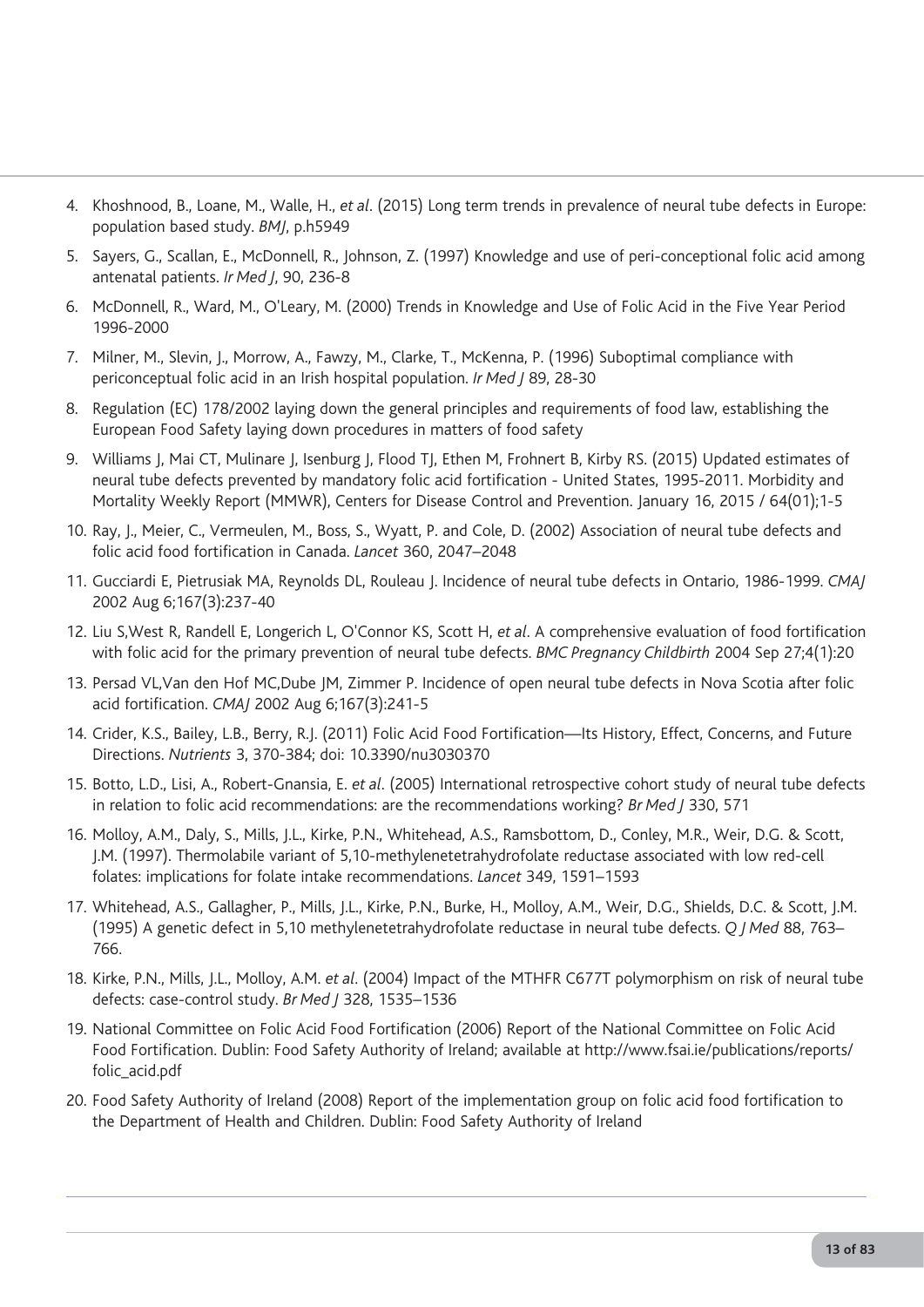- 4. Khoshnood, B., Loane, M., Walle, H., *et al*. (2015) Long term trends in prevalence of neural tube defects in Europe: population based study. *BMJ*, p.h5949
- 5. Sayers, G., Scallan, E., McDonnell, R., Johnson, Z. (1997) Knowledge and use of peri-conceptional folic acid among antenatal patients. *Ir Med J*, 90, 236-8
- 6. McDonnell, R., Ward, M., O'Leary, M. (2000) Trends in Knowledge and Use of Folic Acid in the Five Year Period 1996-2000
- 7. Milner, M., Slevin, J., Morrow, A., Fawzy, M., Clarke, T., McKenna, P. (1996) Suboptimal compliance with periconceptual folic acid in an Irish hospital population. *Ir Med J* 89, 28-30
- 8. Regulation (EC) 178/2002 laying down the general principles and requirements of food law, establishing the European Food Safety laying down procedures in matters of food safety
- 9. Williams J, Mai CT, Mulinare J, Isenburg J, Flood TJ, Ethen M, Frohnert B, Kirby RS. (2015) Updated estimates of neural tube defects prevented by mandatory folic acid fortification - United States, 1995-2011. Morbidity and Mortality Weekly Report (MMWR), Centers for Disease Control and Prevention. January 16, 2015 / 64(01);1-5
- 10. Ray, J., Meier, C., Vermeulen, M., Boss, S., Wyatt, P. and Cole, D. (2002) Association of neural tube defects and folic acid food fortification in Canada. *Lancet* 360, 2047–2048
- 11. Gucciardi E, Pietrusiak MA, Reynolds DL, Rouleau J. Incidence of neural tube defects in Ontario, 1986-1999. *CMAJ* 2002 Aug 6;167(3):237-40
- 12. Liu S,West R, Randell E, Longerich L, O'Connor KS, Scott H, *et al*. A comprehensive evaluation of food fortification with folic acid for the primary prevention of neural tube defects. *BMC Pregnancy Childbirth* 2004 Sep 27;4(1):20
- 13. Persad VL,Van den Hof MC,Dube JM, Zimmer P. Incidence of open neural tube defects in Nova Scotia after folic acid fortification. *CMAJ* 2002 Aug 6;167(3):241-5
- 14. Crider, K.S., Bailey, L.B., Berry, R.J. (2011) Folic Acid Food Fortification—Its History, Effect, Concerns, and Future Directions. *Nutrients* 3, 370-384; doi: 10.3390/nu3030370
- 15. Botto, L.D., Lisi, A., Robert-Gnansia, E. *et al*. (2005) International retrospective cohort study of neural tube defects in relation to folic acid recommendations: are the recommendations working? *Br Med J* 330, 571
- 16. Molloy, A.M., Daly, S., Mills, J.L., Kirke, P.N., Whitehead, A.S., Ramsbottom, D., Conley, M.R., Weir, D.G. & Scott, J.M. (1997). Thermolabile variant of 5,10-methylenetetrahydrofolate reductase associated with low red-cell folates: implications for folate intake recommendations. *Lancet* 349, 1591–1593
- 17. Whitehead, A.S., Gallagher, P., Mills, J.L., Kirke, P.N., Burke, H., Molloy, A.M., Weir, D.G., Shields, D.C. & Scott, J.M. (1995) A genetic defect in 5,10 methylenetetrahydrofolate reductase in neural tube defects. *Q J Med* 88, 763– 766.
- 18. Kirke, P.N., Mills, J.L., Molloy, A.M. *et al*. (2004) Impact of the MTHFR C677T polymorphism on risk of neural tube defects: case-control study. *Br Med J* 328, 1535–1536
- 19. National Committee on Folic Acid Food Fortification (2006) Report of the National Committee on Folic Acid Food Fortification. Dublin: Food Safety Authority of Ireland; available at http://www.fsai.ie/publications/reports/ folic\_acid.pdf
- 20. Food Safety Authority of Ireland (2008) Report of the implementation group on folic acid food fortification to the Department of Health and Children. Dublin: Food Safety Authority of Ireland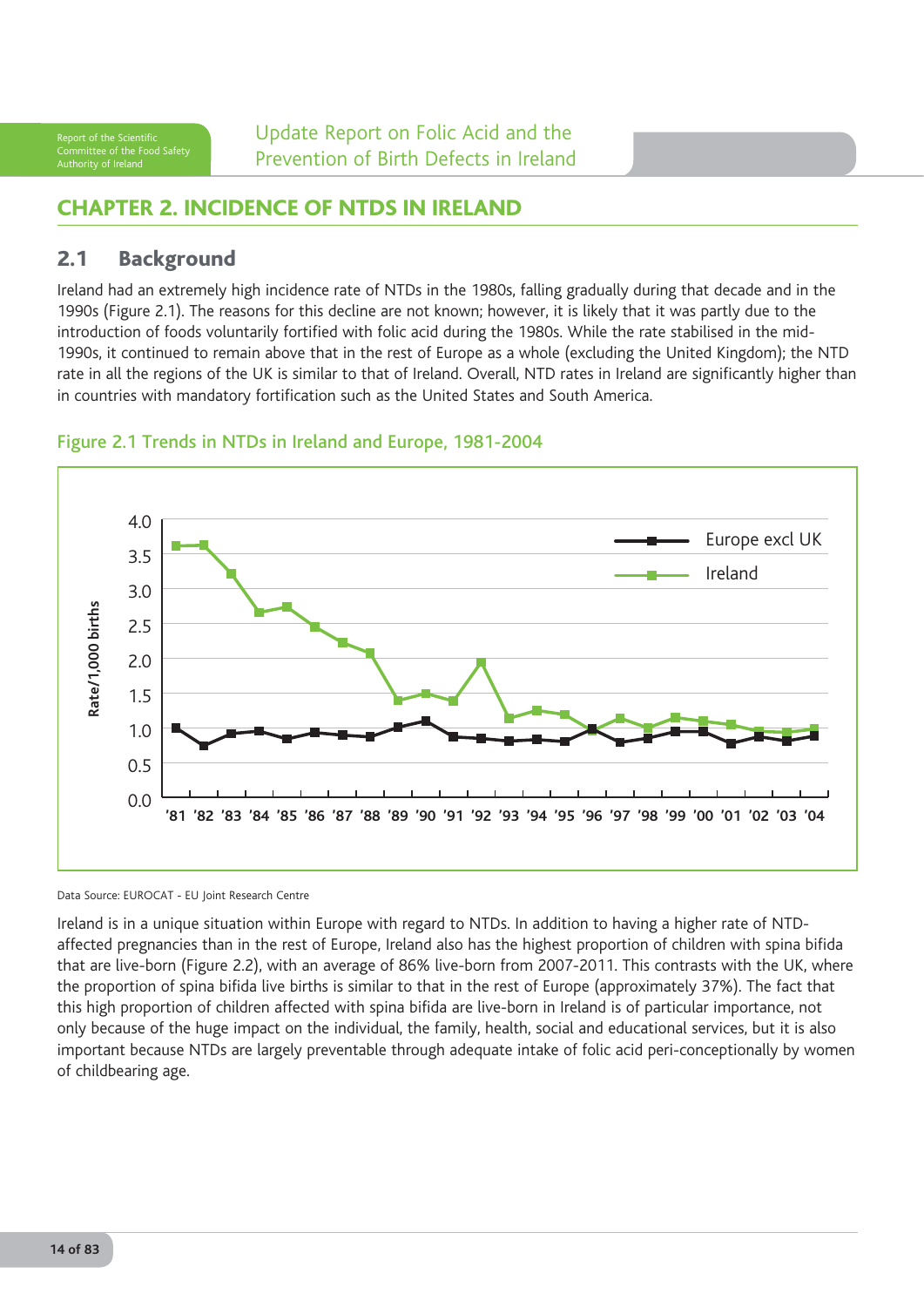# <span id="page-15-0"></span>CHAPTER 2. INCIDENCE OF NTDS IN IRELAND

### 2.1 Background

Ireland had an extremely high incidence rate of NTDs in the 1980s, falling gradually during that decade and in the 1990s (Figure 2.1). The reasons for this decline are not known; however, it is likely that it was partly due to the introduction of foods voluntarily fortified with folic acid during the 1980s. While the rate stabilised in the mid-1990s, it continued to remain above that in the rest of Europe as a whole (excluding the United Kingdom); the NTD rate in all the regions of the UK is similar to that of Ireland. Overall, NTD rates in Ireland are significantly higher than in countries with mandatory fortification such as the United States and South America.



### Figure 2.1 Trends in NTDs in Ireland and Europe, 1981-2004

Data Source: EUROCAT - EU Joint Research Centre

Ireland is in a unique situation within Europe with regard to NTDs. In addition to having a higher rate of NTDaffected pregnancies than in the rest of Europe, Ireland also has the highest proportion of children with spina bifida that are live-born (Figure 2.2), with an average of 86% live-born from 2007-2011. This contrasts with the UK, where the proportion of spina bifida live births is similar to that in the rest of Europe (approximately 37%). The fact that this high proportion of children affected with spina bifida are live-born in Ireland is of particular importance, not only because of the huge impact on the individual, the family, health, social and educational services, but it is also important because NTDs are largely preventable through adequate intake of folic acid peri-conceptionally by women of childbearing age.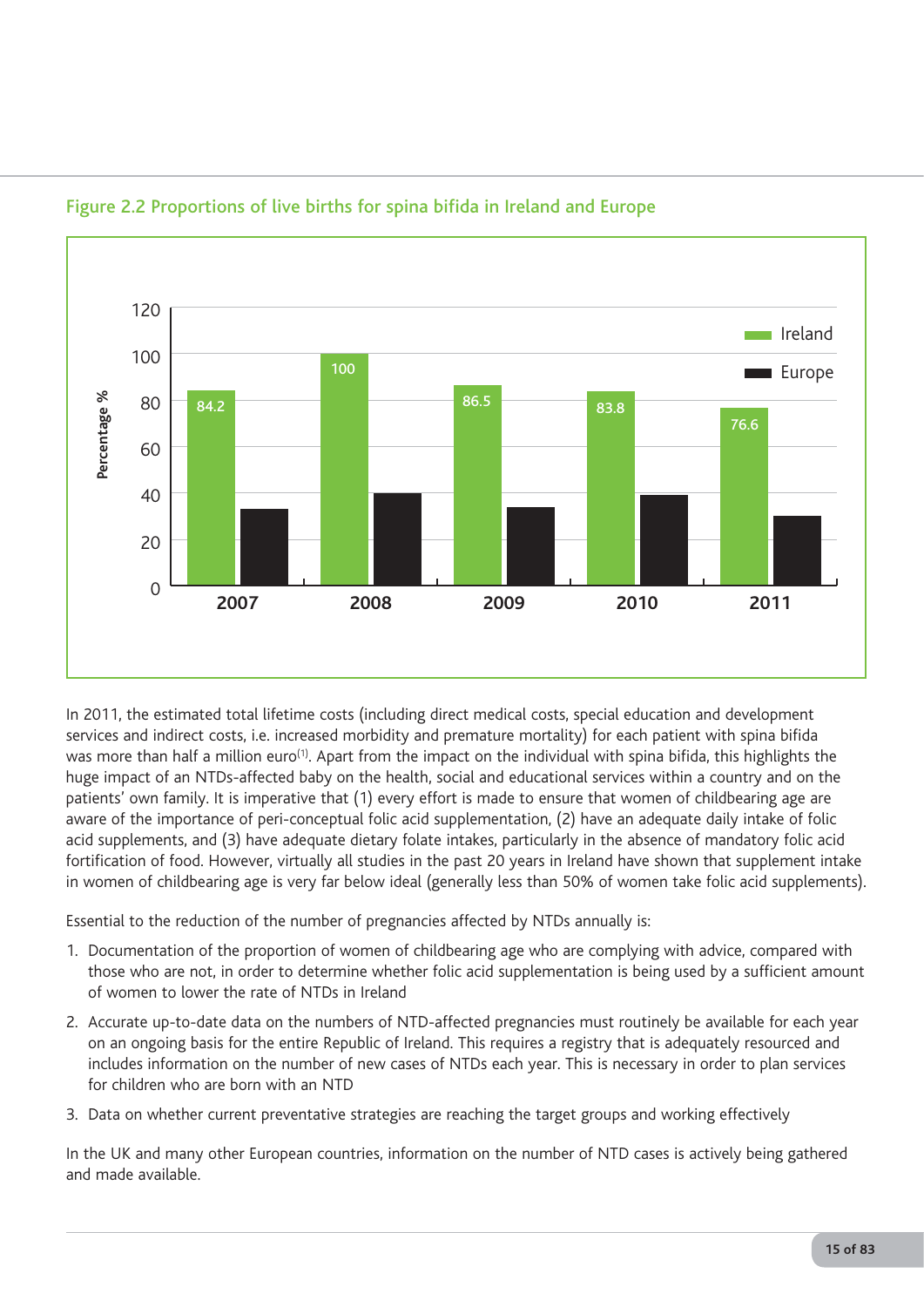

### Figure 2.2 Proportions of live births for spina bifida in Ireland and Europe

In 2011, the estimated total lifetime costs (including direct medical costs, special education and development services and indirect costs, i.e. increased morbidity and premature mortality) for each patient with spina bifida was more than half a million euro<sup>(1)</sup>. Apart from the impact on the individual with spina bifida, this highlights the huge impact of an NTDs-affected baby on the health, social and educational services within a country and on the patients' own family. It is imperative that (1) every effort is made to ensure that women of childbearing age are aware of the importance of peri-conceptual folic acid supplementation, (2) have an adequate daily intake of folic acid supplements, and (3) have adequate dietary folate intakes, particularly in the absence of mandatory folic acid fortification of food. However, virtually all studies in the past 20 years in Ireland have shown that supplement intake in women of childbearing age is very far below ideal (generally less than 50% of women take folic acid supplements).

Essential to the reduction of the number of pregnancies affected by NTDs annually is:

- 1. Documentation of the proportion of women of childbearing age who are complying with advice, compared with those who are not, in order to determine whether folic acid supplementation is being used by a sufficient amount of women to lower the rate of NTDs in Ireland
- 2. Accurate up-to-date data on the numbers of NTD-affected pregnancies must routinely be available for each year on an ongoing basis for the entire Republic of Ireland. This requires a registry that is adequately resourced and includes information on the number of new cases of NTDs each year. This is necessary in order to plan services for children who are born with an NTD
- 3. Data on whether current preventative strategies are reaching the target groups and working effectively

In the UK and many other European countries, information on the number of NTD cases is actively being gathered and made available.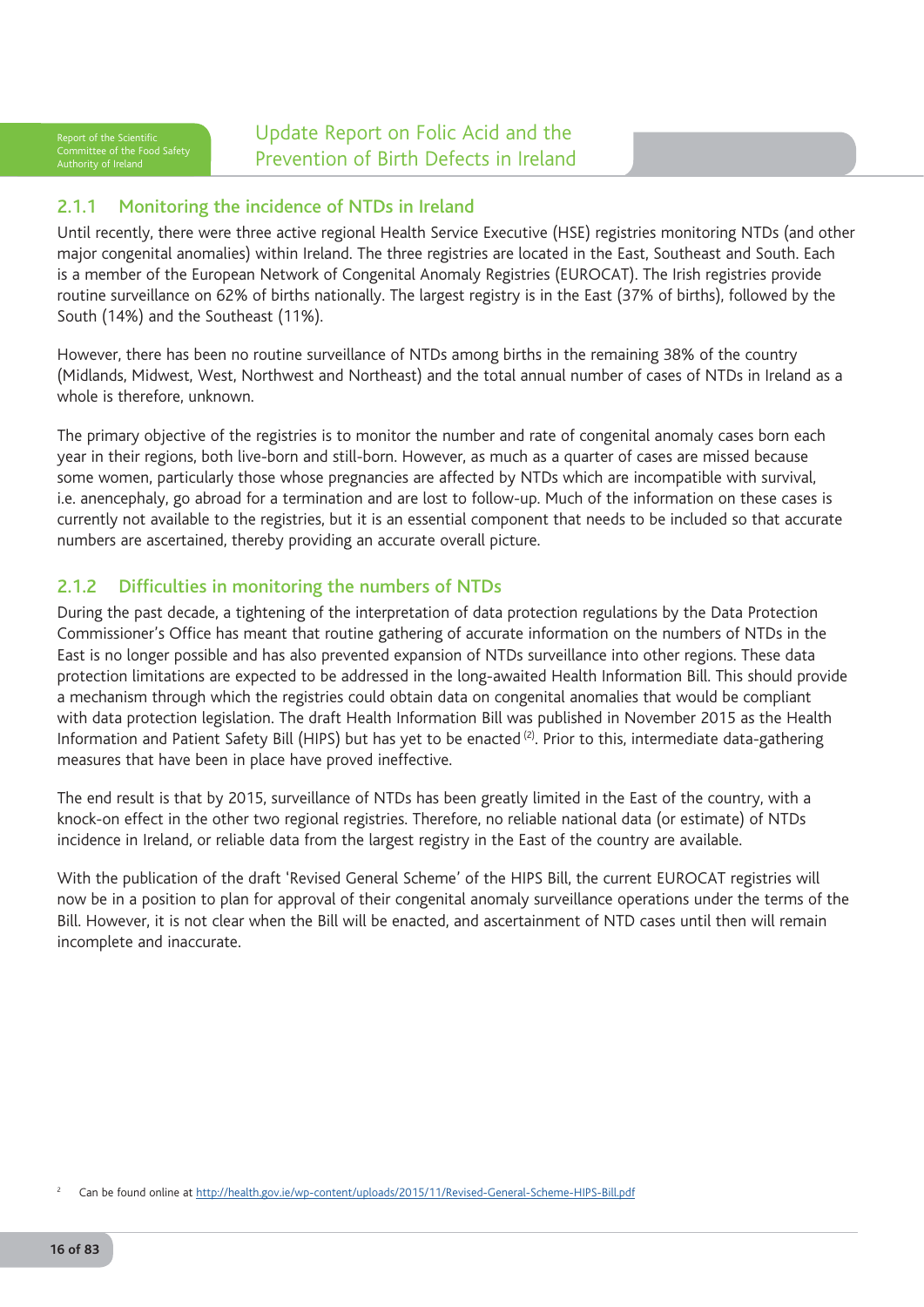#### 2.1.1 Monitoring the incidence of NTDs in Ireland

Until recently, there were three active regional Health Service Executive (HSE) registries monitoring NTDs (and other major congenital anomalies) within Ireland. The three registries are located in the East, Southeast and South. Each is a member of the European Network of Congenital Anomaly Registries (EUROCAT). The Irish registries provide routine surveillance on 62% of births nationally. The largest registry is in the East (37% of births), followed by the South (14%) and the Southeast (11%).

However, there has been no routine surveillance of NTDs among births in the remaining 38% of the country (Midlands, Midwest, West, Northwest and Northeast) and the total annual number of cases of NTDs in Ireland as a whole is therefore, unknown.

The primary objective of the registries is to monitor the number and rate of congenital anomaly cases born each year in their regions, both live-born and still-born. However, as much as a quarter of cases are missed because some women, particularly those whose pregnancies are affected by NTDs which are incompatible with survival, i.e. anencephaly, go abroad for a termination and are lost to follow-up. Much of the information on these cases is currently not available to the registries, but it is an essential component that needs to be included so that accurate numbers are ascertained, thereby providing an accurate overall picture.

### 2.1.2 Difficulties in monitoring the numbers of NTDs

During the past decade, a tightening of the interpretation of data protection regulations by the Data Protection Commissioner's Office has meant that routine gathering of accurate information on the numbers of NTDs in the East is no longer possible and has also prevented expansion of NTDs surveillance into other regions. These data protection limitations are expected to be addressed in the long-awaited Health Information Bill. This should provide a mechanism through which the registries could obtain data on congenital anomalies that would be compliant with data protection legislation. The draft Health Information Bill was published in November 2015 as the Health Information and Patient Safety Bill (HIPS) but has yet to be enacted <sup>(2)</sup>. Prior to this, intermediate data-gathering measures that have been in place have proved ineffective.

The end result is that by 2015, surveillance of NTDs has been greatly limited in the East of the country, with a knock-on effect in the other two regional registries. Therefore, no reliable national data (or estimate) of NTDs incidence in Ireland, or reliable data from the largest registry in the East of the country are available.

With the publication of the draft 'Revised General Scheme' of the HIPS Bill, the current EUROCAT registries will now be in a position to plan for approval of their congenital anomaly surveillance operations under the terms of the Bill. However, it is not clear when the Bill will be enacted, and ascertainment of NTD cases until then will remain incomplete and inaccurate.

<sup>2</sup> Can be found online at<http://health.gov.ie/wp-content/uploads/2015/11/Revised-General-Scheme-HIPS-Bill.pdf>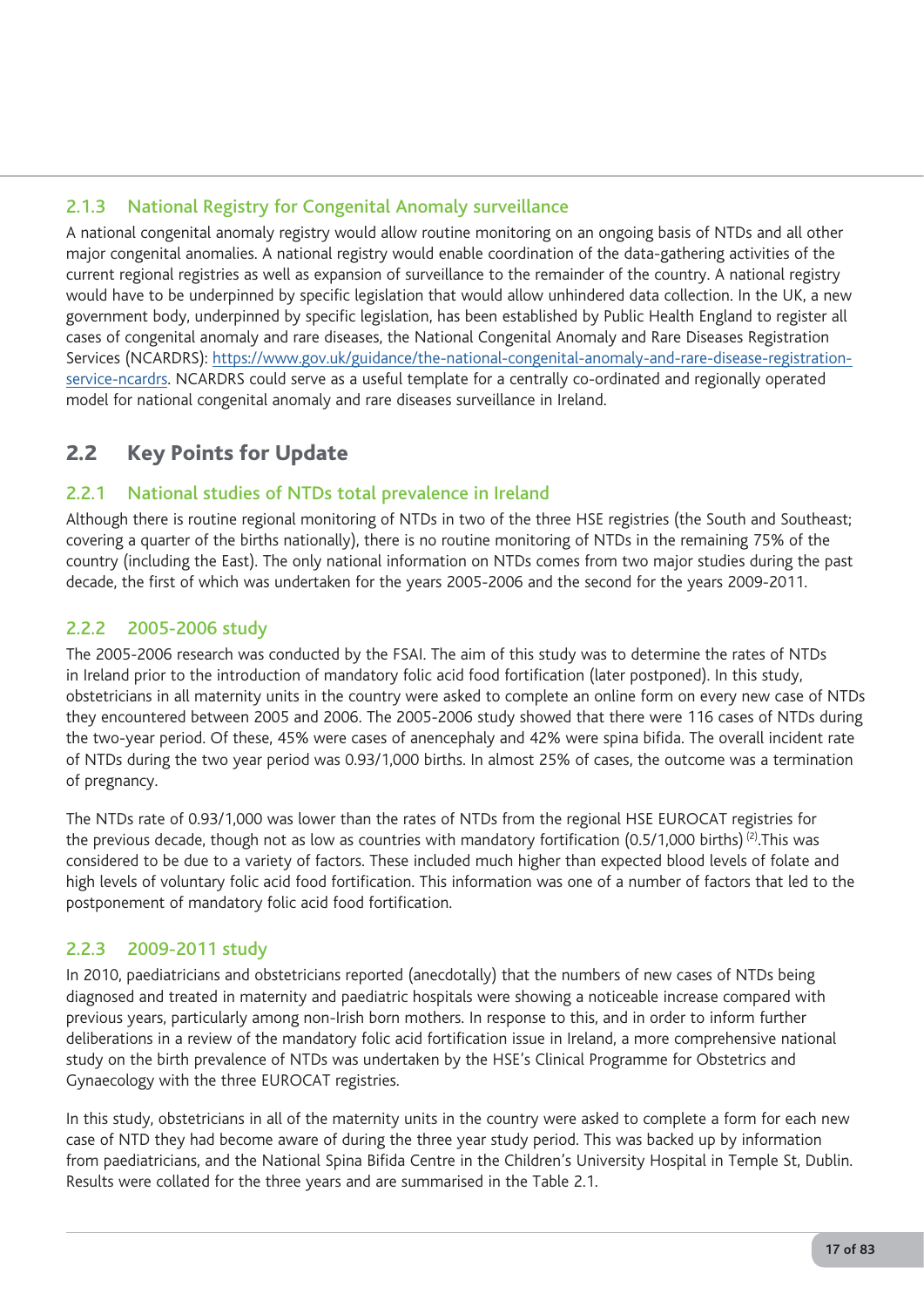# <span id="page-18-0"></span>2.1.3 National Registry for Congenital Anomaly surveillance

A national congenital anomaly registry would allow routine monitoring on an ongoing basis of NTDs and all other major congenital anomalies. A national registry would enable coordination of the data-gathering activities of the current regional registries as well as expansion of surveillance to the remainder of the country. A national registry would have to be underpinned by specific legislation that would allow unhindered data collection. In the UK, a new government body, underpinned by specific legislation, has been established by Public Health England to register all cases of congenital anomaly and rare diseases, the National Congenital Anomaly and Rare Diseases Registration Services (NCARDRS): [https://www.gov.uk/guidance/the-national-congenital-anomaly-and-rare-disease-registration](https://www.gov.uk/guidance/the-national-congenital-anomaly-and-rare-disease-registration-service-ncardrs)[service-ncardrs](https://www.gov.uk/guidance/the-national-congenital-anomaly-and-rare-disease-registration-service-ncardrs). NCARDRS could serve as a useful template for a centrally co-ordinated and regionally operated model for national congenital anomaly and rare diseases surveillance in Ireland.

# 2.2 Key Points for Update

### 2.2.1 National studies of NTDs total prevalence in Ireland

Although there is routine regional monitoring of NTDs in two of the three HSE registries (the South and Southeast; covering a quarter of the births nationally), there is no routine monitoring of NTDs in the remaining 75% of the country (including the East). The only national information on NTDs comes from two major studies during the past decade, the first of which was undertaken for the years 2005-2006 and the second for the years 2009-2011.

### 2.2.2 2005-2006 study

The 2005-2006 research was conducted by the FSAI. The aim of this study was to determine the rates of NTDs in Ireland prior to the introduction of mandatory folic acid food fortification (later postponed). In this study, obstetricians in all maternity units in the country were asked to complete an online form on every new case of NTDs they encountered between 2005 and 2006. The 2005-2006 study showed that there were 116 cases of NTDs during the two-year period. Of these, 45% were cases of anencephaly and 42% were spina bifida. The overall incident rate of NTDs during the two year period was 0.93/1,000 births. In almost 25% of cases, the outcome was a termination of pregnancy.

The NTDs rate of 0.93/1,000 was lower than the rates of NTDs from the regional HSE EUROCAT registries for the previous decade, though not as low as countries with mandatory fortification  $(0.5/1,000$  births) <sup>(2)</sup>. This was considered to be due to a variety of factors. These included much higher than expected blood levels of folate and high levels of voluntary folic acid food fortification. This information was one of a number of factors that led to the postponement of mandatory folic acid food fortification.

### 2.2.3 2009-2011 study

In 2010, paediatricians and obstetricians reported (anecdotally) that the numbers of new cases of NTDs being diagnosed and treated in maternity and paediatric hospitals were showing a noticeable increase compared with previous years, particularly among non-Irish born mothers. In response to this, and in order to inform further deliberations in a review of the mandatory folic acid fortification issue in Ireland, a more comprehensive national study on the birth prevalence of NTDs was undertaken by the HSE's Clinical Programme for Obstetrics and Gynaecology with the three EUROCAT registries.

In this study, obstetricians in all of the maternity units in the country were asked to complete a form for each new case of NTD they had become aware of during the three year study period. This was backed up by information from paediatricians, and the National Spina Bifida Centre in the Children's University Hospital in Temple St, Dublin. Results were collated for the three years and are summarised in the Table 2.1.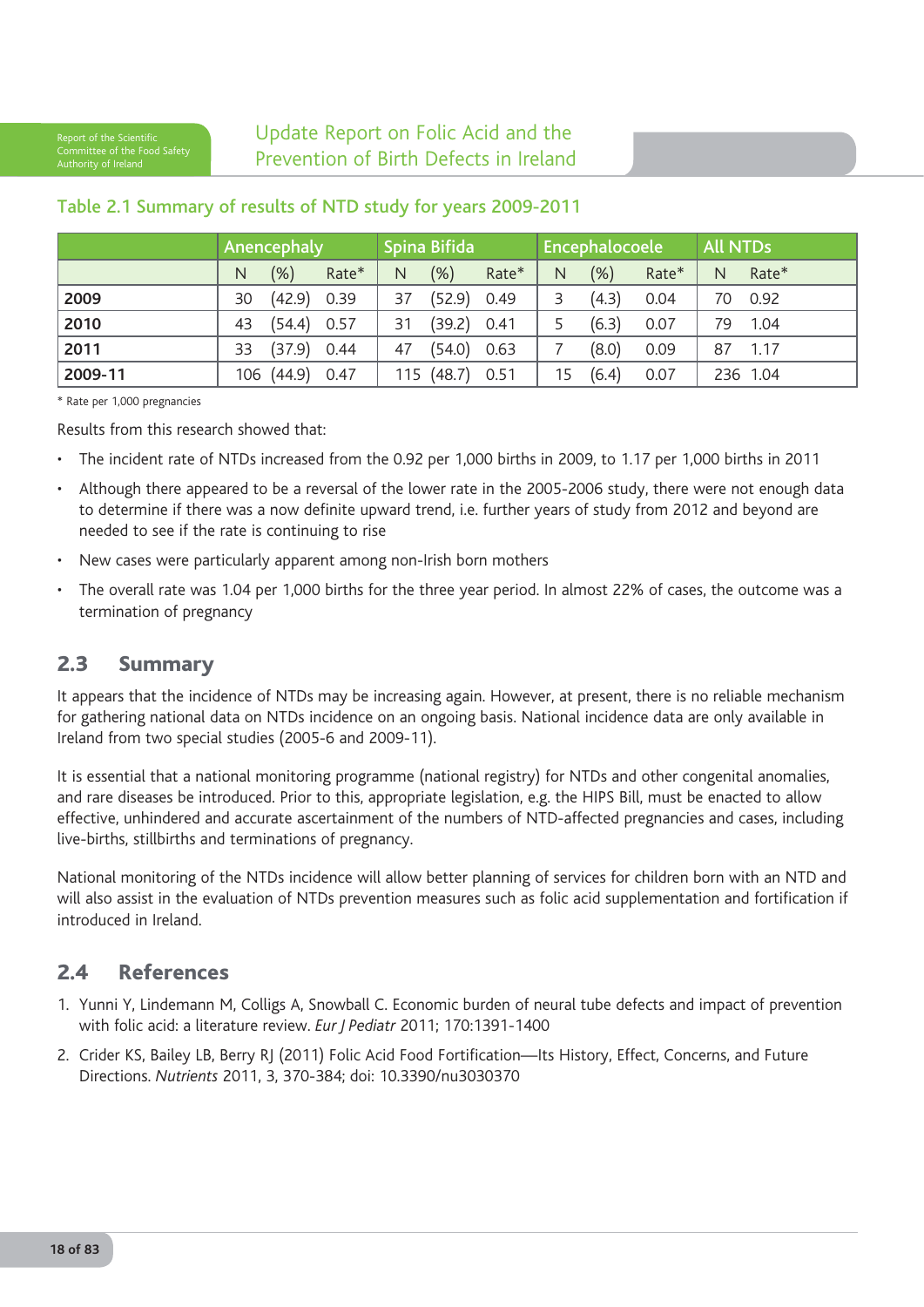<span id="page-19-0"></span>Authority of Ireland

|         | Anencephaly |        |       | Spina Bifida |        | Encephalocoele |    |       | All NTDs |    |          |
|---------|-------------|--------|-------|--------------|--------|----------------|----|-------|----------|----|----------|
|         | N           | (% )   | Rate* | N            | (%)    | Rate*          | N  | (% )  | Rate*    | N. | Rate*    |
| 2009    | 30          | (42.9) | 0.39  | 37           | (52.9) | 0.49           |    | (4.3) | 0.04     | 70 | 0.92     |
| 2010    | 43          | (54.4) | 0.57  | 31           | (39.2) | 0.41           |    | (6.3) | 0.07     | 79 | 1.04     |
| 2011    | 33          | (37.9) | 0.44  | 47           | (54.0) | 0.63           |    | (8.0) | 0.09     | 87 | 1.17     |
| 2009-11 | 106         | (44.9) | 0.47  | 115          | (48.7) | 0.51           | 15 | (6.4) | 0.07     |    | 236 1.04 |

#### Table 2.1 Summary of results of NTD study for years 2009-2011

\* Rate per 1,000 pregnancies

Results from this research showed that:

- The incident rate of NTDs increased from the 0.92 per 1,000 births in 2009, to 1.17 per 1,000 births in 2011
- Although there appeared to be a reversal of the lower rate in the 2005-2006 study, there were not enough data to determine if there was a now definite upward trend, i.e. further years of study from 2012 and beyond are needed to see if the rate is continuing to rise
- New cases were particularly apparent among non-Irish born mothers
- The overall rate was 1.04 per 1,000 births for the three year period. In almost 22% of cases, the outcome was a termination of pregnancy

# 2.3 Summary

It appears that the incidence of NTDs may be increasing again. However, at present, there is no reliable mechanism for gathering national data on NTDs incidence on an ongoing basis. National incidence data are only available in Ireland from two special studies (2005-6 and 2009-11).

It is essential that a national monitoring programme (national registry) for NTDs and other congenital anomalies, and rare diseases be introduced. Prior to this, appropriate legislation, e.g. the HIPS Bill, must be enacted to allow effective, unhindered and accurate ascertainment of the numbers of NTD-affected pregnancies and cases, including live-births, stillbirths and terminations of pregnancy.

National monitoring of the NTDs incidence will allow better planning of services for children born with an NTD and will also assist in the evaluation of NTDs prevention measures such as folic acid supplementation and fortification if introduced in Ireland.

# 2.4 References

- 1. Yunni Y, Lindemann M, Colligs A, Snowball C. Economic burden of neural tube defects and impact of prevention with folic acid: a literature review. *Eur J Pediatr* 2011; 170:1391-1400
- 2. Crider KS, Bailey LB, Berry RJ (2011) Folic Acid Food Fortification—Its History, Effect, Concerns, and Future Directions. *Nutrients* 2011, 3, 370-384; doi: 10.3390/nu3030370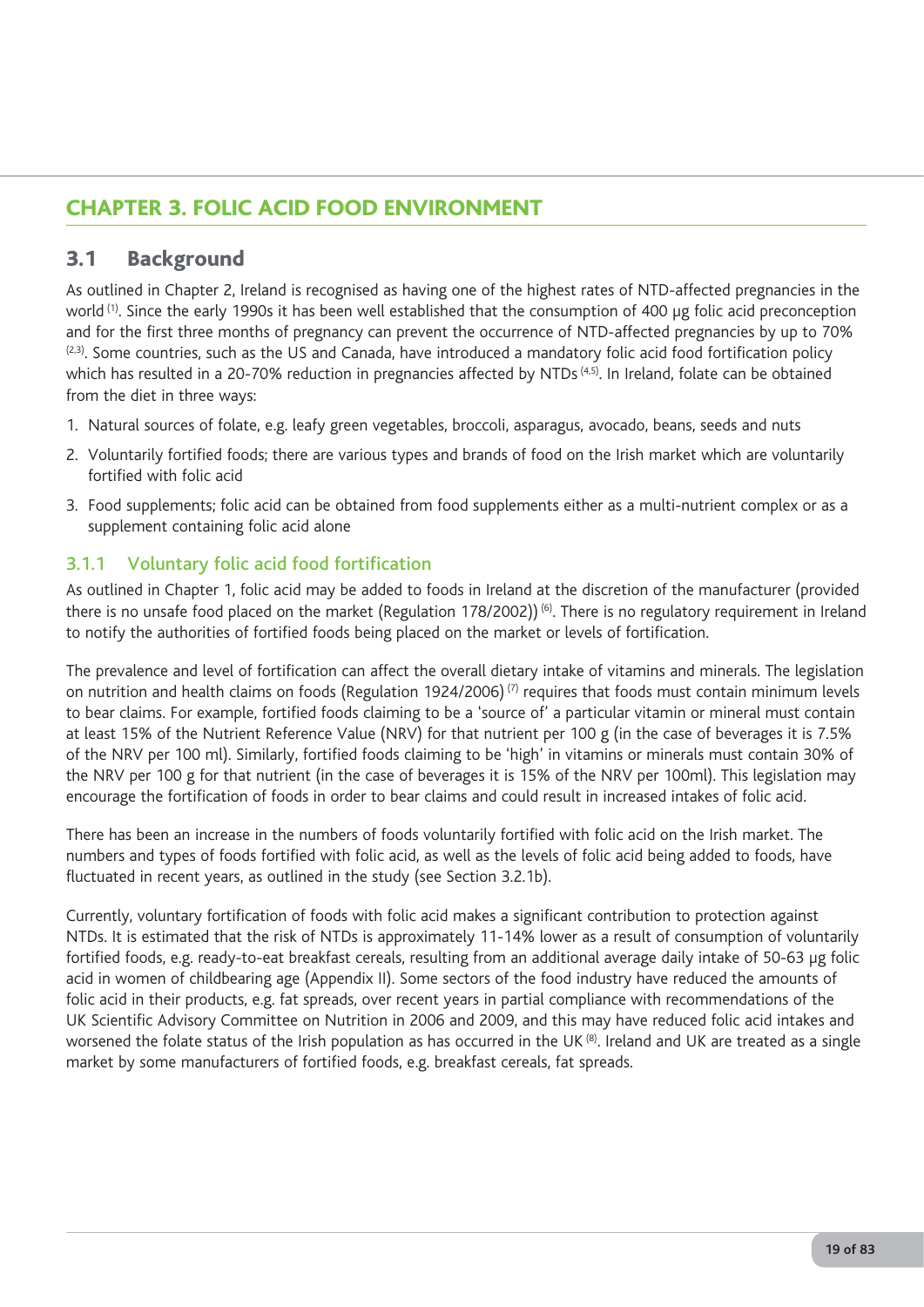# <span id="page-20-0"></span>CHAPTER 3. FOLIC ACID FOOD ENVIRONMENT

# 3.1 Background

As outlined in Chapter 2, Ireland is recognised as having one of the highest rates of NTD-affected pregnancies in the world (1). Since the early 1990s it has been well established that the consumption of 400 µg folic acid preconception and for the first three months of pregnancy can prevent the occurrence of NTD-affected pregnancies by up to 70%  $(2,3)$ . Some countries, such as the US and Canada, have introduced a mandatory folic acid food fortification policy which has resulted in a 20-70% reduction in pregnancies affected by NTDs<sup>(4,5)</sup>. In Ireland, folate can be obtained from the diet in three ways:

- 1. Natural sources of folate, e.g. leafy green vegetables, broccoli, asparagus, avocado, beans, seeds and nuts
- 2. Voluntarily fortified foods; there are various types and brands of food on the Irish market which are voluntarily fortified with folic acid
- 3. Food supplements; folic acid can be obtained from food supplements either as a multi-nutrient complex or as a supplement containing folic acid alone

### 3.1.1 Voluntary folic acid food fortification

As outlined in Chapter 1, folic acid may be added to foods in Ireland at the discretion of the manufacturer (provided there is no unsafe food placed on the market (Regulation 178/2002))<sup>(6)</sup>. There is no regulatory requirement in Ireland to notify the authorities of fortified foods being placed on the market or levels of fortification.

The prevalence and level of fortification can affect the overall dietary intake of vitamins and minerals. The legislation on nutrition and health claims on foods (Regulation 1924/2006)<sup>(7)</sup> requires that foods must contain minimum levels to bear claims. For example, fortified foods claiming to be a 'source of' a particular vitamin or mineral must contain at least 15% of the Nutrient Reference Value (NRV) for that nutrient per 100 g (in the case of beverages it is 7.5% of the NRV per 100 ml). Similarly, fortified foods claiming to be 'high' in vitamins or minerals must contain 30% of the NRV per 100 g for that nutrient (in the case of beverages it is 15% of the NRV per 100ml). This legislation may encourage the fortification of foods in order to bear claims and could result in increased intakes of folic acid.

There has been an increase in the numbers of foods voluntarily fortified with folic acid on the Irish market. The numbers and types of foods fortified with folic acid, as well as the levels of folic acid being added to foods, have fluctuated in recent years, as outlined in the study (see Section 3.2.1b).

Currently, voluntary fortification of foods with folic acid makes a significant contribution to protection against NTDs. It is estimated that the risk of NTDs is approximately 11-14% lower as a result of consumption of voluntarily fortified foods, e.g. ready-to-eat breakfast cereals, resulting from an additional average daily intake of 50-63 µg folic acid in women of childbearing age (Appendix II). Some sectors of the food industry have reduced the amounts of folic acid in their products, e.g. fat spreads, over recent years in partial compliance with recommendations of the UK Scientific Advisory Committee on Nutrition in 2006 and 2009, and this may have reduced folic acid intakes and worsened the folate status of the Irish population as has occurred in the UK $^{(8)}$ . Ireland and UK are treated as a single market by some manufacturers of fortified foods, e.g. breakfast cereals, fat spreads.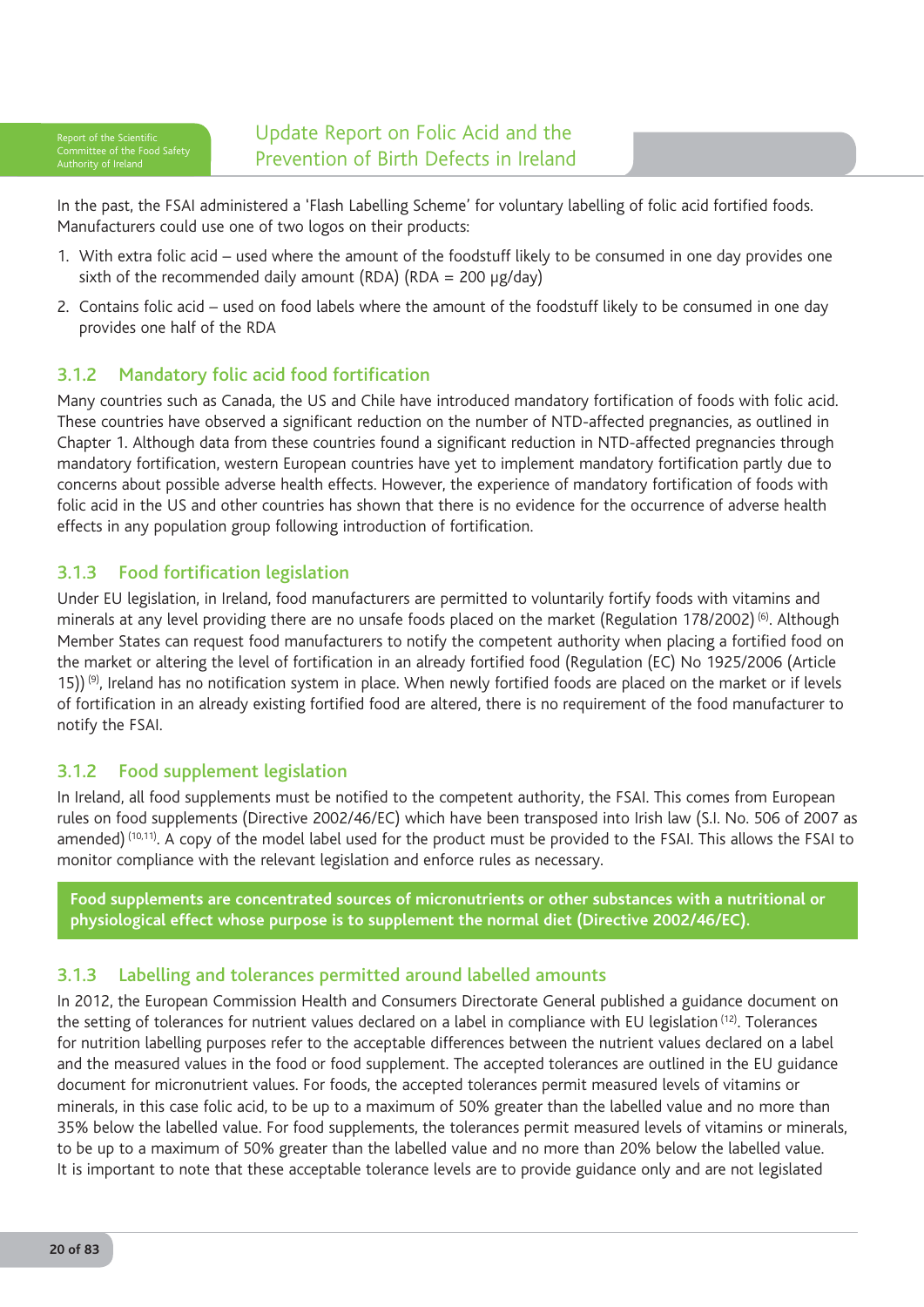Authority of Ireland

In the past, the FSAI administered a 'Flash Labelling Scheme' for voluntary labelling of folic acid fortified foods. Manufacturers could use one of two logos on their products:

- 1. With extra folic acid used where the amount of the foodstuff likely to be consumed in one day provides one sixth of the recommended daily amount (RDA) (RDA =  $200 \mu g/day$ )
- 2. Contains folic acid used on food labels where the amount of the foodstuff likely to be consumed in one day provides one half of the RDA

### 3.1.2 Mandatory folic acid food fortification

Many countries such as Canada, the US and Chile have introduced mandatory fortification of foods with folic acid. These countries have observed a significant reduction on the number of NTD-affected pregnancies, as outlined in Chapter 1. Although data from these countries found a significant reduction in NTD-affected pregnancies through mandatory fortification, western European countries have yet to implement mandatory fortification partly due to concerns about possible adverse health effects. However, the experience of mandatory fortification of foods with folic acid in the US and other countries has shown that there is no evidence for the occurrence of adverse health effects in any population group following introduction of fortification.

#### 3.1.3 Food fortification legislation

Under EU legislation, in Ireland, food manufacturers are permitted to voluntarily fortify foods with vitamins and minerals at any level providing there are no unsafe foods placed on the market (Regulation 178/2002)<sup>(6)</sup>. Although Member States can request food manufacturers to notify the competent authority when placing a fortified food on the market or altering the level of fortification in an already fortified food (Regulation (EC) No 1925/2006 (Article 15))  $^{(9)}$ , Ireland has no notification system in place. When newly fortified foods are placed on the market or if levels of fortification in an already existing fortified food are altered, there is no requirement of the food manufacturer to notify the FSAI.

#### 3.1.2 Food supplement legislation

In Ireland, all food supplements must be notified to the competent authority, the FSAI. This comes from European rules on food supplements (Directive 2002/46/EC) which have been transposed into Irish law (S.I. No. 506 of 2007 as amended)<sup>(10,11)</sup>. A copy of the model label used for the product must be provided to the FSAI. This allows the FSAI to monitor compliance with the relevant legislation and enforce rules as necessary.

**Food supplements are concentrated sources of micronutrients or other substances with a nutritional or physiological effect whose purpose is to supplement the normal diet (Directive 2002/46/EC).**

### 3.1.3 Labelling and tolerances permitted around labelled amounts

In 2012, the European Commission Health and Consumers Directorate General published a guidance document on the setting of tolerances for nutrient values declared on a label in compliance with EU legislation (12). Tolerances for nutrition labelling purposes refer to the acceptable differences between the nutrient values declared on a label and the measured values in the food or food supplement. The accepted tolerances are outlined in the EU guidance document for micronutrient values. For foods, the accepted tolerances permit measured levels of vitamins or minerals, in this case folic acid, to be up to a maximum of 50% greater than the labelled value and no more than 35% below the labelled value. For food supplements, the tolerances permit measured levels of vitamins or minerals, to be up to a maximum of 50% greater than the labelled value and no more than 20% below the labelled value. It is important to note that these acceptable tolerance levels are to provide guidance only and are not legislated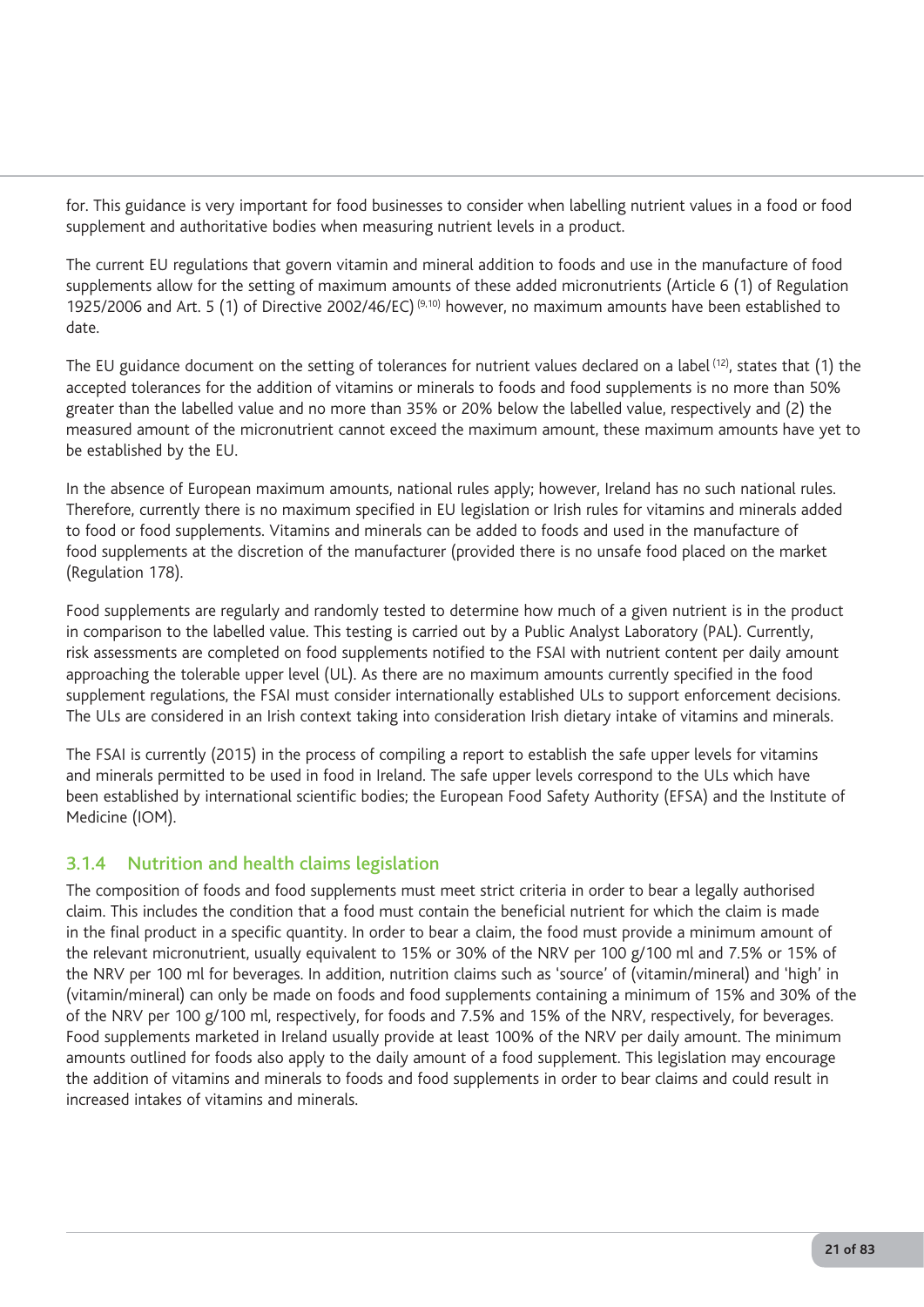for. This guidance is very important for food businesses to consider when labelling nutrient values in a food or food supplement and authoritative bodies when measuring nutrient levels in a product.

The current EU regulations that govern vitamin and mineral addition to foods and use in the manufacture of food supplements allow for the setting of maximum amounts of these added micronutrients (Article 6 (1) of Regulation 1925/2006 and Art. 5 (1) of Directive 2002/46/EC) (9,10) however, no maximum amounts have been established to date.

The EU guidance document on the setting of tolerances for nutrient values declared on a label  $(12)$ , states that (1) the accepted tolerances for the addition of vitamins or minerals to foods and food supplements is no more than 50% greater than the labelled value and no more than 35% or 20% below the labelled value, respectively and (2) the measured amount of the micronutrient cannot exceed the maximum amount, these maximum amounts have yet to be established by the EU.

In the absence of European maximum amounts, national rules apply; however, Ireland has no such national rules. Therefore, currently there is no maximum specified in EU legislation or Irish rules for vitamins and minerals added to food or food supplements. Vitamins and minerals can be added to foods and used in the manufacture of food supplements at the discretion of the manufacturer (provided there is no unsafe food placed on the market (Regulation 178).

Food supplements are regularly and randomly tested to determine how much of a given nutrient is in the product in comparison to the labelled value. This testing is carried out by a Public Analyst Laboratory (PAL). Currently, risk assessments are completed on food supplements notified to the FSAI with nutrient content per daily amount approaching the tolerable upper level (UL). As there are no maximum amounts currently specified in the food supplement regulations, the FSAI must consider internationally established ULs to support enforcement decisions. The ULs are considered in an Irish context taking into consideration Irish dietary intake of vitamins and minerals.

The FSAI is currently (2015) in the process of compiling a report to establish the safe upper levels for vitamins and minerals permitted to be used in food in Ireland. The safe upper levels correspond to the ULs which have been established by international scientific bodies; the European Food Safety Authority (EFSA) and the Institute of Medicine (IOM).

### 3.1.4 Nutrition and health claims legislation

The composition of foods and food supplements must meet strict criteria in order to bear a legally authorised claim. This includes the condition that a food must contain the beneficial nutrient for which the claim is made in the final product in a specific quantity. In order to bear a claim, the food must provide a minimum amount of the relevant micronutrient, usually equivalent to 15% or 30% of the NRV per 100 g/100 ml and 7.5% or 15% of the NRV per 100 ml for beverages. In addition, nutrition claims such as 'source' of (vitamin/mineral) and 'high' in (vitamin/mineral) can only be made on foods and food supplements containing a minimum of 15% and 30% of the of the NRV per 100 g/100 ml, respectively, for foods and 7.5% and 15% of the NRV, respectively, for beverages. Food supplements marketed in Ireland usually provide at least 100% of the NRV per daily amount. The minimum amounts outlined for foods also apply to the daily amount of a food supplement. This legislation may encourage the addition of vitamins and minerals to foods and food supplements in order to bear claims and could result in increased intakes of vitamins and minerals.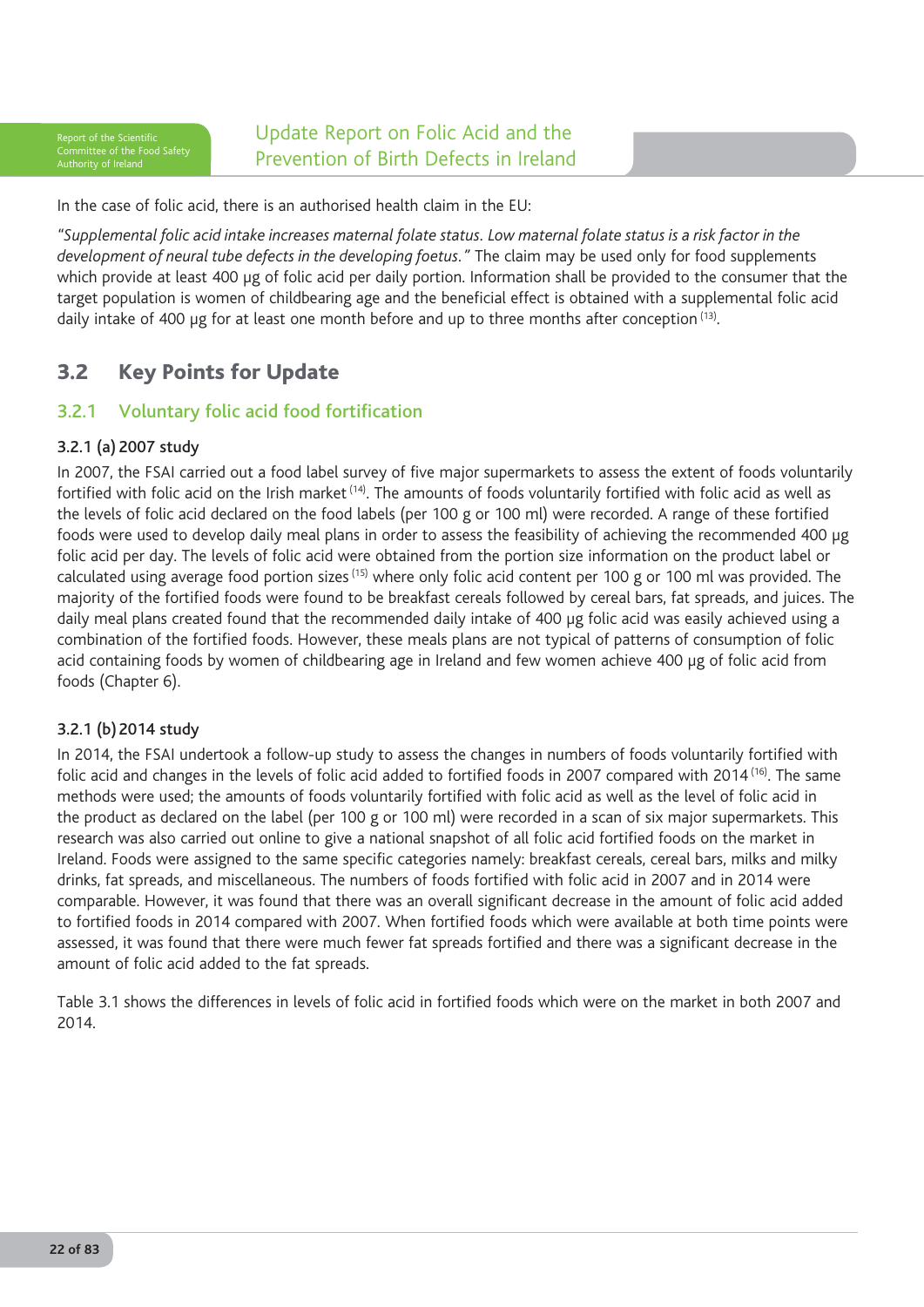<span id="page-23-0"></span>Authority of Ireland

In the case of folic acid, there is an authorised health claim in the EU:

*"Supplemental folic acid intake increases maternal folate status. Low maternal folate status is a risk factor in the development of neural tube defects in the developing foetus."* The claim may be used only for food supplements which provide at least 400 µg of folic acid per daily portion. Information shall be provided to the consumer that the target population is women of childbearing age and the beneficial effect is obtained with a supplemental folic acid daily intake of 400 µg for at least one month before and up to three months after conception <sup>(13)</sup>.

# 3.2 Key Points for Update

### 3.2.1 Voluntary folic acid food fortification

#### 3.2.1 (a) 2007 study

In 2007, the FSAI carried out a food label survey of five major supermarkets to assess the extent of foods voluntarily fortified with folic acid on the Irish market <sup>(14)</sup>. The amounts of foods voluntarily fortified with folic acid as well as the levels of folic acid declared on the food labels (per 100 g or 100 ml) were recorded. A range of these fortified foods were used to develop daily meal plans in order to assess the feasibility of achieving the recommended 400 µg folic acid per day. The levels of folic acid were obtained from the portion size information on the product label or calculated using average food portion sizes (15) where only folic acid content per 100 g or 100 ml was provided. The majority of the fortified foods were found to be breakfast cereals followed by cereal bars, fat spreads, and juices. The daily meal plans created found that the recommended daily intake of 400 µg folic acid was easily achieved using a combination of the fortified foods. However, these meals plans are not typical of patterns of consumption of folic acid containing foods by women of childbearing age in Ireland and few women achieve 400 µg of folic acid from foods (Chapter 6).

#### 3.2.1 (b) 2014 study

In 2014, the FSAI undertook a follow-up study to assess the changes in numbers of foods voluntarily fortified with folic acid and changes in the levels of folic acid added to fortified foods in 2007 compared with 2014 (16). The same methods were used; the amounts of foods voluntarily fortified with folic acid as well as the level of folic acid in the product as declared on the label (per 100 g or 100 ml) were recorded in a scan of six major supermarkets. This research was also carried out online to give a national snapshot of all folic acid fortified foods on the market in Ireland. Foods were assigned to the same specific categories namely: breakfast cereals, cereal bars, milks and milky drinks, fat spreads, and miscellaneous. The numbers of foods fortified with folic acid in 2007 and in 2014 were comparable. However, it was found that there was an overall significant decrease in the amount of folic acid added to fortified foods in 2014 compared with 2007. When fortified foods which were available at both time points were assessed, it was found that there were much fewer fat spreads fortified and there was a significant decrease in the amount of folic acid added to the fat spreads.

Table 3.1 shows the differences in levels of folic acid in fortified foods which were on the market in both 2007 and 2014.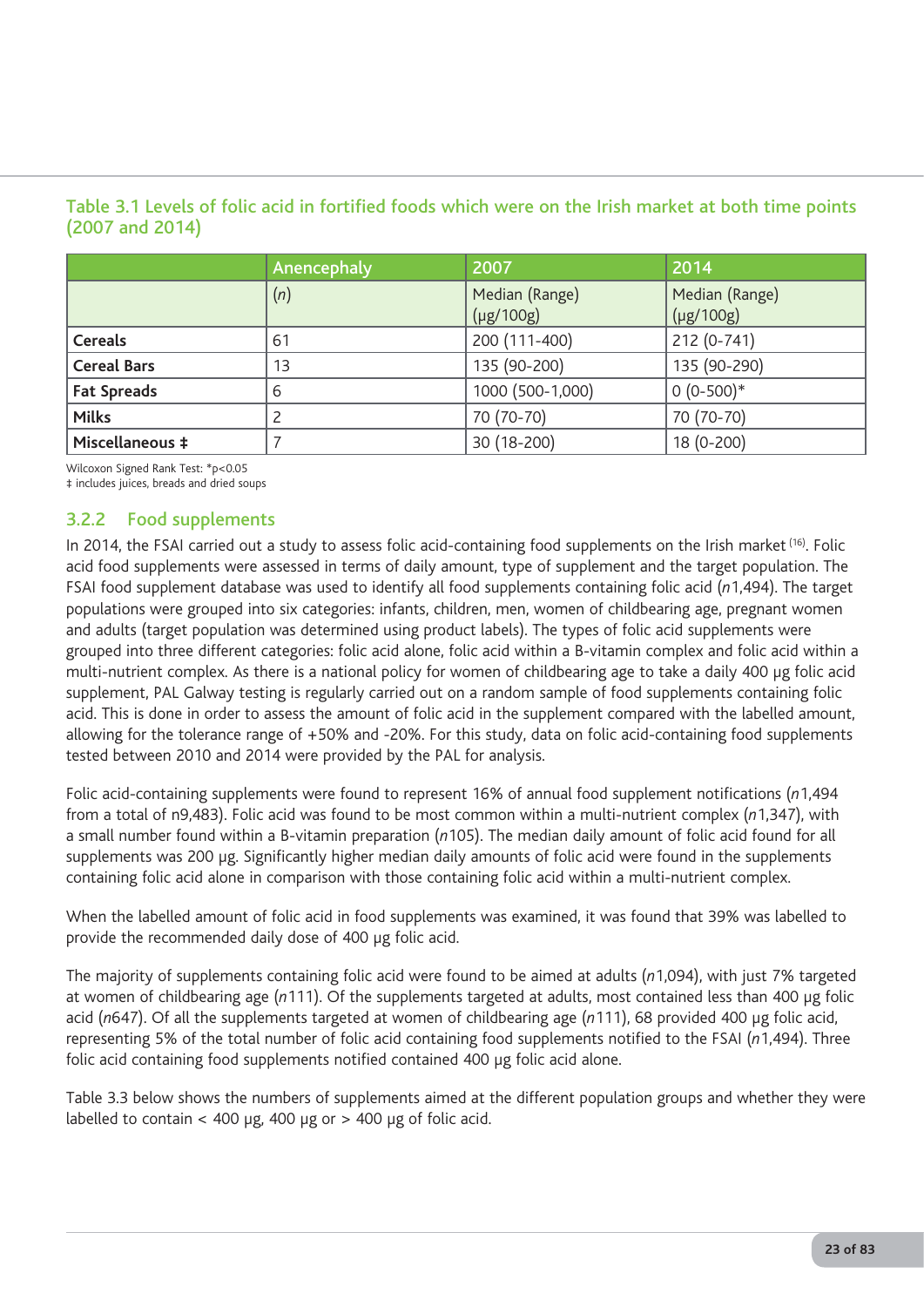|                    | Anencephaly | 2007                             | 2014                             |
|--------------------|-------------|----------------------------------|----------------------------------|
|                    | (n)         | Median (Range)<br>$(\mu$ g/100g) | Median (Range)<br>$(\mu$ g/100g) |
| <b>Cereals</b>     | 61          | 200 (111-400)                    | 212 (0-741)                      |
| <b>Cereal Bars</b> | 13          | 135 (90-200)                     | 135 (90-290)                     |
| <b>Fat Spreads</b> | 6           | 1000 (500-1,000)                 | $0(0-500)*$                      |
| <b>Milks</b>       |             | 70 (70-70)                       | 70 (70-70)                       |
| Miscellaneous ‡    |             | 30 (18-200)                      | 18 (0-200)                       |

Table 3.1 Levels of folic acid in fortified foods which were on the Irish market at both time points (2007 and 2014)

Wilcoxon Signed Rank Test: \*p<0.05

‡ includes juices, breads and dried soups

### 3.2.2 Food supplements

In 2014, the FSAI carried out a study to assess folic acid-containing food supplements on the Irish market <sup>(16)</sup>. Folic acid food supplements were assessed in terms of daily amount, type of supplement and the target population. The FSAI food supplement database was used to identify all food supplements containing folic acid (*n*1,494). The target populations were grouped into six categories: infants, children, men, women of childbearing age, pregnant women and adults (target population was determined using product labels). The types of folic acid supplements were grouped into three different categories: folic acid alone, folic acid within a B-vitamin complex and folic acid within a multi-nutrient complex. As there is a national policy for women of childbearing age to take a daily 400 µg folic acid supplement, PAL Galway testing is regularly carried out on a random sample of food supplements containing folic acid. This is done in order to assess the amount of folic acid in the supplement compared with the labelled amount, allowing for the tolerance range of +50% and -20%. For this study, data on folic acid-containing food supplements tested between 2010 and 2014 were provided by the PAL for analysis.

Folic acid-containing supplements were found to represent 16% of annual food supplement notifications (*n*1,494 from a total of n9,483). Folic acid was found to be most common within a multi-nutrient complex (*n*1,347), with a small number found within a B-vitamin preparation (*n*105). The median daily amount of folic acid found for all supplements was 200 µg. Significantly higher median daily amounts of folic acid were found in the supplements containing folic acid alone in comparison with those containing folic acid within a multi-nutrient complex.

When the labelled amount of folic acid in food supplements was examined, it was found that 39% was labelled to provide the recommended daily dose of 400 µg folic acid.

The majority of supplements containing folic acid were found to be aimed at adults (*n*1,094), with just 7% targeted at women of childbearing age (*n*111). Of the supplements targeted at adults, most contained less than 400 µg folic acid (*n*647). Of all the supplements targeted at women of childbearing age (*n*111), 68 provided 400 µg folic acid, representing 5% of the total number of folic acid containing food supplements notified to the FSAI (*n*1,494). Three folic acid containing food supplements notified contained 400 µg folic acid alone.

Table 3.3 below shows the numbers of supplements aimed at the different population groups and whether they were labelled to contain  $<$  400 µg, 400 µg or  $>$  400 µg of folic acid.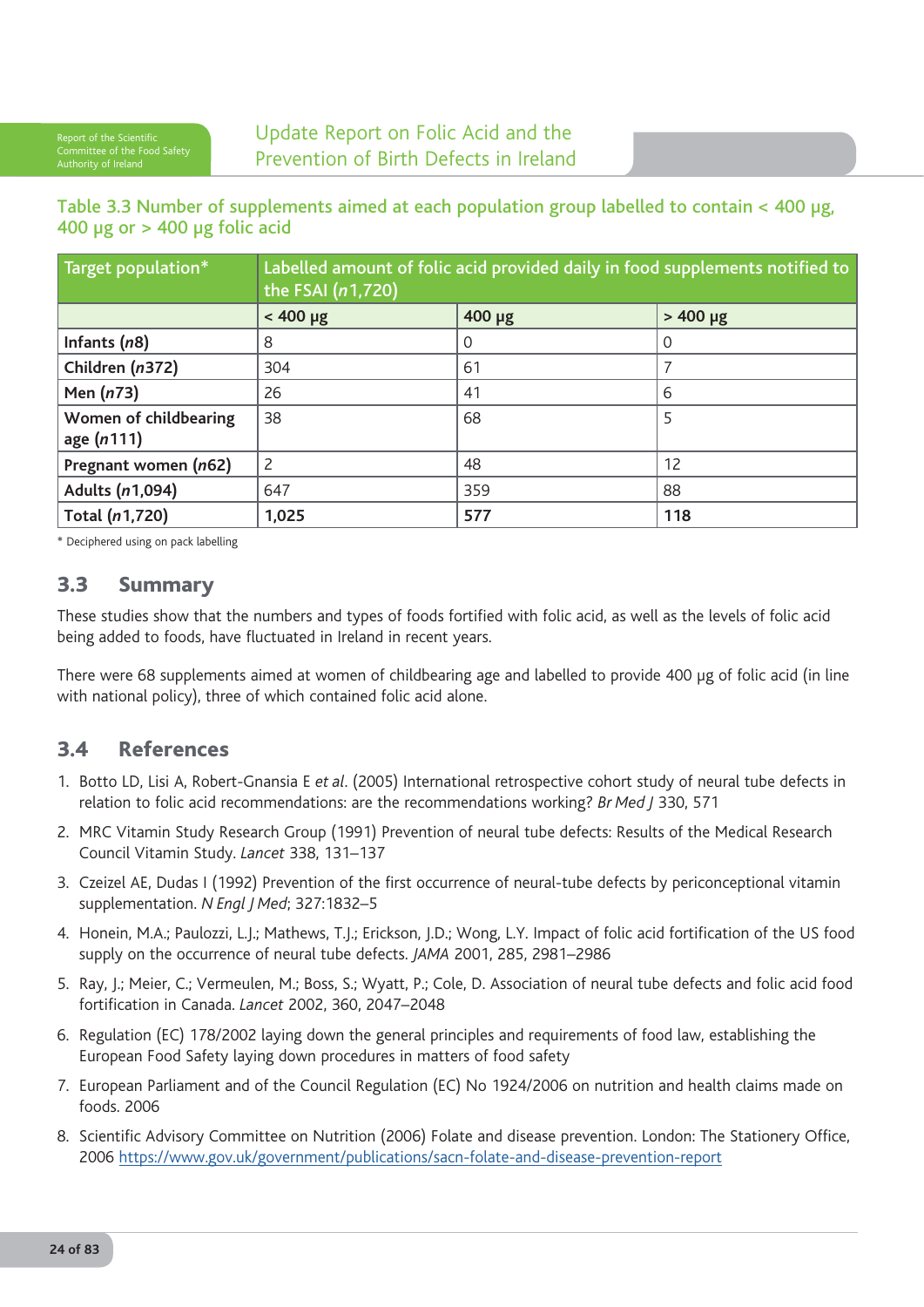<span id="page-25-0"></span>

| Target population*                  | Labelled amount of folic acid provided daily in food supplements notified to<br>the FSAI (n1,720) |             |               |  |  |  |  |  |
|-------------------------------------|---------------------------------------------------------------------------------------------------|-------------|---------------|--|--|--|--|--|
|                                     | $< 400 \mu g$                                                                                     | $400 \mu g$ | $> 400 \mu g$ |  |  |  |  |  |
| Infants $(n8)$                      | 8                                                                                                 | 0           |               |  |  |  |  |  |
| Children (n372)                     | 304                                                                                               | 61          |               |  |  |  |  |  |
| Men (n73)                           | 26                                                                                                | 41          | 6             |  |  |  |  |  |
| Women of childbearing<br>age (n111) | 38                                                                                                | 68          |               |  |  |  |  |  |
| Pregnant women (n62)                |                                                                                                   | 48          | 12            |  |  |  |  |  |
| Adults (n1,094)                     | 647                                                                                               | 359         | 88            |  |  |  |  |  |
| Total (n1,720)                      | 1,025                                                                                             | 577         | 118           |  |  |  |  |  |

\* Deciphered using on pack labelling

### 3.3 Summary

These studies show that the numbers and types of foods fortified with folic acid, as well as the levels of folic acid being added to foods, have fluctuated in Ireland in recent years.

There were 68 supplements aimed at women of childbearing age and labelled to provide 400 µg of folic acid (in line with national policy), three of which contained folic acid alone.

### 3.4 References

- 1. Botto LD, Lisi A, Robert-Gnansia E *et al*. (2005) International retrospective cohort study of neural tube defects in relation to folic acid recommendations: are the recommendations working? *Br Med J* 330, 571
- 2. MRC Vitamin Study Research Group (1991) Prevention of neural tube defects: Results of the Medical Research Council Vitamin Study. *Lancet* 338, 131–137
- 3. Czeizel AE, Dudas I (1992) Prevention of the first occurrence of neural-tube defects by periconceptional vitamin supplementation. *N Engl J Med*; 327:1832–5
- 4. Honein, M.A.; Paulozzi, L.J.; Mathews, T.J.; Erickson, J.D.; Wong, L.Y. Impact of folic acid fortification of the US food supply on the occurrence of neural tube defects. *JAMA* 2001, 285, 2981–2986
- 5. Ray, J.; Meier, C.; Vermeulen, M.; Boss, S.; Wyatt, P.; Cole, D. Association of neural tube defects and folic acid food fortification in Canada. *Lancet* 2002, 360, 2047–2048
- 6. Regulation (EC) 178/2002 laying down the general principles and requirements of food law, establishing the European Food Safety laying down procedures in matters of food safety
- 7. European Parliament and of the Council Regulation (EC) No 1924/2006 on nutrition and health claims made on foods. 2006
- 8. Scientific Advisory Committee on Nutrition (2006) Folate and disease prevention. London: The Stationery Office, 2006 <https://www.gov.uk/government/publications/sacn-folate-and-disease-prevention-report>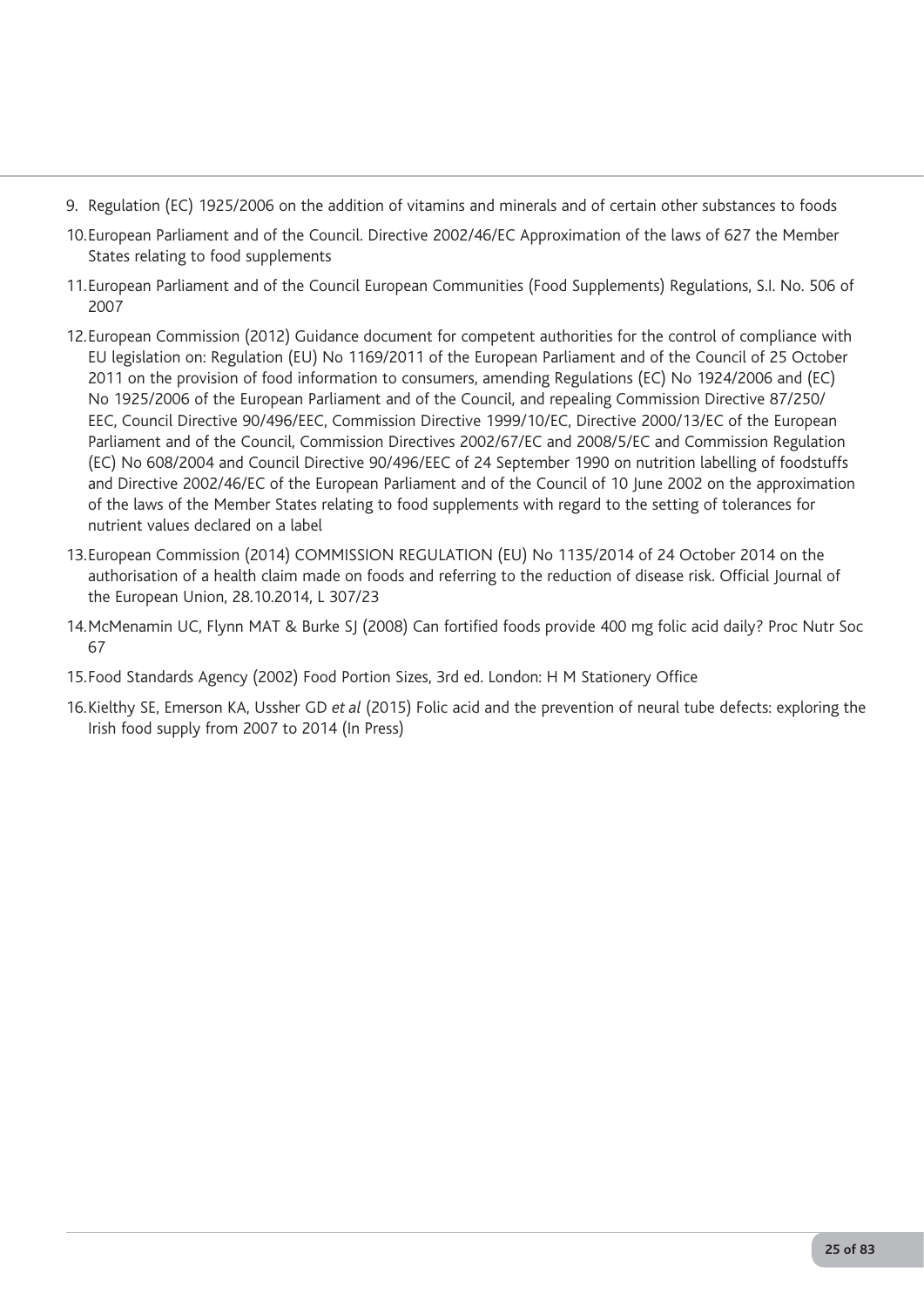- 9. Regulation (EC) 1925/2006 on the addition of vitamins and minerals and of certain other substances to foods
- 10.European Parliament and of the Council. Directive 2002/46/EC Approximation of the laws of 627 the Member States relating to food supplements
- 11.European Parliament and of the Council European Communities (Food Supplements) Regulations, S.I. No. 506 of 2007
- 12.European Commission (2012) Guidance document for competent authorities for the control of compliance with EU legislation on: Regulation (EU) No 1169/2011 of the European Parliament and of the Council of 25 October 2011 on the provision of food information to consumers, amending Regulations (EC) No 1924/2006 and (EC) No 1925/2006 of the European Parliament and of the Council, and repealing Commission Directive 87/250/ EEC, Council Directive 90/496/EEC, Commission Directive 1999/10/EC, Directive 2000/13/EC of the European Parliament and of the Council, Commission Directives 2002/67/EC and 2008/5/EC and Commission Regulation (EC) No 608/2004 and Council Directive 90/496/EEC of 24 September 1990 on nutrition labelling of foodstuffs and Directive 2002/46/EC of the European Parliament and of the Council of 10 June 2002 on the approximation of the laws of the Member States relating to food supplements with regard to the setting of tolerances for nutrient values declared on a label
- 13.European Commission (2014) COMMISSION REGULATION (EU) No 1135/2014 of 24 October 2014 on the authorisation of a health claim made on foods and referring to the reduction of disease risk. Official Journal of the European Union, 28.10.2014, L 307/23
- 14.McMenamin UC, Flynn MAT & Burke SJ (2008) Can fortified foods provide 400 mg folic acid daily? Proc Nutr Soc 67
- 15.Food Standards Agency (2002) Food Portion Sizes, 3rd ed. London: H M Stationery Office
- 16.Kielthy SE, Emerson KA, Ussher GD *et al* (2015) Folic acid and the prevention of neural tube defects: exploring the Irish food supply from 2007 to 2014 (In Press)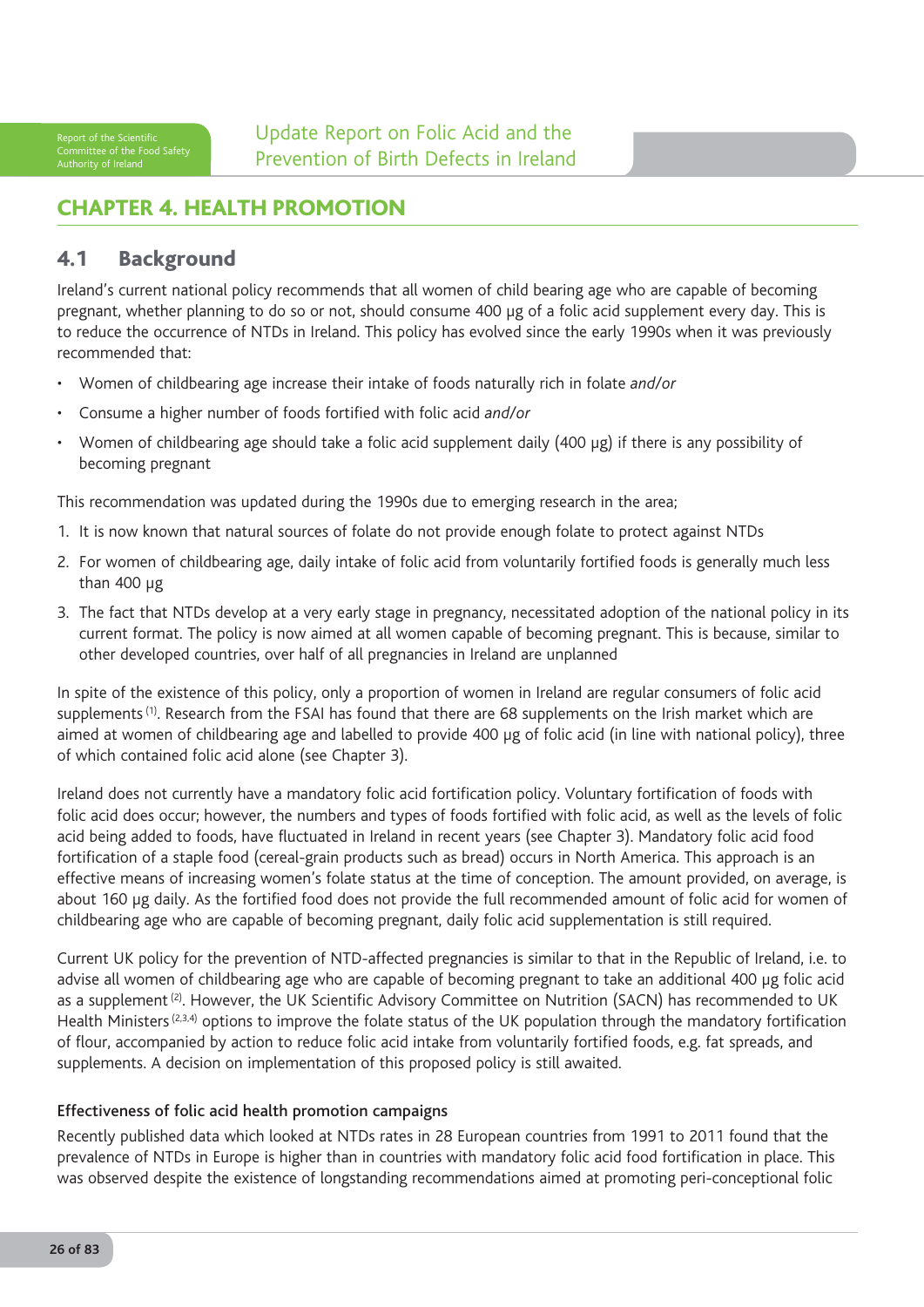# <span id="page-27-0"></span>CHAPTER 4. HEALTH PROMOTION

# 4.1 Background

Ireland's current national policy recommends that all women of child bearing age who are capable of becoming pregnant, whether planning to do so or not, should consume 400 µg of a folic acid supplement every day. This is to reduce the occurrence of NTDs in Ireland. This policy has evolved since the early 1990s when it was previously recommended that:

- Women of childbearing age increase their intake of foods naturally rich in folate *and/or*
- Consume a higher number of foods fortified with folic acid *and/or*
- Women of childbearing age should take a folic acid supplement daily (400 µg) if there is any possibility of becoming pregnant

This recommendation was updated during the 1990s due to emerging research in the area;

- 1. It is now known that natural sources of folate do not provide enough folate to protect against NTDs
- 2. For women of childbearing age, daily intake of folic acid from voluntarily fortified foods is generally much less than  $400 \mu g$
- 3. The fact that NTDs develop at a very early stage in pregnancy, necessitated adoption of the national policy in its current format. The policy is now aimed at all women capable of becoming pregnant. This is because, similar to other developed countries, over half of all pregnancies in Ireland are unplanned

In spite of the existence of this policy, only a proportion of women in Ireland are regular consumers of folic acid supplements <sup>(1)</sup>. Research from the FSAI has found that there are 68 supplements on the Irish market which are aimed at women of childbearing age and labelled to provide 400 µg of folic acid (in line with national policy), three of which contained folic acid alone (see Chapter 3).

Ireland does not currently have a mandatory folic acid fortification policy. Voluntary fortification of foods with folic acid does occur; however, the numbers and types of foods fortified with folic acid, as well as the levels of folic acid being added to foods, have fluctuated in Ireland in recent years (see Chapter 3). Mandatory folic acid food fortification of a staple food (cereal-grain products such as bread) occurs in North America. This approach is an effective means of increasing women's folate status at the time of conception. The amount provided, on average, is about 160 µg daily. As the fortified food does not provide the full recommended amount of folic acid for women of childbearing age who are capable of becoming pregnant, daily folic acid supplementation is still required.

Current UK policy for the prevention of NTD-affected pregnancies is similar to that in the Republic of Ireland, i.e. to advise all women of childbearing age who are capable of becoming pregnant to take an additional 400 µg folic acid as a supplement <sup>(2)</sup>. However, the UK Scientific Advisory Committee on Nutrition (SACN) has recommended to UK Health Ministers (2,3,4) options to improve the folate status of the UK population through the mandatory fortification of flour, accompanied by action to reduce folic acid intake from voluntarily fortified foods, e.g. fat spreads, and supplements. A decision on implementation of this proposed policy is still awaited.

#### Effectiveness of folic acid health promotion campaigns

Recently published data which looked at NTDs rates in 28 European countries from 1991 to 2011 found that the prevalence of NTDs in Europe is higher than in countries with mandatory folic acid food fortification in place. This was observed despite the existence of longstanding recommendations aimed at promoting peri-conceptional folic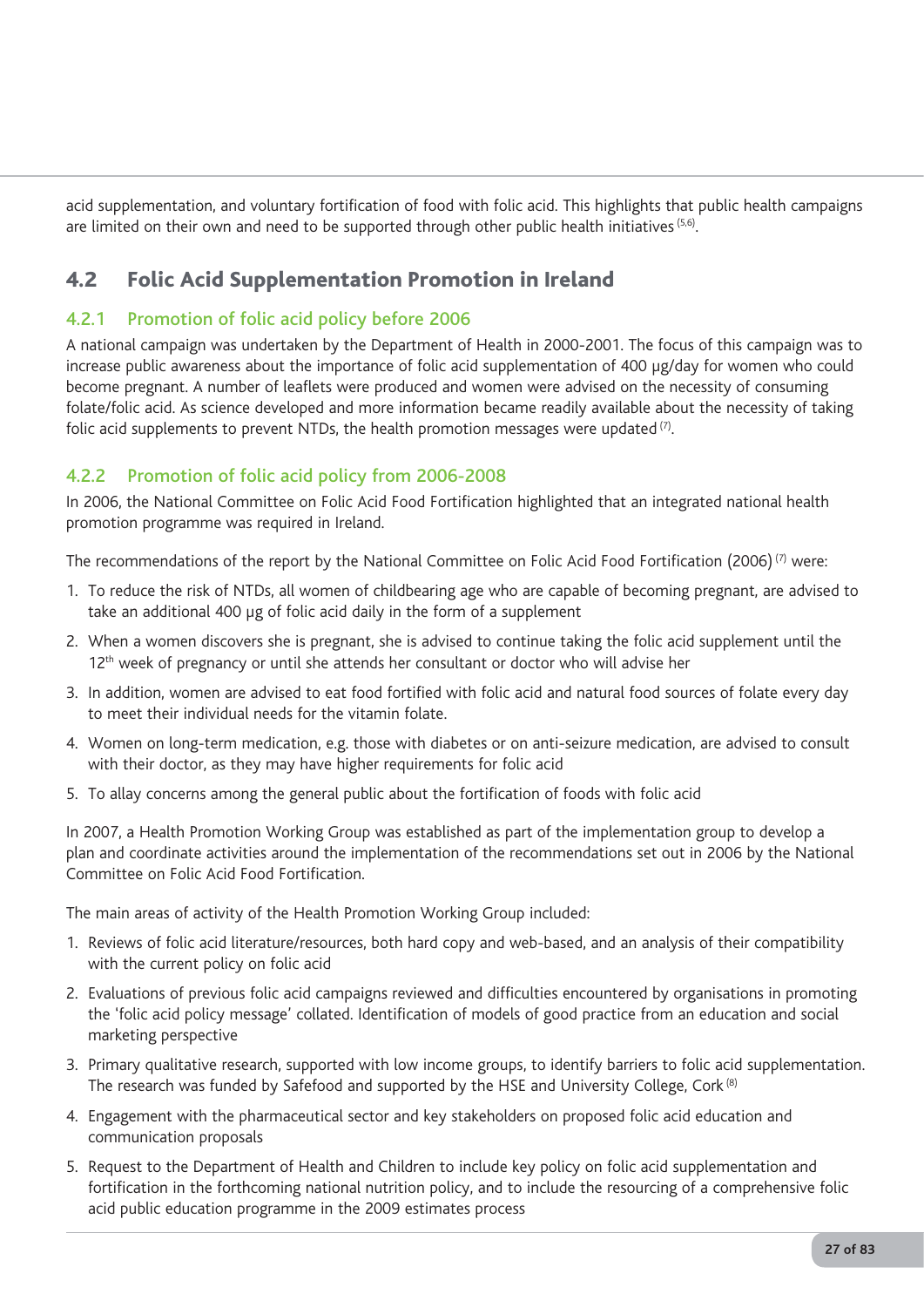<span id="page-28-0"></span>acid supplementation, and voluntary fortification of food with folic acid. This highlights that public health campaigns are limited on their own and need to be supported through other public health initiatives  $(5,6)$ .

# 4.2 Folic Acid Supplementation Promotion in Ireland

### 4.2.1 Promotion of folic acid policy before 2006

A national campaign was undertaken by the Department of Health in 2000-2001. The focus of this campaign was to increase public awareness about the importance of folic acid supplementation of 400 µg/day for women who could become pregnant. A number of leaflets were produced and women were advised on the necessity of consuming folate/folic acid. As science developed and more information became readily available about the necessity of taking folic acid supplements to prevent NTDs, the health promotion messages were updated  $(7)$ .

### 4.2.2 Promotion of folic acid policy from 2006-2008

In 2006, the National Committee on Folic Acid Food Fortification highlighted that an integrated national health promotion programme was required in Ireland.

The recommendations of the report by the National Committee on Folic Acid Food Fortification (2006)<sup>(7)</sup> were:

- 1. To reduce the risk of NTDs, all women of childbearing age who are capable of becoming pregnant, are advised to take an additional 400 µg of folic acid daily in the form of a supplement
- 2. When a women discovers she is pregnant, she is advised to continue taking the folic acid supplement until the 12<sup>th</sup> week of pregnancy or until she attends her consultant or doctor who will advise her
- 3. In addition, women are advised to eat food fortified with folic acid and natural food sources of folate every day to meet their individual needs for the vitamin folate.
- 4. Women on long-term medication, e.g. those with diabetes or on anti-seizure medication, are advised to consult with their doctor, as they may have higher requirements for folic acid
- 5. To allay concerns among the general public about the fortification of foods with folic acid

In 2007, a Health Promotion Working Group was established as part of the implementation group to develop a plan and coordinate activities around the implementation of the recommendations set out in 2006 by the National Committee on Folic Acid Food Fortification.

The main areas of activity of the Health Promotion Working Group included:

- 1. Reviews of folic acid literature/resources, both hard copy and web-based, and an analysis of their compatibility with the current policy on folic acid
- 2. Evaluations of previous folic acid campaigns reviewed and difficulties encountered by organisations in promoting the 'folic acid policy message' collated. Identification of models of good practice from an education and social marketing perspective
- 3. Primary qualitative research, supported with low income groups, to identify barriers to folic acid supplementation. The research was funded by Safefood and supported by the HSE and University College, Cork<sup>(8)</sup>
- 4. Engagement with the pharmaceutical sector and key stakeholders on proposed folic acid education and communication proposals
- 5. Request to the Department of Health and Children to include key policy on folic acid supplementation and fortification in the forthcoming national nutrition policy, and to include the resourcing of a comprehensive folic acid public education programme in the 2009 estimates process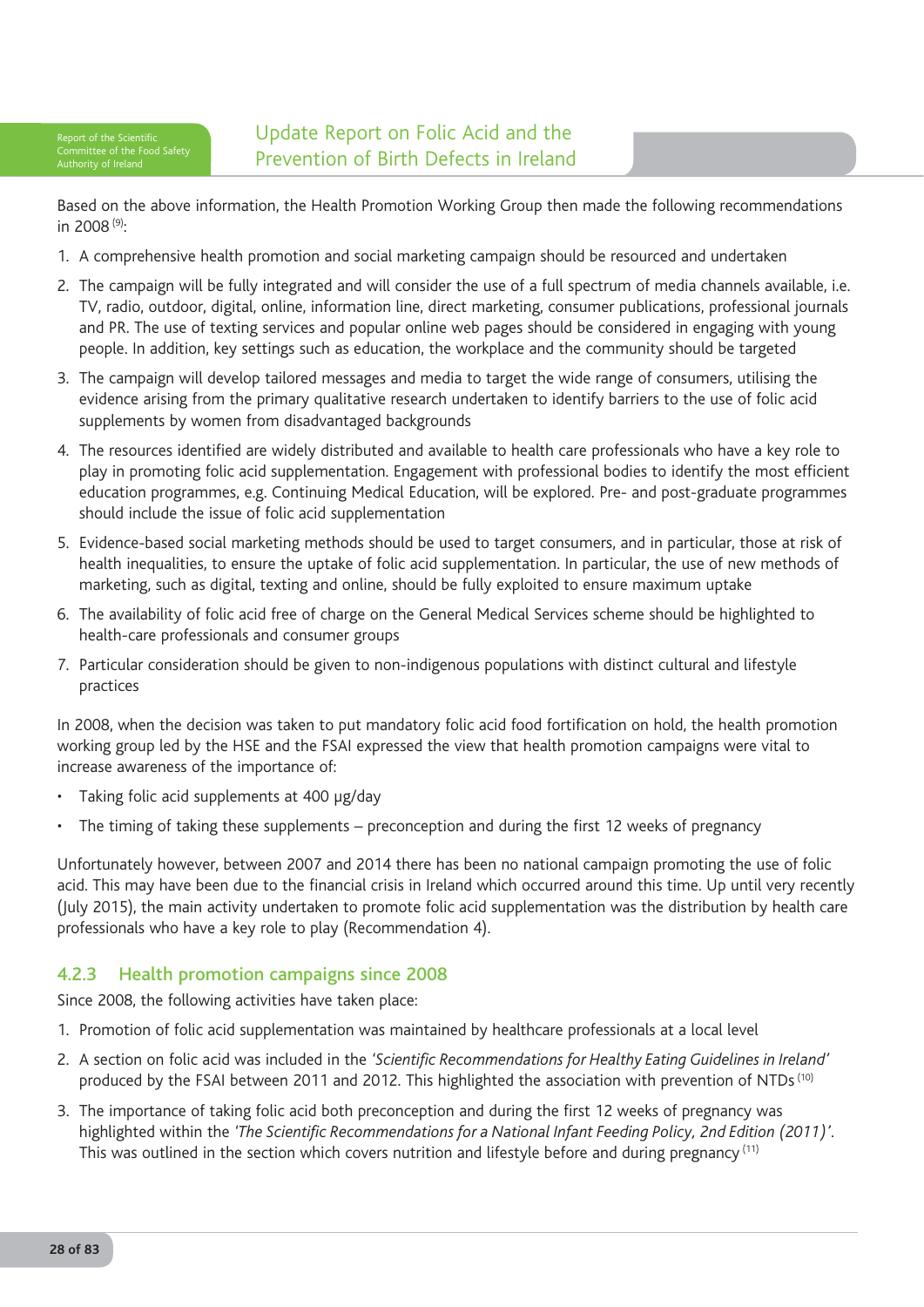Based on the above information, the Health Promotion Working Group then made the following recommendations in 2008 $(9)$ :

- 1. A comprehensive health promotion and social marketing campaign should be resourced and undertaken
- 2. The campaign will be fully integrated and will consider the use of a full spectrum of media channels available, i.e. TV, radio, outdoor, digital, online, information line, direct marketing, consumer publications, professional journals and PR. The use of texting services and popular online web pages should be considered in engaging with young people. In addition, key settings such as education, the workplace and the community should be targeted
- 3. The campaign will develop tailored messages and media to target the wide range of consumers, utilising the evidence arising from the primary qualitative research undertaken to identify barriers to the use of folic acid supplements by women from disadvantaged backgrounds
- 4. The resources identified are widely distributed and available to health care professionals who have a key role to play in promoting folic acid supplementation. Engagement with professional bodies to identify the most efficient education programmes, e.g. Continuing Medical Education, will be explored. Pre- and post-graduate programmes should include the issue of folic acid supplementation
- 5. Evidence-based social marketing methods should be used to target consumers, and in particular, those at risk of health inequalities, to ensure the uptake of folic acid supplementation. In particular, the use of new methods of marketing, such as digital, texting and online, should be fully exploited to ensure maximum uptake
- 6. The availability of folic acid free of charge on the General Medical Services scheme should be highlighted to health-care professionals and consumer groups
- 7. Particular consideration should be given to non-indigenous populations with distinct cultural and lifestyle practices

In 2008, when the decision was taken to put mandatory folic acid food fortification on hold, the health promotion working group led by the HSE and the FSAI expressed the view that health promotion campaigns were vital to increase awareness of the importance of:

- Taking folic acid supplements at 400 µg/day
- The timing of taking these supplements preconception and during the first 12 weeks of pregnancy

Unfortunately however, between 2007 and 2014 there has been no national campaign promoting the use of folic acid. This may have been due to the financial crisis in Ireland which occurred around this time. Up until very recently (July 2015), the main activity undertaken to promote folic acid supplementation was the distribution by health care professionals who have a key role to play (Recommendation 4).

### 4.2.3 Health promotion campaigns since 2008

Since 2008, the following activities have taken place:

- 1. Promotion of folic acid supplementation was maintained by healthcare professionals at a local level
- 2. A section on folic acid was included in the *'Scientific Recommendations for Healthy Eating Guidelines in Ireland'* produced by the FSAI between 2011 and 2012. This highlighted the association with prevention of NTDs (10)
- 3. The importance of taking folic acid both preconception and during the first 12 weeks of pregnancy was highlighted within the *'The Scientific Recommendations for a National Infant Feeding Policy, 2nd Edition (2011)'*. This was outlined in the section which covers nutrition and lifestyle before and during pregnancy<sup>(11)</sup>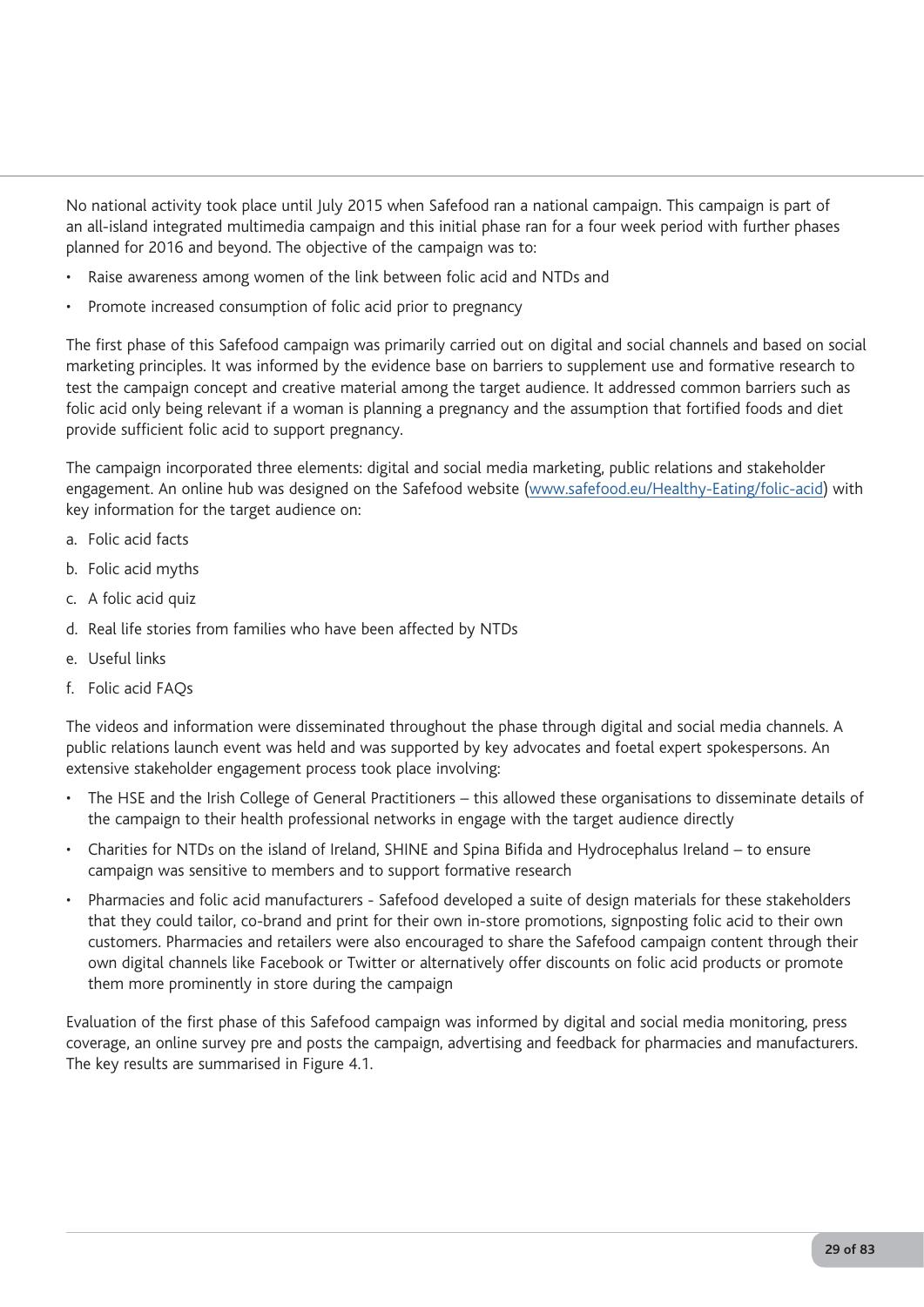No national activity took place until July 2015 when Safefood ran a national campaign. This campaign is part of an all-island integrated multimedia campaign and this initial phase ran for a four week period with further phases planned for 2016 and beyond. The objective of the campaign was to:

- Raise awareness among women of the link between folic acid and NTDs and
- Promote increased consumption of folic acid prior to pregnancy

The first phase of this Safefood campaign was primarily carried out on digital and social channels and based on social marketing principles. It was informed by the evidence base on barriers to supplement use and formative research to test the campaign concept and creative material among the target audience. It addressed common barriers such as folic acid only being relevant if a woman is planning a pregnancy and the assumption that fortified foods and diet provide sufficient folic acid to support pregnancy.

The campaign incorporated three elements: digital and social media marketing, public relations and stakeholder engagement. An online hub was designed on the Safefood website [\(www.safefood.eu/Healthy-Eating/folic-acid](www.safefood.eu/Healthy-Eating/folic-acid)) with key information for the target audience on:

- a. Folic acid facts
- b. Folic acid myths
- c. A folic acid quiz
- d. Real life stories from families who have been affected by NTDs
- e. Useful links
- f. Folic acid FAQs

The videos and information were disseminated throughout the phase through digital and social media channels. A public relations launch event was held and was supported by key advocates and foetal expert spokespersons. An extensive stakeholder engagement process took place involving:

- The HSE and the Irish College of General Practitioners this allowed these organisations to disseminate details of the campaign to their health professional networks in engage with the target audience directly
- Charities for NTDs on the island of Ireland, SHINE and Spina Bifida and Hydrocephalus Ireland to ensure campaign was sensitive to members and to support formative research
- Pharmacies and folic acid manufacturers Safefood developed a suite of design materials for these stakeholders that they could tailor, co-brand and print for their own in-store promotions, signposting folic acid to their own customers. Pharmacies and retailers were also encouraged to share the Safefood campaign content through their own digital channels like Facebook or Twitter or alternatively offer discounts on folic acid products or promote them more prominently in store during the campaign

Evaluation of the first phase of this Safefood campaign was informed by digital and social media monitoring, press coverage, an online survey pre and posts the campaign, advertising and feedback for pharmacies and manufacturers. The key results are summarised in Figure 4.1.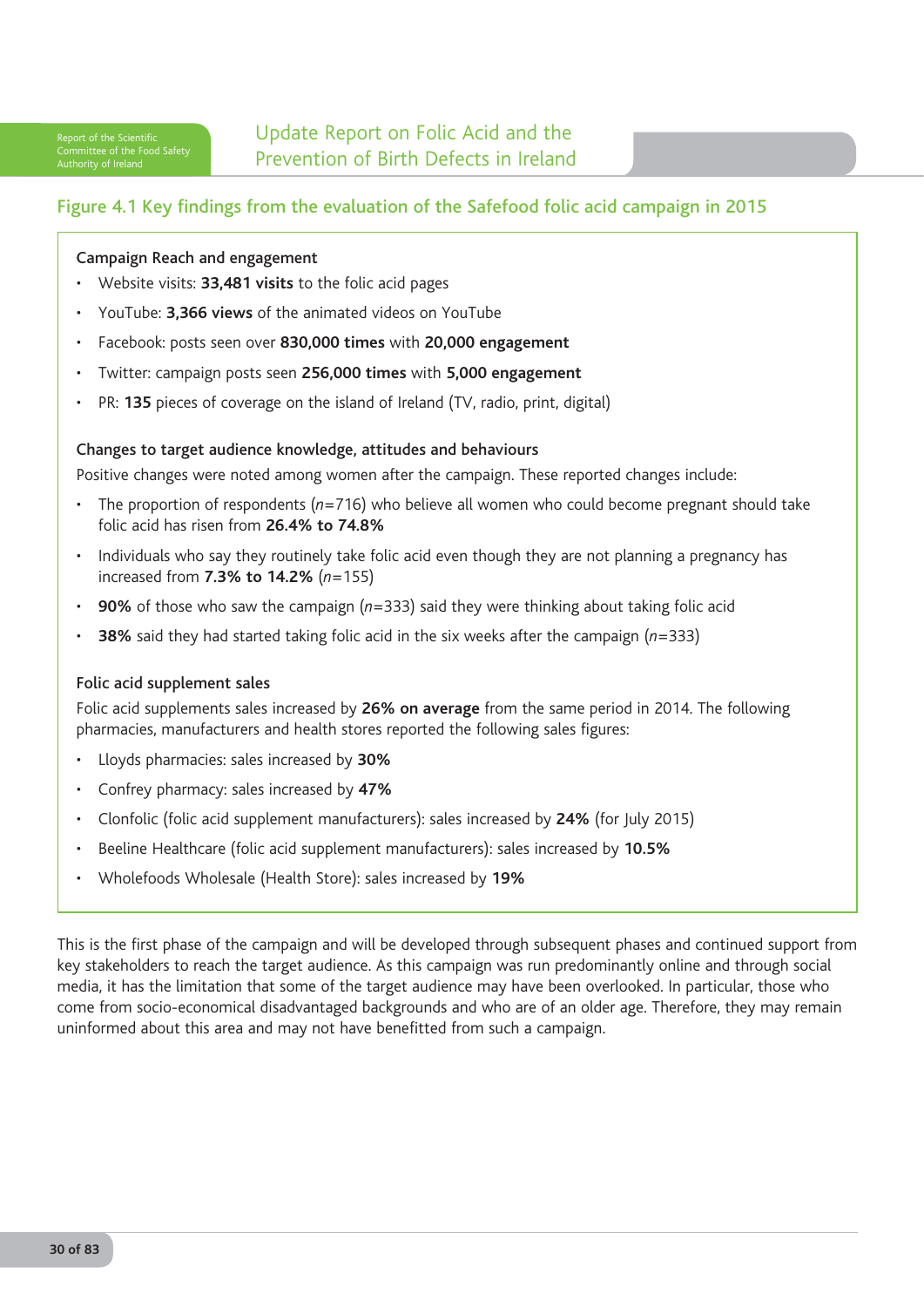### Figure 4.1 Key findings from the evaluation of the Safefood folic acid campaign in 2015

#### Campaign Reach and engagement

- Website visits: **33,481 visits** to the folic acid pages
- YouTube: **3,366 views** of the animated videos on YouTube
- Facebook: posts seen over **830,000 times** with **20,000 engagement**
- Twitter: campaign posts seen **256,000 times** with **5,000 engagement**
- PR: 135 pieces of coverage on the island of Ireland (TV, radio, print, digital)

#### Changes to target audience knowledge, attitudes and behaviours

Positive changes were noted among women after the campaign. These reported changes include:

- The proportion of respondents (*n*=716) who believe all women who could become pregnant should take folic acid has risen from **26.4% to 74.8%**
- Individuals who say they routinely take folic acid even though they are not planning a pregnancy has increased from **7.3% to 14.2%** (*n*=155)
- **90%** of those who saw the campaign (*n*=333) said they were thinking about taking folic acid
- **38%** said they had started taking folic acid in the six weeks after the campaign (*n*=333)

#### Folic acid supplement sales

Folic acid supplements sales increased by **26% on average** from the same period in 2014. The following pharmacies, manufacturers and health stores reported the following sales figures:

- Lloyds pharmacies: sales increased by **30%**
- Confrey pharmacy: sales increased by **47%**
- Clonfolic (folic acid supplement manufacturers): sales increased by **24%** (for July 2015)
- Beeline Healthcare (folic acid supplement manufacturers): sales increased by **10.5%**
- Wholefoods Wholesale (Health Store): sales increased by **19%**

This is the first phase of the campaign and will be developed through subsequent phases and continued support from key stakeholders to reach the target audience. As this campaign was run predominantly online and through social media, it has the limitation that some of the target audience may have been overlooked. In particular, those who come from socio-economical disadvantaged backgrounds and who are of an older age. Therefore, they may remain uninformed about this area and may not have benefitted from such a campaign.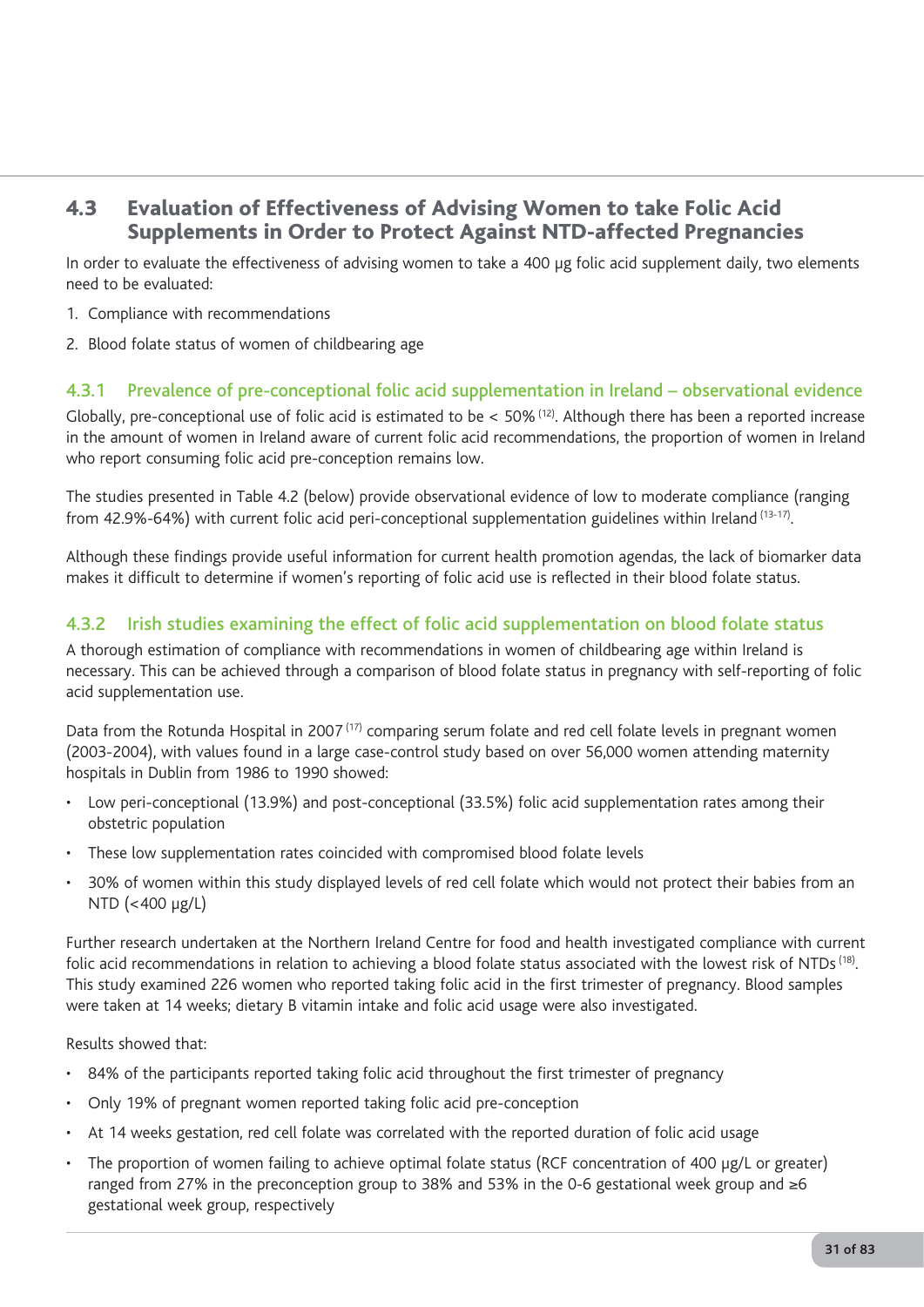# <span id="page-32-0"></span>4.3 Evaluation of Effectiveness of Advising Women to take Folic Acid Supplements in Order to Protect Against NTD-affected Pregnancies

In order to evaluate the effectiveness of advising women to take a 400 µg folic acid supplement daily, two elements need to be evaluated:

- 1. Compliance with recommendations
- 2. Blood folate status of women of childbearing age

### 4.3.1 Prevalence of pre-conceptional folic acid supplementation in Ireland – observational evidence

Globally, pre-conceptional use of folic acid is estimated to be  $< 50\%$  <sup>(12)</sup>. Although there has been a reported increase in the amount of women in Ireland aware of current folic acid recommendations, the proportion of women in Ireland who report consuming folic acid pre-conception remains low.

The studies presented in Table 4.2 (below) provide observational evidence of low to moderate compliance (ranging from 42.9%-64%) with current folic acid peri-conceptional supplementation guidelines within Ireland (13-17).

Although these findings provide useful information for current health promotion agendas, the lack of biomarker data makes it difficult to determine if women's reporting of folic acid use is reflected in their blood folate status.

### 4.3.2 Irish studies examining the effect of folic acid supplementation on blood folate status

A thorough estimation of compliance with recommendations in women of childbearing age within Ireland is necessary. This can be achieved through a comparison of blood folate status in pregnancy with self-reporting of folic acid supplementation use.

Data from the Rotunda Hospital in 2007<sup>(17)</sup> comparing serum folate and red cell folate levels in pregnant women (2003-2004), with values found in a large case-control study based on over 56,000 women attending maternity hospitals in Dublin from 1986 to 1990 showed:

- Low peri-conceptional (13.9%) and post-conceptional (33.5%) folic acid supplementation rates among their obstetric population
- These low supplementation rates coincided with compromised blood folate levels
- 30% of women within this study displayed levels of red cell folate which would not protect their babies from an NTD (<400 µg/L)

Further research undertaken at the Northern Ireland Centre for food and health investigated compliance with current folic acid recommendations in relation to achieving a blood folate status associated with the lowest risk of NTDs (18). This study examined 226 women who reported taking folic acid in the first trimester of pregnancy. Blood samples were taken at 14 weeks; dietary B vitamin intake and folic acid usage were also investigated.

Results showed that:

- 84% of the participants reported taking folic acid throughout the first trimester of pregnancy
- Only 19% of pregnant women reported taking folic acid pre-conception
- At 14 weeks gestation, red cell folate was correlated with the reported duration of folic acid usage
- The proportion of women failing to achieve optimal folate status (RCF concentration of 400 µg/L or greater) ranged from 27% in the preconception group to 38% and 53% in the 0-6 gestational week group and ≥6 gestational week group, respectively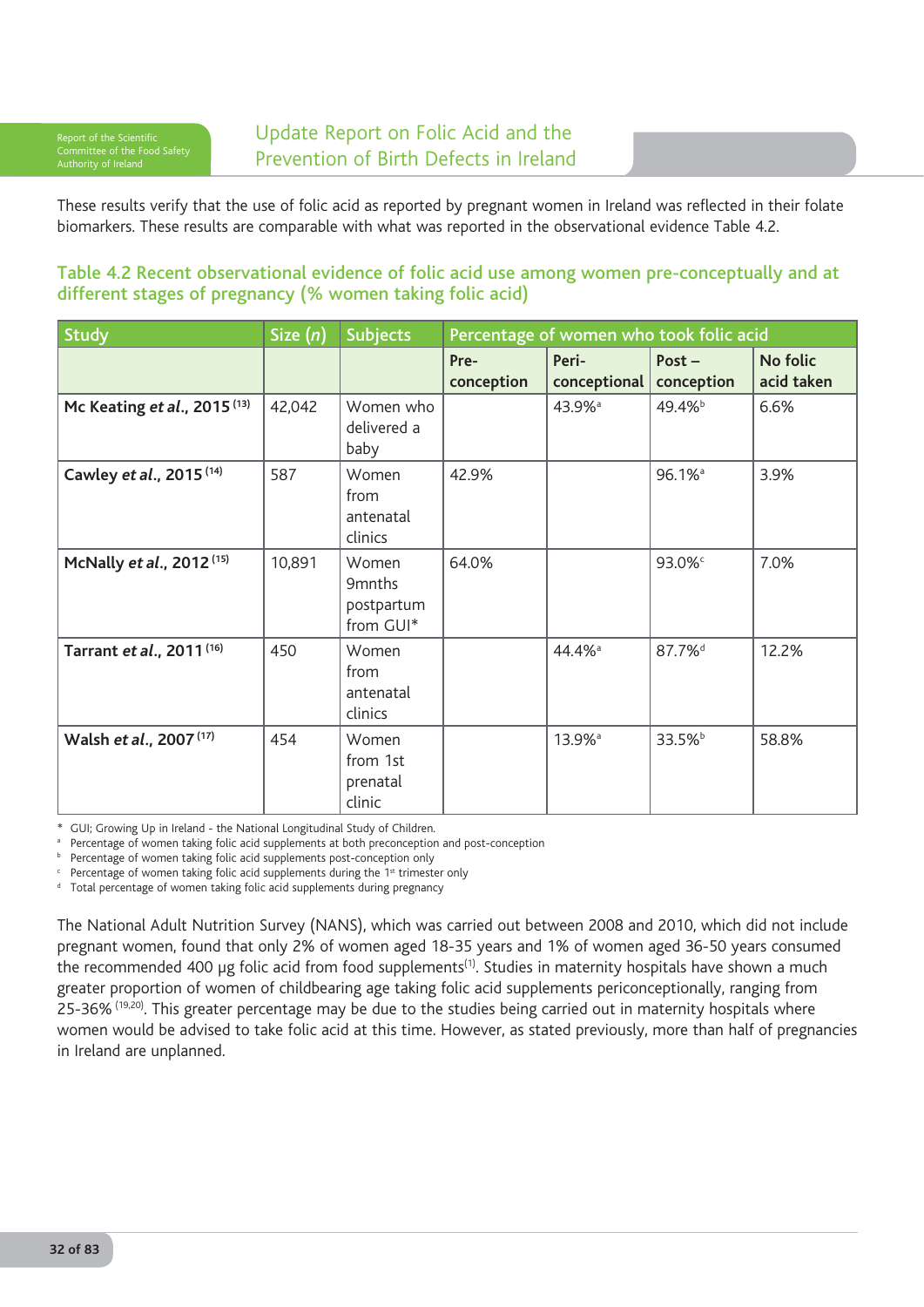Authority of Ireland

These results verify that the use of folic acid as reported by pregnant women in Ireland was reflected in their folate biomarkers. These results are comparable with what was reported in the observational evidence Table 4.2.

#### Table 4.2 Recent observational evidence of folic acid use among women pre-conceptually and at different stages of pregnancy (% women taking folic acid)

| <b>Study</b>                            | Size $(n)$ | <b>Subjects</b>                            | Percentage of women who took folic acid |                       |                        |                        |  |  |
|-----------------------------------------|------------|--------------------------------------------|-----------------------------------------|-----------------------|------------------------|------------------------|--|--|
|                                         |            |                                            | Pre-<br>conception                      | Peri-<br>conceptional | $Post -$<br>conception | No folic<br>acid taken |  |  |
| Mc Keating et al., 2015 <sup>(13)</sup> | 42,042     | Women who<br>delivered a<br>baby           |                                         | 43.9% <sup>a</sup>    | 49.4% <sup>b</sup>     | 6.6%                   |  |  |
| Cawley et al., 2015 <sup>(14)</sup>     | 587        | Women<br>from<br>antenatal<br>clinics      | 42.9%                                   |                       | 96.1% <sup>a</sup>     | 3.9%                   |  |  |
| McNally et al., 2012 <sup>(15)</sup>    | 10,891     | Women<br>9mnths<br>postpartum<br>from GUI* | 64.0%                                   |                       | 93.0%c                 | 7.0%                   |  |  |
| Tarrant et al., 2011 <sup>(16)</sup>    | 450        | Women<br>from<br>antenatal<br>clinics      |                                         | 44.4% <sup>a</sup>    | 87.7% <sup>d</sup>     | 12.2%                  |  |  |
| Walsh et al., 2007 <sup>(17)</sup>      | 454        | Women<br>from 1st<br>prenatal<br>clinic    |                                         | 13.9% <sup>a</sup>    | 33.5% <sup>b</sup>     | 58.8%                  |  |  |

\* GUI; Growing Up in Ireland - the National Longitudinal Study of Children.

<sup>a</sup> Percentage of women taking folic acid supplements at both preconception and post-conception

Percentage of women taking folic acid supplements post-conception only

 $\epsilon$  Percentage of women taking folic acid supplements during the  $1st$  trimester only

<sup>d</sup> Total percentage of women taking folic acid supplements during pregnancy

The National Adult Nutrition Survey (NANS), which was carried out between 2008 and 2010, which did not include pregnant women, found that only 2% of women aged 18-35 years and 1% of women aged 36-50 years consumed the recommended 400 µg folic acid from food supplements<sup>(1)</sup>. Studies in maternity hospitals have shown a much greater proportion of women of childbearing age taking folic acid supplements periconceptionally, ranging from 25-36% <sup>(19,20)</sup>. This greater percentage may be due to the studies being carried out in maternity hospitals where women would be advised to take folic acid at this time. However, as stated previously, more than half of pregnancies in Ireland are unplanned.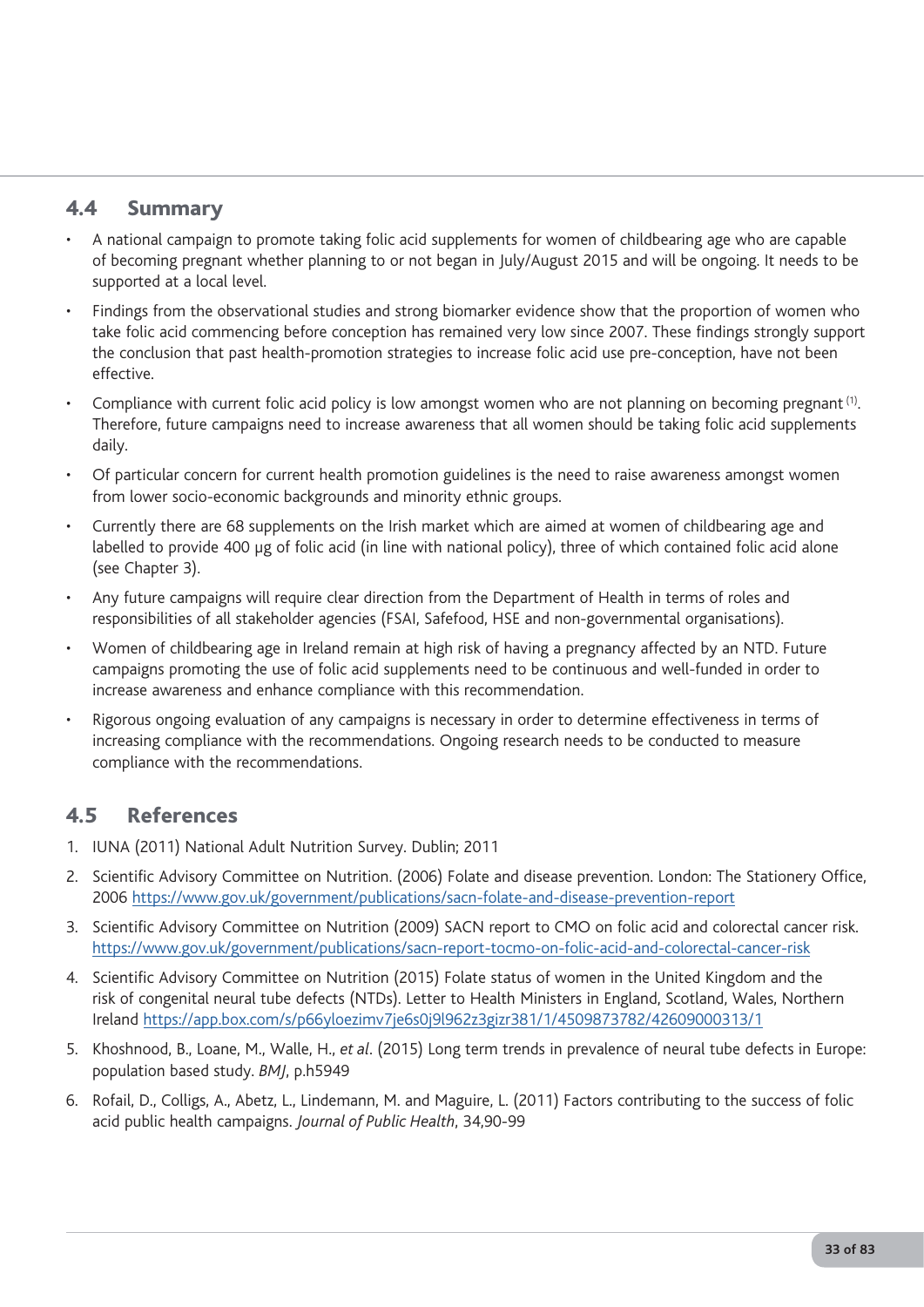# <span id="page-34-0"></span>4.4 Summary

- A national campaign to promote taking folic acid supplements for women of childbearing age who are capable of becoming pregnant whether planning to or not began in July/August 2015 and will be ongoing. It needs to be supported at a local level.
- Findings from the observational studies and strong biomarker evidence show that the proportion of women who take folic acid commencing before conception has remained very low since 2007. These findings strongly support the conclusion that past health-promotion strategies to increase folic acid use pre-conception, have not been effective.
- Compliance with current folic acid policy is low amongst women who are not planning on becoming pregnant <sup>(1)</sup>. Therefore, future campaigns need to increase awareness that all women should be taking folic acid supplements daily.
- Of particular concern for current health promotion guidelines is the need to raise awareness amongst women from lower socio-economic backgrounds and minority ethnic groups.
- Currently there are 68 supplements on the Irish market which are aimed at women of childbearing age and labelled to provide 400 µg of folic acid (in line with national policy), three of which contained folic acid alone (see Chapter 3).
- Any future campaigns will require clear direction from the Department of Health in terms of roles and responsibilities of all stakeholder agencies (FSAI, Safefood, HSE and non-governmental organisations).
- Women of childbearing age in Ireland remain at high risk of having a pregnancy affected by an NTD. Future campaigns promoting the use of folic acid supplements need to be continuous and well-funded in order to increase awareness and enhance compliance with this recommendation.
- Rigorous ongoing evaluation of any campaigns is necessary in order to determine effectiveness in terms of increasing compliance with the recommendations. Ongoing research needs to be conducted to measure compliance with the recommendations.

# 4.5 References

- 1. IUNA (2011) National Adult Nutrition Survey. Dublin; 2011
- 2. Scientific Advisory Committee on Nutrition. (2006) Folate and disease prevention. London: The Stationery Office, 2006 <https://www.gov.uk/government/publications/sacn-folate-and-disease-prevention-report>
- 3. Scientific Advisory Committee on Nutrition (2009) SACN report to CMO on folic acid and colorectal cancer risk. <https://www.gov.uk/government/publications/sacn-report-tocmo-on-folic-acid-and-colorectal-cancer-risk>
- 4. Scientific Advisory Committee on Nutrition (2015) Folate status of women in the United Kingdom and the risk of congenital neural tube defects (NTDs). Letter to Health Ministers in England, Scotland, Wales, Northern Ireland<https://app.box.com/s/p66yloezimv7je6s0j9l962z3gizr381/1/4509873782/42609000313/1>
- 5. Khoshnood, B., Loane, M., Walle, H., *et al*. (2015) Long term trends in prevalence of neural tube defects in Europe: population based study. *BMJ*, p.h5949
- 6. Rofail, D., Colligs, A., Abetz, L., Lindemann, M. and Maguire, L. (2011) Factors contributing to the success of folic acid public health campaigns. *Journal of Public Health*, 34,90-99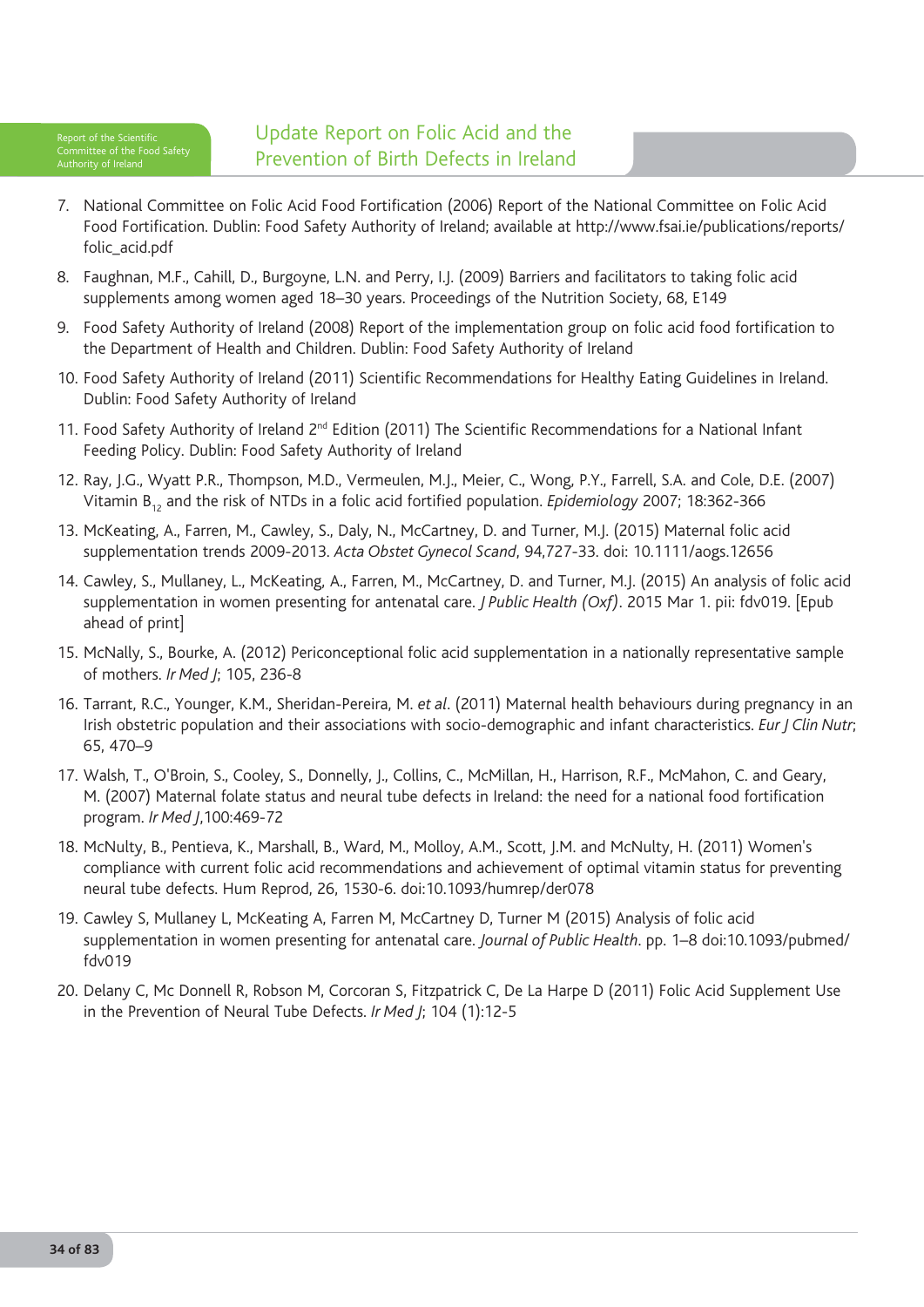### Update Report on Folic Acid and the Prevention of Birth Defects in Ireland

- 7. National Committee on Folic Acid Food Fortification (2006) Report of the National Committee on Folic Acid Food Fortification. Dublin: Food Safety Authority of Ireland; available at http://www.fsai.ie/publications/reports/ folic\_acid.pdf
- 8. Faughnan, M.F., Cahill, D., Burgoyne, L.N. and Perry, I.J. (2009) Barriers and facilitators to taking folic acid supplements among women aged 18–30 years. Proceedings of the Nutrition Society, 68, E149
- 9. Food Safety Authority of Ireland (2008) Report of the implementation group on folic acid food fortification to the Department of Health and Children. Dublin: Food Safety Authority of Ireland
- 10. Food Safety Authority of Ireland (2011) Scientific Recommendations for Healthy Eating Guidelines in Ireland. Dublin: Food Safety Authority of Ireland
- 11. Food Safety Authority of Ireland 2<sup>nd</sup> Edition (2011) The Scientific Recommendations for a National Infant Feeding Policy. Dublin: Food Safety Authority of Ireland
- 12. Ray, J.G., Wyatt P.R., Thompson, M.D., Vermeulen, M.J., Meier, C., Wong, P.Y., Farrell, S.A. and Cole, D.E. (2007) Vitamin B12 and the risk of NTDs in a folic acid fortified population. *Epidemiology* 2007; 18:362-366
- 13. McKeating, A., Farren, M., Cawley, S., Daly, N., McCartney, D. and Turner, M.J. (2015) Maternal folic acid supplementation trends 2009-2013. *Acta Obstet Gynecol Scand*, 94,727-33. doi: 10.1111/aogs.12656
- 14. Cawley, S., Mullaney, L., McKeating, A., Farren, M., McCartney, D. and Turner, M.J. (2015) An analysis of folic acid supplementation in women presenting for antenatal care. *J Public Health (Oxf)*. 2015 Mar 1. pii: fdv019. [Epub ahead of print]
- 15. McNally, S., Bourke, A. (2012) Periconceptional folic acid supplementation in a nationally representative sample of mothers. *Ir Med J*; 105, 236-8
- 16. Tarrant, R.C., Younger, K.M., Sheridan-Pereira, M. *et al*. (2011) Maternal health behaviours during pregnancy in an Irish obstetric population and their associations with socio-demographic and infant characteristics. *Eur J Clin Nutr*; 65, 470–9
- 17. Walsh, T., O'Broin, S., Cooley, S., Donnelly, J., Collins, C., McMillan, H., Harrison, R.F., McMahon, C. and Geary, M. (2007) Maternal folate status and neural tube defects in Ireland: the need for a national food fortification program. *Ir Med J*,100:469-72
- 18. McNulty, B., Pentieva, K., Marshall, B., Ward, M., Molloy, A.M., Scott, J.M. and McNulty, H. (2011) Women's compliance with current folic acid recommendations and achievement of optimal vitamin status for preventing neural tube defects. Hum Reprod, 26, 1530-6. doi:10.1093/humrep/der078
- 19. Cawley S, Mullaney L, McKeating A, Farren M, McCartney D, Turner M (2015) Analysis of folic acid supplementation in women presenting for antenatal care. *Journal of Public Health*. pp. 1–8 doi:10.1093/pubmed/ fdv019
- 20. Delany C, Mc Donnell R, Robson M, Corcoran S, Fitzpatrick C, De La Harpe D (2011) Folic Acid Supplement Use in the Prevention of Neural Tube Defects. *Ir Med J*; 104 (1):12-5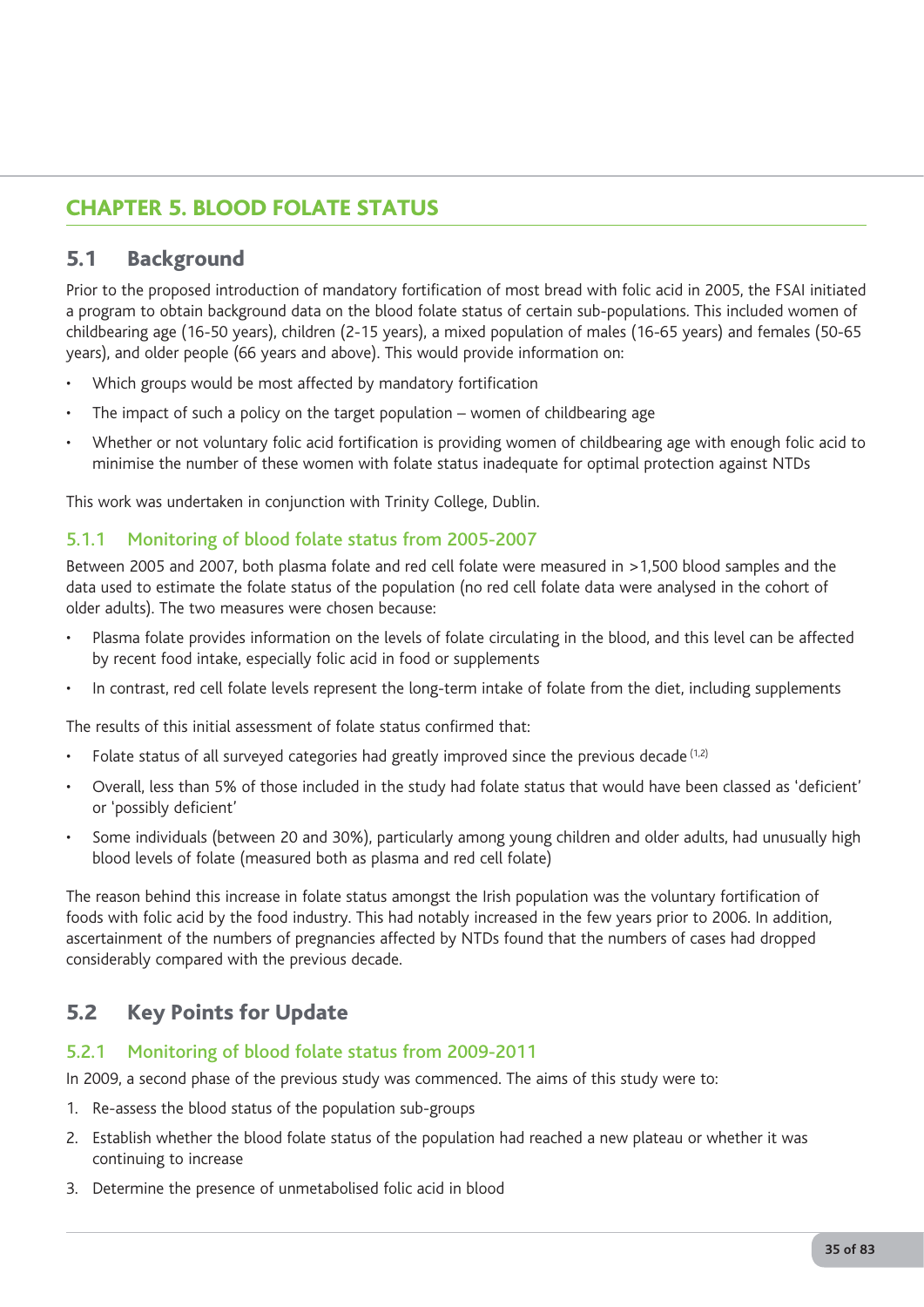# CHAPTER 5. BLOOD FOLATE STATUS

# 5.1 Background

Prior to the proposed introduction of mandatory fortification of most bread with folic acid in 2005, the FSAI initiated a program to obtain background data on the blood folate status of certain sub-populations. This included women of childbearing age (16-50 years), children (2-15 years), a mixed population of males (16-65 years) and females (50-65 years), and older people (66 years and above). This would provide information on:

- Which groups would be most affected by mandatory fortification
- The impact of such a policy on the target population women of childbearing age
- Whether or not voluntary folic acid fortification is providing women of childbearing age with enough folic acid to minimise the number of these women with folate status inadequate for optimal protection against NTDs

This work was undertaken in conjunction with Trinity College, Dublin.

## 5.1.1 Monitoring of blood folate status from 2005-2007

Between 2005 and 2007, both plasma folate and red cell folate were measured in >1,500 blood samples and the data used to estimate the folate status of the population (no red cell folate data were analysed in the cohort of older adults). The two measures were chosen because:

- Plasma folate provides information on the levels of folate circulating in the blood, and this level can be affected by recent food intake, especially folic acid in food or supplements
- In contrast, red cell folate levels represent the long-term intake of folate from the diet, including supplements

The results of this initial assessment of folate status confirmed that:

- Folate status of all surveyed categories had greatly improved since the previous decade <sup>(1,2)</sup>
- Overall, less than 5% of those included in the study had folate status that would have been classed as 'deficient' or 'possibly deficient'
- Some individuals (between 20 and 30%), particularly among young children and older adults, had unusually high blood levels of folate (measured both as plasma and red cell folate)

The reason behind this increase in folate status amongst the Irish population was the voluntary fortification of foods with folic acid by the food industry. This had notably increased in the few years prior to 2006. In addition, ascertainment of the numbers of pregnancies affected by NTDs found that the numbers of cases had dropped considerably compared with the previous decade.

# 5.2 Key Points for Update

## 5.2.1 Monitoring of blood folate status from 2009-2011

In 2009, a second phase of the previous study was commenced. The aims of this study were to:

- 1. Re-assess the blood status of the population sub-groups
- 2. Establish whether the blood folate status of the population had reached a new plateau or whether it was continuing to increase
- 3. Determine the presence of unmetabolised folic acid in blood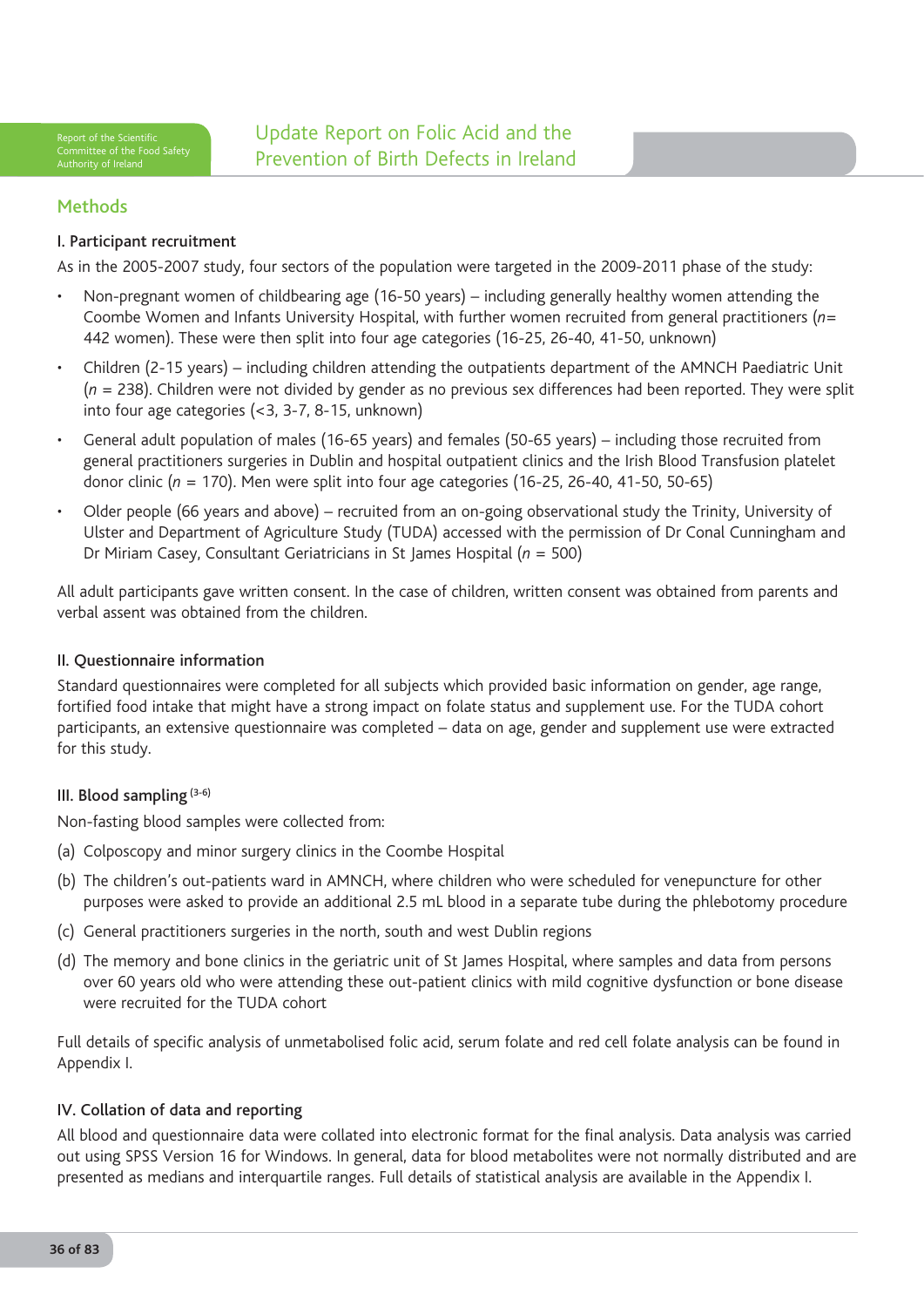## **Methods**

### I. Participant recruitment

As in the 2005-2007 study, four sectors of the population were targeted in the 2009-2011 phase of the study:

- Non-pregnant women of childbearing age (16-50 years) including generally healthy women attending the Coombe Women and Infants University Hospital, with further women recruited from general practitioners (*n*= 442 women). These were then split into four age categories (16-25, 26-40, 41-50, unknown)
- Children (2-15 years) including children attending the outpatients department of the AMNCH Paediatric Unit (*n* = 238). Children were not divided by gender as no previous sex differences had been reported. They were split into four age categories (<3, 3-7, 8-15, unknown)
- General adult population of males (16-65 years) and females (50-65 years) including those recruited from general practitioners surgeries in Dublin and hospital outpatient clinics and the Irish Blood Transfusion platelet donor clinic (*n* = 170). Men were split into four age categories (16-25, 26-40, 41-50, 50-65)
- Older people (66 years and above) recruited from an on-going observational study the Trinity, University of Ulster and Department of Agriculture Study (TUDA) accessed with the permission of Dr Conal Cunningham and Dr Miriam Casey, Consultant Geriatricians in St James Hospital (*n* = 500)

All adult participants gave written consent. In the case of children, written consent was obtained from parents and verbal assent was obtained from the children.

#### II. Questionnaire information

Standard questionnaires were completed for all subjects which provided basic information on gender, age range, fortified food intake that might have a strong impact on folate status and supplement use. For the TUDA cohort participants, an extensive questionnaire was completed – data on age, gender and supplement use were extracted for this study.

### III. Blood sampling (3-6)

Non-fasting blood samples were collected from:

- (a) Colposcopy and minor surgery clinics in the Coombe Hospital
- (b) The children's out-patients ward in AMNCH, where children who were scheduled for venepuncture for other purposes were asked to provide an additional 2.5 mL blood in a separate tube during the phlebotomy procedure
- (c) General practitioners surgeries in the north, south and west Dublin regions
- (d) The memory and bone clinics in the geriatric unit of St James Hospital, where samples and data from persons over 60 years old who were attending these out-patient clinics with mild cognitive dysfunction or bone disease were recruited for the TUDA cohort

Full details of specific analysis of unmetabolised folic acid, serum folate and red cell folate analysis can be found in Appendix I.

### IV. Collation of data and reporting

All blood and questionnaire data were collated into electronic format for the final analysis. Data analysis was carried out using SPSS Version 16 for Windows. In general, data for blood metabolites were not normally distributed and are presented as medians and interquartile ranges. Full details of statistical analysis are available in the Appendix I.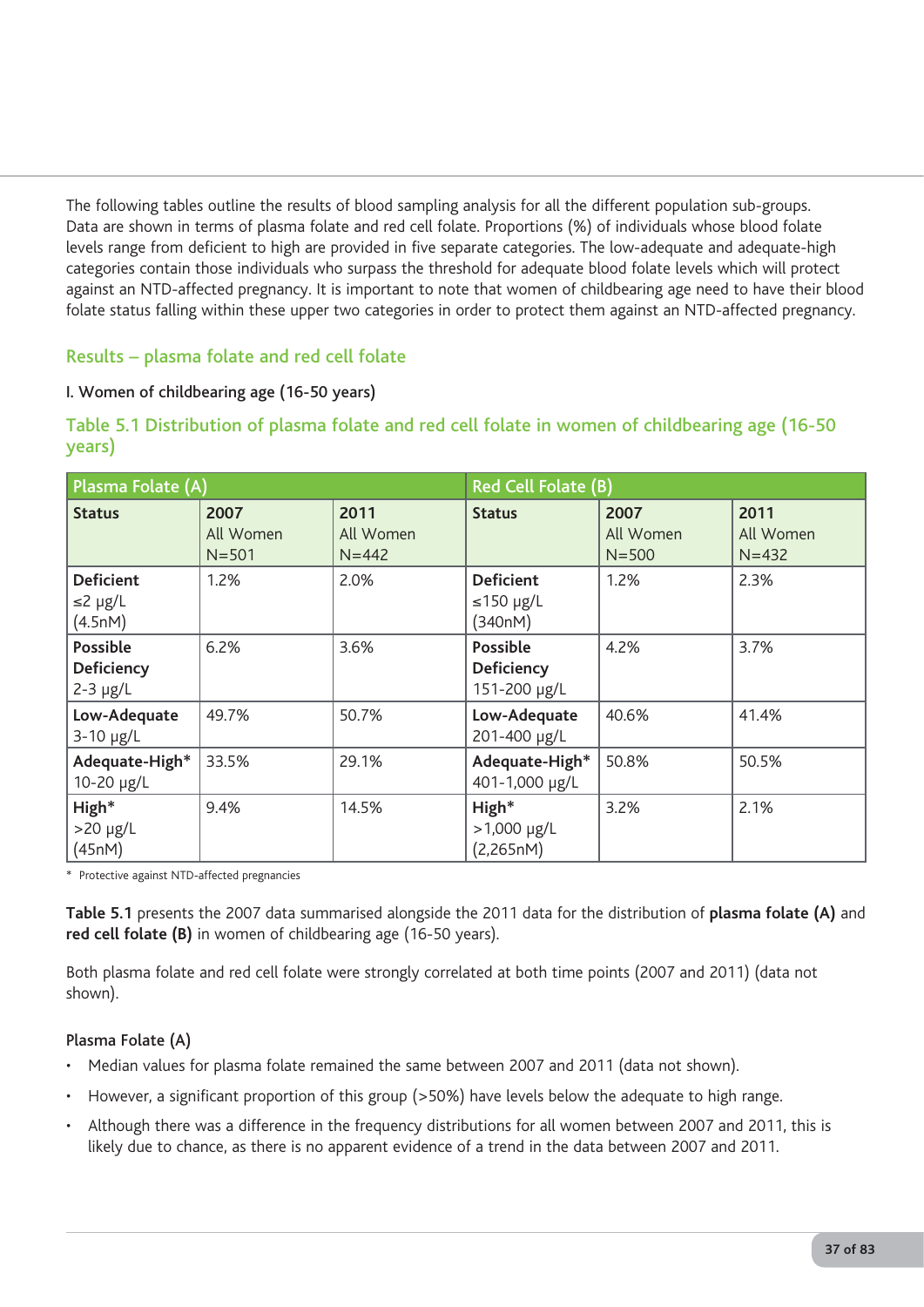The following tables outline the results of blood sampling analysis for all the different population sub-groups. Data are shown in terms of plasma folate and red cell folate. Proportions (%) of individuals whose blood folate levels range from deficient to high are provided in five separate categories. The low-adequate and adequate-high categories contain those individuals who surpass the threshold for adequate blood folate levels which will protect against an NTD-affected pregnancy. It is important to note that women of childbearing age need to have their blood folate status falling within these upper two categories in order to protect them against an NTD-affected pregnancy.

## Results – plasma folate and red cell folate

### I. Women of childbearing age (16-50 years)

| Plasma Folate (A)                                 |                                |                                | <b>Red Cell Folate (B)</b>                           |                                |                                |
|---------------------------------------------------|--------------------------------|--------------------------------|------------------------------------------------------|--------------------------------|--------------------------------|
| <b>Status</b>                                     | 2007<br>All Women<br>$N = 501$ | 2011<br>All Women<br>$N = 442$ | <b>Status</b>                                        | 2007<br>All Women<br>$N = 500$ | 2011<br>All Women<br>$N = 432$ |
| <b>Deficient</b><br>$\leq$ 2 $\mu$ g/L<br>(4.5nM) | 1.2%                           | 2.0%                           | <b>Deficient</b><br>$\leq$ 150 µg/L<br>(340nM)       | 1.2%                           | 2.3%                           |
| <b>Possible</b><br>Deficiency<br>$2-3$ $\mu$ g/L  | 6.2%                           | 3.6%                           | <b>Possible</b><br><b>Deficiency</b><br>151-200 µg/L | 4.2%                           | 3.7%                           |
| Low-Adequate<br>$3 - 10$ µg/L                     | 49.7%                          | 50.7%                          | Low-Adequate<br>201-400 µg/L                         | 40.6%                          | 41.4%                          |
| Adequate-High*<br>10-20 µg/L                      | 33.5%                          | 29.1%                          | Adequate-High*<br>401-1,000 µg/L                     | 50.8%                          | 50.5%                          |
| High*<br>$>20 \mu g/L$<br>(45nM)                  | 9.4%                           | 14.5%                          | High*<br>$>1,000 \mu g/L$<br>(2,265nM)               | 3.2%                           | 2.1%                           |

Table 5.1 Distribution of plasma folate and red cell folate in women of childbearing age (16-50 years)

\* Protective against NTD-affected pregnancies

**Table 5.1** presents the 2007 data summarised alongside the 2011 data for the distribution of **plasma folate (A)** and **red cell folate (B)** in women of childbearing age (16-50 years).

Both plasma folate and red cell folate were strongly correlated at both time points (2007 and 2011) (data not shown).

## Plasma Folate (A)

- Median values for plasma folate remained the same between 2007 and 2011 (data not shown).
- However, a significant proportion of this group (>50%) have levels below the adequate to high range.
- Although there was a difference in the frequency distributions for all women between 2007 and 2011, this is likely due to chance, as there is no apparent evidence of a trend in the data between 2007 and 2011.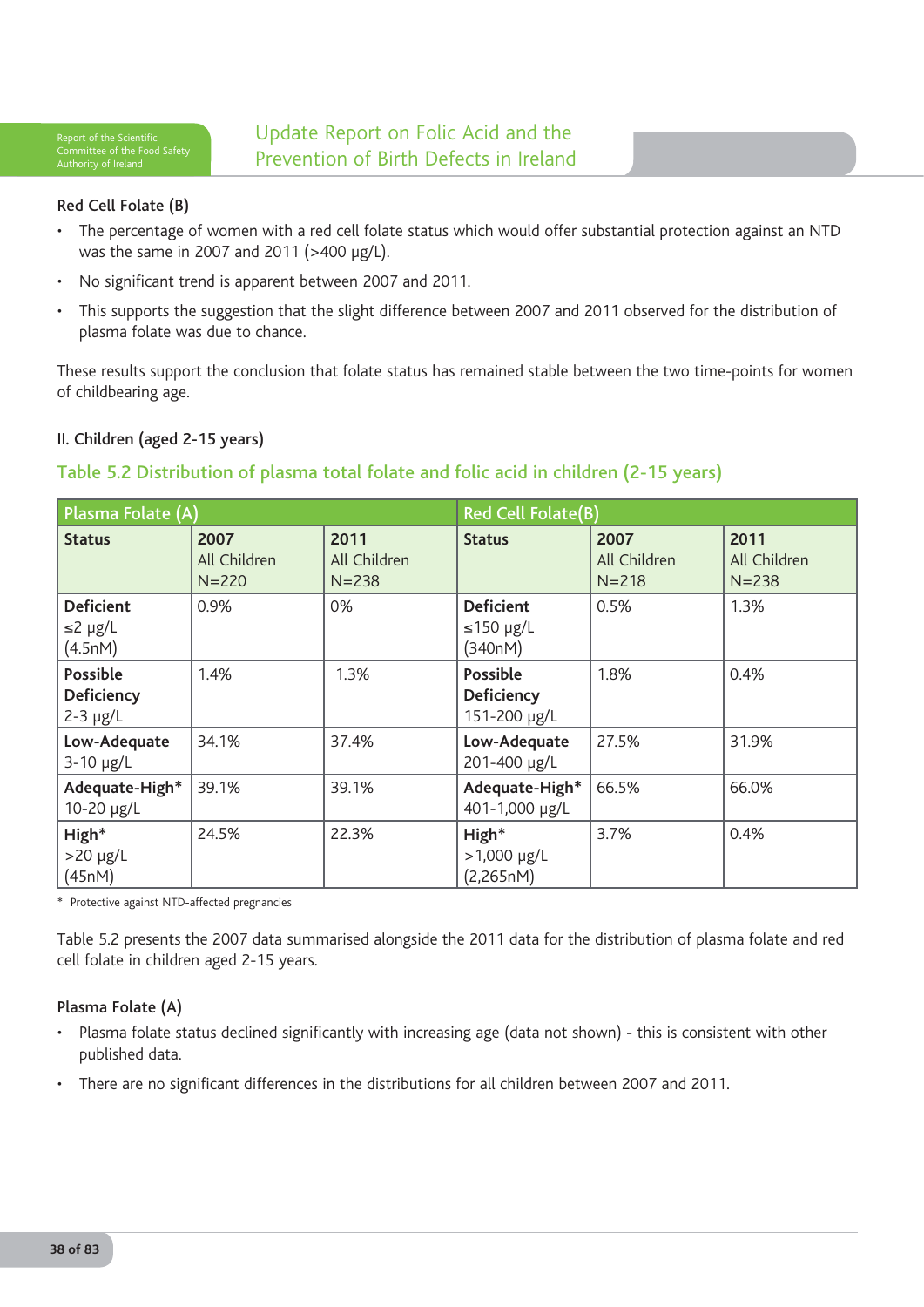#### Red Cell Folate (B)

- The percentage of women with a red cell folate status which would offer substantial protection against an NTD was the same in 2007 and 2011 (>400 µg/L).
- No significant trend is apparent between 2007 and 2011.
- This supports the suggestion that the slight difference between 2007 and 2011 observed for the distribution of plasma folate was due to chance.

These results support the conclusion that folate status has remained stable between the two time-points for women of childbearing age.

#### II. Children (aged 2-15 years)

## Table 5.2 Distribution of plasma total folate and folic acid in children (2-15 years)

| Plasma Folate (A)                                |                                   |                                   | <b>Red Cell Folate(B)</b>                      |                                   |                                   |  |
|--------------------------------------------------|-----------------------------------|-----------------------------------|------------------------------------------------|-----------------------------------|-----------------------------------|--|
| <b>Status</b>                                    | 2007<br>All Children<br>$N = 220$ | 2011<br>All Children<br>$N = 238$ | <b>Status</b>                                  | 2007<br>All Children<br>$N = 218$ | 2011<br>All Children<br>$N = 238$ |  |
| <b>Deficient</b><br>$\leq$ 2 µg/L<br>(4.5nM)     | 0.9%                              | 0%                                | <b>Deficient</b><br>$\leq$ 150 µg/L<br>(340nM) | 0.5%                              | 1.3%                              |  |
| <b>Possible</b><br>Deficiency<br>$2-3$ $\mu$ g/L | 1.4%                              | 1.3%                              | Possible<br>Deficiency<br>151-200 µg/L         | 1.8%                              | 0.4%                              |  |
| Low-Adequate<br>$3 - 10$ µg/L                    | 34.1%                             | 37.4%                             | Low-Adequate<br>201-400 µg/L                   | 27.5%                             | 31.9%                             |  |
| Adequate-High*<br>10-20 µg/L                     | 39.1%                             | 39.1%                             | Adequate-High*<br>401-1,000 µg/L               | 66.5%                             | 66.0%                             |  |
| High*<br>$>20 \mu g/L$<br>(45nM)                 | 24.5%                             | 22.3%                             | High*<br>$>1,000 \mu g/L$<br>(2,265nM)         | 3.7%                              | 0.4%                              |  |

\* Protective against NTD-affected pregnancies

Table 5.2 presents the 2007 data summarised alongside the 2011 data for the distribution of plasma folate and red cell folate in children aged 2-15 years.

#### Plasma Folate (A)

- Plasma folate status declined significantly with increasing age (data not shown) this is consistent with other published data.
- There are no significant differences in the distributions for all children between 2007 and 2011.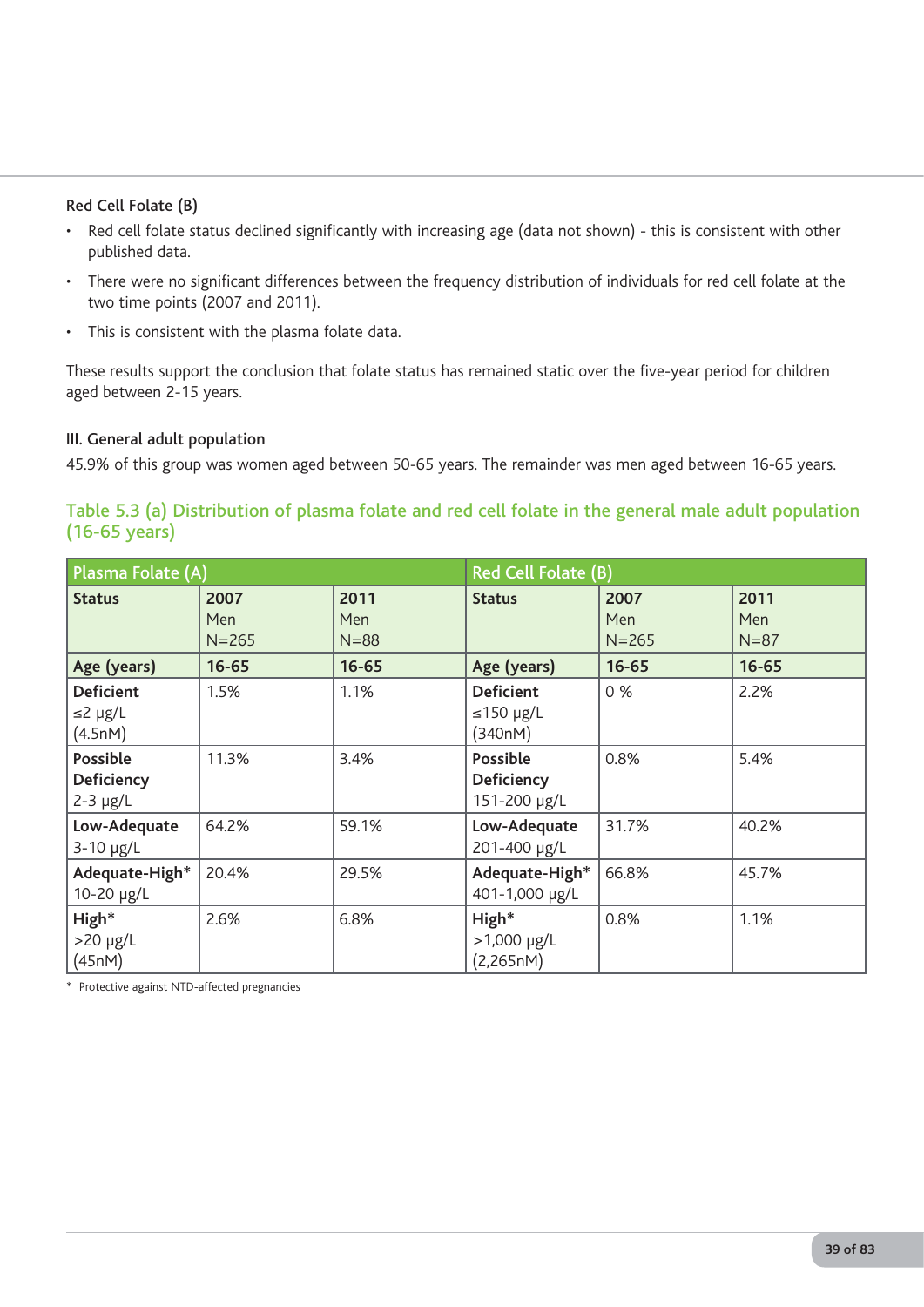### Red Cell Folate (B)

- Red cell folate status declined significantly with increasing age (data not shown) this is consistent with other published data.
- There were no significant differences between the frequency distribution of individuals for red cell folate at the two time points (2007 and 2011).
- This is consistent with the plasma folate data.

These results support the conclusion that folate status has remained static over the five-year period for children aged between 2-15 years.

### III. General adult population

45.9% of this group was women aged between 50-65 years. The remainder was men aged between 16-65 years.

## Table 5.3 (a) Distribution of plasma folate and red cell folate in the general male adult population (16-65 years)

| Plasma Folate (A)                                 |                          |                         | <b>Red Cell Folate (B)</b>                     |                          |                       |
|---------------------------------------------------|--------------------------|-------------------------|------------------------------------------------|--------------------------|-----------------------|
| <b>Status</b>                                     | 2007<br>Men<br>$N = 265$ | 2011<br>Men<br>$N = 88$ | <b>Status</b>                                  | 2007<br>Men<br>$N = 265$ | 2011<br>Men<br>$N=87$ |
| Age (years)                                       | $16 - 65$                | $16 - 65$               | Age (years)                                    | $16 - 65$                | $16 - 65$             |
| <b>Deficient</b><br>$\leq$ 2 $\mu$ g/L<br>(4.5nM) | 1.5%                     | 1.1%                    | <b>Deficient</b><br>$\leq$ 150 µg/L<br>(340nM) | 0 %                      | 2.2%                  |
| <b>Possible</b><br>Deficiency<br>$2-3$ $\mu$ g/L  | 11.3%                    | 3.4%                    | <b>Possible</b><br>Deficiency<br>151-200 µg/L  | 0.8%                     | 5.4%                  |
| Low-Adequate<br>3-10 µg/L                         | 64.2%                    | 59.1%                   | Low-Adequate<br>201-400 µg/L                   | 31.7%                    | 40.2%                 |
| Adequate-High*<br>10-20 µg/L                      | 20.4%                    | 29.5%                   | Adequate-High*<br>401-1,000 µg/L               | 66.8%                    | 45.7%                 |
| High*<br>$>20 \mu g/L$<br>(45nM)                  | 2.6%                     | 6.8%                    | High*<br>$>1,000 \mu g/L$<br>(2,265nM)         | 0.8%                     | 1.1%                  |

\* Protective against NTD-affected pregnancies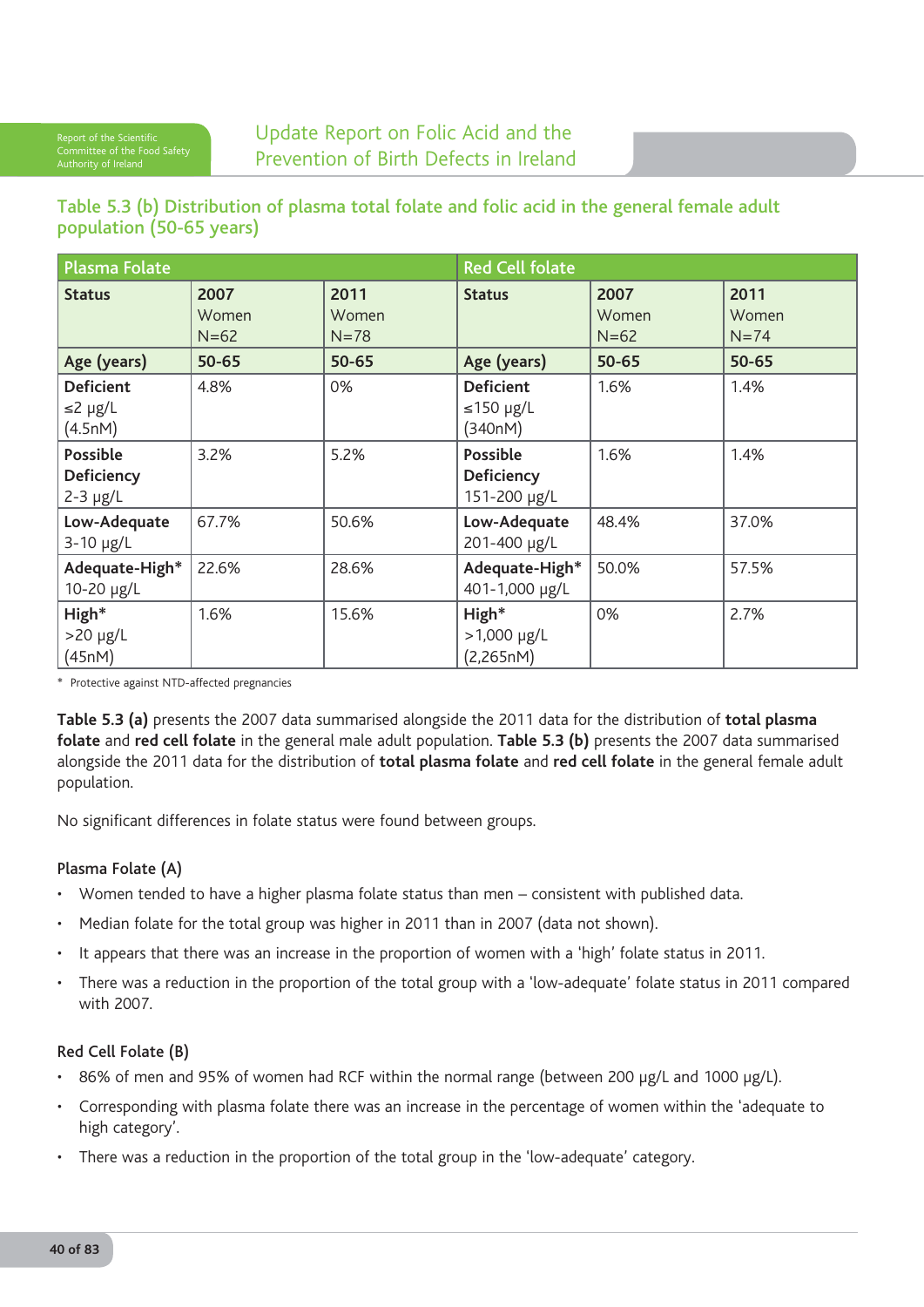## Table 5.3 (b) Distribution of plasma total folate and folic acid in the general female adult population (50-65 years)

| <b>Plasma Folate</b>                                    |                           |                           | <b>Red Cell folate</b>                         |                         |                         |
|---------------------------------------------------------|---------------------------|---------------------------|------------------------------------------------|-------------------------|-------------------------|
| <b>Status</b>                                           | 2007<br>Women<br>$N = 62$ | 2011<br>Women<br>$N = 78$ | <b>Status</b>                                  | 2007<br>Women<br>$N=62$ | 2011<br>Women<br>$N=74$ |
| Age (years)                                             | $50 - 65$                 | $50 - 65$                 | Age (years)                                    | $50 - 65$               | $50 - 65$               |
| <b>Deficient</b><br>$\leq$ 2 $\mu$ g/L<br>(4.5nM)       | 4.8%                      | 0%                        | <b>Deficient</b><br>$\leq$ 150 µg/L<br>(340nM) | 1.6%                    | 1.4%                    |
| <b>Possible</b><br><b>Deficiency</b><br>$2-3$ $\mu$ g/L | 3.2%                      | 5.2%                      | <b>Possible</b><br>Deficiency<br>151-200 µg/L  | 1.6%                    | 1.4%                    |
| Low-Adequate<br>$3 - 10$ µg/L                           | 67.7%                     | 50.6%                     | Low-Adequate<br>201-400 µg/L                   | 48.4%                   | 37.0%                   |
| Adequate-High*<br>10-20 µg/L                            | 22.6%                     | 28.6%                     | Adequate-High*<br>401-1,000 µg/L               | 50.0%                   | 57.5%                   |
| High*<br>$>20 \mu g/L$<br>(45nM)                        | 1.6%                      | 15.6%                     | High*<br>$>1,000 \mu g/L$<br>(2,265nM)         | 0%                      | 2.7%                    |

\* Protective against NTD-affected pregnancies

**Table 5.3 (a)** presents the 2007 data summarised alongside the 2011 data for the distribution of **total plasma folate** and **red cell folate** in the general male adult population. **Table 5.3 (b)** presents the 2007 data summarised alongside the 2011 data for the distribution of **total plasma folate** and **red cell folate** in the general female adult population.

No significant differences in folate status were found between groups.

### Plasma Folate (A)

- Women tended to have a higher plasma folate status than men consistent with published data.
- Median folate for the total group was higher in 2011 than in 2007 (data not shown).
- It appears that there was an increase in the proportion of women with a 'high' folate status in 2011.
- There was a reduction in the proportion of the total group with a 'low-adequate' folate status in 2011 compared with 2007.

### Red Cell Folate (B)

- 86% of men and 95% of women had RCF within the normal range (between 200 µg/L and 1000 µg/L).
- Corresponding with plasma folate there was an increase in the percentage of women within the 'adequate to high category'.
- There was a reduction in the proportion of the total group in the 'low-adequate' category.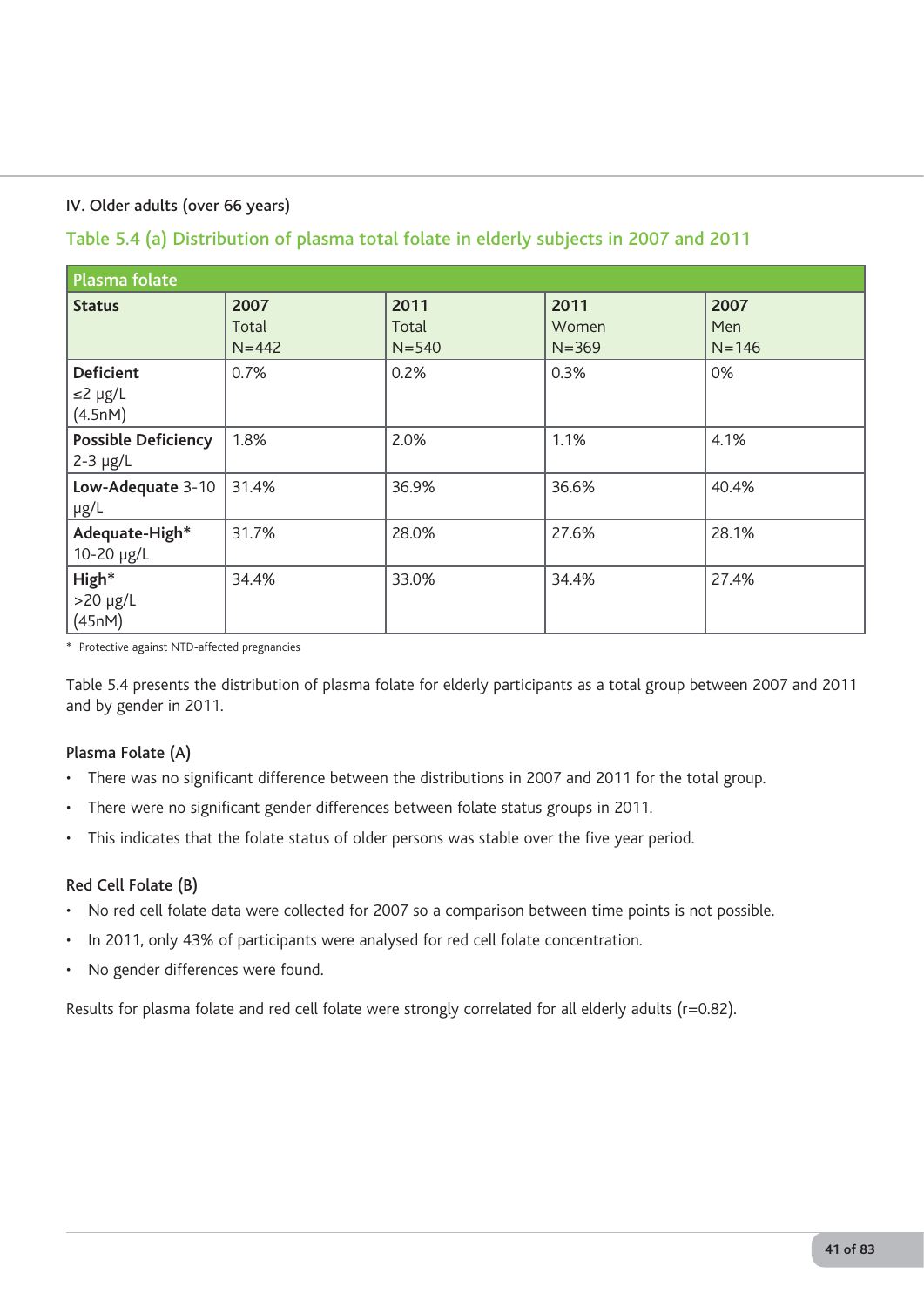### IV. Older adults (over 66 years)

## Table 5.4 (a) Distribution of plasma total folate in elderly subjects in 2007 and 2011

| Plasma folate                                     |                            |                            |                            |                          |
|---------------------------------------------------|----------------------------|----------------------------|----------------------------|--------------------------|
| <b>Status</b>                                     | 2007<br>Total<br>$N = 442$ | 2011<br>Total<br>$N = 540$ | 2011<br>Women<br>$N = 369$ | 2007<br>Men<br>$N = 146$ |
| <b>Deficient</b><br>$\leq$ 2 $\mu$ g/L<br>(4.5nM) | 0.7%                       | 0.2%                       | 0.3%                       | 0%                       |
| <b>Possible Deficiency</b><br>$2-3$ $\mu$ g/L     | 1.8%                       | 2.0%                       | 1.1%                       | 4.1%                     |
| Low-Adequate 3-10<br>µg/L                         | 31.4%                      | 36.9%                      | 36.6%                      | 40.4%                    |
| Adequate-High*<br>10-20 µg/L                      | 31.7%                      | 28.0%                      | 27.6%                      | 28.1%                    |
| High*<br>$>20 \mu g/L$<br>(45nM)                  | 34.4%                      | 33.0%                      | 34.4%                      | 27.4%                    |

\* Protective against NTD-affected pregnancies

Table 5.4 presents the distribution of plasma folate for elderly participants as a total group between 2007 and 2011 and by gender in 2011.

### Plasma Folate (A)

- There was no significant difference between the distributions in 2007 and 2011 for the total group.
- There were no significant gender differences between folate status groups in 2011.
- This indicates that the folate status of older persons was stable over the five year period.

### Red Cell Folate (B)

- No red cell folate data were collected for 2007 so a comparison between time points is not possible.
- In 2011, only 43% of participants were analysed for red cell folate concentration.
- No gender differences were found.

Results for plasma folate and red cell folate were strongly correlated for all elderly adults (r=0.82).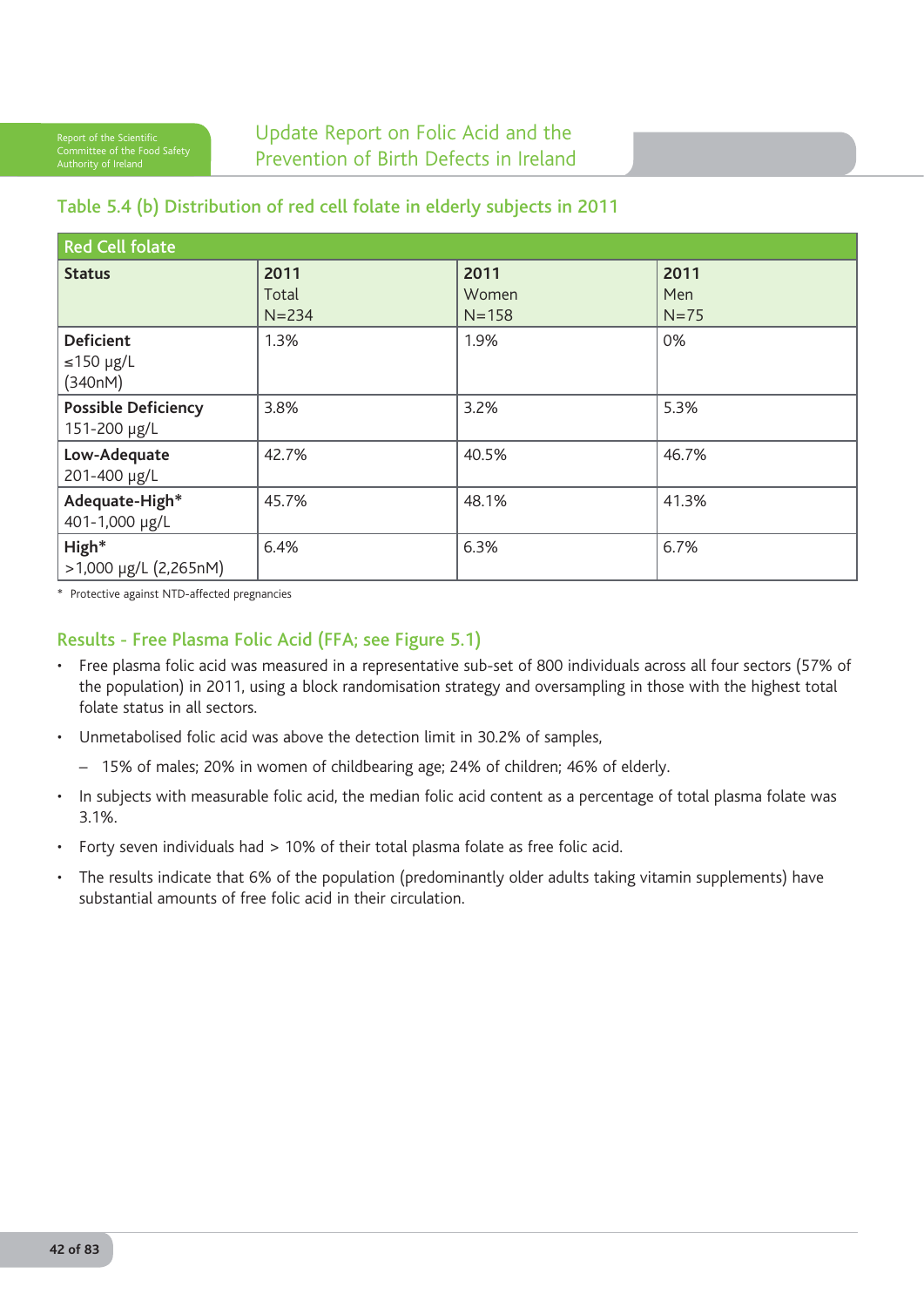### Table 5.4 (b) Distribution of red cell folate in elderly subjects in 2011

| Red Cell folate                                |                            |                            |                       |
|------------------------------------------------|----------------------------|----------------------------|-----------------------|
| <b>Status</b>                                  | 2011<br>Total<br>$N = 234$ | 2011<br>Women<br>$N = 158$ | 2011<br>Men<br>$N=75$ |
| <b>Deficient</b><br>$\leq$ 150 µg/L<br>(340nM) | 1.3%                       | 1.9%                       | 0%                    |
| <b>Possible Deficiency</b><br>151-200 µg/L     | 3.8%                       | 3.2%                       | 5.3%                  |
| Low-Adequate<br>201-400 µg/L                   | 42.7%                      | 40.5%                      | 46.7%                 |
| Adequate-High*<br>401-1,000 µg/L               | 45.7%                      | 48.1%                      | 41.3%                 |
| High*<br>>1,000 µg/L (2,265nM)                 | 6.4%                       | 6.3%                       | 6.7%                  |

\* Protective against NTD-affected pregnancies

### Results - Free Plasma Folic Acid (FFA; see Figure 5.1)

- Free plasma folic acid was measured in a representative sub-set of 800 individuals across all four sectors (57% of the population) in 2011, using a block randomisation strategy and oversampling in those with the highest total folate status in all sectors.
- Unmetabolised folic acid was above the detection limit in 30.2% of samples,
	- 15% of males; 20% in women of childbearing age; 24% of children; 46% of elderly.
- In subjects with measurable folic acid, the median folic acid content as a percentage of total plasma folate was 3.1%.
- Forty seven individuals had > 10% of their total plasma folate as free folic acid.
- The results indicate that 6% of the population (predominantly older adults taking vitamin supplements) have substantial amounts of free folic acid in their circulation.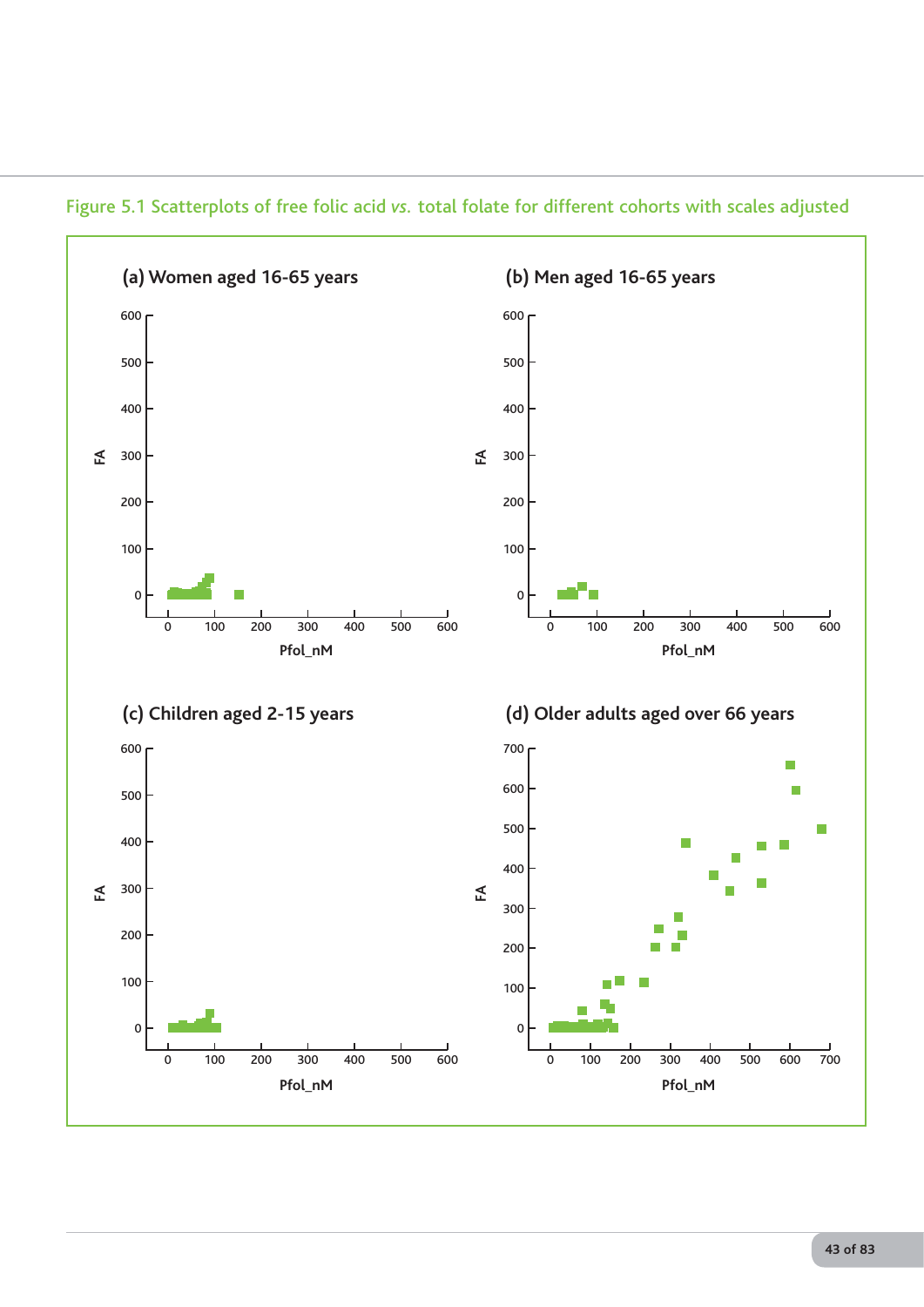

# Figure 5.1 Scatterplots of free folic acid *vs.* total folate for different cohorts with scales adjusted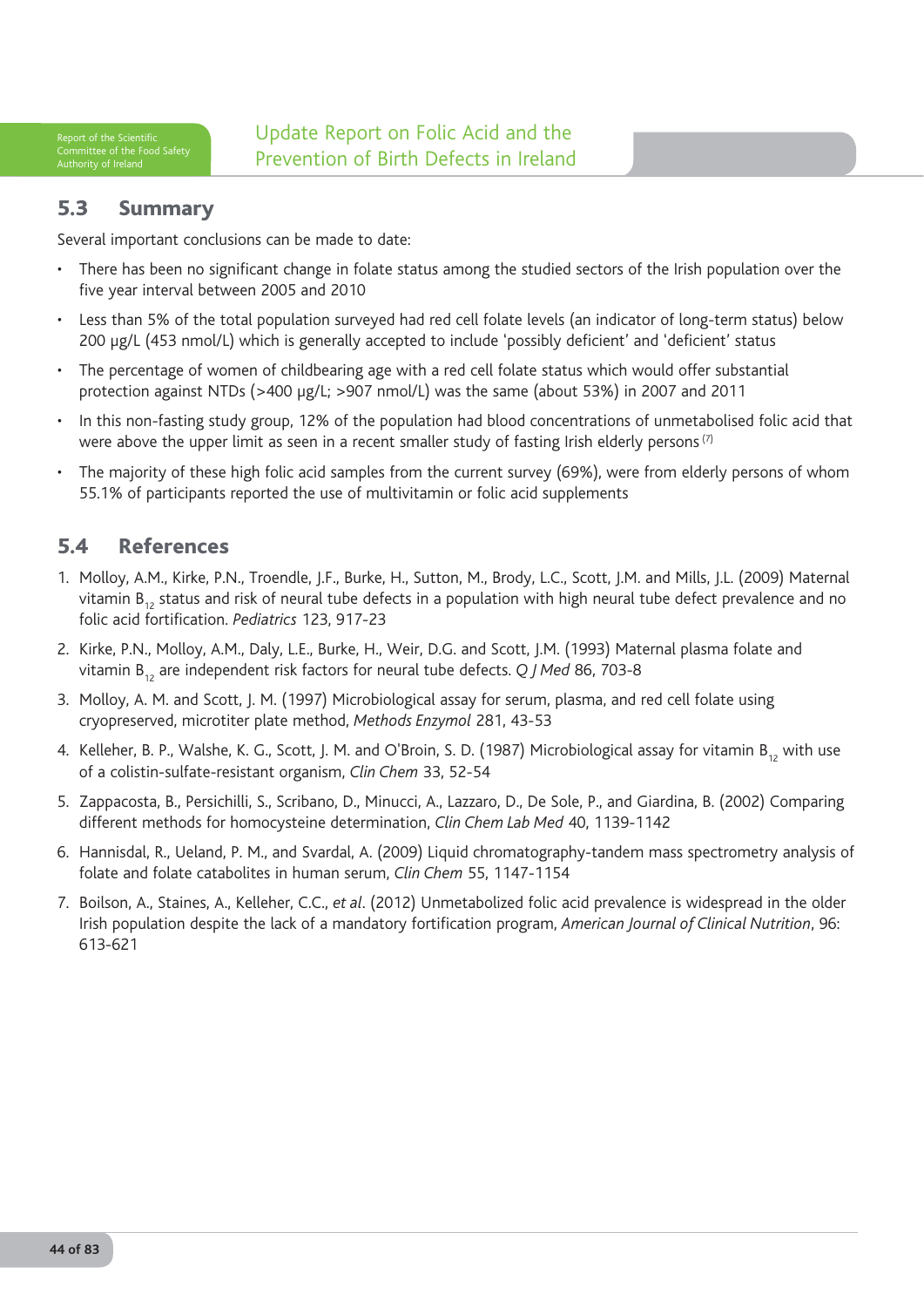# 5.3 Summary

Several important conclusions can be made to date:

- There has been no significant change in folate status among the studied sectors of the Irish population over the five year interval between 2005 and 2010
- Less than 5% of the total population surveyed had red cell folate levels (an indicator of long-term status) below 200 µg/L (453 nmol/L) which is generally accepted to include 'possibly deficient' and 'deficient' status
- The percentage of women of childbearing age with a red cell folate status which would offer substantial protection against NTDs (>400 µg/L; >907 nmol/L) was the same (about 53%) in 2007 and 2011
- In this non-fasting study group, 12% of the population had blood concentrations of unmetabolised folic acid that were above the upper limit as seen in a recent smaller study of fasting Irish elderly persons<sup>(7)</sup>
- The majority of these high folic acid samples from the current survey (69%), were from elderly persons of whom 55.1% of participants reported the use of multivitamin or folic acid supplements

# 5.4 References

- 1. Molloy, A.M., Kirke, P.N., Troendle, J.F., Burke, H., Sutton, M., Brody, L.C., Scott, J.M. and Mills, J.L. (2009) Maternal vitamin  $B_{12}$  status and risk of neural tube defects in a population with high neural tube defect prevalence and no folic acid fortification. *Pediatrics* 123, 917-23
- 2. Kirke, P.N., Molloy, A.M., Daly, L.E., Burke, H., Weir, D.G. and Scott, J.M. (1993) Maternal plasma folate and vitamin B<sub>12</sub> are independent risk factors for neural tube defects. *Q J Med 86*, 703-8
- 3. Molloy, A. M. and Scott, J. M. (1997) Microbiological assay for serum, plasma, and red cell folate using cryopreserved, microtiter plate method, *Methods Enzymol* 281, 43-53
- 4. Kelleher, B. P., Walshe, K. G., Scott, J. M. and O'Broin, S. D. (1987) Microbiological assay for vitamin B<sub>12</sub> with use of a colistin-sulfate-resistant organism, *Clin Chem* 33, 52-54
- 5. Zappacosta, B., Persichilli, S., Scribano, D., Minucci, A., Lazzaro, D., De Sole, P., and Giardina, B. (2002) Comparing different methods for homocysteine determination, *Clin Chem Lab Med* 40, 1139-1142
- 6. Hannisdal, R., Ueland, P. M., and Svardal, A. (2009) Liquid chromatography-tandem mass spectrometry analysis of folate and folate catabolites in human serum, *Clin Chem* 55, 1147-1154
- 7. Boilson, A., Staines, A., Kelleher, C.C., *et al*. (2012) Unmetabolized folic acid prevalence is widespread in the older Irish population despite the lack of a mandatory fortification program, *American Journal of Clinical Nutrition*, 96: 613-621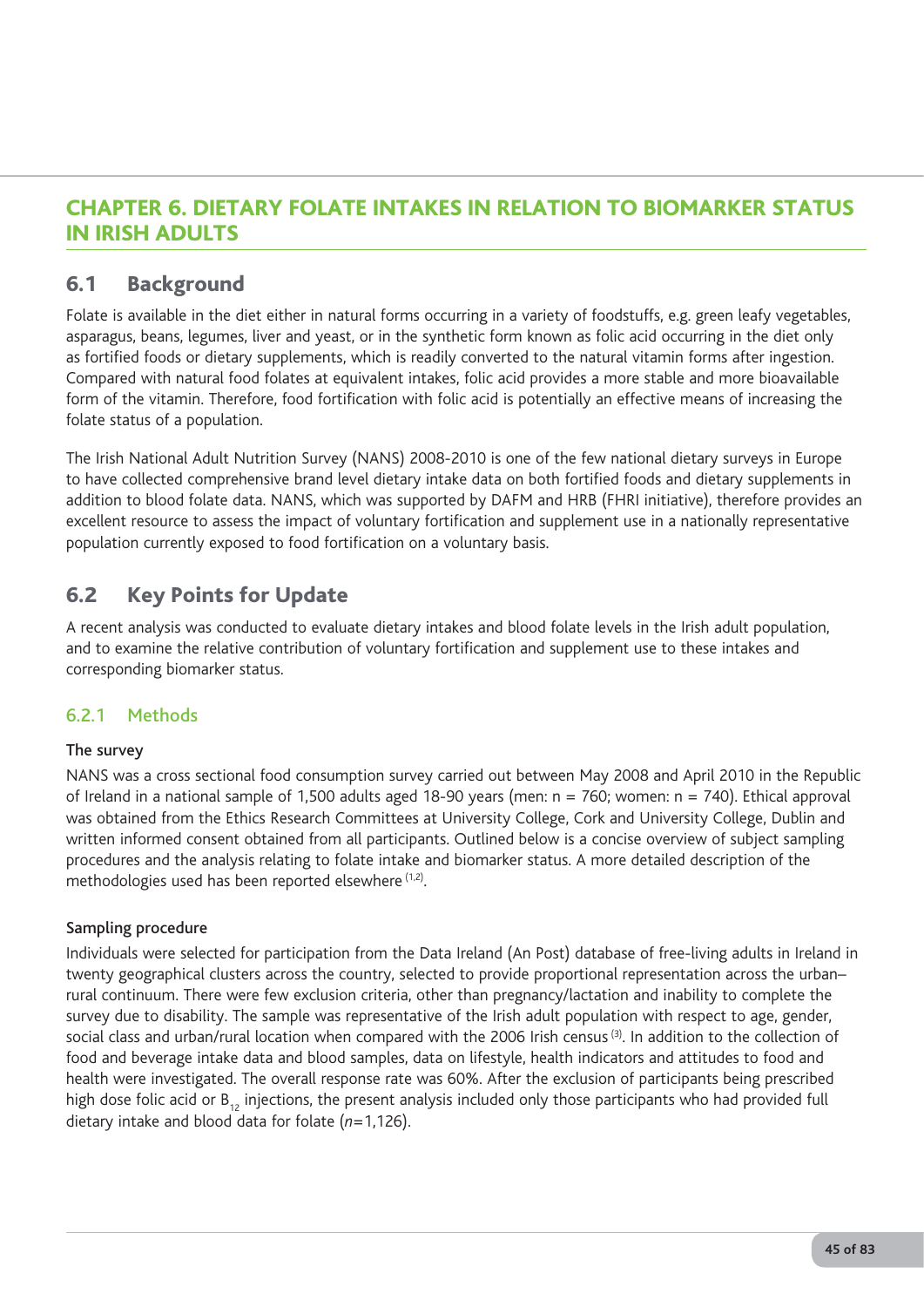# CHAPTER 6. DIETARY FOLATE INTAKES IN RELATION TO BIOMARKER STATUS IN IRISH ADULTS

# 6.1 Background

Folate is available in the diet either in natural forms occurring in a variety of foodstuffs, e.g. green leafy vegetables, asparagus, beans, legumes, liver and yeast, or in the synthetic form known as folic acid occurring in the diet only as fortified foods or dietary supplements, which is readily converted to the natural vitamin forms after ingestion. Compared with natural food folates at equivalent intakes, folic acid provides a more stable and more bioavailable form of the vitamin. Therefore, food fortification with folic acid is potentially an effective means of increasing the folate status of a population.

The Irish National Adult Nutrition Survey (NANS) 2008-2010 is one of the few national dietary surveys in Europe to have collected comprehensive brand level dietary intake data on both fortified foods and dietary supplements in addition to blood folate data. NANS, which was supported by DAFM and HRB (FHRI initiative), therefore provides an excellent resource to assess the impact of voluntary fortification and supplement use in a nationally representative population currently exposed to food fortification on a voluntary basis.

# 6.2 Key Points for Update

A recent analysis was conducted to evaluate dietary intakes and blood folate levels in the Irish adult population, and to examine the relative contribution of voluntary fortification and supplement use to these intakes and corresponding biomarker status.

## 6.2.1 Methods

### The survey

NANS was a cross sectional food consumption survey carried out between May 2008 and April 2010 in the Republic of Ireland in a national sample of 1,500 adults aged 18-90 years (men: n = 760; women: n = 740). Ethical approval was obtained from the Ethics Research Committees at University College, Cork and University College, Dublin and written informed consent obtained from all participants. Outlined below is a concise overview of subject sampling procedures and the analysis relating to folate intake and biomarker status. A more detailed description of the methodologies used has been reported elsewhere (1,2).

## Sampling procedure

Individuals were selected for participation from the Data Ireland (An Post) database of free-living adults in Ireland in twenty geographical clusters across the country, selected to provide proportional representation across the urban– rural continuum. There were few exclusion criteria, other than pregnancy/lactation and inability to complete the survey due to disability. The sample was representative of the Irish adult population with respect to age, gender, social class and urban/rural location when compared with the 2006 Irish census  $(3)$ . In addition to the collection of food and beverage intake data and blood samples, data on lifestyle, health indicators and attitudes to food and health were investigated. The overall response rate was 60%. After the exclusion of participants being prescribed high dose folic acid or  $B_{12}$  injections, the present analysis included only those participants who had provided full dietary intake and blood data for folate (*n*=1,126).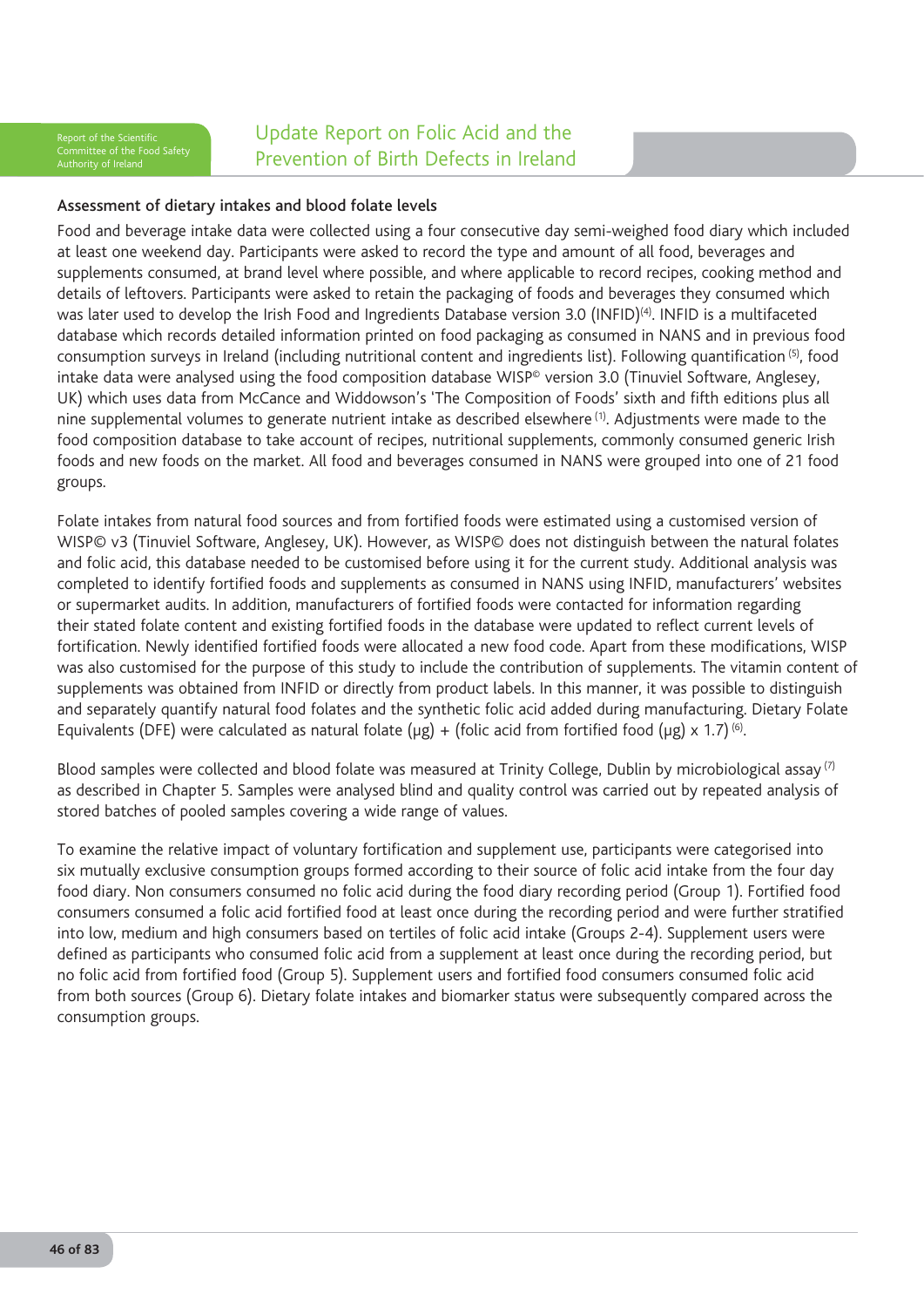#### Assessment of dietary intakes and blood folate levels

Food and beverage intake data were collected using a four consecutive day semi-weighed food diary which included at least one weekend day. Participants were asked to record the type and amount of all food, beverages and supplements consumed, at brand level where possible, and where applicable to record recipes, cooking method and details of leftovers. Participants were asked to retain the packaging of foods and beverages they consumed which was later used to develop the Irish Food and Ingredients Database version 3.0 (INFID)<sup>(4)</sup>. INFID is a multifaceted database which records detailed information printed on food packaging as consumed in NANS and in previous food consumption surveys in Ireland (including nutritional content and ingredients list). Following quantification (5), food intake data were analysed using the food composition database WISP<sup>®</sup> version 3.0 (Tinuviel Software, Anglesey, UK) which uses data from McCance and Widdowson's 'The Composition of Foods' sixth and fifth editions plus all nine supplemental volumes to generate nutrient intake as described elsewhere (1). Adjustments were made to the food composition database to take account of recipes, nutritional supplements, commonly consumed generic Irish foods and new foods on the market. All food and beverages consumed in NANS were grouped into one of 21 food groups.

Folate intakes from natural food sources and from fortified foods were estimated using a customised version of WISP© v3 (Tinuviel Software, Anglesey, UK). However, as WISP© does not distinguish between the natural folates and folic acid, this database needed to be customised before using it for the current study. Additional analysis was completed to identify fortified foods and supplements as consumed in NANS using INFID, manufacturers' websites or supermarket audits. In addition, manufacturers of fortified foods were contacted for information regarding their stated folate content and existing fortified foods in the database were updated to reflect current levels of fortification. Newly identified fortified foods were allocated a new food code. Apart from these modifications, WISP was also customised for the purpose of this study to include the contribution of supplements. The vitamin content of supplements was obtained from INFID or directly from product labels. In this manner, it was possible to distinguish and separately quantify natural food folates and the synthetic folic acid added during manufacturing. Dietary Folate Equivalents (DFE) were calculated as natural folate ( $\mu$ g) + (folic acid from fortified food ( $\mu$ g) x 1.7)<sup>(6)</sup>.

Blood samples were collected and blood folate was measured at Trinity College, Dublin by microbiological assay (7) as described in Chapter 5. Samples were analysed blind and quality control was carried out by repeated analysis of stored batches of pooled samples covering a wide range of values.

To examine the relative impact of voluntary fortification and supplement use, participants were categorised into six mutually exclusive consumption groups formed according to their source of folic acid intake from the four day food diary. Non consumers consumed no folic acid during the food diary recording period (Group 1). Fortified food consumers consumed a folic acid fortified food at least once during the recording period and were further stratified into low, medium and high consumers based on tertiles of folic acid intake (Groups 2-4). Supplement users were defined as participants who consumed folic acid from a supplement at least once during the recording period, but no folic acid from fortified food (Group 5). Supplement users and fortified food consumers consumed folic acid from both sources (Group 6). Dietary folate intakes and biomarker status were subsequently compared across the consumption groups.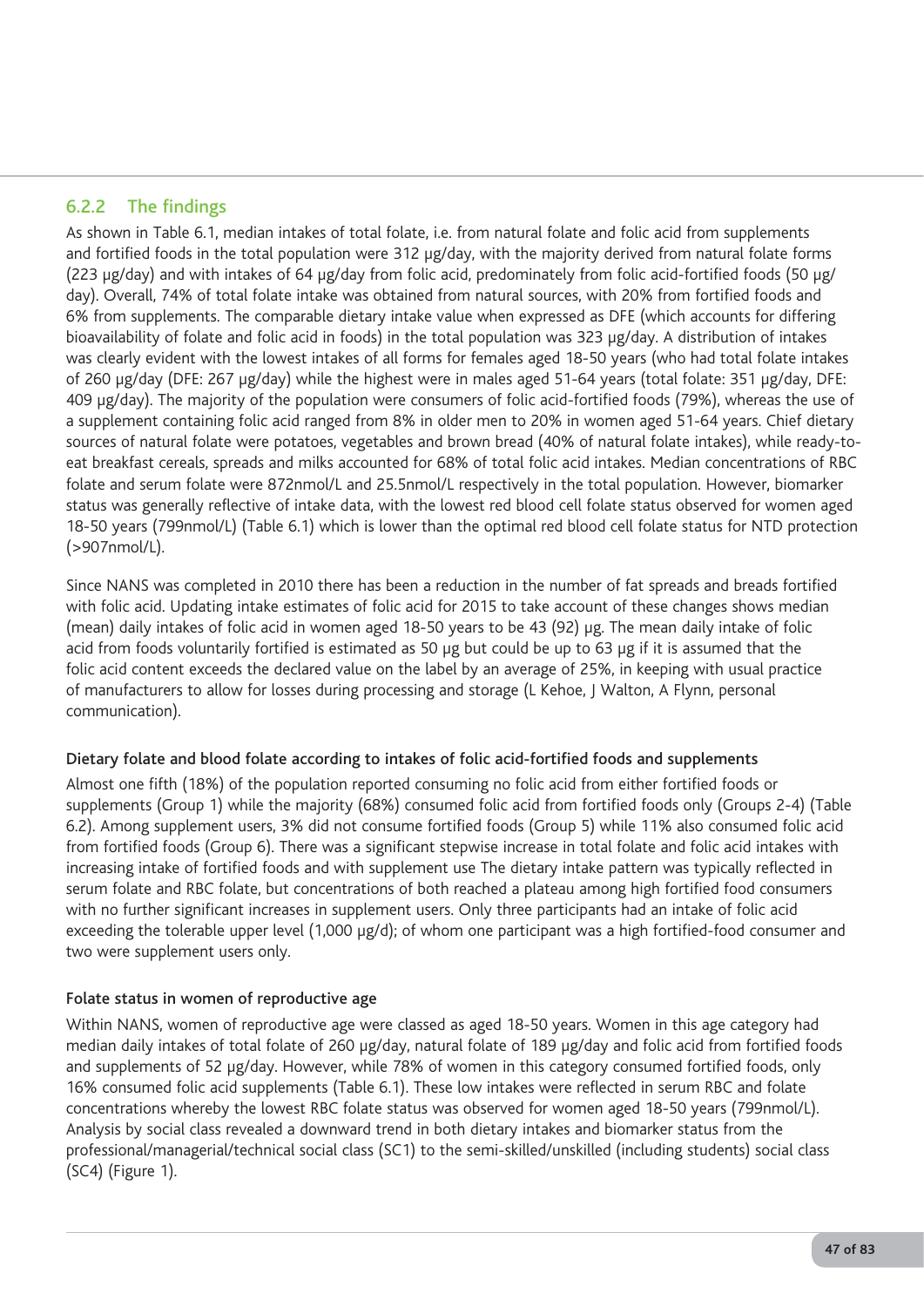## 6.2.2 The findings

As shown in Table 6.1, median intakes of total folate, i.e. from natural folate and folic acid from supplements and fortified foods in the total population were 312 µg/day, with the majority derived from natural folate forms (223 µg/day) and with intakes of 64 µg/day from folic acid, predominately from folic acid-fortified foods (50 µg/ day). Overall, 74% of total folate intake was obtained from natural sources, with 20% from fortified foods and 6% from supplements. The comparable dietary intake value when expressed as DFE (which accounts for differing bioavailability of folate and folic acid in foods) in the total population was 323 µg/day. A distribution of intakes was clearly evident with the lowest intakes of all forms for females aged 18-50 years (who had total folate intakes of 260 µg/day (DFE: 267 µg/day) while the highest were in males aged 51-64 years (total folate: 351 µg/day, DFE: 409 µg/day). The majority of the population were consumers of folic acid-fortified foods (79%), whereas the use of a supplement containing folic acid ranged from 8% in older men to 20% in women aged 51-64 years. Chief dietary sources of natural folate were potatoes, vegetables and brown bread (40% of natural folate intakes), while ready-toeat breakfast cereals, spreads and milks accounted for 68% of total folic acid intakes. Median concentrations of RBC folate and serum folate were 872nmol/L and 25.5nmol/L respectively in the total population. However, biomarker status was generally reflective of intake data, with the lowest red blood cell folate status observed for women aged 18-50 years (799nmol/L) (Table 6.1) which is lower than the optimal red blood cell folate status for NTD protection (>907nmol/L).

Since NANS was completed in 2010 there has been a reduction in the number of fat spreads and breads fortified with folic acid. Updating intake estimates of folic acid for 2015 to take account of these changes shows median (mean) daily intakes of folic acid in women aged 18-50 years to be 43 (92) µg. The mean daily intake of folic acid from foods voluntarily fortified is estimated as 50 µg but could be up to 63 µg if it is assumed that the folic acid content exceeds the declared value on the label by an average of 25%, in keeping with usual practice of manufacturers to allow for losses during processing and storage (L Kehoe, J Walton, A Flynn, personal communication).

### Dietary folate and blood folate according to intakes of folic acid-fortified foods and supplements

Almost one fifth (18%) of the population reported consuming no folic acid from either fortified foods or supplements (Group 1) while the majority (68%) consumed folic acid from fortified foods only (Groups 2-4) (Table 6.2). Among supplement users, 3% did not consume fortified foods (Group 5) while 11% also consumed folic acid from fortified foods (Group 6). There was a significant stepwise increase in total folate and folic acid intakes with increasing intake of fortified foods and with supplement use The dietary intake pattern was typically reflected in serum folate and RBC folate, but concentrations of both reached a plateau among high fortified food consumers with no further significant increases in supplement users. Only three participants had an intake of folic acid exceeding the tolerable upper level (1,000 µg/d); of whom one participant was a high fortified-food consumer and two were supplement users only.

### Folate status in women of reproductive age

Within NANS, women of reproductive age were classed as aged 18-50 years. Women in this age category had median daily intakes of total folate of 260 µg/day, natural folate of 189 µg/day and folic acid from fortified foods and supplements of 52 µg/day. However, while 78% of women in this category consumed fortified foods, only 16% consumed folic acid supplements (Table 6.1). These low intakes were reflected in serum RBC and folate concentrations whereby the lowest RBC folate status was observed for women aged 18-50 years (799nmol/L). Analysis by social class revealed a downward trend in both dietary intakes and biomarker status from the professional/managerial/technical social class (SC1) to the semi-skilled/unskilled (including students) social class (SC4) (Figure 1).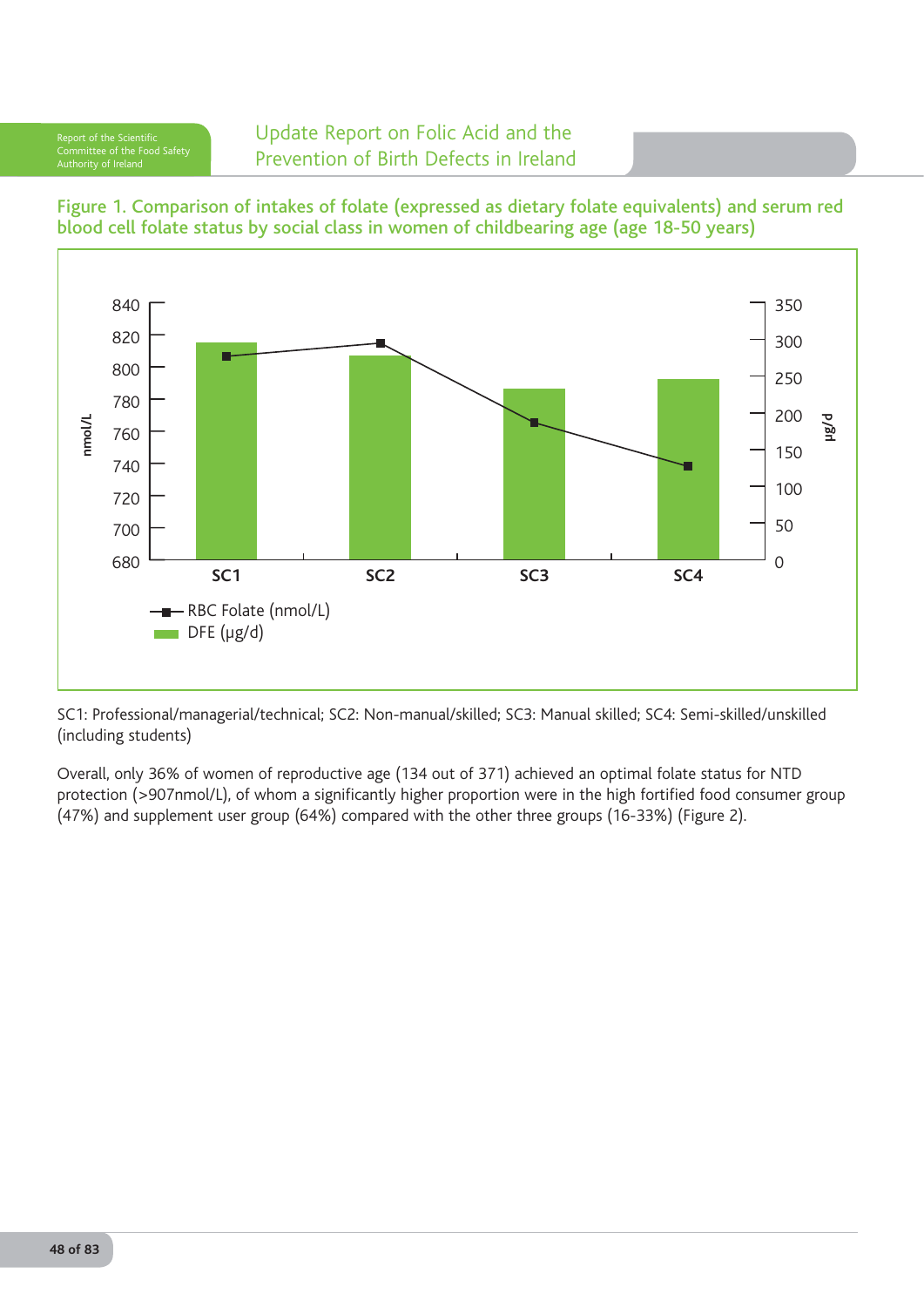



SC1: Professional/managerial/technical; SC2: Non-manual/skilled; SC3: Manual skilled; SC4: Semi-skilled/unskilled (including students)

Overall, only 36% of women of reproductive age (134 out of 371) achieved an optimal folate status for NTD protection (>907nmol/L), of whom a significantly higher proportion were in the high fortified food consumer group (47%) and supplement user group (64%) compared with the other three groups (16-33%) (Figure 2).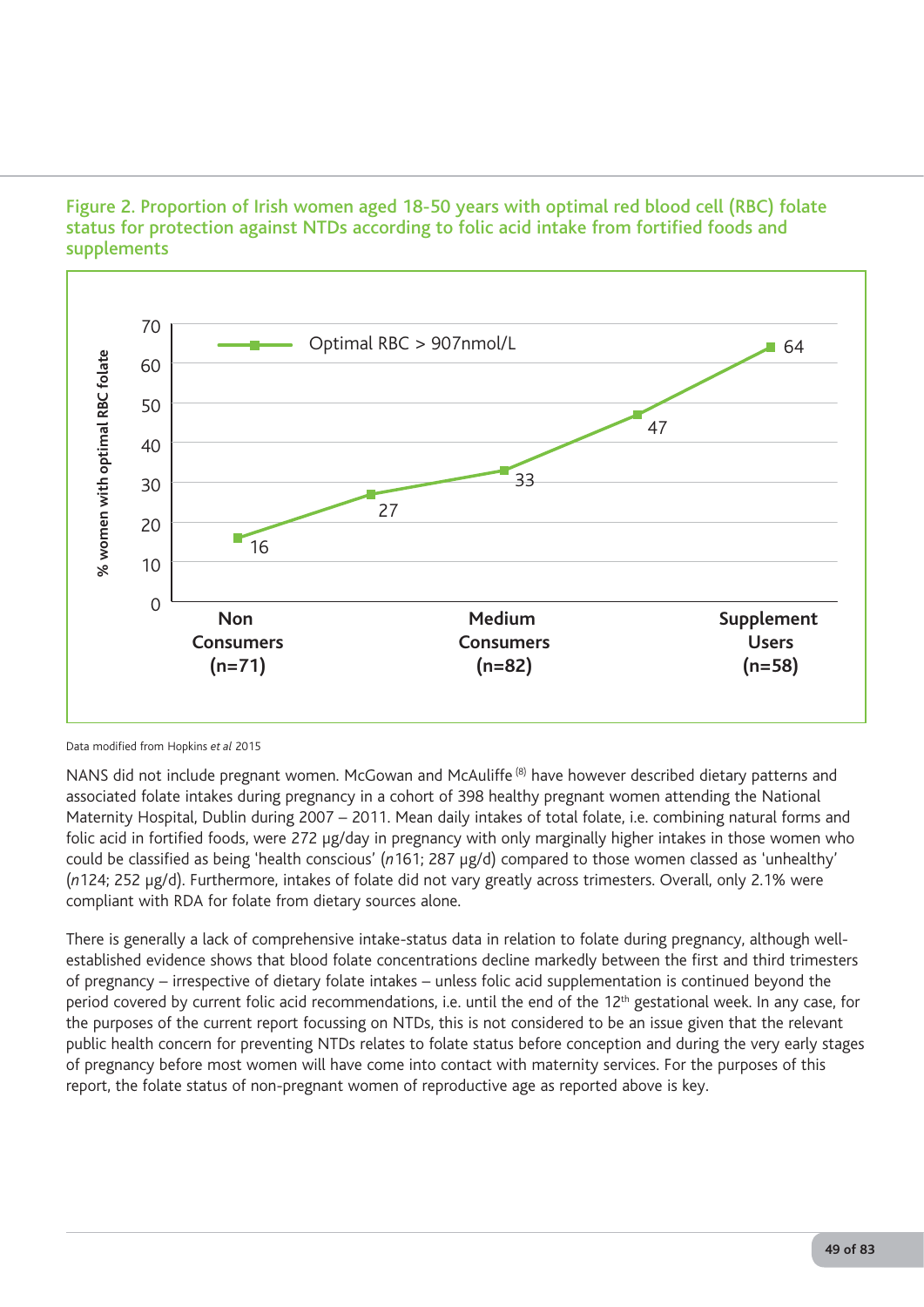

Figure 2. Proportion of Irish women aged 18-50 years with optimal red blood cell (RBC) folate status for protection against NTDs according to folic acid intake from fortified foods and supplements

Data modified from Hopkins *et al* 2015

NANS did not include pregnant women. McGowan and McAuliffe<sup>(8)</sup> have however described dietary patterns and associated folate intakes during pregnancy in a cohort of 398 healthy pregnant women attending the National Maternity Hospital, Dublin during 2007 – 2011. Mean daily intakes of total folate, i.e. combining natural forms and folic acid in fortified foods, were 272 µg/day in pregnancy with only marginally higher intakes in those women who could be classified as being 'health conscious' (*n*161; 287 µg/d) compared to those women classed as 'unhealthy' (*n*124; 252 µg/d). Furthermore, intakes of folate did not vary greatly across trimesters. Overall, only 2.1% were compliant with RDA for folate from dietary sources alone.

There is generally a lack of comprehensive intake-status data in relation to folate during pregnancy, although wellestablished evidence shows that blood folate concentrations decline markedly between the first and third trimesters of pregnancy – irrespective of dietary folate intakes – unless folic acid supplementation is continued beyond the period covered by current folic acid recommendations, i.e. until the end of the 12<sup>th</sup> gestational week. In any case, for the purposes of the current report focussing on NTDs, this is not considered to be an issue given that the relevant public health concern for preventing NTDs relates to folate status before conception and during the very early stages of pregnancy before most women will have come into contact with maternity services. For the purposes of this report, the folate status of non-pregnant women of reproductive age as reported above is key.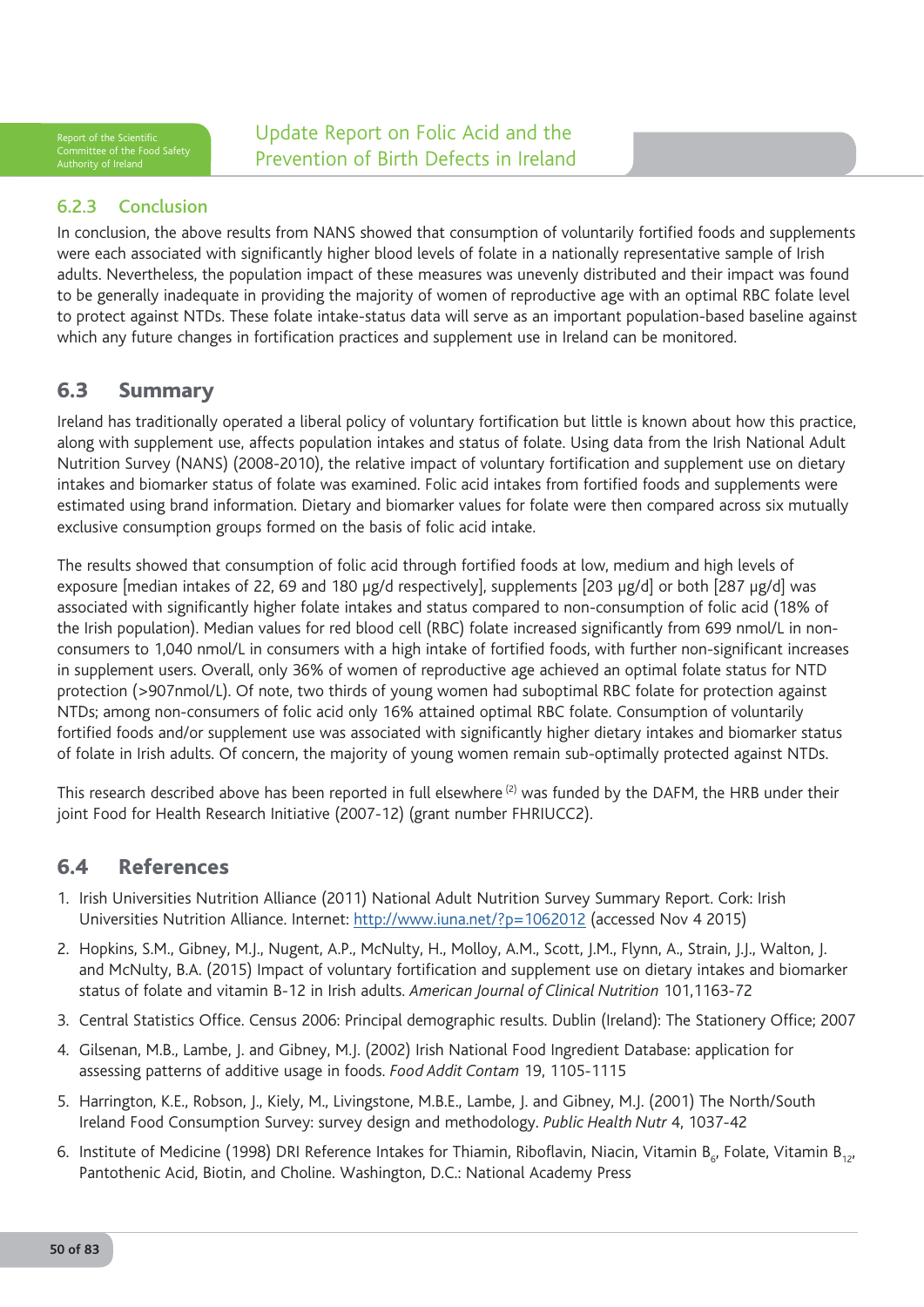## 6.2.3 Conclusion

In conclusion, the above results from NANS showed that consumption of voluntarily fortified foods and supplements were each associated with significantly higher blood levels of folate in a nationally representative sample of Irish adults. Nevertheless, the population impact of these measures was unevenly distributed and their impact was found to be generally inadequate in providing the majority of women of reproductive age with an optimal RBC folate level to protect against NTDs. These folate intake-status data will serve as an important population-based baseline against which any future changes in fortification practices and supplement use in Ireland can be monitored.

## 6.3 Summary

Ireland has traditionally operated a liberal policy of voluntary fortification but little is known about how this practice, along with supplement use, affects population intakes and status of folate. Using data from the Irish National Adult Nutrition Survey (NANS) (2008-2010), the relative impact of voluntary fortification and supplement use on dietary intakes and biomarker status of folate was examined. Folic acid intakes from fortified foods and supplements were estimated using brand information. Dietary and biomarker values for folate were then compared across six mutually exclusive consumption groups formed on the basis of folic acid intake.

The results showed that consumption of folic acid through fortified foods at low, medium and high levels of exposure [median intakes of 22, 69 and 180 µg/d respectively], supplements [203 µg/d] or both [287 µg/d] was associated with significantly higher folate intakes and status compared to non-consumption of folic acid (18% of the Irish population). Median values for red blood cell (RBC) folate increased significantly from 699 nmol/L in nonconsumers to 1,040 nmol/L in consumers with a high intake of fortified foods, with further non-significant increases in supplement users. Overall, only 36% of women of reproductive age achieved an optimal folate status for NTD protection (>907nmol/L). Of note, two thirds of young women had suboptimal RBC folate for protection against NTDs; among non-consumers of folic acid only 16% attained optimal RBC folate. Consumption of voluntarily fortified foods and/or supplement use was associated with significantly higher dietary intakes and biomarker status of folate in Irish adults. Of concern, the majority of young women remain sub-optimally protected against NTDs.

This research described above has been reported in full elsewhere<sup>(2)</sup> was funded by the DAFM, the HRB under their joint Food for Health Research Initiative (2007-12) (grant number FHRIUCC2).

# 6.4 References

- 1. Irish Universities Nutrition Alliance (2011) National Adult Nutrition Survey Summary Report. Cork: Irish Universities Nutrition Alliance. Internet: <http://www.iuna.net/?p=1062012>(accessed Nov 4 2015)
- 2. Hopkins, S.M., Gibney, M.J., Nugent, A.P., McNulty, H., Molloy, A.M., Scott, J.M., Flynn, A., Strain, J.J., Walton, J. and McNulty, B.A. (2015) Impact of voluntary fortification and supplement use on dietary intakes and biomarker status of folate and vitamin B-12 in Irish adults. *American Journal of Clinical Nutrition* 101,1163-72
- 3. Central Statistics Office. Census 2006: Principal demographic results. Dublin (Ireland): The Stationery Office; 2007
- 4. Gilsenan, M.B., Lambe, J. and Gibney, M.J. (2002) Irish National Food Ingredient Database: application for assessing patterns of additive usage in foods. *Food Addit Contam* 19, 1105-1115
- 5. Harrington, K.E., Robson, J., Kiely, M., Livingstone, M.B.E., Lambe, J. and Gibney, M.J. (2001) The North/South Ireland Food Consumption Survey: survey design and methodology. *Public Health Nutr* 4, 1037-42
- 6. Institute of Medicine (1998) DRI Reference Intakes for Thiamin, Riboflavin, Niacin, Vitamin B $_{\rm c}$ , Folate, Vitamin B $_{\rm 12'}$ Pantothenic Acid, Biotin, and Choline. Washington, D.C.: National Academy Press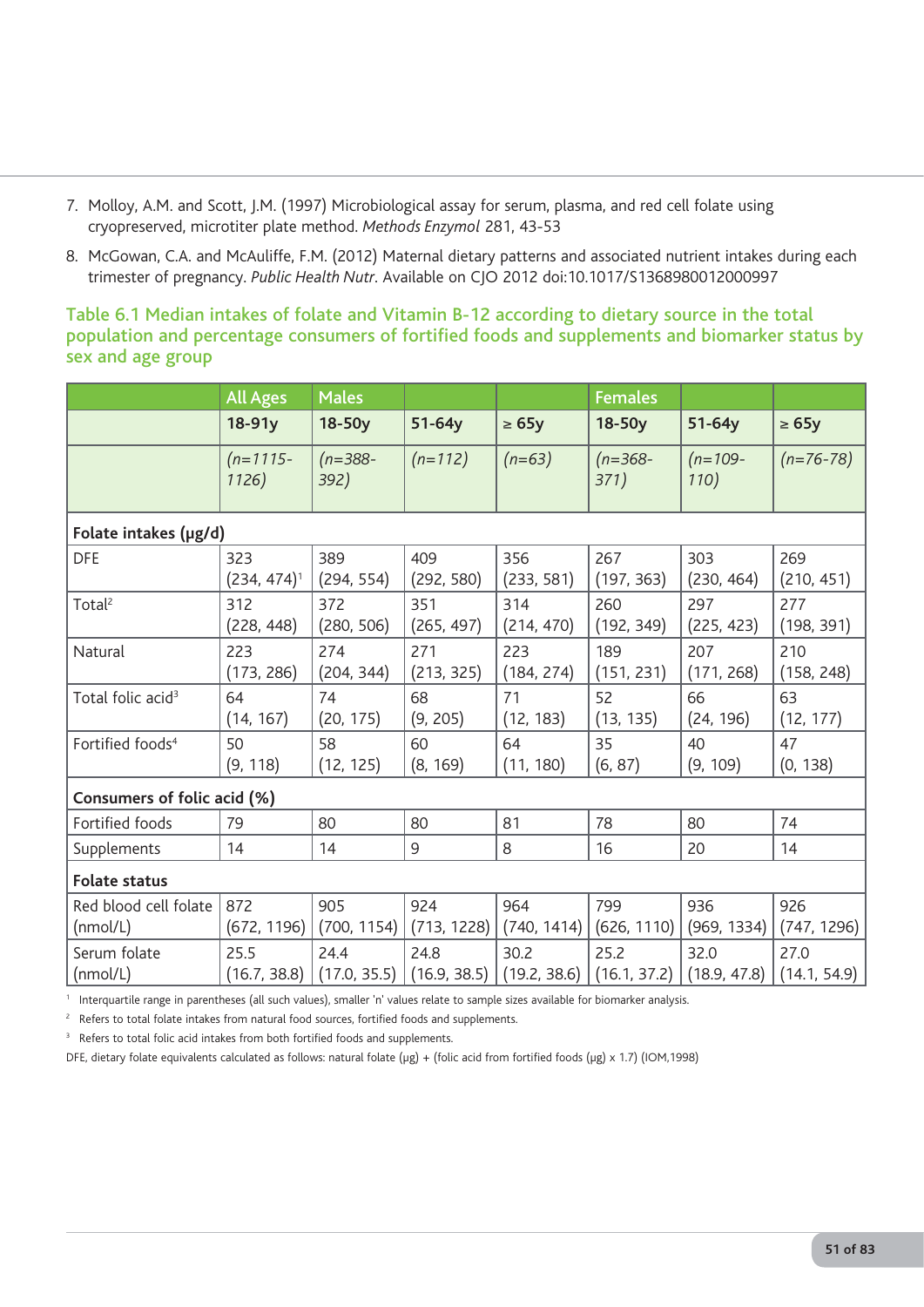- 7. Molloy, A.M. and Scott, J.M. (1997) Microbiological assay for serum, plasma, and red cell folate using cryopreserved, microtiter plate method. *Methods Enzymol* 281, 43-53
- 8. McGowan, C.A. and McAuliffe, F.M. (2012) Maternal dietary patterns and associated nutrient intakes during each trimester of pregnancy. *Public Health Nutr*. Available on CJO 2012 doi:10.1017/S1368980012000997

### Table 6.1 Median intakes of folate and Vitamin B-12 according to dietary source in the total population and percentage consumers of fortified foods and supplements and biomarker status by sex and age group

|                                   | <b>All Ages</b>       | <b>Males</b>                        |                    |                      | <b>Females</b>       |                      |                      |
|-----------------------------------|-----------------------|-------------------------------------|--------------------|----------------------|----------------------|----------------------|----------------------|
|                                   | 18-91y                | $18-50y$                            | 51-64y             | $\geq 65y$           | 18-50y               | 51-64y               | $\geq 65y$           |
|                                   | $(n=1115-$<br>1126)   | $(n=388-$<br>392)                   | $(n=112)$          | $(n=63)$             | $(n=368-$<br>371)    | $(n=109-$<br>110)    | $(n=76-78)$          |
| Folate intakes (µg/d)             |                       |                                     |                    |                      |                      |                      |                      |
| <b>DFE</b>                        | 323<br>$(234, 474)^1$ | 389<br>(294, 554)                   | 409<br>(292, 580)  | 356<br>(233, 581)    | 267<br>(197, 363)    | 303<br>(230, 464)    | 269<br>(210, 451)    |
| Total <sup>2</sup>                | 312<br>(228, 448)     | 372<br>(280, 506)                   | 351<br>(265, 497)  | 314<br>(214, 470)    | 260<br>(192, 349)    | 297<br>(225, 423)    | 277<br>(198, 391)    |
| Natural                           | 223<br>(173, 286)     | 274<br>(204, 344)                   | 271<br>(213, 325)  | 223<br>(184, 274)    | 189<br>(151, 231)    | 207<br>(171, 268)    | 210<br>(158, 248)    |
| Total folic acid <sup>3</sup>     | 64<br>(14, 167)       | 74<br>(20, 175)                     | 68<br>(9, 205)     | 71<br>(12, 183)      | 52<br>(13, 135)      | 66<br>(24, 196)      | 63<br>(12, 177)      |
| Fortified foods <sup>4</sup>      | 50<br>(9, 118)        | 58<br>(12, 125)                     | 60<br>(8, 169)     | 64<br>(11, 180)      | 35<br>(6, 87)        | 40<br>(9, 109)       | 47<br>(0, 138)       |
| Consumers of folic acid (%)       |                       |                                     |                    |                      |                      |                      |                      |
| Fortified foods                   | 79                    | 80                                  | 80                 | 81                   | 78                   | 80                   | 74                   |
| Supplements                       | 14                    | 14                                  | 9                  | 8                    | 16                   | 20                   | 14                   |
| <b>Folate status</b>              |                       |                                     |                    |                      |                      |                      |                      |
| Red blood cell folate<br>(nmol/L) | 872<br>(672, 1196)    | 905<br>(700, 1154)                  | 924<br>(713, 1228) | 964<br>(740, 1414)   | 799<br>(626, 1110)   | 936<br>(969, 1334)   | 926<br>(747, 1296)   |
| Serum folate<br>(mmol/L)          | 25.5<br>(16.7, 38.8)  | 24.4<br>$(17.0, 35.5)$ (16.9, 38.5) | 24.8               | 30.2<br>(19.2, 38.6) | 25.2<br>(16.1, 37.2) | 32.0<br>(18.9, 47.8) | 27.0<br>(14.1, 54.9) |

<sup>1</sup> Interquartile range in parentheses (all such values), smaller 'n' values relate to sample sizes available for biomarker analysis.

<sup>2</sup> Refers to total folate intakes from natural food sources, fortified foods and supplements.

<sup>3</sup> Refers to total folic acid intakes from both fortified foods and supplements.

DFE, dietary folate equivalents calculated as follows: natural folate (µg) + (folic acid from fortified foods (µg) x 1.7) (IOM,1998)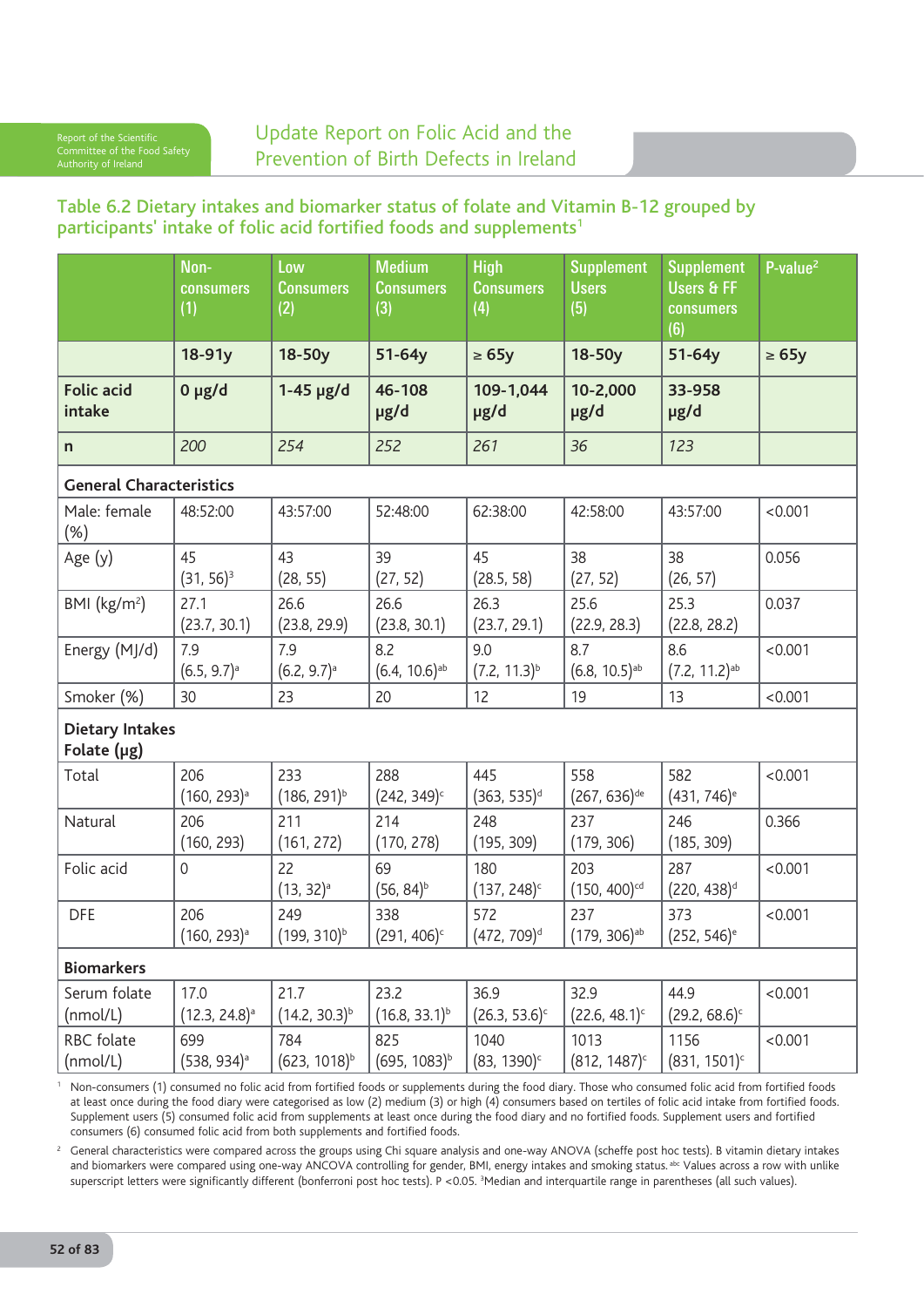## Table 6.2 Dietary intakes and biomarker status of folate and Vitamin B-12 grouped by participants' intake of folic acid fortified foods and supplements<sup>1</sup>

|                                            | Non-<br>consumers<br>(1)            | Low<br><b>Consumers</b><br>(2)   | <b>Medium</b><br><b>Consumers</b><br>(3) | <b>High</b><br><b>Consumers</b><br>(4) | <b>Supplement</b><br><b>Users</b><br>(5) | <b>Supplement</b><br><b>Users &amp; FF</b><br>consumers<br>(6) | P-value <sup>2</sup> |
|--------------------------------------------|-------------------------------------|----------------------------------|------------------------------------------|----------------------------------------|------------------------------------------|----------------------------------------------------------------|----------------------|
|                                            | 18-91y                              | 18-50y                           | 51-64y                                   | $\geq 65y$                             | 18-50y                                   | $51-64y$                                                       | $\geq 65y$           |
| <b>Folic acid</b><br>intake                | $0$ µg/d                            | $1-45$ µg/d                      | 46-108<br>µg/d                           | 109-1,044<br>µg/d                      | 10-2,000<br>µg/d                         | 33-958<br>µg/d                                                 |                      |
| $\mathsf{n}$                               | 200                                 | 254                              | 252                                      | 261                                    | 36                                       | 123                                                            |                      |
| <b>General Characteristics</b>             |                                     |                                  |                                          |                                        |                                          |                                                                |                      |
| Male: female<br>$(\%)$                     | 48:52:00                            | 43:57:00                         | 52:48:00                                 | 62:38:00                               | 42:58:00                                 | 43:57:00                                                       | < 0.001              |
| Age (y)                                    | 45<br>$(31, 56)^3$                  | 43<br>(28, 55)                   | 39<br>(27, 52)                           | 45<br>(28.5, 58)                       | 38<br>(27, 52)                           | 38<br>(26, 57)                                                 | 0.056                |
| BMI $(kg/m2)$                              | 27.1<br>(23.7, 30.1)                | 26.6<br>(23.8, 29.9)             | 26.6<br>(23.8, 30.1)                     | 26.3<br>(23.7, 29.1)                   | 25.6<br>(22.9, 28.3)                     | 25.3<br>(22.8, 28.2)                                           | 0.037                |
| Energy (MJ/d)                              | 7.9<br>$(6.5, 9.7)$ <sup>a</sup>    | 7.9<br>$(6.2, 9.7)$ <sup>a</sup> | 8.2<br>$(6.4, 10.6)^{ab}$                | 9.0<br>$(7.2, 11.3)^{b}$               | 8.7<br>$(6.8, 10.5)$ <sup>ab</sup>       | 8.6<br>$(7.2, 11.2)$ <sup>ab</sup>                             | < 0.001              |
| Smoker (%)                                 | 30                                  | 23                               | 20                                       | 12                                     | 19                                       | 13                                                             | < 0.001              |
| <b>Dietary Intakes</b><br>Folate $(\mu g)$ |                                     |                                  |                                          |                                        |                                          |                                                                |                      |
| Total                                      | 206<br>$(160, 293)$ <sup>a</sup>    | 233<br>$(186, 291)^{b}$          | 288<br>$(242, 349)$ <sup>c</sup>         | 445<br>$(363, 535)^d$                  | 558<br>$(267, 636)$ <sup>de</sup>        | 582<br>$(431, 746)$ <sup>e</sup>                               | < 0.001              |
| Natural                                    | 206<br>(160, 293)                   | 211<br>(161, 272)                | 214<br>(170, 278)                        | 248<br>(195, 309)                      | 237<br>(179, 306)                        | 246<br>(185, 309)                                              | 0.366                |
| Folic acid                                 | 0                                   | 22<br>$(13, 32)^{a}$             | 69<br>$(56, 84)$ <sup>b</sup>            | 180<br>$(137, 248)$ <sup>c</sup>       | 203<br>$(150, 400)$ <sup>cd</sup>        | 287<br>$(220, 438)^d$                                          | < 0.001              |
| <b>DFE</b>                                 | 206<br>$(160, 293)$ <sup>a</sup>    | 249<br>$(199, 310)^{b}$          | 338<br>$(291, 406)$ <sup>c</sup>         | 572<br>$(472, 709)^d$                  | 237<br>$(179, 306)$ <sup>ab</sup>        | 373<br>$(252, 546)$ <sup>e</sup>                               | < 0.001              |
| <b>Biomarkers</b>                          |                                     |                                  |                                          |                                        |                                          |                                                                |                      |
| Serum folate<br>(nmol/L)                   | 17.0<br>$(12.3, 24.8)$ <sup>a</sup> | 21.7<br>$(14.2, 30.3)^{b}$       | 23.2<br>$(16.8, 33.1)^{b}$               | 36.9<br>$(26.3, 53.6)^c$               | 32.9<br>$(22.6, 48.1)$ <sup>c</sup>      | 44.9<br>$(29.2, 68.6)$ <sup>c</sup>                            | < 0.001              |
| RBC folate<br>(nmol/L)                     | 699<br>(538, 934) <sup>a</sup>      | 784<br>$(623, 1018)^{b}$         | 825<br>$(695, 1083)^{b}$                 | 1040<br>$(83, 1390)$ <sup>c</sup>      | 1013<br>$(812, 1487)^c$                  | 1156<br>$(831, 1501)$ <sup>c</sup>                             | < 0.001              |

<sup>1</sup> Non-consumers (1) consumed no folic acid from fortified foods or supplements during the food diary. Those who consumed folic acid from fortified foods at least once during the food diary were categorised as low (2) medium (3) or high (4) consumers based on tertiles of folic acid intake from fortified foods. Supplement users (5) consumed folic acid from supplements at least once during the food diary and no fortified foods. Supplement users and fortified consumers (6) consumed folic acid from both supplements and fortified foods.

 $^2$  General characteristics were compared across the groups using Chi square analysis and one-way ANOVA (scheffe post hoc tests). B vitamin dietary intakes and biomarkers were compared using one-way ANCOVA controlling for gender, BMI, energy intakes and smoking status. <sup>abc</sup> Values across a row with unlike superscript letters were significantly different (bonferroni post hoc tests). P <0.05. 3 Median and interquartile range in parentheses (all such values).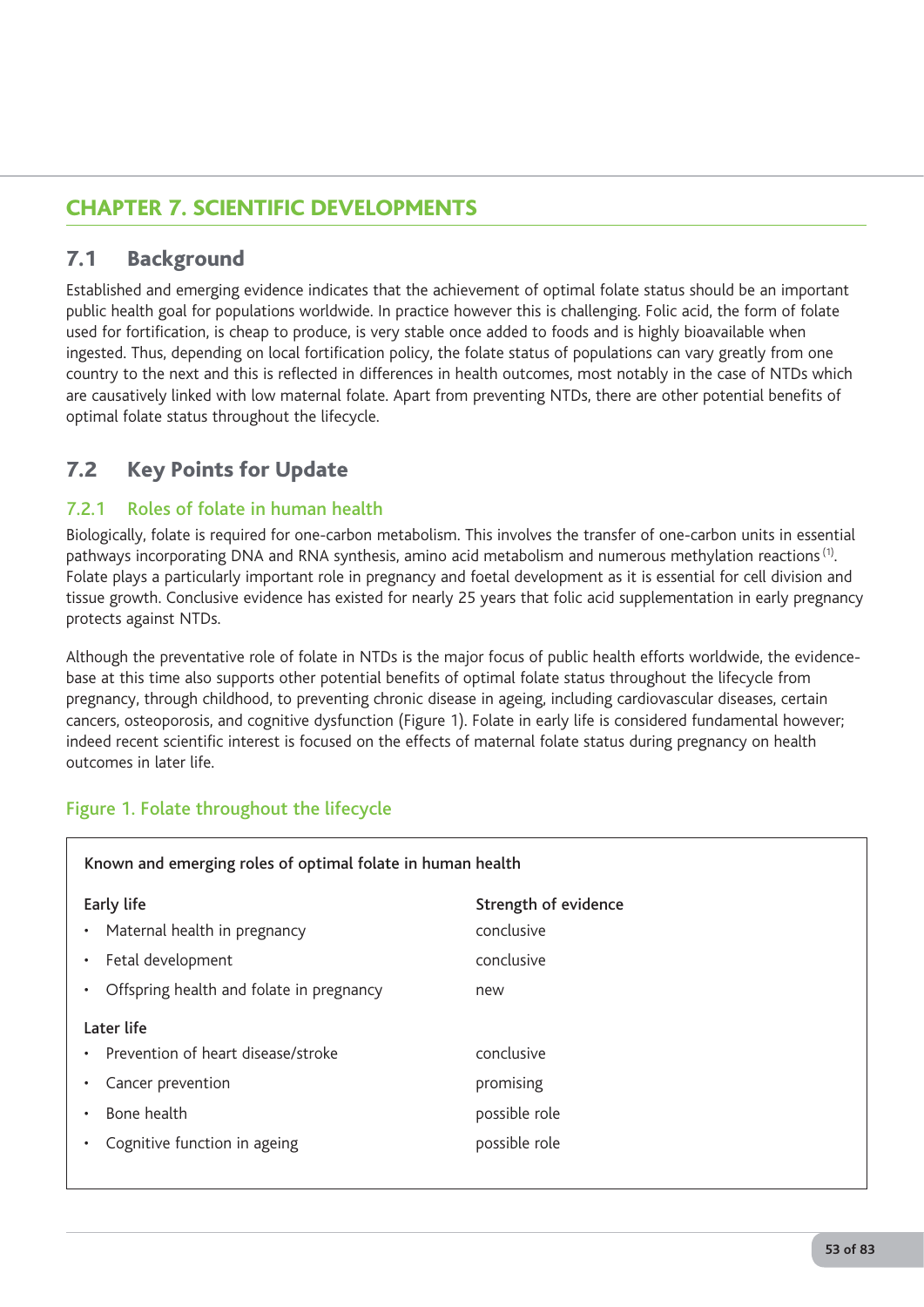# CHAPTER 7. SCIENTIFIC DEVELOPMENTS

# 7.1 Background

Established and emerging evidence indicates that the achievement of optimal folate status should be an important public health goal for populations worldwide. In practice however this is challenging. Folic acid, the form of folate used for fortification, is cheap to produce, is very stable once added to foods and is highly bioavailable when ingested. Thus, depending on local fortification policy, the folate status of populations can vary greatly from one country to the next and this is reflected in differences in health outcomes, most notably in the case of NTDs which are causatively linked with low maternal folate. Apart from preventing NTDs, there are other potential benefits of optimal folate status throughout the lifecycle.

# 7.2 Key Points for Update

## 7.2.1 Roles of folate in human health

Biologically, folate is required for one-carbon metabolism. This involves the transfer of one-carbon units in essential pathways incorporating DNA and RNA synthesis, amino acid metabolism and numerous methylation reactions (1). Folate plays a particularly important role in pregnancy and foetal development as it is essential for cell division and tissue growth. Conclusive evidence has existed for nearly 25 years that folic acid supplementation in early pregnancy protects against NTDs.

Although the preventative role of folate in NTDs is the major focus of public health efforts worldwide, the evidencebase at this time also supports other potential benefits of optimal folate status throughout the lifecycle from pregnancy, through childhood, to preventing chronic disease in ageing, including cardiovascular diseases, certain cancers, osteoporosis, and cognitive dysfunction (Figure 1). Folate in early life is considered fundamental however; indeed recent scientific interest is focused on the effects of maternal folate status during pregnancy on health outcomes in later life.

# Figure 1. Folate throughout the lifecycle

| Known and emerging roles of optimal folate in human health                                |                                                  |  |  |  |  |  |
|-------------------------------------------------------------------------------------------|--------------------------------------------------|--|--|--|--|--|
| Early life<br>Maternal health in pregnancy<br>$\bullet$<br>Fetal development<br>$\bullet$ | Strength of evidence<br>conclusive<br>conclusive |  |  |  |  |  |
| Offspring health and folate in pregnancy<br>$\bullet$                                     | new                                              |  |  |  |  |  |
| Later life                                                                                |                                                  |  |  |  |  |  |
| Prevention of heart disease/stroke<br>$\bullet$                                           | conclusive                                       |  |  |  |  |  |
| Cancer prevention<br>$\bullet$                                                            | promising                                        |  |  |  |  |  |
| Bone health<br>$\bullet$                                                                  | possible role                                    |  |  |  |  |  |
| Cognitive function in ageing<br>$\bullet$                                                 | possible role                                    |  |  |  |  |  |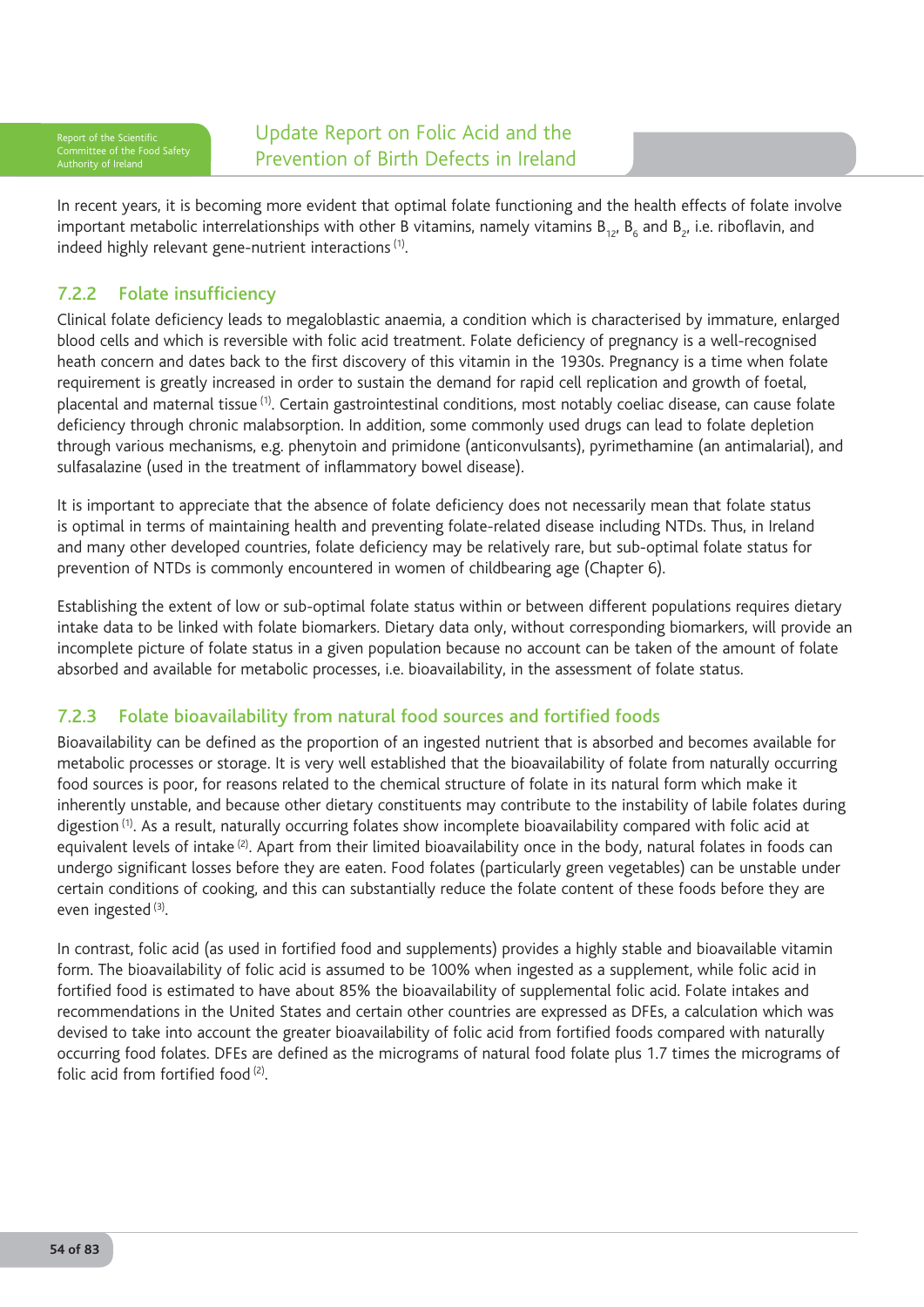Authority of Ireland

In recent years, it is becoming more evident that optimal folate functioning and the health effects of folate involve important metabolic interrelationships with other B vitamins, namely vitamins  $B_{12}$ ,  $B_6$  and  $B_{2}$ , i.e. riboflavin, and indeed highly relevant gene-nutrient interactions<sup>(1)</sup>.

## 7.2.2 Folate insufficiency

Clinical folate deficiency leads to megaloblastic anaemia, a condition which is characterised by immature, enlarged blood cells and which is reversible with folic acid treatment. Folate deficiency of pregnancy is a well-recognised heath concern and dates back to the first discovery of this vitamin in the 1930s. Pregnancy is a time when folate requirement is greatly increased in order to sustain the demand for rapid cell replication and growth of foetal, placental and maternal tissue (1). Certain gastrointestinal conditions, most notably coeliac disease, can cause folate deficiency through chronic malabsorption. In addition, some commonly used drugs can lead to folate depletion through various mechanisms, e.g. phenytoin and primidone (anticonvulsants), pyrimethamine (an antimalarial), and sulfasalazine (used in the treatment of inflammatory bowel disease).

It is important to appreciate that the absence of folate deficiency does not necessarily mean that folate status is optimal in terms of maintaining health and preventing folate-related disease including NTDs. Thus, in Ireland and many other developed countries, folate deficiency may be relatively rare, but sub-optimal folate status for prevention of NTDs is commonly encountered in women of childbearing age (Chapter 6).

Establishing the extent of low or sub-optimal folate status within or between different populations requires dietary intake data to be linked with folate biomarkers. Dietary data only, without corresponding biomarkers, will provide an incomplete picture of folate status in a given population because no account can be taken of the amount of folate absorbed and available for metabolic processes, i.e. bioavailability, in the assessment of folate status.

## 7.2.3 Folate bioavailability from natural food sources and fortified foods

Bioavailability can be defined as the proportion of an ingested nutrient that is absorbed and becomes available for metabolic processes or storage. It is very well established that the bioavailability of folate from naturally occurring food sources is poor, for reasons related to the chemical structure of folate in its natural form which make it inherently unstable, and because other dietary constituents may contribute to the instability of labile folates during digestion <sup>(1)</sup>. As a result, naturally occurring folates show incomplete bioavailability compared with folic acid at equivalent levels of intake<sup>(2)</sup>. Apart from their limited bioavailability once in the body, natural folates in foods can undergo significant losses before they are eaten. Food folates (particularly green vegetables) can be unstable under certain conditions of cooking, and this can substantially reduce the folate content of these foods before they are even ingested<sup>(3)</sup>.

In contrast, folic acid (as used in fortified food and supplements) provides a highly stable and bioavailable vitamin form. The bioavailability of folic acid is assumed to be 100% when ingested as a supplement, while folic acid in fortified food is estimated to have about 85% the bioavailability of supplemental folic acid. Folate intakes and recommendations in the United States and certain other countries are expressed as DFEs, a calculation which was devised to take into account the greater bioavailability of folic acid from fortified foods compared with naturally occurring food folates. DFEs are defined as the micrograms of natural food folate plus 1.7 times the micrograms of folic acid from fortified food $(2)$ .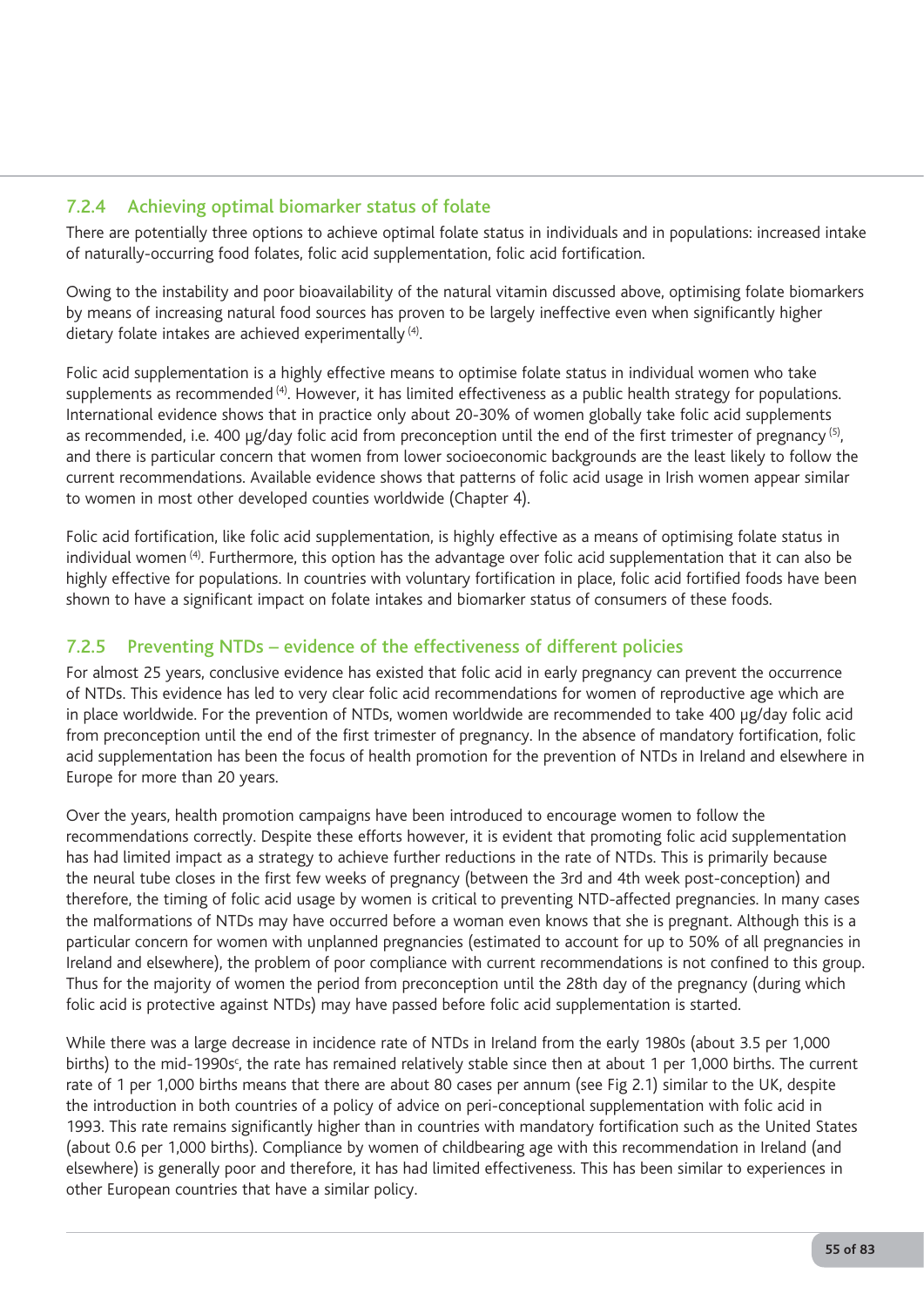## 7.2.4 Achieving optimal biomarker status of folate

There are potentially three options to achieve optimal folate status in individuals and in populations: increased intake of naturally-occurring food folates, folic acid supplementation, folic acid fortification.

Owing to the instability and poor bioavailability of the natural vitamin discussed above, optimising folate biomarkers by means of increasing natural food sources has proven to be largely ineffective even when significantly higher dietary folate intakes are achieved experimentally (4).

Folic acid supplementation is a highly effective means to optimise folate status in individual women who take supplements as recommended <sup>(4)</sup>. However, it has limited effectiveness as a public health strategy for populations. International evidence shows that in practice only about 20-30% of women globally take folic acid supplements as recommended, i.e. 400 µg/day folic acid from preconception until the end of the first trimester of pregnancy  $(5)$ , and there is particular concern that women from lower socioeconomic backgrounds are the least likely to follow the current recommendations. Available evidence shows that patterns of folic acid usage in Irish women appear similar to women in most other developed counties worldwide (Chapter 4).

Folic acid fortification, like folic acid supplementation, is highly effective as a means of optimising folate status in individual women (4). Furthermore, this option has the advantage over folic acid supplementation that it can also be highly effective for populations. In countries with voluntary fortification in place, folic acid fortified foods have been shown to have a significant impact on folate intakes and biomarker status of consumers of these foods.

## 7.2.5 Preventing NTDs – evidence of the effectiveness of different policies

For almost 25 years, conclusive evidence has existed that folic acid in early pregnancy can prevent the occurrence of NTDs. This evidence has led to very clear folic acid recommendations for women of reproductive age which are in place worldwide. For the prevention of NTDs, women worldwide are recommended to take 400 µg/day folic acid from preconception until the end of the first trimester of pregnancy. In the absence of mandatory fortification, folic acid supplementation has been the focus of health promotion for the prevention of NTDs in Ireland and elsewhere in Europe for more than 20 years.

Over the years, health promotion campaigns have been introduced to encourage women to follow the recommendations correctly. Despite these efforts however, it is evident that promoting folic acid supplementation has had limited impact as a strategy to achieve further reductions in the rate of NTDs. This is primarily because the neural tube closes in the first few weeks of pregnancy (between the 3rd and 4th week post-conception) and therefore, the timing of folic acid usage by women is critical to preventing NTD-affected pregnancies. In many cases the malformations of NTDs may have occurred before a woman even knows that she is pregnant. Although this is a particular concern for women with unplanned pregnancies (estimated to account for up to 50% of all pregnancies in Ireland and elsewhere), the problem of poor compliance with current recommendations is not confined to this group. Thus for the majority of women the period from preconception until the 28th day of the pregnancy (during which folic acid is protective against NTDs) may have passed before folic acid supplementation is started.

While there was a large decrease in incidence rate of NTDs in Ireland from the early 1980s (about 3.5 per 1,000 births) to the mid-1990s<sup>c</sup>, the rate has remained relatively stable since then at about 1 per 1,000 births. The current rate of 1 per 1,000 births means that there are about 80 cases per annum (see Fig 2.1) similar to the UK, despite the introduction in both countries of a policy of advice on peri-conceptional supplementation with folic acid in 1993. This rate remains significantly higher than in countries with mandatory fortification such as the United States (about 0.6 per 1,000 births). Compliance by women of childbearing age with this recommendation in Ireland (and elsewhere) is generally poor and therefore, it has had limited effectiveness. This has been similar to experiences in other European countries that have a similar policy.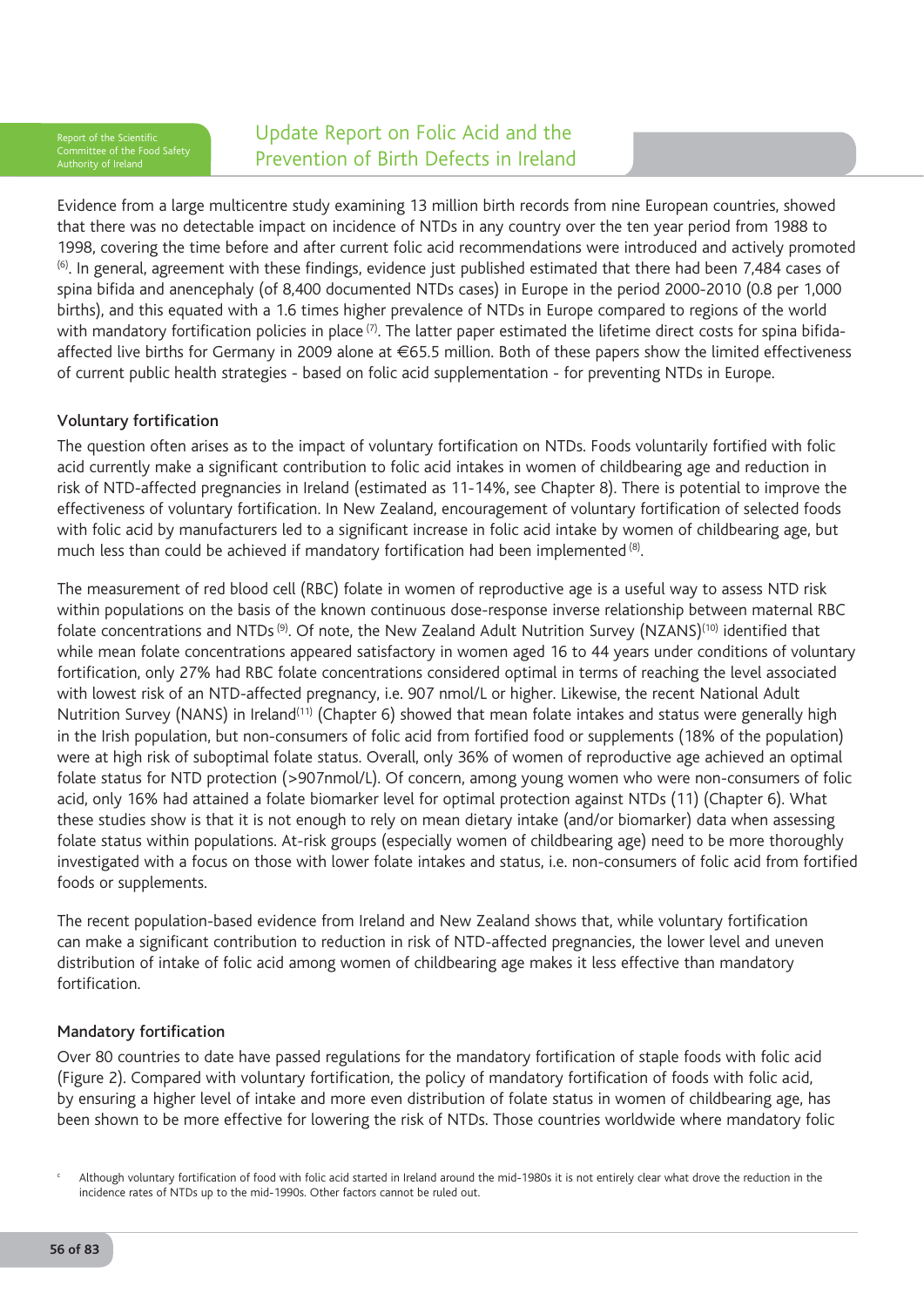Committee of the Food Safety Authority of Ireland

## Update Report on Folic Acid and the Prevention of Birth Defects in Ireland

Evidence from a large multicentre study examining 13 million birth records from nine European countries, showed that there was no detectable impact on incidence of NTDs in any country over the ten year period from 1988 to 1998, covering the time before and after current folic acid recommendations were introduced and actively promoted  $<sup>(6)</sup>$ . In general, agreement with these findings, evidence just published estimated that there had been 7,484 cases of</sup> spina bifida and anencephaly (of 8,400 documented NTDs cases) in Europe in the period 2000-2010 (0.8 per 1,000 births), and this equated with a 1.6 times higher prevalence of NTDs in Europe compared to regions of the world with mandatory fortification policies in place  $(7)$ . The latter paper estimated the lifetime direct costs for spina bifidaaffected live births for Germany in 2009 alone at €65.5 million. Both of these papers show the limited effectiveness of current public health strategies - based on folic acid supplementation - for preventing NTDs in Europe.

### Voluntary fortification

The question often arises as to the impact of voluntary fortification on NTDs. Foods voluntarily fortified with folic acid currently make a significant contribution to folic acid intakes in women of childbearing age and reduction in risk of NTD-affected pregnancies in Ireland (estimated as 11-14%, see Chapter 8). There is potential to improve the effectiveness of voluntary fortification. In New Zealand, encouragement of voluntary fortification of selected foods with folic acid by manufacturers led to a significant increase in folic acid intake by women of childbearing age, but much less than could be achieved if mandatory fortification had been implemented (8).

The measurement of red blood cell (RBC) folate in women of reproductive age is a useful way to assess NTD risk within populations on the basis of the known continuous dose-response inverse relationship between maternal RBC folate concentrations and NTDs (9). Of note, the New Zealand Adult Nutrition Survey (NZANS)(10) identified that while mean folate concentrations appeared satisfactory in women aged 16 to 44 years under conditions of voluntary fortification, only 27% had RBC folate concentrations considered optimal in terms of reaching the level associated with lowest risk of an NTD-affected pregnancy, i.e. 907 nmol/L or higher. Likewise, the recent National Adult Nutrition Survey (NANS) in Ireland<sup>(11)</sup> (Chapter 6) showed that mean folate intakes and status were generally high in the Irish population, but non-consumers of folic acid from fortified food or supplements (18% of the population) were at high risk of suboptimal folate status. Overall, only 36% of women of reproductive age achieved an optimal folate status for NTD protection (>907nmol/L). Of concern, among young women who were non-consumers of folic acid, only 16% had attained a folate biomarker level for optimal protection against NTDs (11) (Chapter 6). What these studies show is that it is not enough to rely on mean dietary intake (and/or biomarker) data when assessing folate status within populations. At-risk groups (especially women of childbearing age) need to be more thoroughly investigated with a focus on those with lower folate intakes and status, i.e. non-consumers of folic acid from fortified foods or supplements.

The recent population-based evidence from Ireland and New Zealand shows that, while voluntary fortification can make a significant contribution to reduction in risk of NTD-affected pregnancies, the lower level and uneven distribution of intake of folic acid among women of childbearing age makes it less effective than mandatory fortification.

### Mandatory fortification

Over 80 countries to date have passed regulations for the mandatory fortification of staple foods with folic acid (Figure 2). Compared with voluntary fortification, the policy of mandatory fortification of foods with folic acid, by ensuring a higher level of intake and more even distribution of folate status in women of childbearing age, has been shown to be more effective for lowering the risk of NTDs. Those countries worldwide where mandatory folic

c Although voluntary fortification of food with folic acid started in Ireland around the mid-1980s it is not entirely clear what drove the reduction in the incidence rates of NTDs up to the mid-1990s. Other factors cannot be ruled out.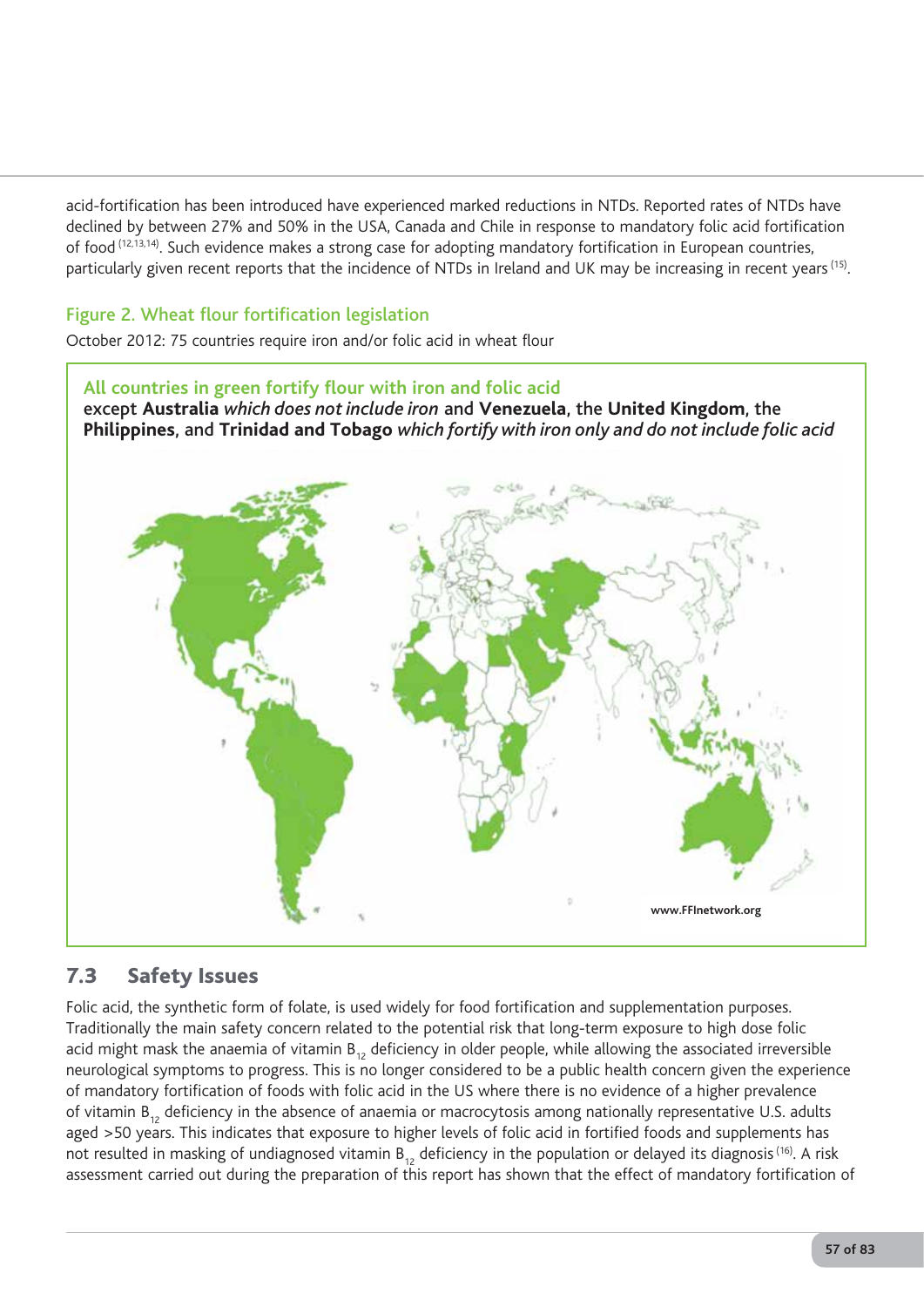acid-fortification has been introduced have experienced marked reductions in NTDs. Reported rates of NTDs have declined by between 27% and 50% in the USA, Canada and Chile in response to mandatory folic acid fortification of food (12,13,14). Such evidence makes a strong case for adopting mandatory fortification in European countries, particularly given recent reports that the incidence of NTDs in Ireland and UK may be increasing in recent years <sup>(15)</sup>.

## Figure 2. Wheat flour fortification legislation

October 2012: 75 countries require iron and/or folic acid in wheat flour



# 7.3 Safety Issues

Folic acid, the synthetic form of folate, is used widely for food fortification and supplementation purposes. Traditionally the main safety concern related to the potential risk that long-term exposure to high dose folic acid might mask the anaemia of vitamin  $B_{12}$  deficiency in older people, while allowing the associated irreversible neurological symptoms to progress. This is no longer considered to be a public health concern given the experience of mandatory fortification of foods with folic acid in the US where there is no evidence of a higher prevalence of vitamin B<sub>12</sub> deficiency in the absence of anaemia or macrocytosis among nationally representative U.S. adults aged >50 years. This indicates that exposure to higher levels of folic acid in fortified foods and supplements has not resulted in masking of undiagnosed vitamin  $B_{12}$  deficiency in the population or delayed its diagnosis (16). A risk assessment carried out during the preparation of this report has shown that the effect of mandatory fortification of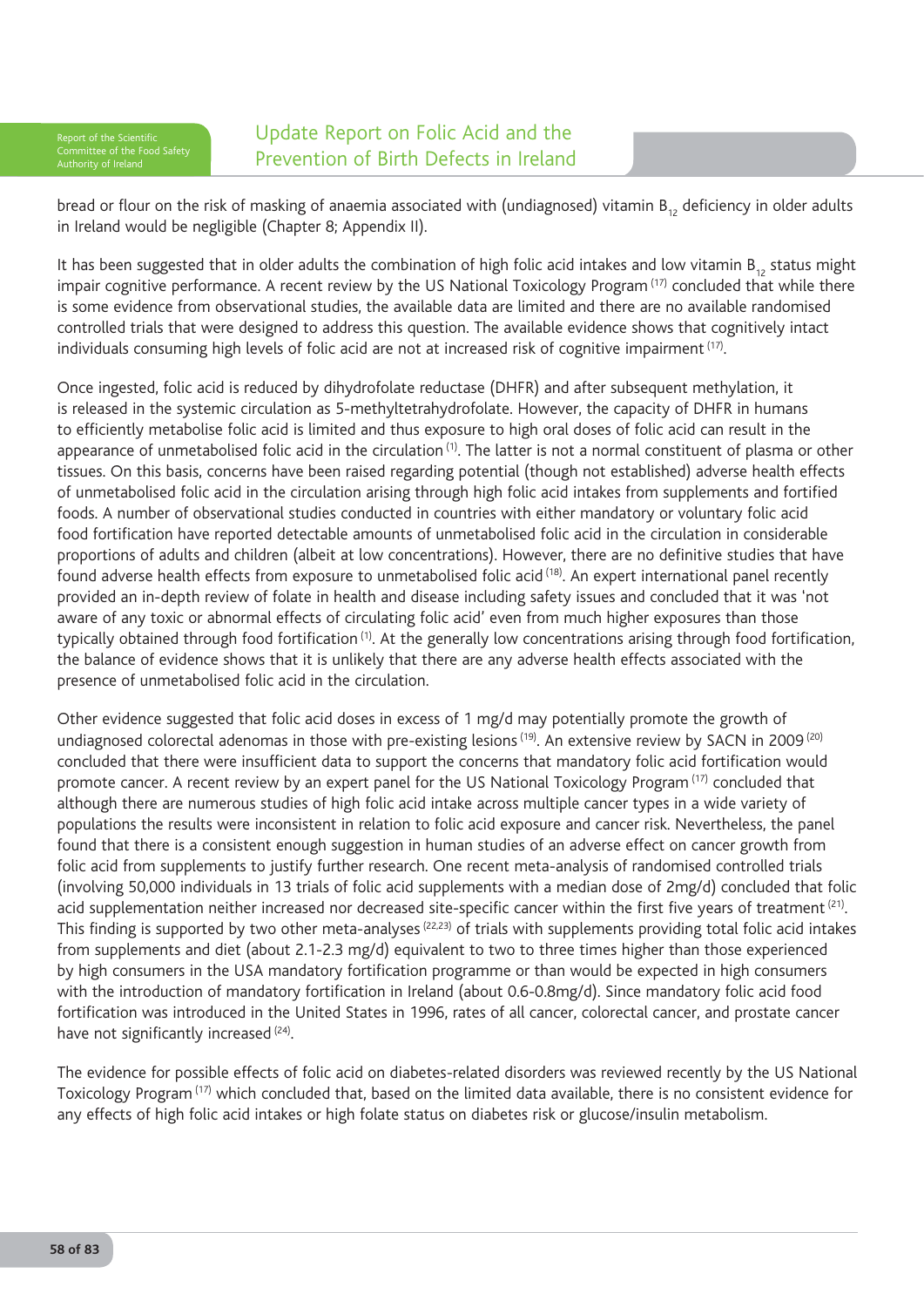Authority of Ireland

bread or flour on the risk of masking of anaemia associated with (undiagnosed) vitamin  $B_{12}$  deficiency in older adults in Ireland would be negligible (Chapter 8; Appendix II).

It has been suggested that in older adults the combination of high folic acid intakes and low vitamin  $B_{12}$  status might impair cognitive performance. A recent review by the US National Toxicology Program (17) concluded that while there is some evidence from observational studies, the available data are limited and there are no available randomised controlled trials that were designed to address this question. The available evidence shows that cognitively intact individuals consuming high levels of folic acid are not at increased risk of cognitive impairment  $(17)$ .

Once ingested, folic acid is reduced by dihydrofolate reductase (DHFR) and after subsequent methylation, it is released in the systemic circulation as 5-methyltetrahydrofolate. However, the capacity of DHFR in humans to efficiently metabolise folic acid is limited and thus exposure to high oral doses of folic acid can result in the appearance of unmetabolised folic acid in the circulation <sup>(1)</sup>. The latter is not a normal constituent of plasma or other tissues. On this basis, concerns have been raised regarding potential (though not established) adverse health effects of unmetabolised folic acid in the circulation arising through high folic acid intakes from supplements and fortified foods. A number of observational studies conducted in countries with either mandatory or voluntary folic acid food fortification have reported detectable amounts of unmetabolised folic acid in the circulation in considerable proportions of adults and children (albeit at low concentrations). However, there are no definitive studies that have found adverse health effects from exposure to unmetabolised folic acid (18). An expert international panel recently provided an in-depth review of folate in health and disease including safety issues and concluded that it was 'not aware of any toxic or abnormal effects of circulating folic acid' even from much higher exposures than those typically obtained through food fortification<sup>(1)</sup>. At the generally low concentrations arising through food fortification, the balance of evidence shows that it is unlikely that there are any adverse health effects associated with the presence of unmetabolised folic acid in the circulation.

Other evidence suggested that folic acid doses in excess of 1 mg/d may potentially promote the growth of undiagnosed colorectal adenomas in those with pre-existing lesions<sup>(19)</sup>. An extensive review by SACN in 2009<sup>(20)</sup> concluded that there were insufficient data to support the concerns that mandatory folic acid fortification would promote cancer. A recent review by an expert panel for the US National Toxicology Program (17) concluded that although there are numerous studies of high folic acid intake across multiple cancer types in a wide variety of populations the results were inconsistent in relation to folic acid exposure and cancer risk. Nevertheless, the panel found that there is a consistent enough suggestion in human studies of an adverse effect on cancer growth from folic acid from supplements to justify further research. One recent meta-analysis of randomised controlled trials (involving 50,000 individuals in 13 trials of folic acid supplements with a median dose of 2mg/d) concluded that folic acid supplementation neither increased nor decreased site-specific cancer within the first five years of treatment <sup>(21)</sup>. This finding is supported by two other meta-analyses (22,23) of trials with supplements providing total folic acid intakes from supplements and diet (about 2.1-2.3 mg/d) equivalent to two to three times higher than those experienced by high consumers in the USA mandatory fortification programme or than would be expected in high consumers with the introduction of mandatory fortification in Ireland (about 0.6-0.8mg/d). Since mandatory folic acid food fortification was introduced in the United States in 1996, rates of all cancer, colorectal cancer, and prostate cancer have not significantly increased (24).

The evidence for possible effects of folic acid on diabetes-related disorders was reviewed recently by the US National Toxicology Program (17) which concluded that, based on the limited data available, there is no consistent evidence for any effects of high folic acid intakes or high folate status on diabetes risk or glucose/insulin metabolism.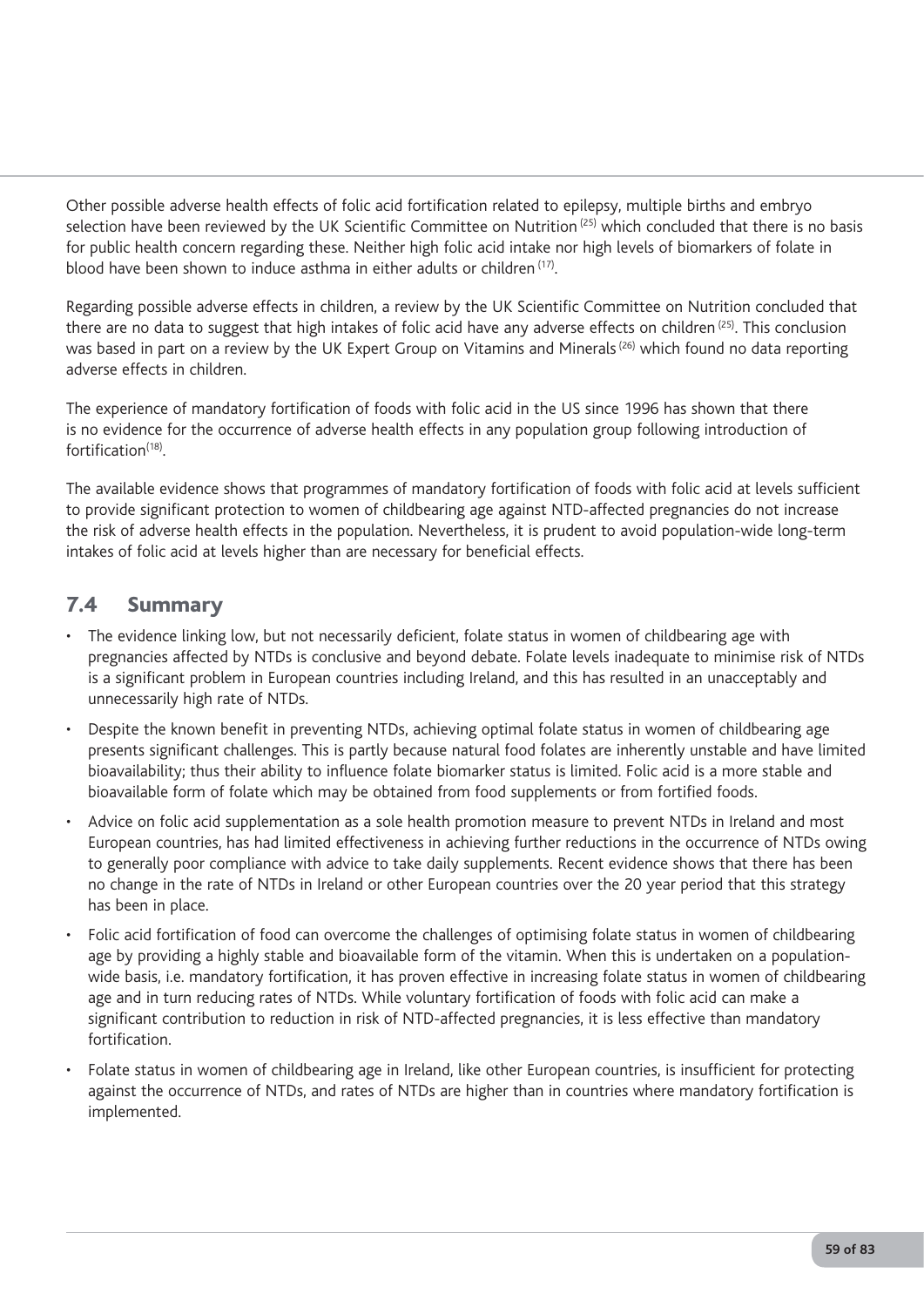Other possible adverse health effects of folic acid fortification related to epilepsy, multiple births and embryo selection have been reviewed by the UK Scientific Committee on Nutrition<sup>(25)</sup> which concluded that there is no basis for public health concern regarding these. Neither high folic acid intake nor high levels of biomarkers of folate in blood have been shown to induce asthma in either adults or children (17).

Regarding possible adverse effects in children, a review by the UK Scientific Committee on Nutrition concluded that there are no data to suggest that high intakes of folic acid have any adverse effects on children <sup>(25)</sup>. This conclusion was based in part on a review by the UK Expert Group on Vitamins and Minerals <sup>(26)</sup> which found no data reporting adverse effects in children.

The experience of mandatory fortification of foods with folic acid in the US since 1996 has shown that there is no evidence for the occurrence of adverse health effects in any population group following introduction of fortification(18).

The available evidence shows that programmes of mandatory fortification of foods with folic acid at levels sufficient to provide significant protection to women of childbearing age against NTD-affected pregnancies do not increase the risk of adverse health effects in the population. Nevertheless, it is prudent to avoid population-wide long-term intakes of folic acid at levels higher than are necessary for beneficial effects.

# 7.4 Summary

- The evidence linking low, but not necessarily deficient, folate status in women of childbearing age with pregnancies affected by NTDs is conclusive and beyond debate. Folate levels inadequate to minimise risk of NTDs is a significant problem in European countries including Ireland, and this has resulted in an unacceptably and unnecessarily high rate of NTDs.
- Despite the known benefit in preventing NTDs, achieving optimal folate status in women of childbearing age presents significant challenges. This is partly because natural food folates are inherently unstable and have limited bioavailability; thus their ability to influence folate biomarker status is limited. Folic acid is a more stable and bioavailable form of folate which may be obtained from food supplements or from fortified foods.
- Advice on folic acid supplementation as a sole health promotion measure to prevent NTDs in Ireland and most European countries, has had limited effectiveness in achieving further reductions in the occurrence of NTDs owing to generally poor compliance with advice to take daily supplements. Recent evidence shows that there has been no change in the rate of NTDs in Ireland or other European countries over the 20 year period that this strategy has been in place.
- Folic acid fortification of food can overcome the challenges of optimising folate status in women of childbearing age by providing a highly stable and bioavailable form of the vitamin. When this is undertaken on a populationwide basis, i.e. mandatory fortification, it has proven effective in increasing folate status in women of childbearing age and in turn reducing rates of NTDs. While voluntary fortification of foods with folic acid can make a significant contribution to reduction in risk of NTD-affected pregnancies, it is less effective than mandatory fortification.
- Folate status in women of childbearing age in Ireland, like other European countries, is insufficient for protecting against the occurrence of NTDs, and rates of NTDs are higher than in countries where mandatory fortification is implemented.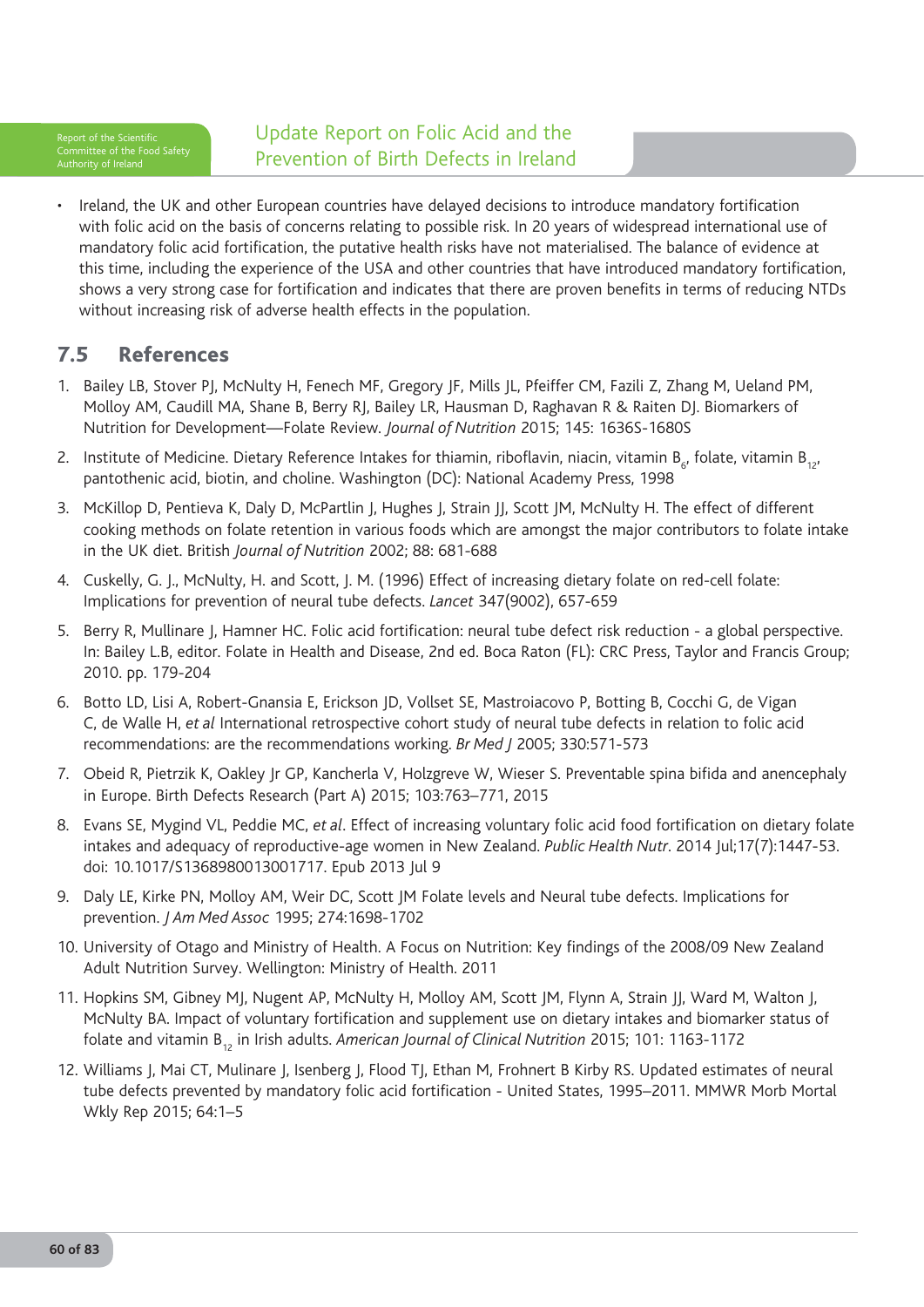## Update Report on Folic Acid and the Prevention of Birth Defects in Ireland

• Ireland, the UK and other European countries have delayed decisions to introduce mandatory fortification with folic acid on the basis of concerns relating to possible risk. In 20 years of widespread international use of mandatory folic acid fortification, the putative health risks have not materialised. The balance of evidence at this time, including the experience of the USA and other countries that have introduced mandatory fortification, shows a very strong case for fortification and indicates that there are proven benefits in terms of reducing NTDs without increasing risk of adverse health effects in the population.

# 7.5 References

- 1. Bailey LB, Stover PJ, McNulty H, Fenech MF, Gregory JF, Mills JL, Pfeiffer CM, Fazili Z, Zhang M, Ueland PM, Molloy AM, Caudill MA, Shane B, Berry RJ, Bailey LR, Hausman D, Raghavan R & Raiten DJ. Biomarkers of Nutrition for Development—Folate Review. *Journal of Nutrition* 2015; 145: 1636S-1680S
- 2. Institute of Medicine. Dietary Reference Intakes for thiamin, riboflavin, niacin, vitamin B<sub>6</sub>, folate, vitamin B<sub>12</sub>, pantothenic acid, biotin, and choline. Washington (DC): National Academy Press, 1998
- 3. McKillop D, Pentieva K, Daly D, McPartlin J, Hughes J, Strain JJ, Scott JM, McNulty H. The effect of different cooking methods on folate retention in various foods which are amongst the major contributors to folate intake in the UK diet. British *Journal of Nutrition* 2002; 88: 681-688
- 4. Cuskelly, G. J., McNulty, H. and Scott, J. M. (1996) Effect of increasing dietary folate on red-cell folate: Implications for prevention of neural tube defects. *Lancet* 347(9002), 657-659
- 5. Berry R, Mullinare J, Hamner HC. Folic acid fortification: neural tube defect risk reduction a global perspective. In: Bailey L.B, editor. Folate in Health and Disease, 2nd ed. Boca Raton (FL): CRC Press, Taylor and Francis Group; 2010. pp. 179-204
- 6. Botto LD, Lisi A, Robert-Gnansia E, Erickson JD, Vollset SE, Mastroiacovo P, Botting B, Cocchi G, de Vigan C, de Walle H, *et al* International retrospective cohort study of neural tube defects in relation to folic acid recommendations: are the recommendations working. *Br Med J* 2005; 330:571-573
- 7. Obeid R, Pietrzik K, Oakley Jr GP, Kancherla V, Holzgreve W, Wieser S. Preventable spina bifida and anencephaly in Europe. Birth Defects Research (Part A) 2015; 103:763–771, 2015
- 8. Evans SE, Mygind VL, Peddie MC, *et al*. Effect of increasing voluntary folic acid food fortification on dietary folate intakes and adequacy of reproductive-age women in New Zealand. *Public Health Nutr*. 2014 Jul;17(7):1447-53. doi: 10.1017/S1368980013001717. Epub 2013 Jul 9
- 9. Daly LE, Kirke PN, Molloy AM, Weir DC, Scott JM Folate levels and Neural tube defects. Implications for prevention. *J Am Med Assoc* 1995; 274:1698-1702
- 10. University of Otago and Ministry of Health. A Focus on Nutrition: Key findings of the 2008/09 New Zealand Adult Nutrition Survey. Wellington: Ministry of Health. 2011
- 11. Hopkins SM, Gibney MJ, Nugent AP, McNulty H, Molloy AM, Scott JM, Flynn A, Strain JJ, Ward M, Walton J, McNulty BA. Impact of voluntary fortification and supplement use on dietary intakes and biomarker status of folate and vitamin B12 in Irish adults. *American Journal of Clinical Nutrition* 2015; 101: 1163-1172
- 12. Williams J, Mai CT, Mulinare J, Isenberg J, Flood TJ, Ethan M, Frohnert B Kirby RS. Updated estimates of neural tube defects prevented by mandatory folic acid fortification - United States, 1995–2011. MMWR Morb Mortal Wkly Rep 2015; 64:1–5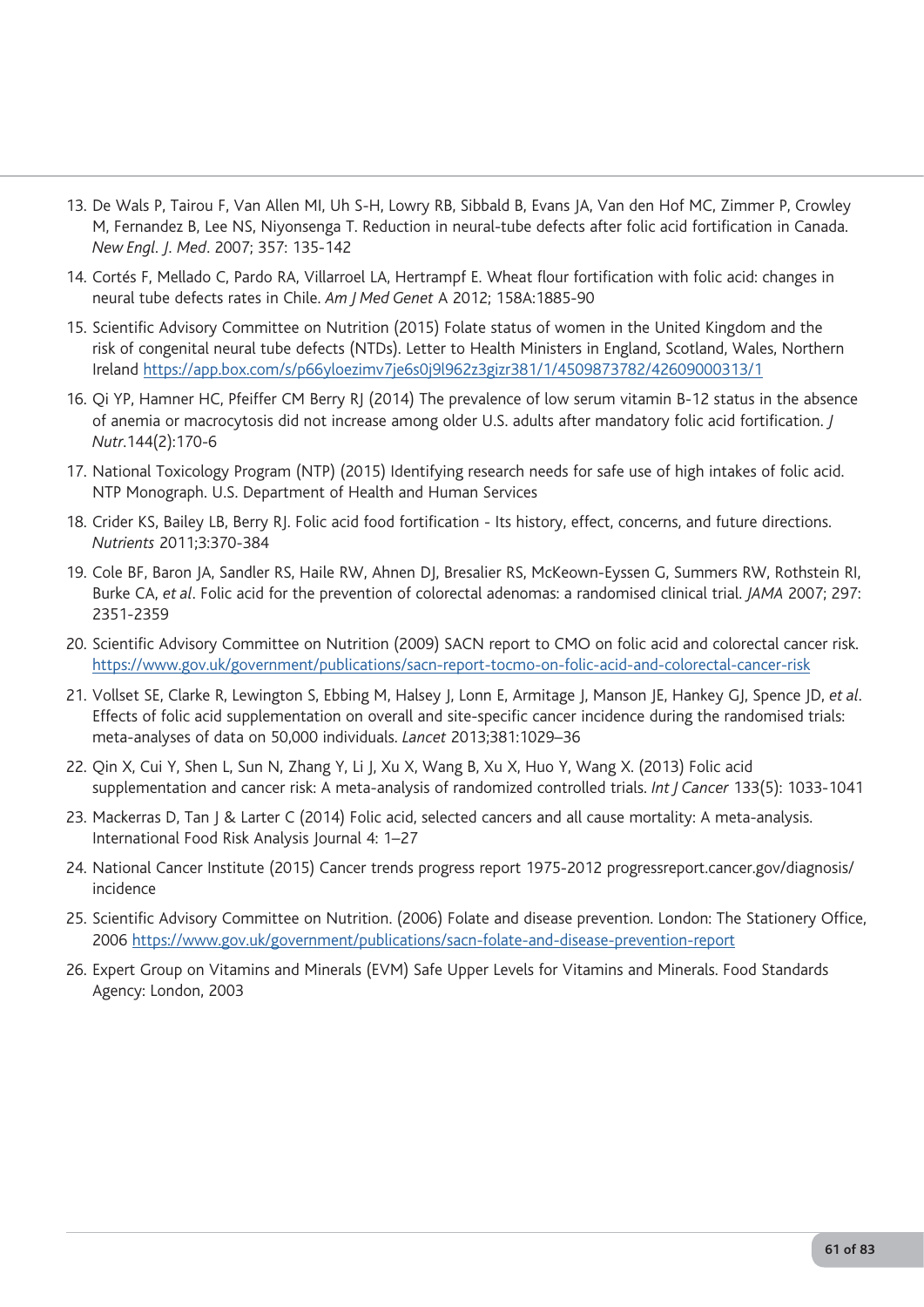- 13. De Wals P, Tairou F, Van Allen MI, Uh S-H, Lowry RB, Sibbald B, Evans JA, Van den Hof MC, Zimmer P, Crowley M, Fernandez B, Lee NS, Niyonsenga T. Reduction in neural-tube defects after folic acid fortification in Canada. *New Engl. J. Med*. 2007; 357: 135-142
- 14. Cortés F, Mellado C, Pardo RA, Villarroel LA, Hertrampf E. Wheat flour fortification with folic acid: changes in neural tube defects rates in Chile. *Am J Med Genet* A 2012; 158A:1885-90
- 15. Scientific Advisory Committee on Nutrition (2015) Folate status of women in the United Kingdom and the risk of congenital neural tube defects (NTDs). Letter to Health Ministers in England, Scotland, Wales, Northern Ireland<https://app.box.com/s/p66yloezimv7je6s0j9l962z3gizr381/1/4509873782/42609000313/1>
- 16. Qi YP, Hamner HC, Pfeiffer CM Berry RJ (2014) The prevalence of low serum vitamin B-12 status in the absence of anemia or macrocytosis did not increase among older U.S. adults after mandatory folic acid fortification. *J Nutr*.144(2):170-6
- 17. National Toxicology Program (NTP) (2015) Identifying research needs for safe use of high intakes of folic acid. NTP Monograph. U.S. Department of Health and Human Services
- 18. Crider KS, Bailey LB, Berry RJ. Folic acid food fortification Its history, effect, concerns, and future directions. *Nutrients* 2011;3:370-384
- 19. Cole BF, Baron JA, Sandler RS, Haile RW, Ahnen DJ, Bresalier RS, McKeown-Eyssen G, Summers RW, Rothstein RI, Burke CA, *et al*. Folic acid for the prevention of colorectal adenomas: a randomised clinical trial. *JAMA* 2007; 297: 2351-2359
- 20. Scientific Advisory Committee on Nutrition (2009) SACN report to CMO on folic acid and colorectal cancer risk. <https://www.gov.uk/government/publications/sacn-report-tocmo-on-folic-acid-and-colorectal-cancer-risk>
- 21. Vollset SE, Clarke R, Lewington S, Ebbing M, Halsey J, Lonn E, Armitage J, Manson JE, Hankey GJ, Spence JD, *et al*. Effects of folic acid supplementation on overall and site-specific cancer incidence during the randomised trials: meta-analyses of data on 50,000 individuals. *Lancet* 2013;381:1029–36
- 22. Qin X, Cui Y, Shen L, Sun N, Zhang Y, Li J, Xu X, Wang B, Xu X, Huo Y, Wang X. (2013) Folic acid supplementation and cancer risk: A meta-analysis of randomized controlled trials. *Int J Cancer* 133(5): 1033-1041
- 23. Mackerras D, Tan J & Larter C (2014) Folic acid, selected cancers and all cause mortality: A meta-analysis. International Food Risk Analysis Journal 4: 1–27
- 24. National Cancer Institute (2015) Cancer trends progress report 1975-2012 progressreport.cancer.gov/diagnosis/ incidence
- 25. Scientific Advisory Committee on Nutrition. (2006) Folate and disease prevention. London: The Stationery Office, 2006 <https://www.gov.uk/government/publications/sacn-folate-and-disease-prevention-report>
- 26. Expert Group on Vitamins and Minerals (EVM) Safe Upper Levels for Vitamins and Minerals. Food Standards Agency: London, 2003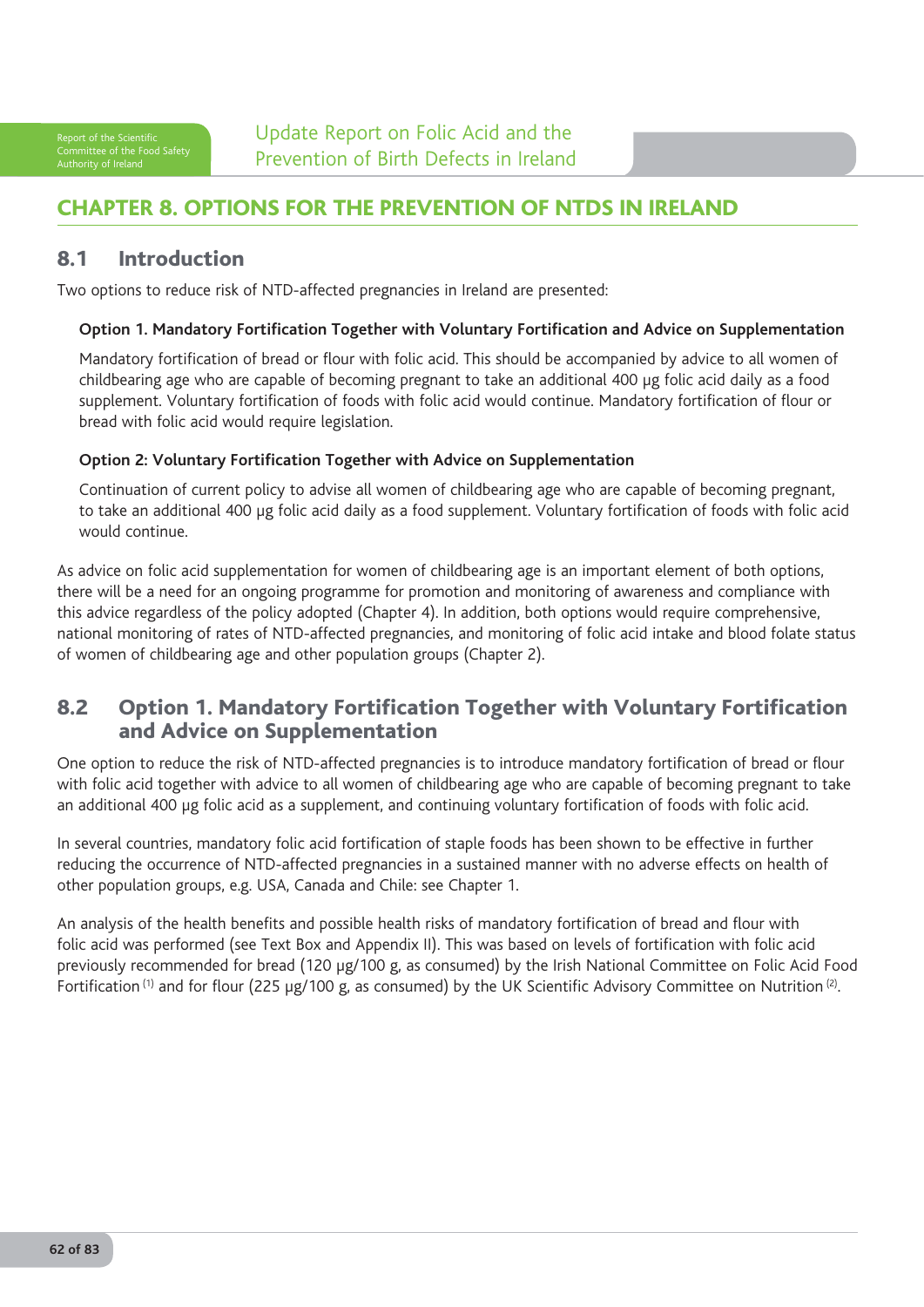# CHAPTER 8. OPTIONS FOR THE PREVENTION OF NTDS IN IRELAND

## 8.1 Introduction

Two options to reduce risk of NTD-affected pregnancies in Ireland are presented:

#### **Option 1. Mandatory Fortification Together with Voluntary Fortification and Advice on Supplementation**

Mandatory fortification of bread or flour with folic acid. This should be accompanied by advice to all women of childbearing age who are capable of becoming pregnant to take an additional 400 µg folic acid daily as a food supplement. Voluntary fortification of foods with folic acid would continue. Mandatory fortification of flour or bread with folic acid would require legislation.

#### **Option 2: Voluntary Fortification Together with Advice on Supplementation**

Continuation of current policy to advise all women of childbearing age who are capable of becoming pregnant, to take an additional 400 µg folic acid daily as a food supplement. Voluntary fortification of foods with folic acid would continue.

As advice on folic acid supplementation for women of childbearing age is an important element of both options, there will be a need for an ongoing programme for promotion and monitoring of awareness and compliance with this advice regardless of the policy adopted (Chapter 4). In addition, both options would require comprehensive, national monitoring of rates of NTD-affected pregnancies, and monitoring of folic acid intake and blood folate status of women of childbearing age and other population groups (Chapter 2).

# 8.2 Option 1. Mandatory Fortification Together with Voluntary Fortification and Advice on Supplementation

One option to reduce the risk of NTD-affected pregnancies is to introduce mandatory fortification of bread or flour with folic acid together with advice to all women of childbearing age who are capable of becoming pregnant to take an additional 400 µg folic acid as a supplement, and continuing voluntary fortification of foods with folic acid.

In several countries, mandatory folic acid fortification of staple foods has been shown to be effective in further reducing the occurrence of NTD-affected pregnancies in a sustained manner with no adverse effects on health of other population groups, e.g. USA, Canada and Chile: see Chapter 1.

An analysis of the health benefits and possible health risks of mandatory fortification of bread and flour with folic acid was performed (see Text Box and Appendix II). This was based on levels of fortification with folic acid previously recommended for bread (120 µg/100 g, as consumed) by the Irish National Committee on Folic Acid Food Fortification (1) and for flour (225 µg/100 g, as consumed) by the UK Scientific Advisory Committee on Nutrition (2).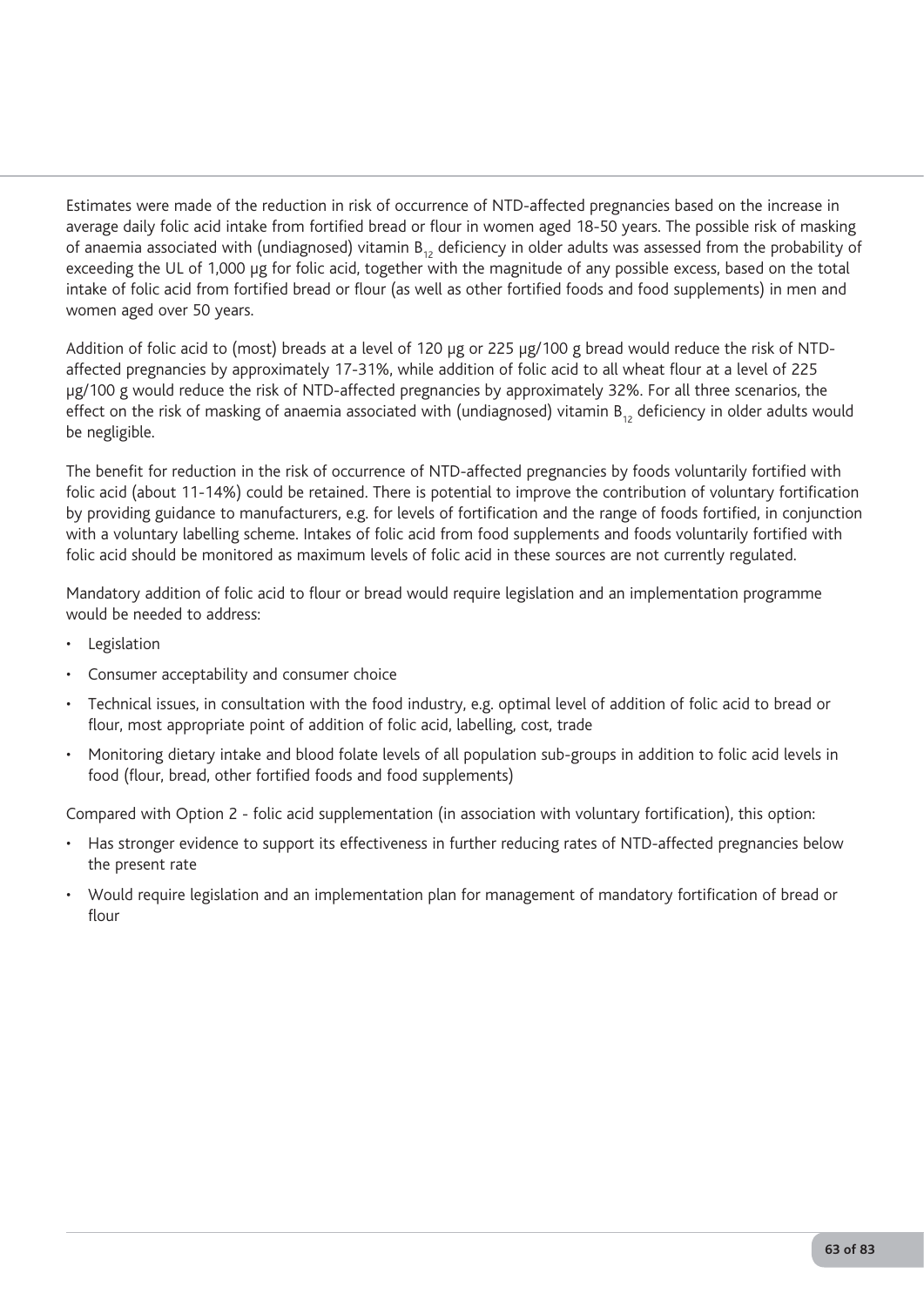Estimates were made of the reduction in risk of occurrence of NTD-affected pregnancies based on the increase in average daily folic acid intake from fortified bread or flour in women aged 18-50 years. The possible risk of masking of anaemia associated with (undiagnosed) vitamin  $B_{12}$  deficiency in older adults was assessed from the probability of exceeding the UL of 1,000 µg for folic acid, together with the magnitude of any possible excess, based on the total intake of folic acid from fortified bread or flour (as well as other fortified foods and food supplements) in men and women aged over 50 years.

Addition of folic acid to (most) breads at a level of 120 µg or 225 µg/100 g bread would reduce the risk of NTDaffected pregnancies by approximately 17-31%, while addition of folic acid to all wheat flour at a level of 225 µg/100 g would reduce the risk of NTD-affected pregnancies by approximately 32%. For all three scenarios, the effect on the risk of masking of anaemia associated with (undiagnosed) vitamin  $B_{12}$  deficiency in older adults would be negligible.

The benefit for reduction in the risk of occurrence of NTD-affected pregnancies by foods voluntarily fortified with folic acid (about 11-14%) could be retained. There is potential to improve the contribution of voluntary fortification by providing guidance to manufacturers, e.g. for levels of fortification and the range of foods fortified, in conjunction with a voluntary labelling scheme. Intakes of folic acid from food supplements and foods voluntarily fortified with folic acid should be monitored as maximum levels of folic acid in these sources are not currently regulated.

Mandatory addition of folic acid to flour or bread would require legislation and an implementation programme would be needed to address:

- **Legislation**
- Consumer acceptability and consumer choice
- Technical issues, in consultation with the food industry, e.g. optimal level of addition of folic acid to bread or flour, most appropriate point of addition of folic acid, labelling, cost, trade
- Monitoring dietary intake and blood folate levels of all population sub-groups in addition to folic acid levels in food (flour, bread, other fortified foods and food supplements)

Compared with Option 2 - folic acid supplementation (in association with voluntary fortification), this option:

- Has stronger evidence to support its effectiveness in further reducing rates of NTD-affected pregnancies below the present rate
- Would require legislation and an implementation plan for management of mandatory fortification of bread or flour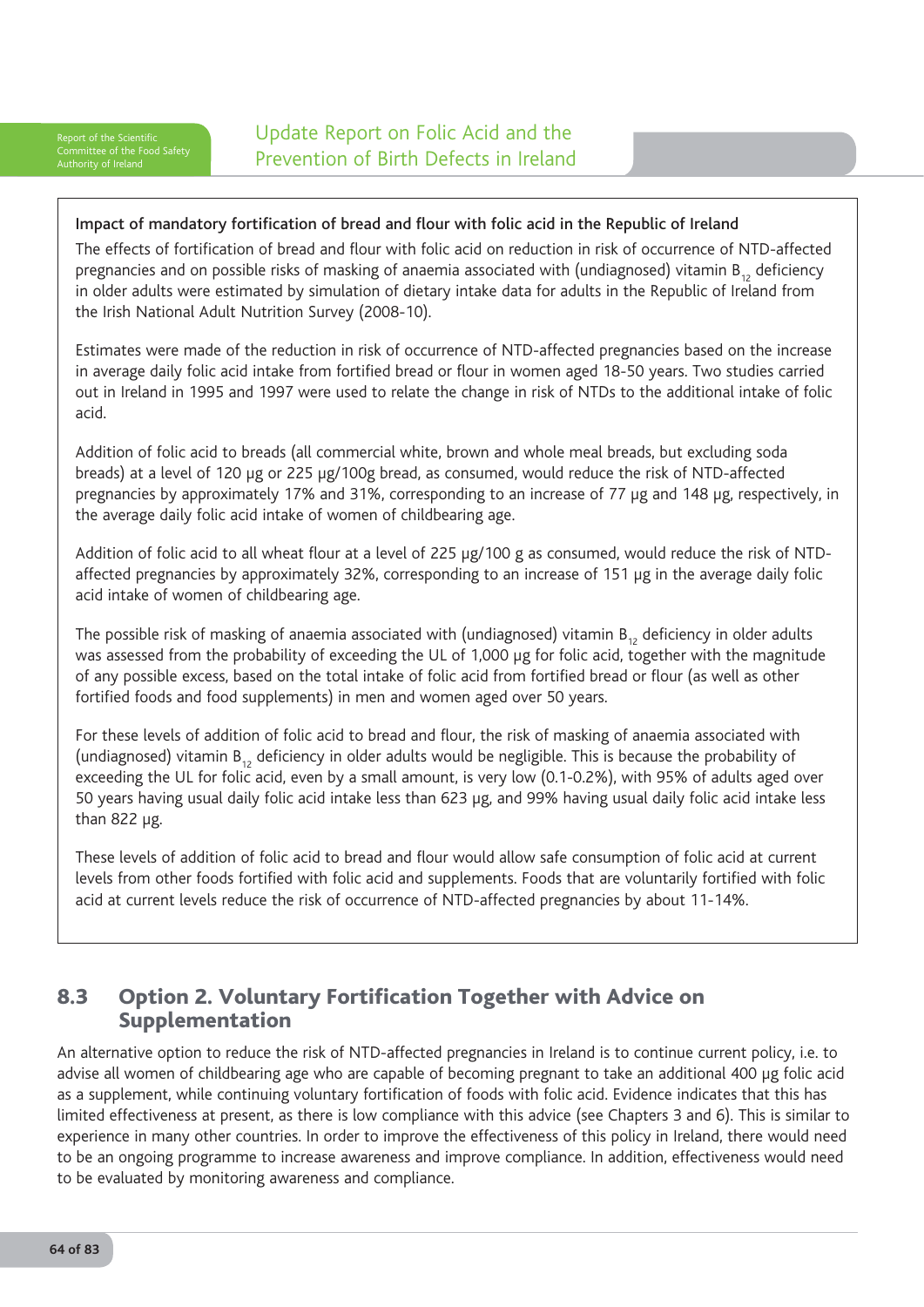#### Impact of mandatory fortification of bread and flour with folic acid in the Republic of Ireland

The effects of fortification of bread and flour with folic acid on reduction in risk of occurrence of NTD-affected pregnancies and on possible risks of masking of anaemia associated with (undiagnosed) vitamin  $B_{12}$  deficiency in older adults were estimated by simulation of dietary intake data for adults in the Republic of Ireland from the Irish National Adult Nutrition Survey (2008-10).

Estimates were made of the reduction in risk of occurrence of NTD-affected pregnancies based on the increase in average daily folic acid intake from fortified bread or flour in women aged 18-50 years. Two studies carried out in Ireland in 1995 and 1997 were used to relate the change in risk of NTDs to the additional intake of folic acid.

Addition of folic acid to breads (all commercial white, brown and whole meal breads, but excluding soda breads) at a level of 120 µg or 225 µg/100g bread, as consumed, would reduce the risk of NTD-affected pregnancies by approximately 17% and 31%, corresponding to an increase of 77 µg and 148 µg, respectively, in the average daily folic acid intake of women of childbearing age.

Addition of folic acid to all wheat flour at a level of 225 µg/100 g as consumed, would reduce the risk of NTDaffected pregnancies by approximately 32%, corresponding to an increase of 151 µg in the average daily folic acid intake of women of childbearing age.

The possible risk of masking of anaemia associated with (undiagnosed) vitamin  $B_{12}$  deficiency in older adults was assessed from the probability of exceeding the UL of 1,000 µg for folic acid, together with the magnitude of any possible excess, based on the total intake of folic acid from fortified bread or flour (as well as other fortified foods and food supplements) in men and women aged over 50 years.

For these levels of addition of folic acid to bread and flour, the risk of masking of anaemia associated with (undiagnosed) vitamin  $B_{12}$  deficiency in older adults would be negligible. This is because the probability of exceeding the UL for folic acid, even by a small amount, is very low (0.1-0.2%), with 95% of adults aged over 50 years having usual daily folic acid intake less than 623 µg, and 99% having usual daily folic acid intake less than 822 µg.

These levels of addition of folic acid to bread and flour would allow safe consumption of folic acid at current levels from other foods fortified with folic acid and supplements. Foods that are voluntarily fortified with folic acid at current levels reduce the risk of occurrence of NTD-affected pregnancies by about 11-14%.

# 8.3 Option 2. Voluntary Fortification Together with Advice on Supplementation

An alternative option to reduce the risk of NTD-affected pregnancies in Ireland is to continue current policy, i.e. to advise all women of childbearing age who are capable of becoming pregnant to take an additional 400 µg folic acid as a supplement, while continuing voluntary fortification of foods with folic acid. Evidence indicates that this has limited effectiveness at present, as there is low compliance with this advice (see Chapters 3 and 6). This is similar to experience in many other countries. In order to improve the effectiveness of this policy in Ireland, there would need to be an ongoing programme to increase awareness and improve compliance. In addition, effectiveness would need to be evaluated by monitoring awareness and compliance.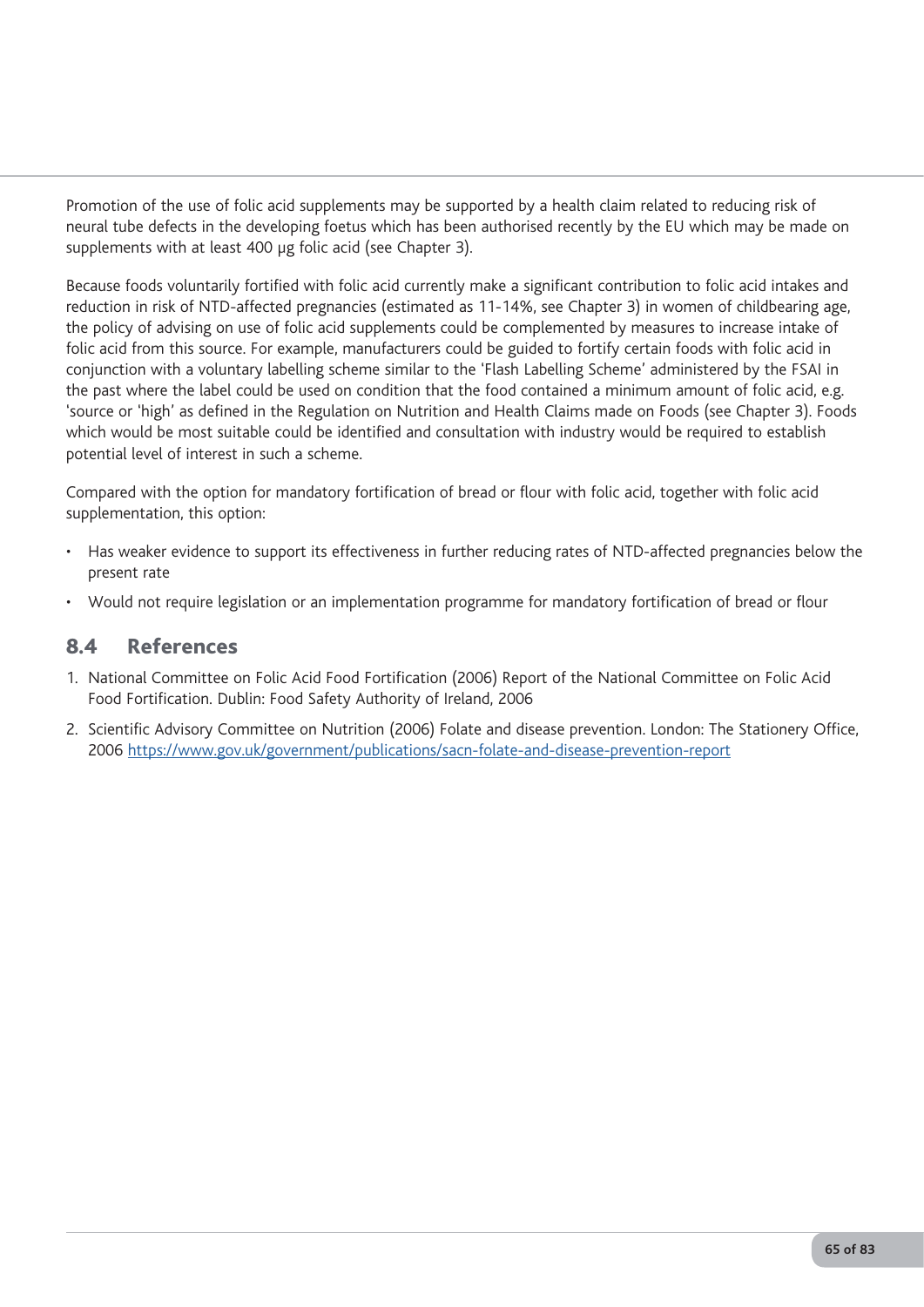Promotion of the use of folic acid supplements may be supported by a health claim related to reducing risk of neural tube defects in the developing foetus which has been authorised recently by the EU which may be made on supplements with at least 400 µg folic acid (see Chapter 3).

Because foods voluntarily fortified with folic acid currently make a significant contribution to folic acid intakes and reduction in risk of NTD-affected pregnancies (estimated as 11-14%, see Chapter 3) in women of childbearing age, the policy of advising on use of folic acid supplements could be complemented by measures to increase intake of folic acid from this source. For example, manufacturers could be guided to fortify certain foods with folic acid in conjunction with a voluntary labelling scheme similar to the 'Flash Labelling Scheme' administered by the FSAI in the past where the label could be used on condition that the food contained a minimum amount of folic acid, e.g. 'source or 'high' as defined in the Regulation on Nutrition and Health Claims made on Foods (see Chapter 3). Foods which would be most suitable could be identified and consultation with industry would be required to establish potential level of interest in such a scheme.

Compared with the option for mandatory fortification of bread or flour with folic acid, together with folic acid supplementation, this option:

- Has weaker evidence to support its effectiveness in further reducing rates of NTD-affected pregnancies below the present rate
- Would not require legislation or an implementation programme for mandatory fortification of bread or flour

## 8.4 References

- 1. National Committee on Folic Acid Food Fortification (2006) Report of the National Committee on Folic Acid Food Fortification. Dublin: Food Safety Authority of Ireland, 2006
- 2. Scientific Advisory Committee on Nutrition (2006) Folate and disease prevention. London: The Stationery Office, 2006<https://www.gov.uk/government/publications/sacn-folate-and-disease-prevention-report>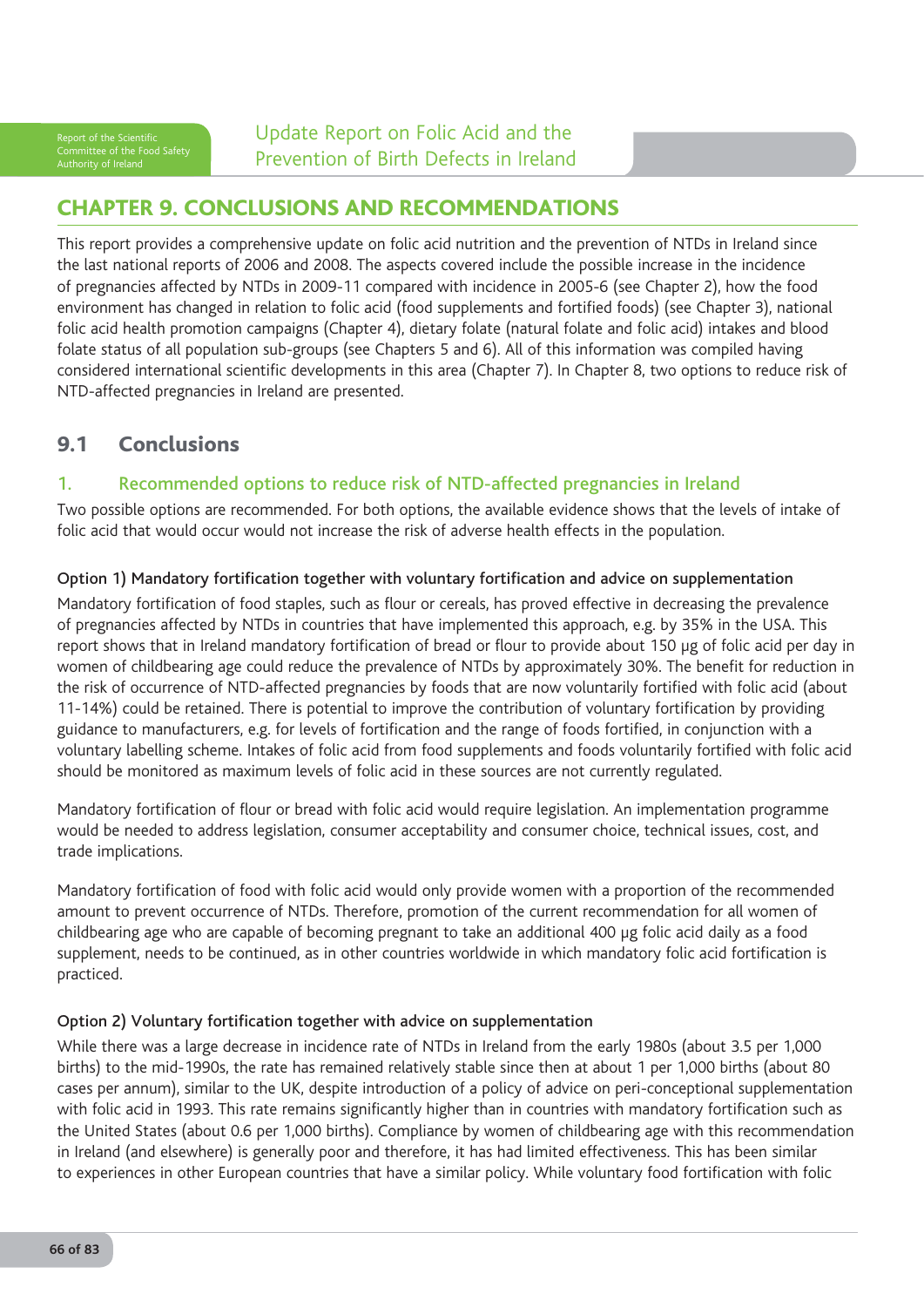Authority of Ireland

# CHAPTER 9. CONCLUSIONS AND RECOMMENDATIONS

This report provides a comprehensive update on folic acid nutrition and the prevention of NTDs in Ireland since the last national reports of 2006 and 2008. The aspects covered include the possible increase in the incidence of pregnancies affected by NTDs in 2009-11 compared with incidence in 2005-6 (see Chapter 2), how the food environment has changed in relation to folic acid (food supplements and fortified foods) (see Chapter 3), national folic acid health promotion campaigns (Chapter 4), dietary folate (natural folate and folic acid) intakes and blood folate status of all population sub-groups (see Chapters 5 and 6). All of this information was compiled having considered international scientific developments in this area (Chapter 7). In Chapter 8, two options to reduce risk of NTD-affected pregnancies in Ireland are presented.

# 9.1 Conclusions

## 1. Recommended options to reduce risk of NTD-affected pregnancies in Ireland

Two possible options are recommended. For both options, the available evidence shows that the levels of intake of folic acid that would occur would not increase the risk of adverse health effects in the population.

### Option 1) Mandatory fortification together with voluntary fortification and advice on supplementation

Mandatory fortification of food staples, such as flour or cereals, has proved effective in decreasing the prevalence of pregnancies affected by NTDs in countries that have implemented this approach, e.g. by 35% in the USA. This report shows that in Ireland mandatory fortification of bread or flour to provide about 150 µg of folic acid per day in women of childbearing age could reduce the prevalence of NTDs by approximately 30%. The benefit for reduction in the risk of occurrence of NTD-affected pregnancies by foods that are now voluntarily fortified with folic acid (about 11-14%) could be retained. There is potential to improve the contribution of voluntary fortification by providing guidance to manufacturers, e.g. for levels of fortification and the range of foods fortified, in conjunction with a voluntary labelling scheme. Intakes of folic acid from food supplements and foods voluntarily fortified with folic acid should be monitored as maximum levels of folic acid in these sources are not currently regulated.

Mandatory fortification of flour or bread with folic acid would require legislation. An implementation programme would be needed to address legislation, consumer acceptability and consumer choice, technical issues, cost, and trade implications.

Mandatory fortification of food with folic acid would only provide women with a proportion of the recommended amount to prevent occurrence of NTDs. Therefore, promotion of the current recommendation for all women of childbearing age who are capable of becoming pregnant to take an additional 400 µg folic acid daily as a food supplement, needs to be continued, as in other countries worldwide in which mandatory folic acid fortification is practiced.

### Option 2) Voluntary fortification together with advice on supplementation

While there was a large decrease in incidence rate of NTDs in Ireland from the early 1980s (about 3.5 per 1,000 births) to the mid-1990s, the rate has remained relatively stable since then at about 1 per 1,000 births (about 80 cases per annum), similar to the UK, despite introduction of a policy of advice on peri-conceptional supplementation with folic acid in 1993. This rate remains significantly higher than in countries with mandatory fortification such as the United States (about 0.6 per 1,000 births). Compliance by women of childbearing age with this recommendation in Ireland (and elsewhere) is generally poor and therefore, it has had limited effectiveness. This has been similar to experiences in other European countries that have a similar policy. While voluntary food fortification with folic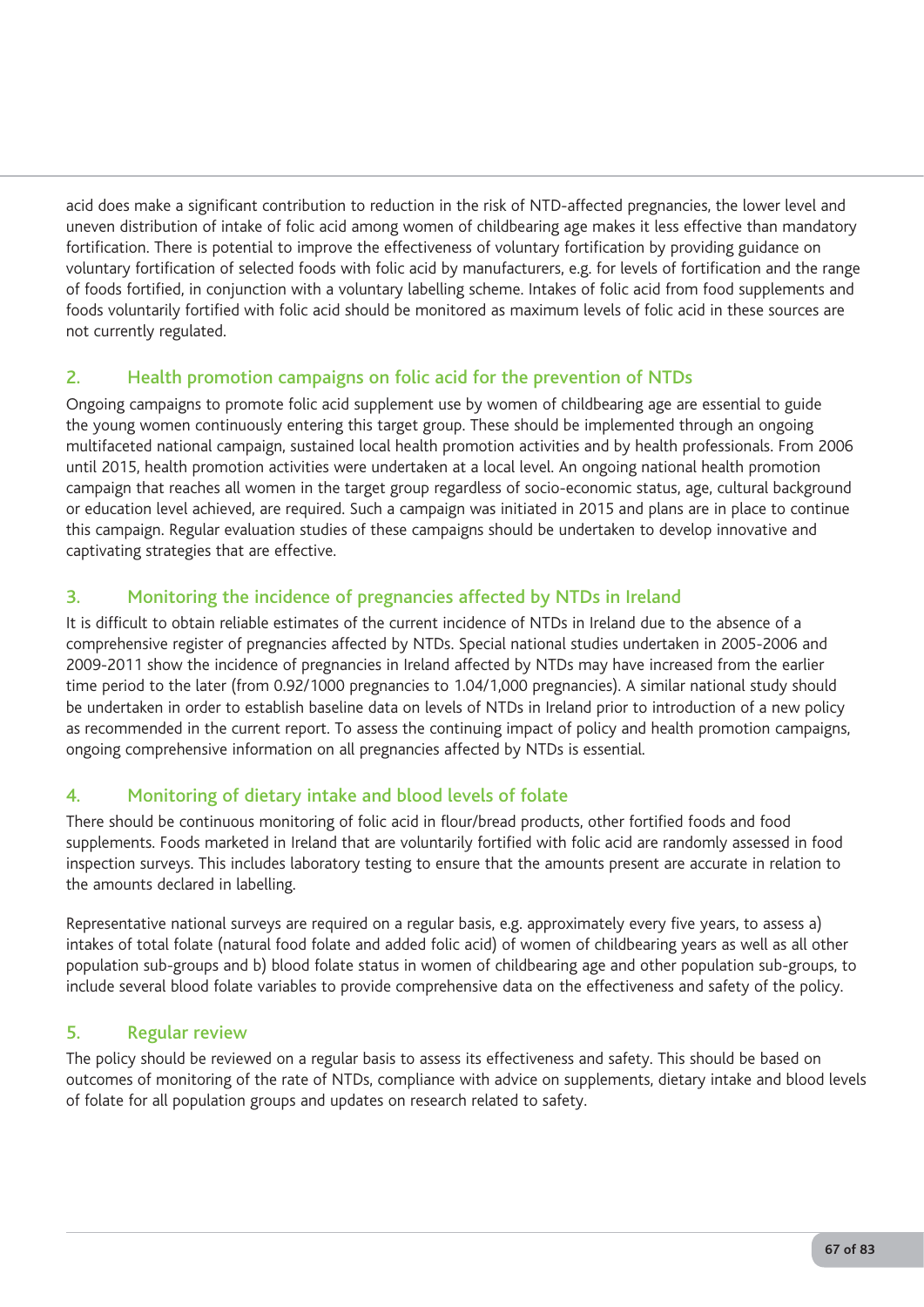acid does make a significant contribution to reduction in the risk of NTD-affected pregnancies, the lower level and uneven distribution of intake of folic acid among women of childbearing age makes it less effective than mandatory fortification. There is potential to improve the effectiveness of voluntary fortification by providing guidance on voluntary fortification of selected foods with folic acid by manufacturers, e.g. for levels of fortification and the range of foods fortified, in conjunction with a voluntary labelling scheme. Intakes of folic acid from food supplements and foods voluntarily fortified with folic acid should be monitored as maximum levels of folic acid in these sources are not currently regulated.

## 2. Health promotion campaigns on folic acid for the prevention of NTDs

Ongoing campaigns to promote folic acid supplement use by women of childbearing age are essential to guide the young women continuously entering this target group. These should be implemented through an ongoing multifaceted national campaign, sustained local health promotion activities and by health professionals. From 2006 until 2015, health promotion activities were undertaken at a local level. An ongoing national health promotion campaign that reaches all women in the target group regardless of socio-economic status, age, cultural background or education level achieved, are required. Such a campaign was initiated in 2015 and plans are in place to continue this campaign. Regular evaluation studies of these campaigns should be undertaken to develop innovative and captivating strategies that are effective.

## 3. Monitoring the incidence of pregnancies affected by NTDs in Ireland

It is difficult to obtain reliable estimates of the current incidence of NTDs in Ireland due to the absence of a comprehensive register of pregnancies affected by NTDs. Special national studies undertaken in 2005-2006 and 2009-2011 show the incidence of pregnancies in Ireland affected by NTDs may have increased from the earlier time period to the later (from 0.92/1000 pregnancies to 1.04/1,000 pregnancies). A similar national study should be undertaken in order to establish baseline data on levels of NTDs in Ireland prior to introduction of a new policy as recommended in the current report. To assess the continuing impact of policy and health promotion campaigns, ongoing comprehensive information on all pregnancies affected by NTDs is essential.

## 4. Monitoring of dietary intake and blood levels of folate

There should be continuous monitoring of folic acid in flour/bread products, other fortified foods and food supplements. Foods marketed in Ireland that are voluntarily fortified with folic acid are randomly assessed in food inspection surveys. This includes laboratory testing to ensure that the amounts present are accurate in relation to the amounts declared in labelling.

Representative national surveys are required on a regular basis, e.g. approximately every five years, to assess a) intakes of total folate (natural food folate and added folic acid) of women of childbearing years as well as all other population sub-groups and b) blood folate status in women of childbearing age and other population sub-groups, to include several blood folate variables to provide comprehensive data on the effectiveness and safety of the policy.

## 5. Regular review

The policy should be reviewed on a regular basis to assess its effectiveness and safety. This should be based on outcomes of monitoring of the rate of NTDs, compliance with advice on supplements, dietary intake and blood levels of folate for all population groups and updates on research related to safety.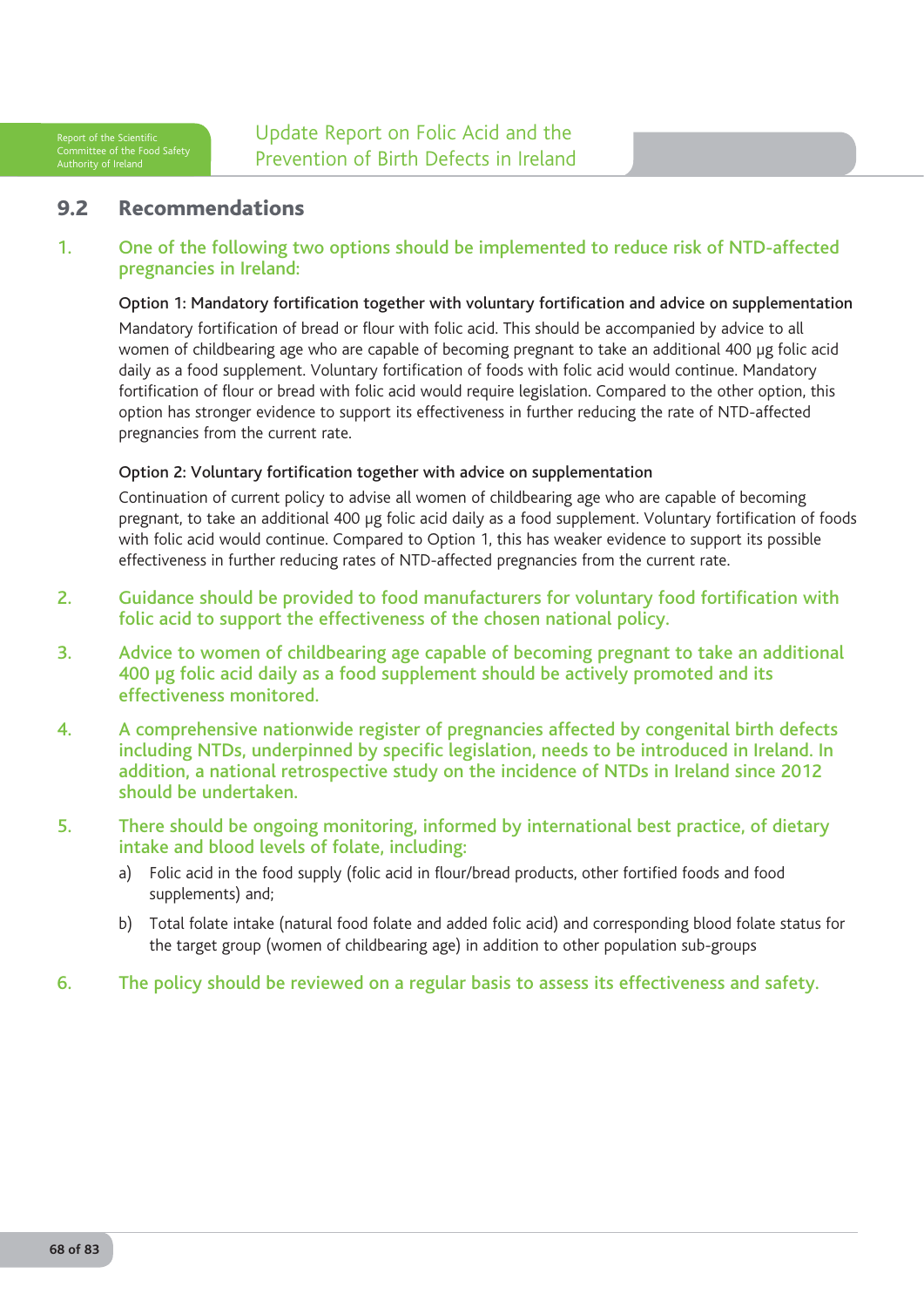## 9.2 Recommendations

Authority of Ireland

1. One of the following two options should be implemented to reduce risk of NTD-affected pregnancies in Ireland:

Option 1: Mandatory fortification together with voluntary fortification and advice on supplementation

 Mandatory fortification of bread or flour with folic acid. This should be accompanied by advice to all women of childbearing age who are capable of becoming pregnant to take an additional 400 µg folic acid daily as a food supplement. Voluntary fortification of foods with folic acid would continue. Mandatory fortification of flour or bread with folic acid would require legislation. Compared to the other option, this option has stronger evidence to support its effectiveness in further reducing the rate of NTD-affected pregnancies from the current rate.

#### Option 2: Voluntary fortification together with advice on supplementation

 Continuation of current policy to advise all women of childbearing age who are capable of becoming pregnant, to take an additional 400 µg folic acid daily as a food supplement. Voluntary fortification of foods with folic acid would continue. Compared to Option 1, this has weaker evidence to support its possible effectiveness in further reducing rates of NTD-affected pregnancies from the current rate.

- 2. Guidance should be provided to food manufacturers for voluntary food fortification with folic acid to support the effectiveness of the chosen national policy.
- 3. Advice to women of childbearing age capable of becoming pregnant to take an additional 400 µg folic acid daily as a food supplement should be actively promoted and its effectiveness monitored.
- 4. A comprehensive nationwide register of pregnancies affected by congenital birth defects including NTDs, underpinned by specific legislation, needs to be introduced in Ireland. In addition, a national retrospective study on the incidence of NTDs in Ireland since 2012 should be undertaken.
- 5. There should be ongoing monitoring, informed by international best practice, of dietary intake and blood levels of folate, including:
	- a) Folic acid in the food supply (folic acid in flour/bread products, other fortified foods and food supplements) and;
	- b) Total folate intake (natural food folate and added folic acid) and corresponding blood folate status for the target group (women of childbearing age) in addition to other population sub-groups
- 6. The policy should be reviewed on a regular basis to assess its effectiveness and safety.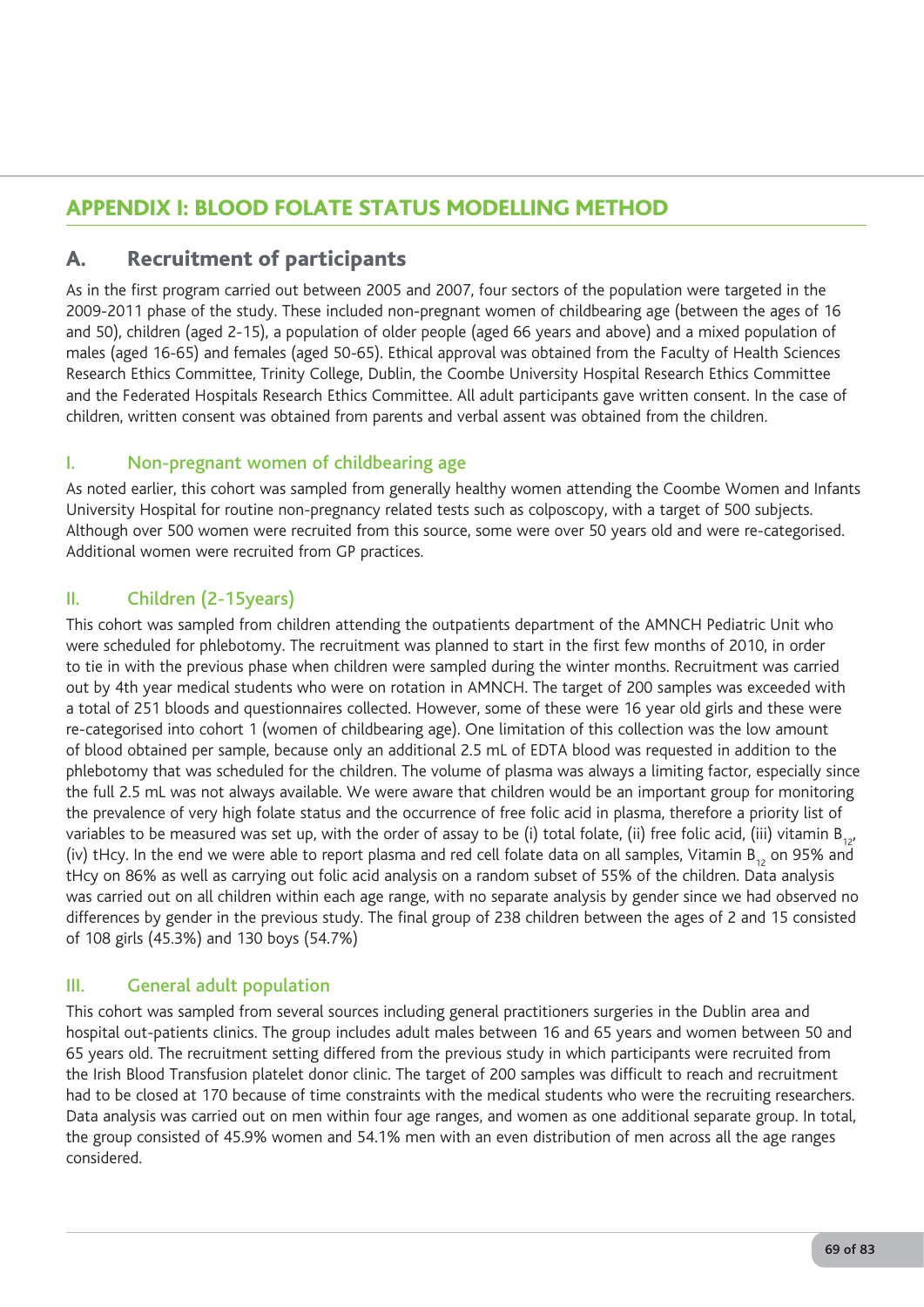# APPENDIX I: BLOOD FOLATE STATUS MODELLING METHOD

# A. Recruitment of participants

As in the first program carried out between 2005 and 2007, four sectors of the population were targeted in the 2009-2011 phase of the study. These included non-pregnant women of childbearing age (between the ages of 16 and 50), children (aged 2-15), a population of older people (aged 66 years and above) and a mixed population of males (aged 16-65) and females (aged 50-65). Ethical approval was obtained from the Faculty of Health Sciences Research Ethics Committee, Trinity College, Dublin, the Coombe University Hospital Research Ethics Committee and the Federated Hospitals Research Ethics Committee. All adult participants gave written consent. In the case of children, written consent was obtained from parents and verbal assent was obtained from the children.

## I. Non-pregnant women of childbearing age

As noted earlier, this cohort was sampled from generally healthy women attending the Coombe Women and Infants University Hospital for routine non-pregnancy related tests such as colposcopy, with a target of 500 subjects. Although over 500 women were recruited from this source, some were over 50 years old and were re-categorised. Additional women were recruited from GP practices.

## II. Children (2-15years)

This cohort was sampled from children attending the outpatients department of the AMNCH Pediatric Unit who were scheduled for phlebotomy. The recruitment was planned to start in the first few months of 2010, in order to tie in with the previous phase when children were sampled during the winter months. Recruitment was carried out by 4th year medical students who were on rotation in AMNCH. The target of 200 samples was exceeded with a total of 251 bloods and questionnaires collected. However, some of these were 16 year old girls and these were re-categorised into cohort 1 (women of childbearing age). One limitation of this collection was the low amount of blood obtained per sample, because only an additional 2.5 mL of EDTA blood was requested in addition to the phlebotomy that was scheduled for the children. The volume of plasma was always a limiting factor, especially since the full 2.5 mL was not always available. We were aware that children would be an important group for monitoring the prevalence of very high folate status and the occurrence of free folic acid in plasma, therefore a priority list of variables to be measured was set up, with the order of assay to be (i) total folate, (ii) free folic acid, (iii) vitamin  $B_{12}$ , (iv) tHcy. In the end we were able to report plasma and red cell folate data on all samples, Vitamin  $B_{12}$  on 95% and tHcy on 86% as well as carrying out folic acid analysis on a random subset of 55% of the children. Data analysis was carried out on all children within each age range, with no separate analysis by gender since we had observed no differences by gender in the previous study. The final group of 238 children between the ages of 2 and 15 consisted of 108 girls (45.3%) and 130 boys (54.7%)

## III. General adult population

This cohort was sampled from several sources including general practitioners surgeries in the Dublin area and hospital out-patients clinics. The group includes adult males between 16 and 65 years and women between 50 and 65 years old. The recruitment setting differed from the previous study in which participants were recruited from the Irish Blood Transfusion platelet donor clinic. The target of 200 samples was difficult to reach and recruitment had to be closed at 170 because of time constraints with the medical students who were the recruiting researchers. Data analysis was carried out on men within four age ranges, and women as one additional separate group. In total, the group consisted of 45.9% women and 54.1% men with an even distribution of men across all the age ranges considered.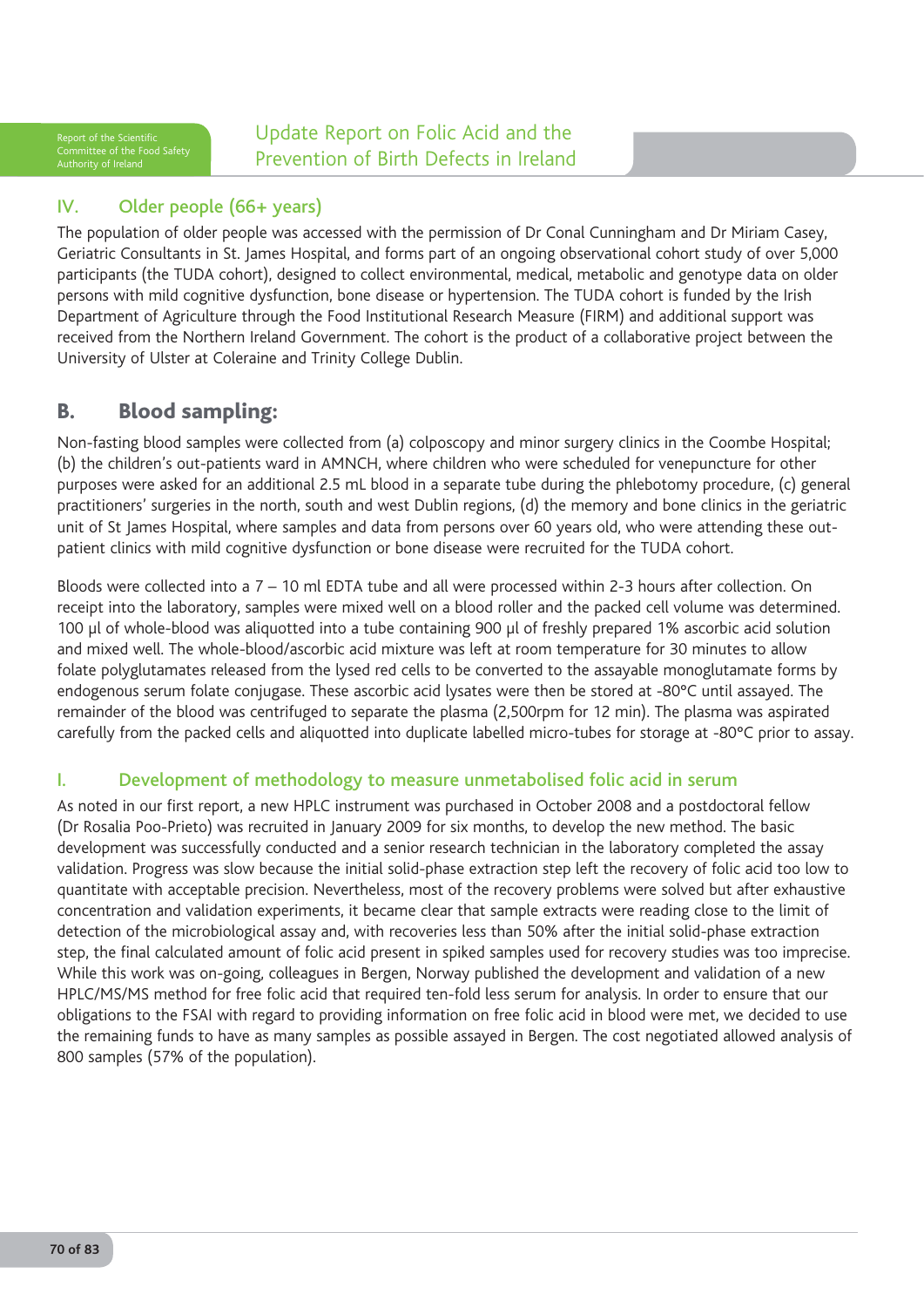## IV. Older people (66+ years)

The population of older people was accessed with the permission of Dr Conal Cunningham and Dr Miriam Casey, Geriatric Consultants in St. James Hospital, and forms part of an ongoing observational cohort study of over 5,000 participants (the TUDA cohort), designed to collect environmental, medical, metabolic and genotype data on older persons with mild cognitive dysfunction, bone disease or hypertension. The TUDA cohort is funded by the Irish Department of Agriculture through the Food Institutional Research Measure (FIRM) and additional support was received from the Northern Ireland Government. The cohort is the product of a collaborative project between the University of Ulster at Coleraine and Trinity College Dublin.

# **B.** Blood sampling:

Non-fasting blood samples were collected from (a) colposcopy and minor surgery clinics in the Coombe Hospital; (b) the children's out-patients ward in AMNCH, where children who were scheduled for venepuncture for other purposes were asked for an additional 2.5 mL blood in a separate tube during the phlebotomy procedure, (c) general practitioners' surgeries in the north, south and west Dublin regions, (d) the memory and bone clinics in the geriatric unit of St James Hospital, where samples and data from persons over 60 years old, who were attending these outpatient clinics with mild cognitive dysfunction or bone disease were recruited for the TUDA cohort.

Bloods were collected into a 7 – 10 ml EDTA tube and all were processed within 2-3 hours after collection. On receipt into the laboratory, samples were mixed well on a blood roller and the packed cell volume was determined. 100 µl of whole-blood was aliquotted into a tube containing 900 µl of freshly prepared 1% ascorbic acid solution and mixed well. The whole-blood/ascorbic acid mixture was left at room temperature for 30 minutes to allow folate polyglutamates released from the lysed red cells to be converted to the assayable monoglutamate forms by endogenous serum folate conjugase. These ascorbic acid lysates were then be stored at -80°C until assayed. The remainder of the blood was centrifuged to separate the plasma (2,500rpm for 12 min). The plasma was aspirated carefully from the packed cells and aliquotted into duplicate labelled micro-tubes for storage at -80°C prior to assay.

## I. Development of methodology to measure unmetabolised folic acid in serum

As noted in our first report, a new HPLC instrument was purchased in October 2008 and a postdoctoral fellow (Dr Rosalia Poo-Prieto) was recruited in January 2009 for six months, to develop the new method. The basic development was successfully conducted and a senior research technician in the laboratory completed the assay validation. Progress was slow because the initial solid-phase extraction step left the recovery of folic acid too low to quantitate with acceptable precision. Nevertheless, most of the recovery problems were solved but after exhaustive concentration and validation experiments, it became clear that sample extracts were reading close to the limit of detection of the microbiological assay and, with recoveries less than 50% after the initial solid-phase extraction step, the final calculated amount of folic acid present in spiked samples used for recovery studies was too imprecise. While this work was on-going, colleagues in Bergen, Norway published the development and validation of a new HPLC/MS/MS method for free folic acid that required ten-fold less serum for analysis. In order to ensure that our obligations to the FSAI with regard to providing information on free folic acid in blood were met, we decided to use the remaining funds to have as many samples as possible assayed in Bergen. The cost negotiated allowed analysis of 800 samples (57% of the population).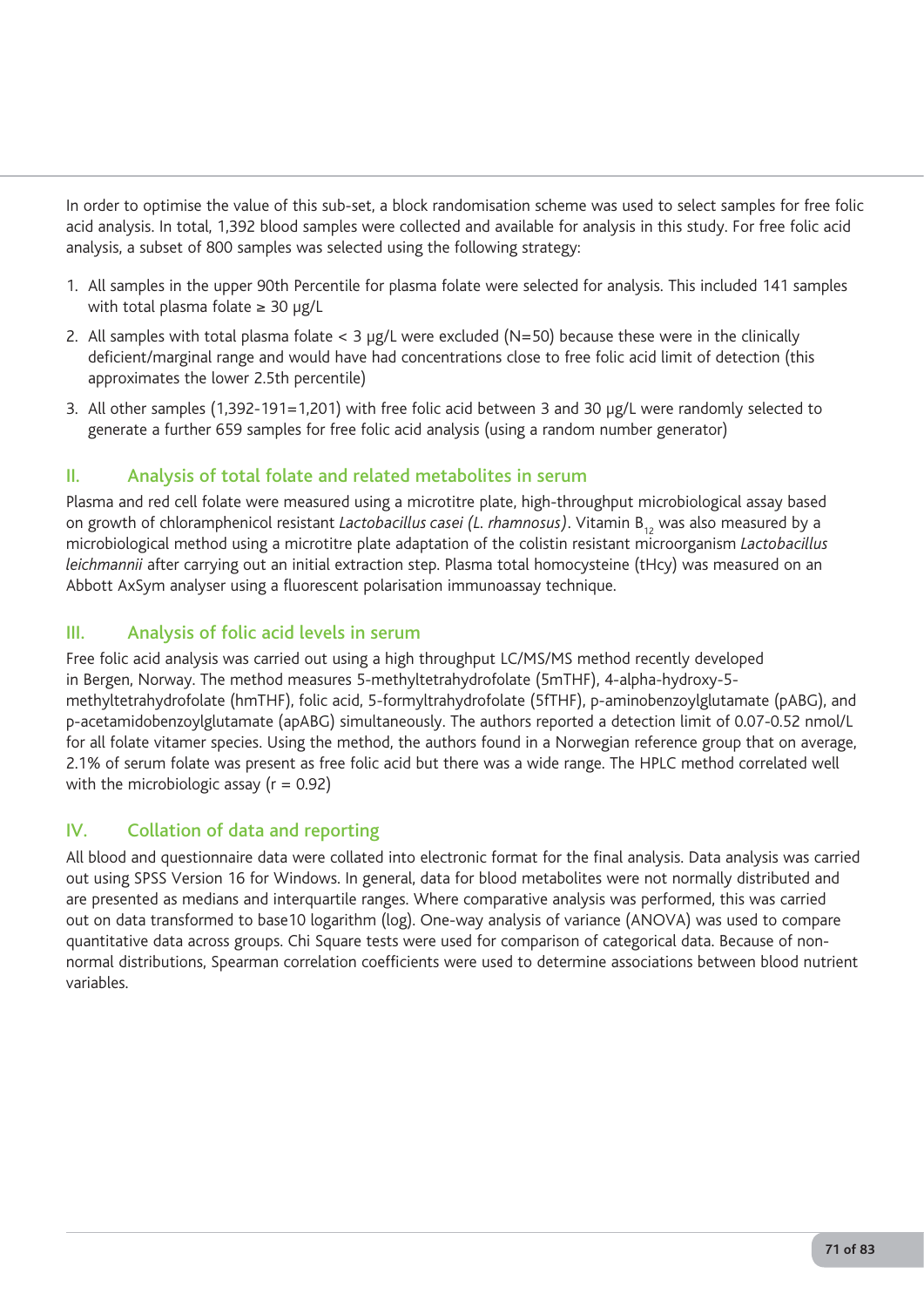In order to optimise the value of this sub-set, a block randomisation scheme was used to select samples for free folic acid analysis. In total, 1,392 blood samples were collected and available for analysis in this study. For free folic acid analysis, a subset of 800 samples was selected using the following strategy:

- 1. All samples in the upper 90th Percentile for plasma folate were selected for analysis. This included 141 samples with total plasma folate  $\geq 30 \mu g/L$
- 2. All samples with total plasma folate < 3 µg/L were excluded (N=50) because these were in the clinically deficient/marginal range and would have had concentrations close to free folic acid limit of detection (this approximates the lower 2.5th percentile)
- 3. All other samples (1,392-191=1,201) with free folic acid between 3 and 30 µg/L were randomly selected to generate a further 659 samples for free folic acid analysis (using a random number generator)

### II. Analysis of total folate and related metabolites in serum

Plasma and red cell folate were measured using a microtitre plate, high-throughput microbiological assay based on growth of chloramphenicol resistant *Lactobacillus casei (L. rhamnosus)*. Vitamin B<sub>12</sub> was also measured by a microbiological method using a microtitre plate adaptation of the colistin resistant microorganism *Lactobacillus leichmannii* after carrying out an initial extraction step. Plasma total homocysteine (tHcy) was measured on an Abbott AxSym analyser using a fluorescent polarisation immunoassay technique.

### III. Analysis of folic acid levels in serum

Free folic acid analysis was carried out using a high throughput LC/MS/MS method recently developed in Bergen, Norway. The method measures 5-methyltetrahydrofolate (5mTHF), 4-alpha-hydroxy-5 methyltetrahydrofolate (hmTHF), folic acid, 5-formyltrahydrofolate (5fTHF), p-aminobenzoylglutamate (pABG), and p-acetamidobenzoylglutamate (apABG) simultaneously. The authors reported a detection limit of 0.07-0.52 nmol/L for all folate vitamer species. Using the method, the authors found in a Norwegian reference group that on average, 2.1% of serum folate was present as free folic acid but there was a wide range. The HPLC method correlated well with the microbiologic assay  $(r = 0.92)$ 

## IV. Collation of data and reporting

All blood and questionnaire data were collated into electronic format for the final analysis. Data analysis was carried out using SPSS Version 16 for Windows. In general, data for blood metabolites were not normally distributed and are presented as medians and interquartile ranges. Where comparative analysis was performed, this was carried out on data transformed to base10 logarithm (log). One-way analysis of variance (ANOVA) was used to compare quantitative data across groups. Chi Square tests were used for comparison of categorical data. Because of nonnormal distributions, Spearman correlation coefficients were used to determine associations between blood nutrient variables.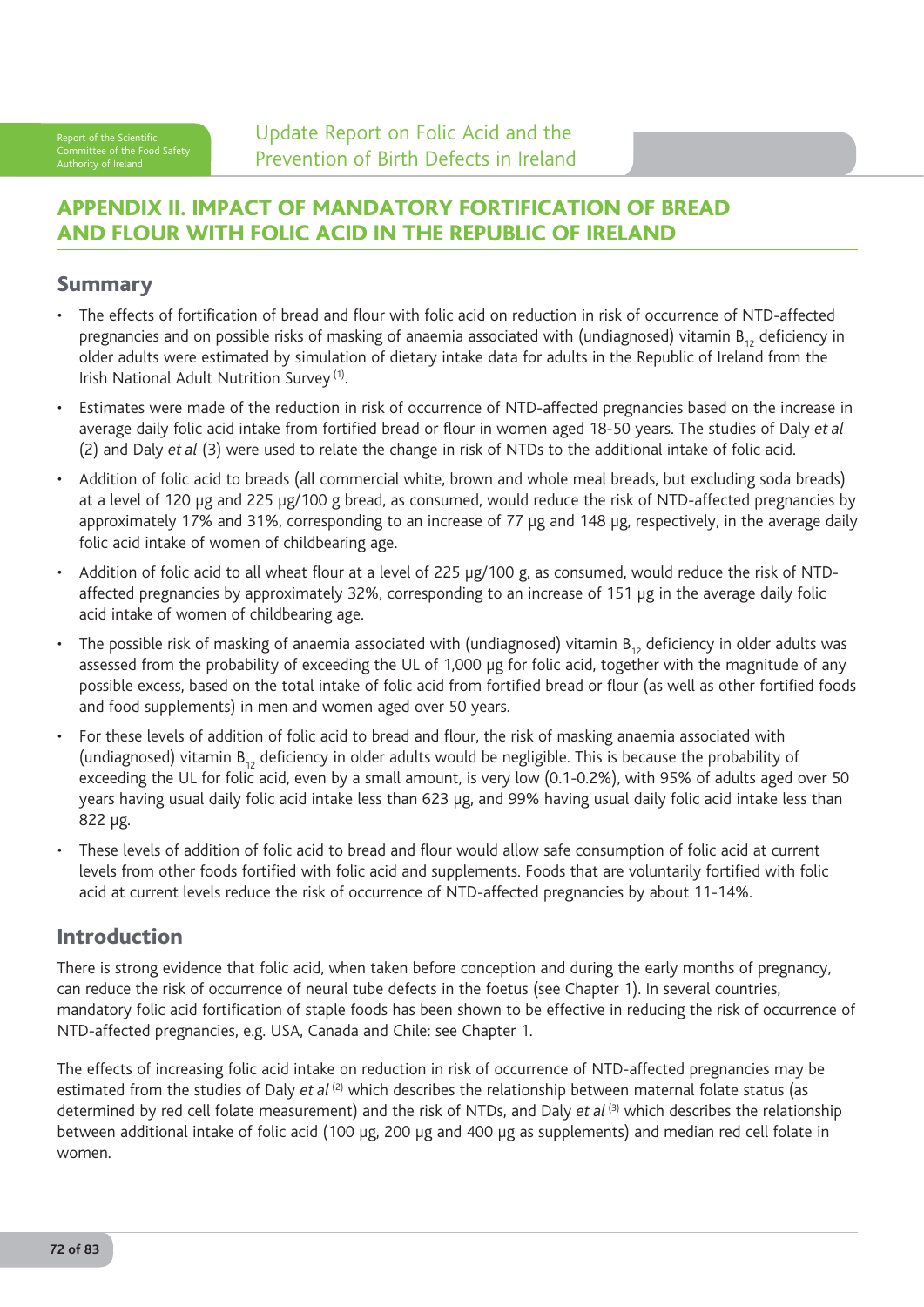# APPENDIX II. IMPACT OF MANDATORY FORTIFICATION OF BREAD AND FLOUR WITH FOLIC ACID IN THE REPUBLIC OF IRELAND

### Summary

- The effects of fortification of bread and flour with folic acid on reduction in risk of occurrence of NTD-affected pregnancies and on possible risks of masking of anaemia associated with (undiagnosed) vitamin  $B_{12}$  deficiency in older adults were estimated by simulation of dietary intake data for adults in the Republic of Ireland from the Irish National Adult Nutrition Survey<sup>(1)</sup>.
- Estimates were made of the reduction in risk of occurrence of NTD-affected pregnancies based on the increase in average daily folic acid intake from fortified bread or flour in women aged 18-50 years. The studies of Daly *et al* (2) and Daly *et al* (3) were used to relate the change in risk of NTDs to the additional intake of folic acid.
- Addition of folic acid to breads (all commercial white, brown and whole meal breads, but excluding soda breads) at a level of 120 µg and 225 µg/100 g bread, as consumed, would reduce the risk of NTD-affected pregnancies by approximately 17% and 31%, corresponding to an increase of 77 µg and 148 µg, respectively, in the average daily folic acid intake of women of childbearing age.
- Addition of folic acid to all wheat flour at a level of 225 µg/100 g, as consumed, would reduce the risk of NTDaffected pregnancies by approximately 32%, corresponding to an increase of 151 µg in the average daily folic acid intake of women of childbearing age.
- The possible risk of masking of anaemia associated with (undiagnosed) vitamin  $B_{12}$  deficiency in older adults was assessed from the probability of exceeding the UL of 1,000 µg for folic acid, together with the magnitude of any possible excess, based on the total intake of folic acid from fortified bread or flour (as well as other fortified foods and food supplements) in men and women aged over 50 years.
- For these levels of addition of folic acid to bread and flour, the risk of masking anaemia associated with (undiagnosed) vitamin  $B_{12}$  deficiency in older adults would be negligible. This is because the probability of exceeding the UL for folic acid, even by a small amount, is very low (0.1-0.2%), with 95% of adults aged over 50 years having usual daily folic acid intake less than 623 µg, and 99% having usual daily folic acid intake less than 822 µg.
- These levels of addition of folic acid to bread and flour would allow safe consumption of folic acid at current levels from other foods fortified with folic acid and supplements. Foods that are voluntarily fortified with folic acid at current levels reduce the risk of occurrence of NTD-affected pregnancies by about 11-14%.

## Introduction

There is strong evidence that folic acid, when taken before conception and during the early months of pregnancy, can reduce the risk of occurrence of neural tube defects in the foetus (see Chapter 1). In several countries, mandatory folic acid fortification of staple foods has been shown to be effective in reducing the risk of occurrence of NTD-affected pregnancies, e.g. USA, Canada and Chile: see Chapter 1.

The effects of increasing folic acid intake on reduction in risk of occurrence of NTD-affected pregnancies may be estimated from the studies of Daly *et al* (2) which describes the relationship between maternal folate status (as determined by red cell folate measurement) and the risk of NTDs, and Daly *et al* (3) which describes the relationship between additional intake of folic acid (100 µg, 200 µg and 400 µg as supplements) and median red cell folate in women.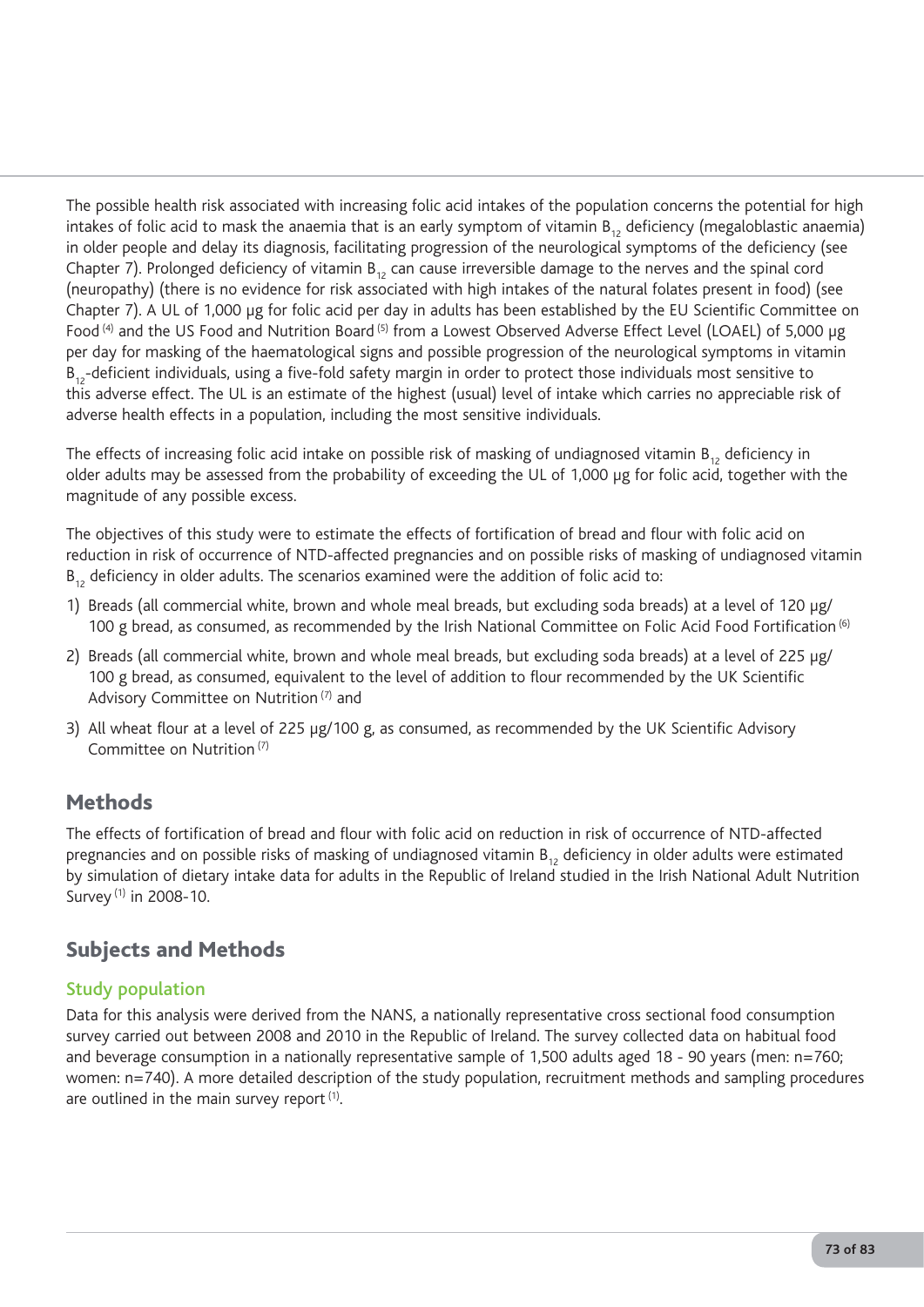The possible health risk associated with increasing folic acid intakes of the population concerns the potential for high intakes of folic acid to mask the anaemia that is an early symptom of vitamin  $B_{12}$  deficiency (megaloblastic anaemia) in older people and delay its diagnosis, facilitating progression of the neurological symptoms of the deficiency (see Chapter 7). Prolonged deficiency of vitamin  $B_{12}$  can cause irreversible damage to the nerves and the spinal cord (neuropathy) (there is no evidence for risk associated with high intakes of the natural folates present in food) (see Chapter 7). A UL of 1,000 µg for folic acid per day in adults has been established by the EU Scientific Committee on Food<sup>(4)</sup> and the US Food and Nutrition Board<sup>(5)</sup> from a Lowest Observed Adverse Effect Level (LOAEL) of 5,000 µg per day for masking of the haematological signs and possible progression of the neurological symptoms in vitamin B<sub>12</sub>-deficient individuals, using a five-fold safety margin in order to protect those individuals most sensitive to this adverse effect. The UL is an estimate of the highest (usual) level of intake which carries no appreciable risk of adverse health effects in a population, including the most sensitive individuals.

The effects of increasing folic acid intake on possible risk of masking of undiagnosed vitamin  $B_{12}$  deficiency in older adults may be assessed from the probability of exceeding the UL of 1,000 µg for folic acid, together with the magnitude of any possible excess.

The objectives of this study were to estimate the effects of fortification of bread and flour with folic acid on reduction in risk of occurrence of NTD-affected pregnancies and on possible risks of masking of undiagnosed vitamin  $B_{12}$  deficiency in older adults. The scenarios examined were the addition of folic acid to:

- 1) Breads (all commercial white, brown and whole meal breads, but excluding soda breads) at a level of 120 µg/ 100 g bread, as consumed, as recommended by the Irish National Committee on Folic Acid Food Fortification (6)
- 2) Breads (all commercial white, brown and whole meal breads, but excluding soda breads) at a level of 225 µg/ 100 g bread, as consumed, equivalent to the level of addition to flour recommended by the UK Scientific Advisory Committee on Nutrition<sup>(7)</sup> and
- 3) All wheat flour at a level of 225 µg/100 g, as consumed, as recommended by the UK Scientific Advisory Committee on Nutrition (7)

# Methods

The effects of fortification of bread and flour with folic acid on reduction in risk of occurrence of NTD-affected pregnancies and on possible risks of masking of undiagnosed vitamin  $B_{12}$  deficiency in older adults were estimated by simulation of dietary intake data for adults in the Republic of Ireland studied in the Irish National Adult Nutrition Survey (1) in 2008-10.

# Subjects and Methods

# Study population

Data for this analysis were derived from the NANS, a nationally representative cross sectional food consumption survey carried out between 2008 and 2010 in the Republic of Ireland. The survey collected data on habitual food and beverage consumption in a nationally representative sample of 1,500 adults aged 18 - 90 years (men: n=760; women: n=740). A more detailed description of the study population, recruitment methods and sampling procedures are outlined in the main survey report  $(1)$ .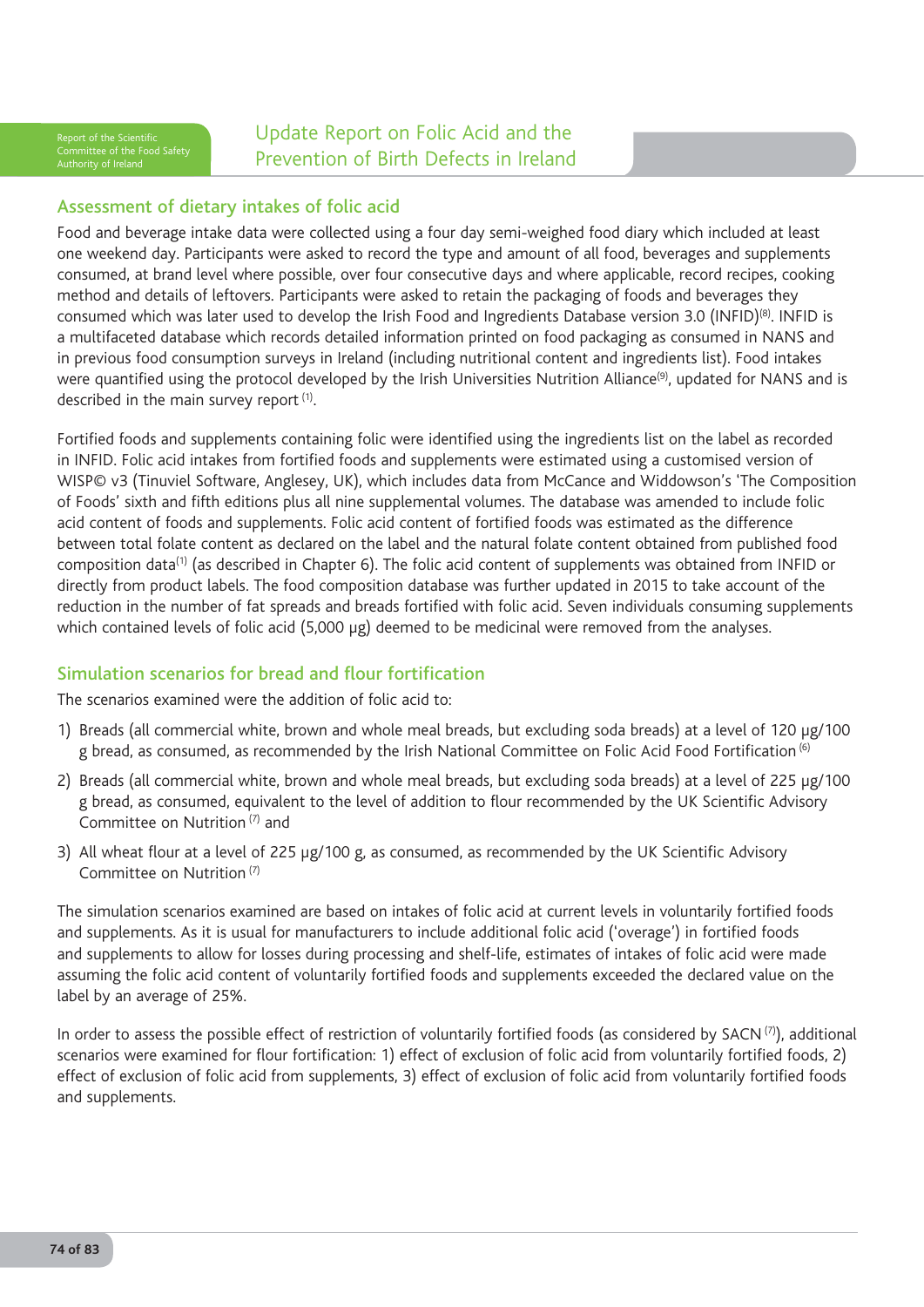### Assessment of dietary intakes of folic acid

Food and beverage intake data were collected using a four day semi-weighed food diary which included at least one weekend day. Participants were asked to record the type and amount of all food, beverages and supplements consumed, at brand level where possible, over four consecutive days and where applicable, record recipes, cooking method and details of leftovers. Participants were asked to retain the packaging of foods and beverages they consumed which was later used to develop the Irish Food and Ingredients Database version 3.0 (INFID)(8). INFID is a multifaceted database which records detailed information printed on food packaging as consumed in NANS and in previous food consumption surveys in Ireland (including nutritional content and ingredients list). Food intakes were quantified using the protocol developed by the Irish Universities Nutrition Alliance(9), updated for NANS and is described in the main survey report <sup>(1)</sup>.

Fortified foods and supplements containing folic were identified using the ingredients list on the label as recorded in INFID. Folic acid intakes from fortified foods and supplements were estimated using a customised version of WISP© v3 (Tinuviel Software, Anglesey, UK), which includes data from McCance and Widdowson's 'The Composition of Foods' sixth and fifth editions plus all nine supplemental volumes. The database was amended to include folic acid content of foods and supplements. Folic acid content of fortified foods was estimated as the difference between total folate content as declared on the label and the natural folate content obtained from published food composition data(1) (as described in Chapter 6). The folic acid content of supplements was obtained from INFID or directly from product labels. The food composition database was further updated in 2015 to take account of the reduction in the number of fat spreads and breads fortified with folic acid. Seven individuals consuming supplements which contained levels of folic acid (5,000 µg) deemed to be medicinal were removed from the analyses.

#### Simulation scenarios for bread and flour fortification

The scenarios examined were the addition of folic acid to:

- 1) Breads (all commercial white, brown and whole meal breads, but excluding soda breads) at a level of 120 µg/100 g bread, as consumed, as recommended by the Irish National Committee on Folic Acid Food Fortification (6)
- 2) Breads (all commercial white, brown and whole meal breads, but excluding soda breads) at a level of 225 µg/100 g bread, as consumed, equivalent to the level of addition to flour recommended by the UK Scientific Advisory Committee on Nutrition (7) and
- 3) All wheat flour at a level of 225 µg/100 g, as consumed, as recommended by the UK Scientific Advisory Committee on Nutrition (7)

The simulation scenarios examined are based on intakes of folic acid at current levels in voluntarily fortified foods and supplements. As it is usual for manufacturers to include additional folic acid ('overage') in fortified foods and supplements to allow for losses during processing and shelf-life, estimates of intakes of folic acid were made assuming the folic acid content of voluntarily fortified foods and supplements exceeded the declared value on the label by an average of 25%.

In order to assess the possible effect of restriction of voluntarily fortified foods (as considered by SACN $(7)$ ), additional scenarios were examined for flour fortification: 1) effect of exclusion of folic acid from voluntarily fortified foods, 2) effect of exclusion of folic acid from supplements, 3) effect of exclusion of folic acid from voluntarily fortified foods and supplements.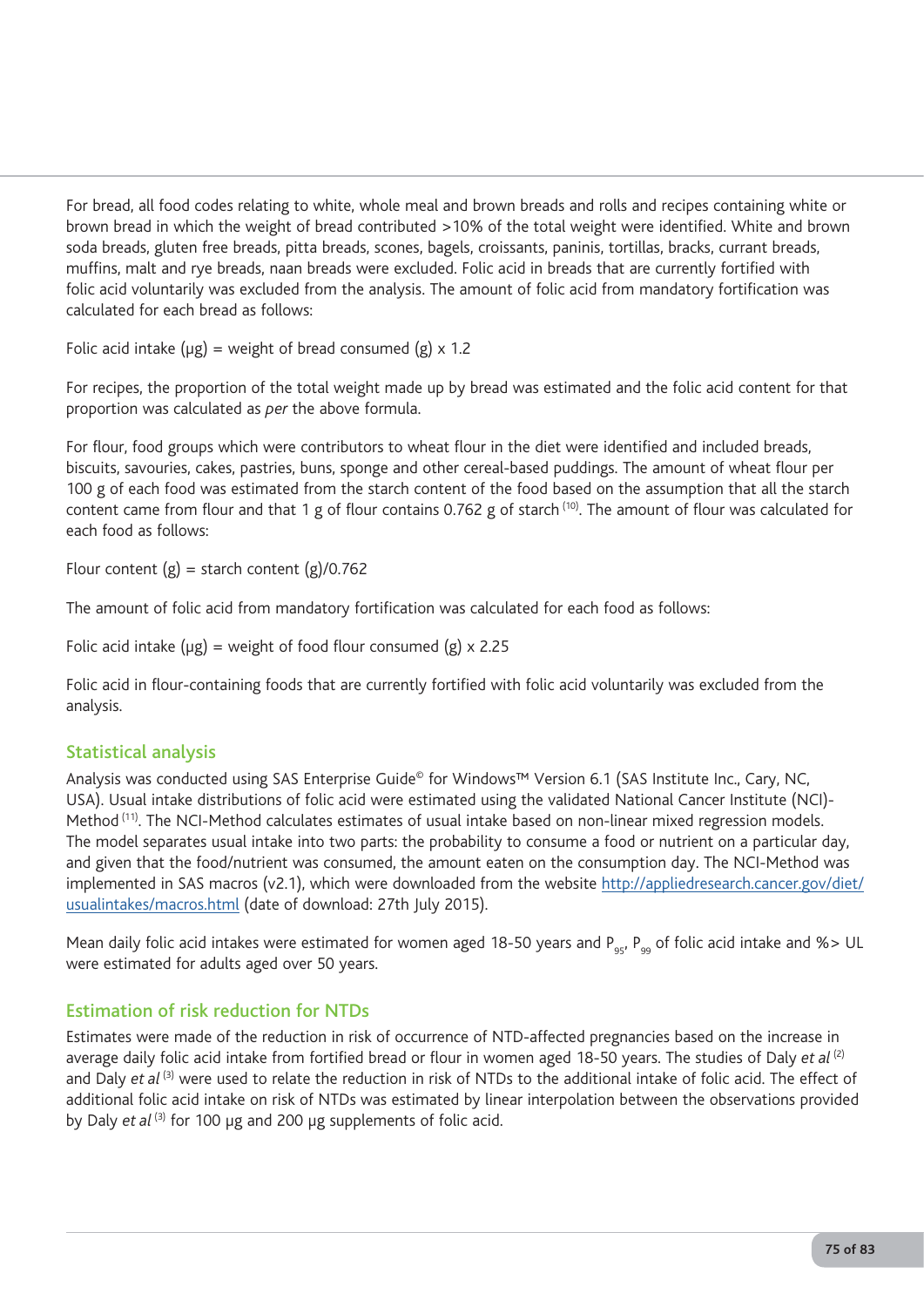For bread, all food codes relating to white, whole meal and brown breads and rolls and recipes containing white or brown bread in which the weight of bread contributed >10% of the total weight were identified. White and brown soda breads, gluten free breads, pitta breads, scones, bagels, croissants, paninis, tortillas, bracks, currant breads, muffins, malt and rye breads, naan breads were excluded. Folic acid in breads that are currently fortified with folic acid voluntarily was excluded from the analysis. The amount of folic acid from mandatory fortification was calculated for each bread as follows:

Folic acid intake ( $\mu$ g) = weight of bread consumed (g) x 1.2

For recipes, the proportion of the total weight made up by bread was estimated and the folic acid content for that proportion was calculated as *per* the above formula.

For flour, food groups which were contributors to wheat flour in the diet were identified and included breads, biscuits, savouries, cakes, pastries, buns, sponge and other cereal-based puddings. The amount of wheat flour per 100 g of each food was estimated from the starch content of the food based on the assumption that all the starch content came from flour and that 1 g of flour contains 0.762 g of starch <sup>(10)</sup>. The amount of flour was calculated for each food as follows:

Flour content  $(g)$  = starch content  $(g)/0.762$ 

The amount of folic acid from mandatory fortification was calculated for each food as follows:

Folic acid intake ( $\mu$ g) = weight of food flour consumed (g) x 2.25

Folic acid in flour-containing foods that are currently fortified with folic acid voluntarily was excluded from the analysis.

## Statistical analysis

Analysis was conducted using SAS Enterprise Guide© for Windows™ Version 6.1 (SAS Institute Inc., Cary, NC, USA). Usual intake distributions of folic acid were estimated using the validated National Cancer Institute (NCI)- Method <sup>(11)</sup>. The NCI-Method calculates estimates of usual intake based on non-linear mixed regression models. The model separates usual intake into two parts: the probability to consume a food or nutrient on a particular day, and given that the food/nutrient was consumed, the amount eaten on the consumption day. The NCI-Method was implemented in SAS macros (v2.1), which were downloaded from the website [http://appliedresearch.cancer.gov/diet/](http://appliedresearch.cancer.gov/diet/usualintakes/macros.html) [usualintakes/macros.html](http://appliedresearch.cancer.gov/diet/usualintakes/macros.html) (date of download: 27th July 2015).

Mean daily folic acid intakes were estimated for women aged 18-50 years and P<sub>95</sub>, P<sub>99</sub> of folic acid intake and %> UL were estimated for adults aged over 50 years.

## Estimation of risk reduction for NTDs

Estimates were made of the reduction in risk of occurrence of NTD-affected pregnancies based on the increase in average daily folic acid intake from fortified bread or flour in women aged 18-50 years. The studies of Daly *et al* (2) and Daly *et al* (3) were used to relate the reduction in risk of NTDs to the additional intake of folic acid. The effect of additional folic acid intake on risk of NTDs was estimated by linear interpolation between the observations provided by Daly *et al* (3) for 100 µg and 200 µg supplements of folic acid.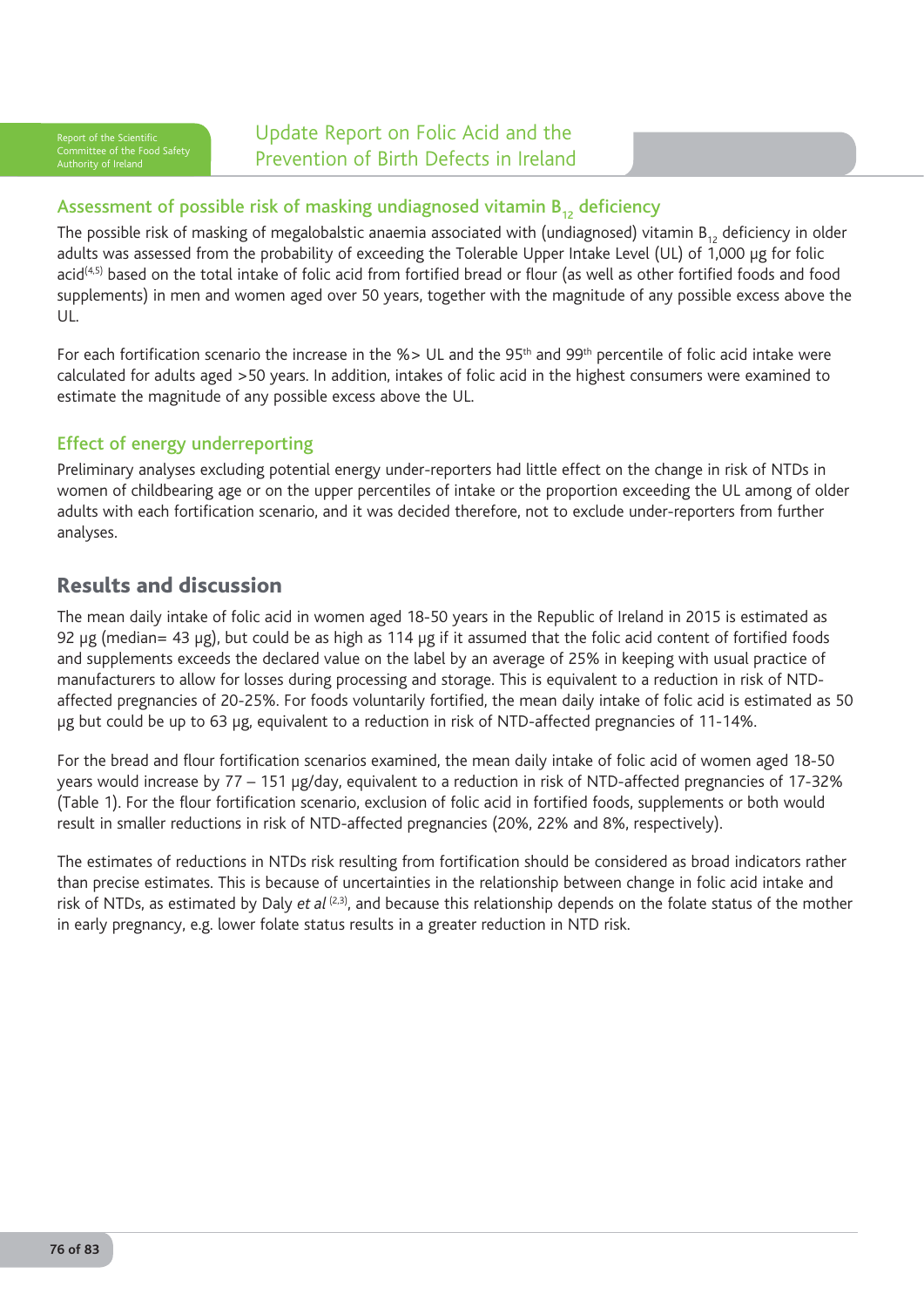### Assessment of possible risk of masking undiagnosed vitamin  $B_{12}$  deficiency

The possible risk of masking of megalobalstic anaemia associated with (undiagnosed) vitamin  $B_{12}$  deficiency in older adults was assessed from the probability of exceeding the Tolerable Upper Intake Level (UL) of 1,000 µg for folic acid<sup>(4,5)</sup> based on the total intake of folic acid from fortified bread or flour (as well as other fortified foods and food supplements) in men and women aged over 50 years, together with the magnitude of any possible excess above the UL.

For each fortification scenario the increase in the %> UL and the 95<sup>th</sup> and 99<sup>th</sup> percentile of folic acid intake were calculated for adults aged >50 years. In addition, intakes of folic acid in the highest consumers were examined to estimate the magnitude of any possible excess above the UL.

### Effect of energy underreporting

Preliminary analyses excluding potential energy under-reporters had little effect on the change in risk of NTDs in women of childbearing age or on the upper percentiles of intake or the proportion exceeding the UL among of older adults with each fortification scenario, and it was decided therefore, not to exclude under-reporters from further analyses.

# Results and discussion

The mean daily intake of folic acid in women aged 18-50 years in the Republic of Ireland in 2015 is estimated as 92 µg (median= 43 µg), but could be as high as 114 µg if it assumed that the folic acid content of fortified foods and supplements exceeds the declared value on the label by an average of 25% in keeping with usual practice of manufacturers to allow for losses during processing and storage. This is equivalent to a reduction in risk of NTDaffected pregnancies of 20-25%. For foods voluntarily fortified, the mean daily intake of folic acid is estimated as 50 µg but could be up to 63 µg, equivalent to a reduction in risk of NTD-affected pregnancies of 11-14%.

For the bread and flour fortification scenarios examined, the mean daily intake of folic acid of women aged 18-50 years would increase by 77 – 151 µg/day, equivalent to a reduction in risk of NTD-affected pregnancies of 17-32% (Table 1). For the flour fortification scenario, exclusion of folic acid in fortified foods, supplements or both would result in smaller reductions in risk of NTD-affected pregnancies (20%, 22% and 8%, respectively).

The estimates of reductions in NTDs risk resulting from fortification should be considered as broad indicators rather than precise estimates. This is because of uncertainties in the relationship between change in folic acid intake and risk of NTDs, as estimated by Daly *et al* (2,3), and because this relationship depends on the folate status of the mother in early pregnancy, e.g. lower folate status results in a greater reduction in NTD risk.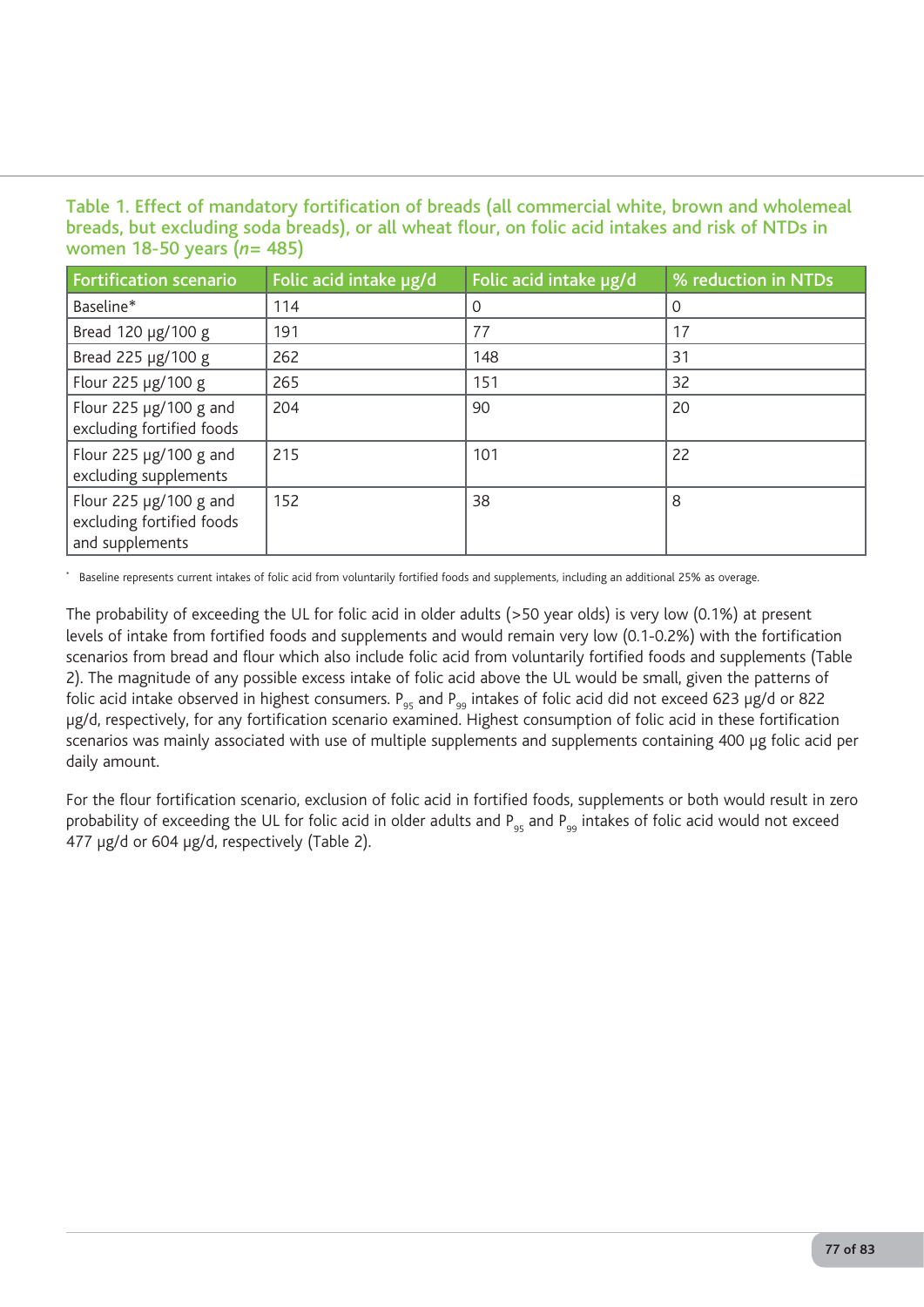| Table 1. Effect of mandatory fortification of breads (all commercial white, brown and wholemeal   |  |
|---------------------------------------------------------------------------------------------------|--|
| breads, but excluding soda breads), or all wheat flour, on folic acid intakes and risk of NTDs in |  |
| women 18-50 years (n= 485)                                                                        |  |

| <b>Fortification scenario</b>                                               | Folic acid intake µg/d | Folic acid intake µg/d | % reduction in NTDs |
|-----------------------------------------------------------------------------|------------------------|------------------------|---------------------|
| Baseline*                                                                   | 114                    | 0                      | O                   |
| Bread 120 µg/100 g                                                          | 191                    | 77                     | 17                  |
| Bread 225 µg/100 g                                                          | 262                    | 148                    | 31                  |
| Flour 225 µg/100 g                                                          | 265                    | 151                    | 32                  |
| Flour 225 $\mu$ g/100 g and<br>excluding fortified foods                    | 204                    | 90                     | 20                  |
| Flour 225 µg/100 g and<br>excluding supplements                             | 215                    | 101                    | 22                  |
| Flour 225 $\mu$ g/100 g and<br>excluding fortified foods<br>and supplements | 152                    | 38                     | 8                   |

\* Baseline represents current intakes of folic acid from voluntarily fortified foods and supplements, including an additional 25% as overage.

The probability of exceeding the UL for folic acid in older adults (>50 year olds) is very low (0.1%) at present levels of intake from fortified foods and supplements and would remain very low (0.1-0.2%) with the fortification scenarios from bread and flour which also include folic acid from voluntarily fortified foods and supplements (Table 2). The magnitude of any possible excess intake of folic acid above the UL would be small, given the patterns of folic acid intake observed in highest consumers.  $P_{95}$  and  $P_{99}$  intakes of folic acid did not exceed 623 µg/d or 822 µg/d, respectively, for any fortification scenario examined. Highest consumption of folic acid in these fortification scenarios was mainly associated with use of multiple supplements and supplements containing 400 µg folic acid per daily amount.

For the flour fortification scenario, exclusion of folic acid in fortified foods, supplements or both would result in zero probability of exceeding the UL for folic acid in older adults and  $P_{95}$  and  $P_{99}$  intakes of folic acid would not exceed 477 µg/d or 604 µg/d, respectively (Table 2).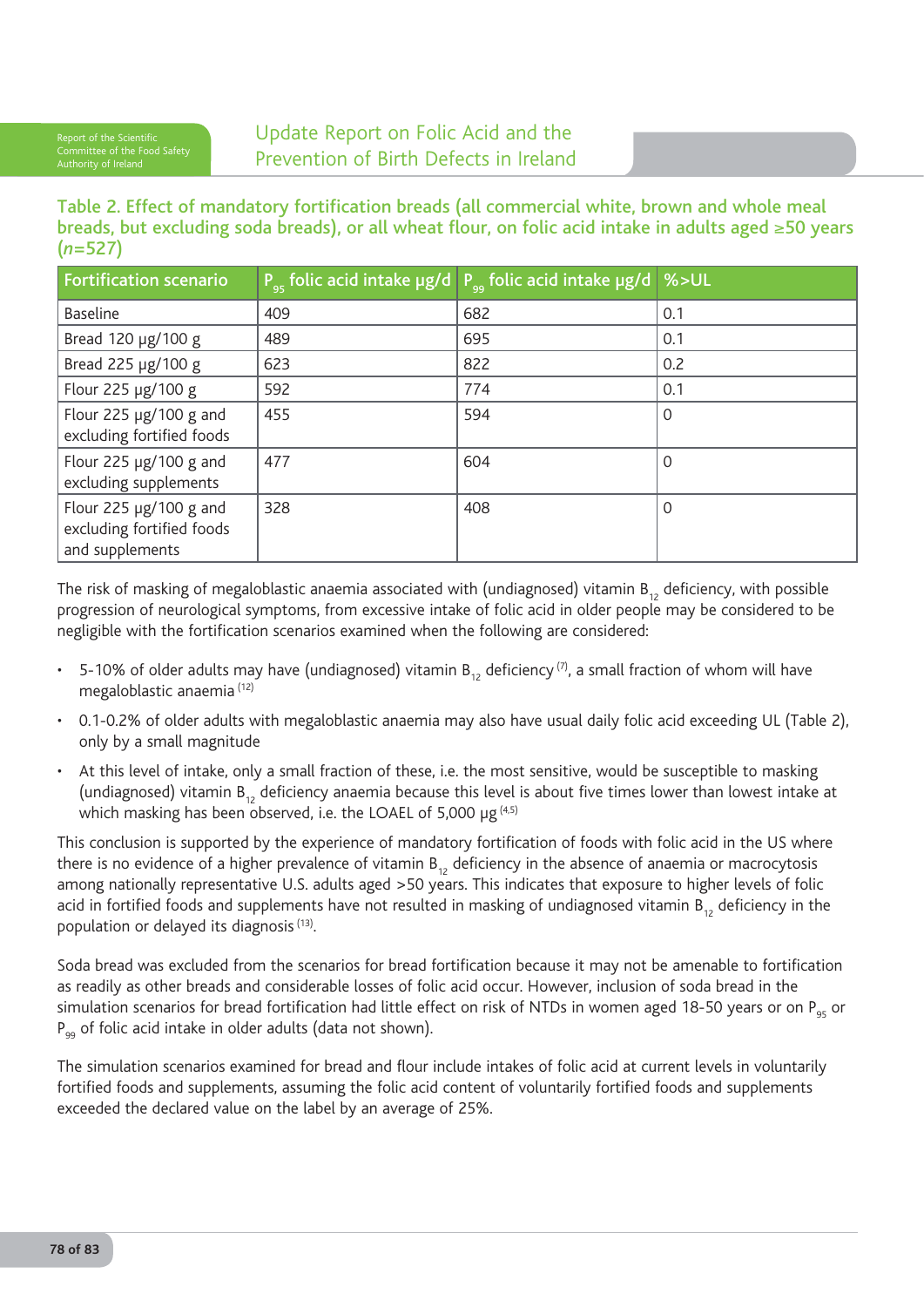Table 2. Effect of mandatory fortification breads (all commercial white, brown and whole meal breads, but excluding soda breads), or all wheat flour, on folic acid intake in adults aged ≥50 years (*n*=527)

| <b>Fortification scenario</b>                                               |     | $P_{\alpha\varsigma}$ folic acid intake $\mu$ g/d $P_{\alpha\varsigma}$ folic acid intake $\mu$ g/d   %>UL |     |
|-----------------------------------------------------------------------------|-----|------------------------------------------------------------------------------------------------------------|-----|
| <b>Baseline</b>                                                             | 409 | 682                                                                                                        | 0.1 |
| Bread 120 µg/100 g                                                          | 489 | 695                                                                                                        | 0.1 |
| Bread 225 µg/100 g                                                          | 623 | 822                                                                                                        | 0.2 |
| Flour 225 µg/100 g                                                          | 592 | 774                                                                                                        | 0.1 |
| Flour 225 $\mu$ g/100 g and<br>excluding fortified foods                    | 455 | 594                                                                                                        | 0   |
| Flour 225 µg/100 g and<br>excluding supplements                             | 477 | 604                                                                                                        | 0   |
| Flour 225 $\mu$ g/100 g and<br>excluding fortified foods<br>and supplements | 328 | 408                                                                                                        | 0   |

The risk of masking of megaloblastic anaemia associated with (undiagnosed) vitamin  $B_{12}$  deficiency, with possible progression of neurological symptoms, from excessive intake of folic acid in older people may be considered to be negligible with the fortification scenarios examined when the following are considered:

- 5-10% of older adults may have (undiagnosed) vitamin  $B_{12}$  deficiency <sup>(7)</sup>, a small fraction of whom will have megaloblastic anaemia (12)
- 0.1-0.2% of older adults with megaloblastic anaemia may also have usual daily folic acid exceeding UL (Table 2), only by a small magnitude
- At this level of intake, only a small fraction of these, i.e. the most sensitive, would be susceptible to masking (undiagnosed) vitamin  $B_{12}$  deficiency anaemia because this level is about five times lower than lowest intake at which masking has been observed, i.e. the LOAEL of 5,000  $\mu$ g<sup>(4,5)</sup>

This conclusion is supported by the experience of mandatory fortification of foods with folic acid in the US where there is no evidence of a higher prevalence of vitamin  $B_{12}$  deficiency in the absence of anaemia or macrocytosis among nationally representative U.S. adults aged >50 years. This indicates that exposure to higher levels of folic acid in fortified foods and supplements have not resulted in masking of undiagnosed vitamin  $B_{12}$  deficiency in the population or delayed its diagnosis (13).

Soda bread was excluded from the scenarios for bread fortification because it may not be amenable to fortification as readily as other breads and considerable losses of folic acid occur. However, inclusion of soda bread in the simulation scenarios for bread fortification had little effect on risk of NTDs in women aged 18-50 years or on  $P_{q5}$  or  $P_{\infty}$  of folic acid intake in older adults (data not shown).

The simulation scenarios examined for bread and flour include intakes of folic acid at current levels in voluntarily fortified foods and supplements, assuming the folic acid content of voluntarily fortified foods and supplements exceeded the declared value on the label by an average of 25%.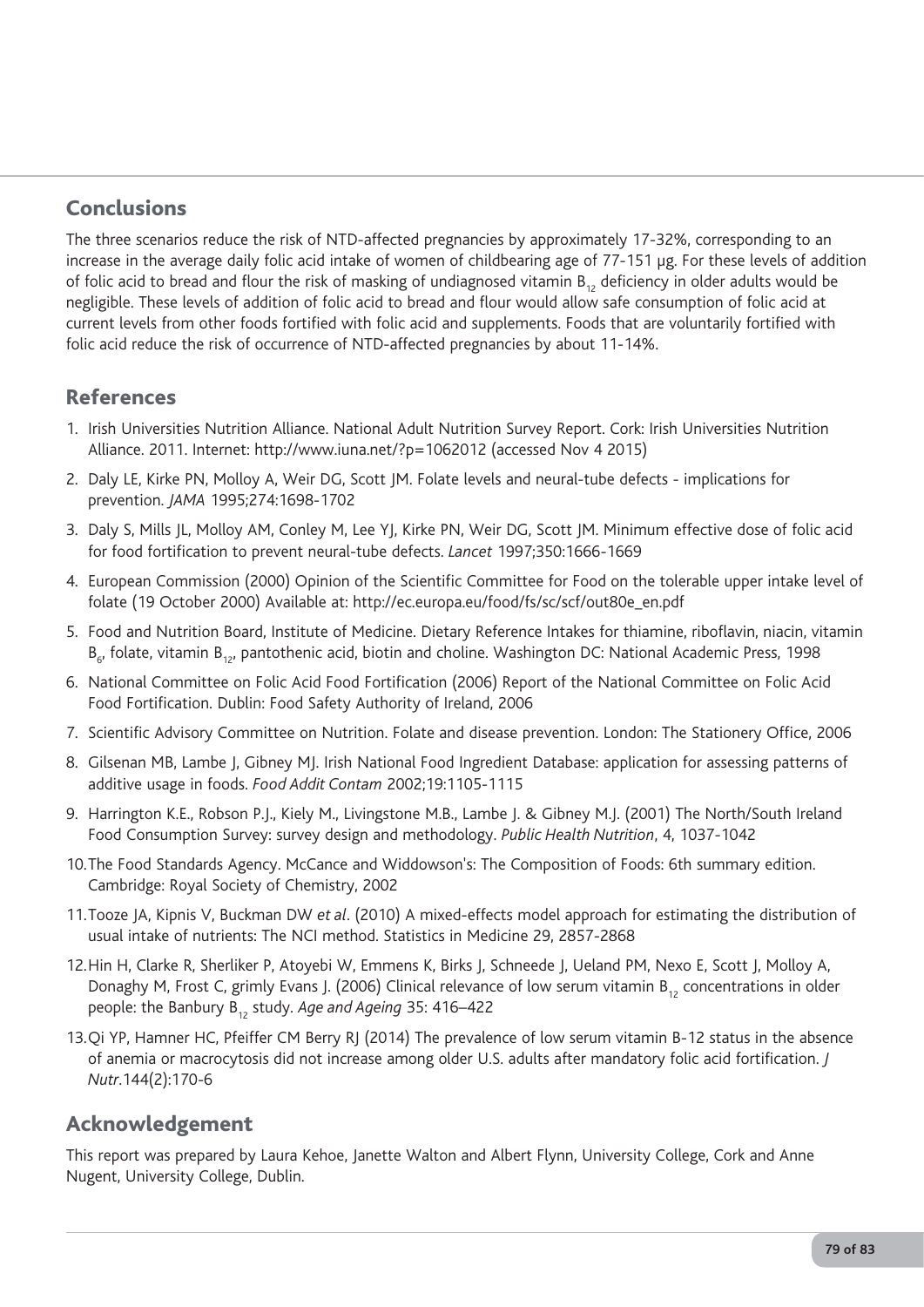# Conclusions

The three scenarios reduce the risk of NTD-affected pregnancies by approximately 17-32%, corresponding to an increase in the average daily folic acid intake of women of childbearing age of 77-151 µg. For these levels of addition of folic acid to bread and flour the risk of masking of undiagnosed vitamin B<sub>12</sub> deficiency in older adults would be negligible. These levels of addition of folic acid to bread and flour would allow safe consumption of folic acid at current levels from other foods fortified with folic acid and supplements. Foods that are voluntarily fortified with folic acid reduce the risk of occurrence of NTD-affected pregnancies by about 11-14%.

## References

- 1. Irish Universities Nutrition Alliance. National Adult Nutrition Survey Report. Cork: Irish Universities Nutrition Alliance. 2011. Internet: http://www.iuna.net/?p=1062012 (accessed Nov 4 2015)
- 2. Daly LE, Kirke PN, Molloy A, Weir DG, Scott JM. Folate levels and neural-tube defects implications for prevention. *JAMA* 1995;274:1698-1702
- 3. Daly S, Mills JL, Molloy AM, Conley M, Lee YJ, Kirke PN, Weir DG, Scott JM. Minimum effective dose of folic acid for food fortification to prevent neural-tube defects. *Lancet* 1997;350:1666-1669
- 4. European Commission (2000) Opinion of the Scientific Committee for Food on the tolerable upper intake level of folate (19 October 2000) Available at: http://ec.europa.eu/food/fs/sc/scf/out80e\_en.pdf
- 5. Food and Nutrition Board, Institute of Medicine. Dietary Reference Intakes for thiamine, riboflavin, niacin, vitamin B<sub>6</sub>, folate, vitamin B<sub>12</sub>, pantothenic acid, biotin and choline. Washington DC: National Academic Press, 1998
- 6. National Committee on Folic Acid Food Fortification (2006) Report of the National Committee on Folic Acid Food Fortification. Dublin: Food Safety Authority of Ireland, 2006
- 7. Scientific Advisory Committee on Nutrition. Folate and disease prevention. London: The Stationery Office, 2006
- 8. Gilsenan MB, Lambe J, Gibney MJ. Irish National Food Ingredient Database: application for assessing patterns of additive usage in foods. *Food Addit Contam* 2002;19:1105-1115
- 9. Harrington K.E., Robson P.J., Kiely M., Livingstone M.B., Lambe J. & Gibney M.J. (2001) The North/South Ireland Food Consumption Survey: survey design and methodology. *Public Health Nutrition*, 4, 1037-1042
- 10.The Food Standards Agency. McCance and Widdowson's: The Composition of Foods: 6th summary edition. Cambridge: Royal Society of Chemistry, 2002
- 11.Tooze JA, Kipnis V, Buckman DW *et al*. (2010) A mixed-effects model approach for estimating the distribution of usual intake of nutrients: The NCI method. Statistics in Medicine 29, 2857-2868
- 12.Hin H, Clarke R, Sherliker P, Atoyebi W, Emmens K, Birks J, Schneede J, Ueland PM, Nexo E, Scott J, Molloy A, Donaghy M, Frost C, grimly Evans J. (2006) Clinical relevance of low serum vitamin  $B_{12}$  concentrations in older people: the Banbury B12 study. *Age and Ageing* 35: 416–422
- 13.Qi YP, Hamner HC, Pfeiffer CM Berry RJ (2014) The prevalence of low serum vitamin B-12 status in the absence of anemia or macrocytosis did not increase among older U.S. adults after mandatory folic acid fortification. *J Nutr*.144(2):170-6

# Acknowledgement

This report was prepared by Laura Kehoe, Janette Walton and Albert Flynn, University College, Cork and Anne Nugent, University College, Dublin.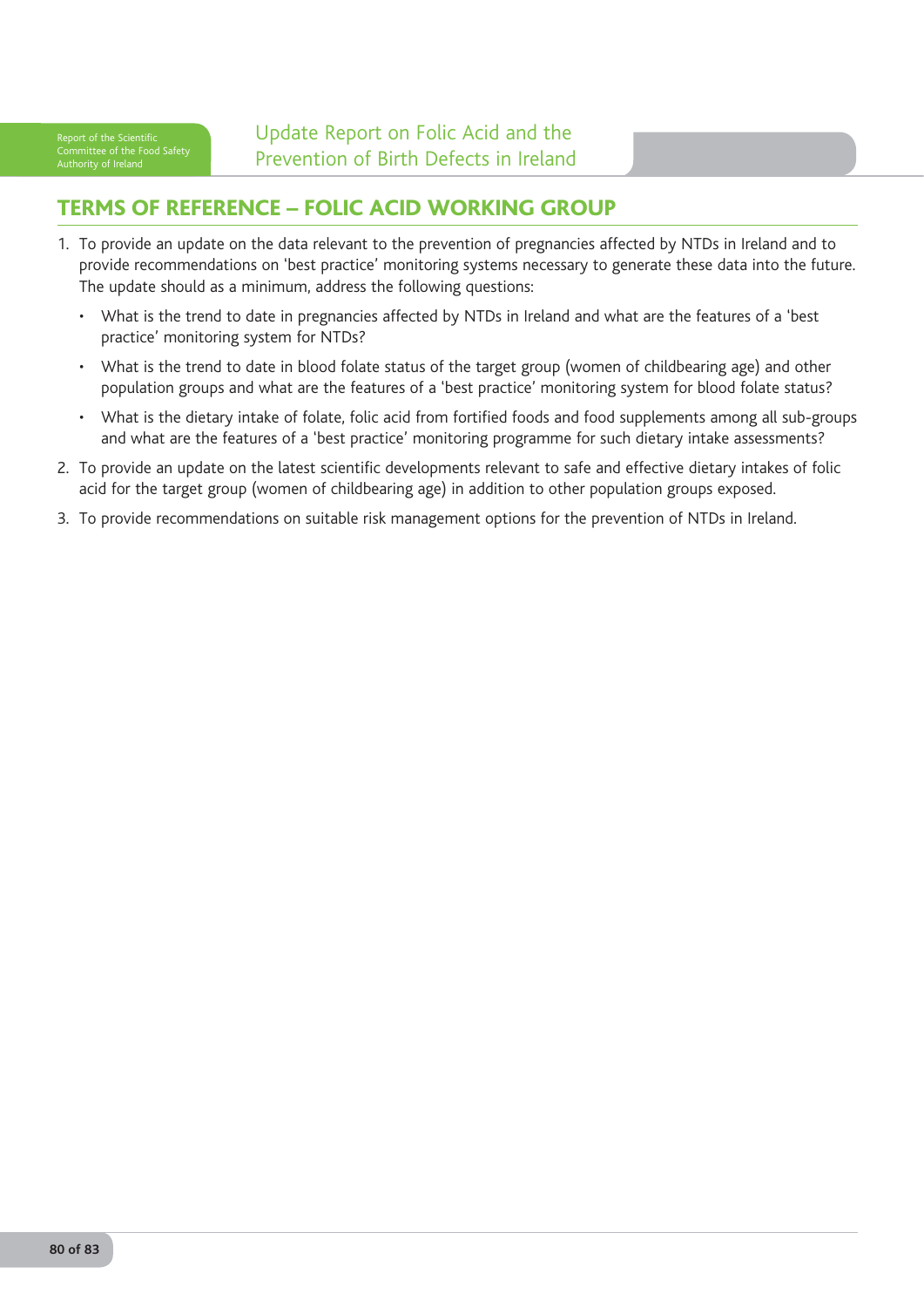# TERMS OF REFERENCE – FOLIC ACID WORKING GROUP

- 1. To provide an update on the data relevant to the prevention of pregnancies affected by NTDs in Ireland and to provide recommendations on 'best practice' monitoring systems necessary to generate these data into the future. The update should as a minimum, address the following questions:
	- What is the trend to date in pregnancies affected by NTDs in Ireland and what are the features of a 'best practice' monitoring system for NTDs?
	- What is the trend to date in blood folate status of the target group (women of childbearing age) and other population groups and what are the features of a 'best practice' monitoring system for blood folate status?
	- What is the dietary intake of folate, folic acid from fortified foods and food supplements among all sub-groups and what are the features of a 'best practice' monitoring programme for such dietary intake assessments?
- 2. To provide an update on the latest scientific developments relevant to safe and effective dietary intakes of folic acid for the target group (women of childbearing age) in addition to other population groups exposed.
- 3. To provide recommendations on suitable risk management options for the prevention of NTDs in Ireland.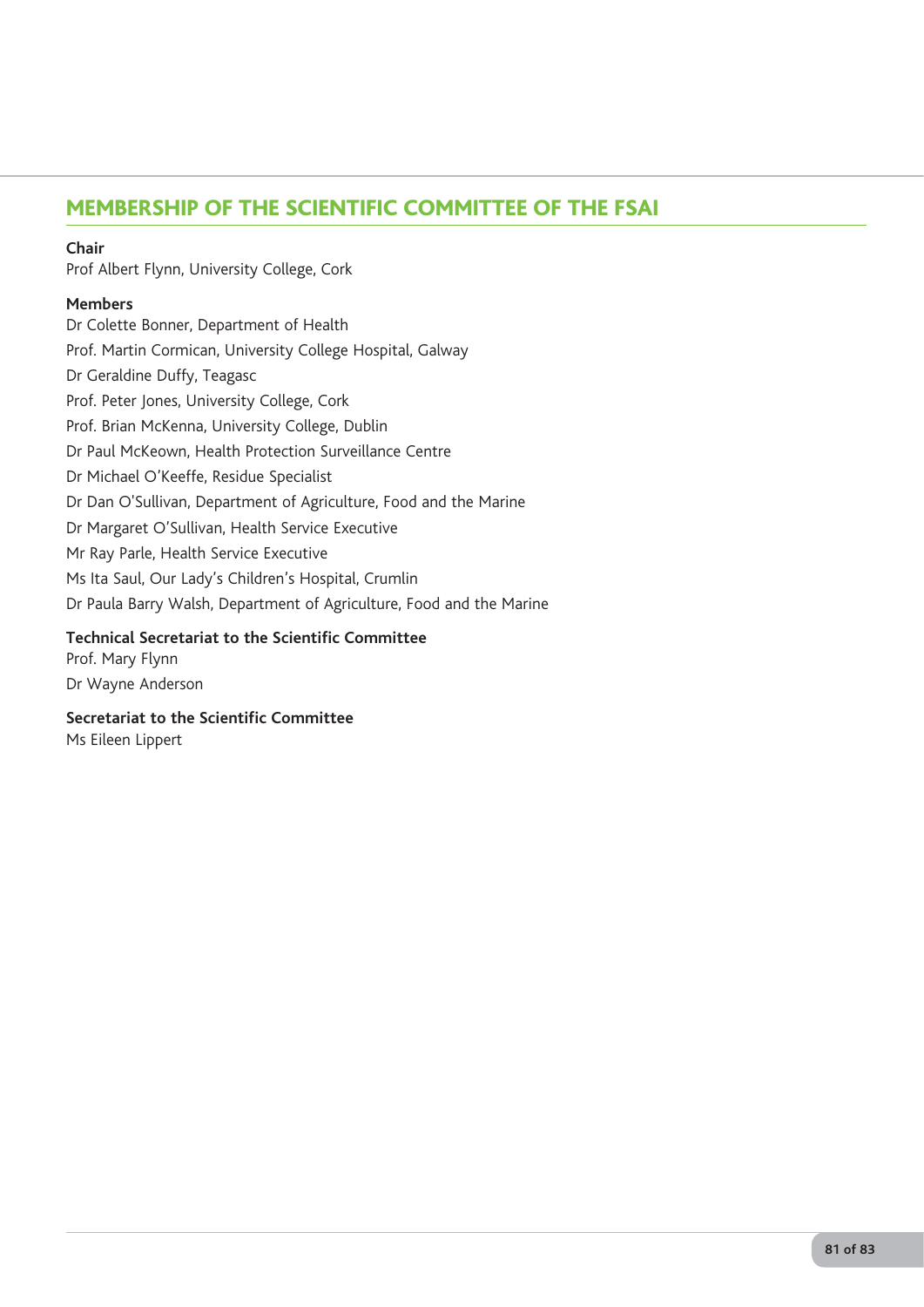# MEMBERSHIP OF THE SCIENTIFIC COMMITTEE OF THE FSAI

#### **Chair**

Prof Albert Flynn, University College, Cork

#### **Members**

Dr Colette Bonner, Department of Health Prof. Martin Cormican, University College Hospital, Galway Dr Geraldine Duffy, Teagasc Prof. Peter Jones, University College, Cork Prof. Brian McKenna, University College, Dublin Dr Paul McKeown, Health Protection Surveillance Centre Dr Michael O'Keeffe, Residue Specialist Dr Dan O'Sullivan, Department of Agriculture, Food and the Marine Dr Margaret O'Sullivan, Health Service Executive Mr Ray Parle, Health Service Executive Ms Ita Saul, Our Lady's Children's Hospital, Crumlin Dr Paula Barry Walsh, Department of Agriculture, Food and the Marine

### **Technical Secretariat to the Scientific Committee** Prof. Mary Flynn Dr Wayne Anderson

**Secretariat to the Scientific Committee** Ms Eileen Lippert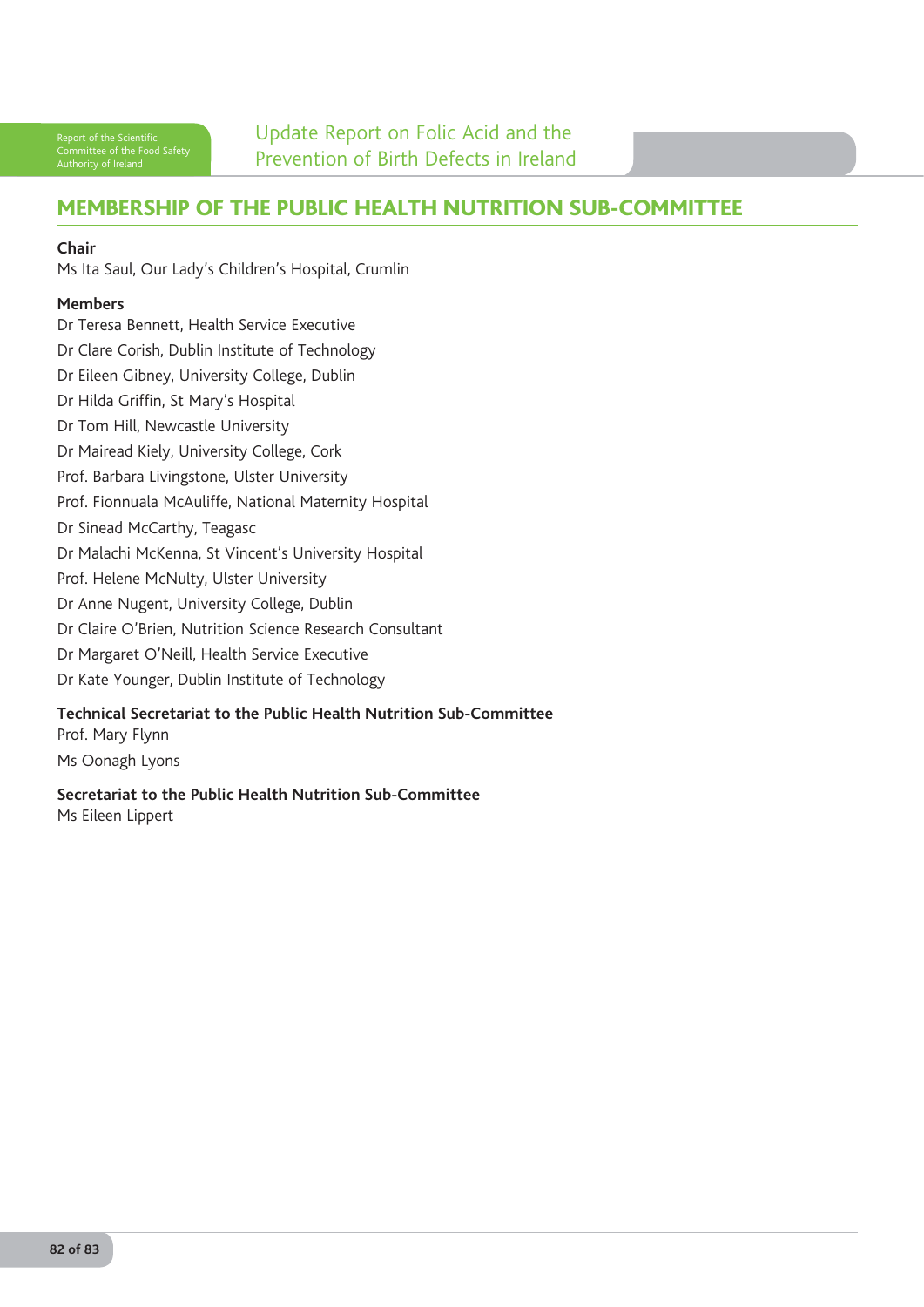# MEMBERSHIP OF THE PUBLIC HEALTH NUTRITION SUB-COMMITTEE

#### **Chair**

Ms Ita Saul, Our Lady's Children's Hospital, Crumlin

#### **Members**

Dr Teresa Bennett, Health Service Executive Dr Clare Corish, Dublin Institute of Technology Dr Eileen Gibney, University College, Dublin Dr Hilda Griffin, St Mary's Hospital Dr Tom Hill, Newcastle University Dr Mairead Kiely, University College, Cork Prof. Barbara Livingstone, Ulster University Prof. Fionnuala McAuliffe, National Maternity Hospital Dr Sinead McCarthy, Teagasc Dr Malachi McKenna, St Vincent's University Hospital Prof. Helene McNulty, Ulster University Dr Anne Nugent, University College, Dublin Dr Claire O'Brien, Nutrition Science Research Consultant Dr Margaret O'Neill, Health Service Executive Dr Kate Younger, Dublin Institute of Technology

#### **Technical Secretariat to the Public Health Nutrition Sub-Committee**

Prof. Mary Flynn Ms Oonagh Lyons

#### **Secretariat to the Public Health Nutrition Sub-Committee**

Ms Eileen Lippert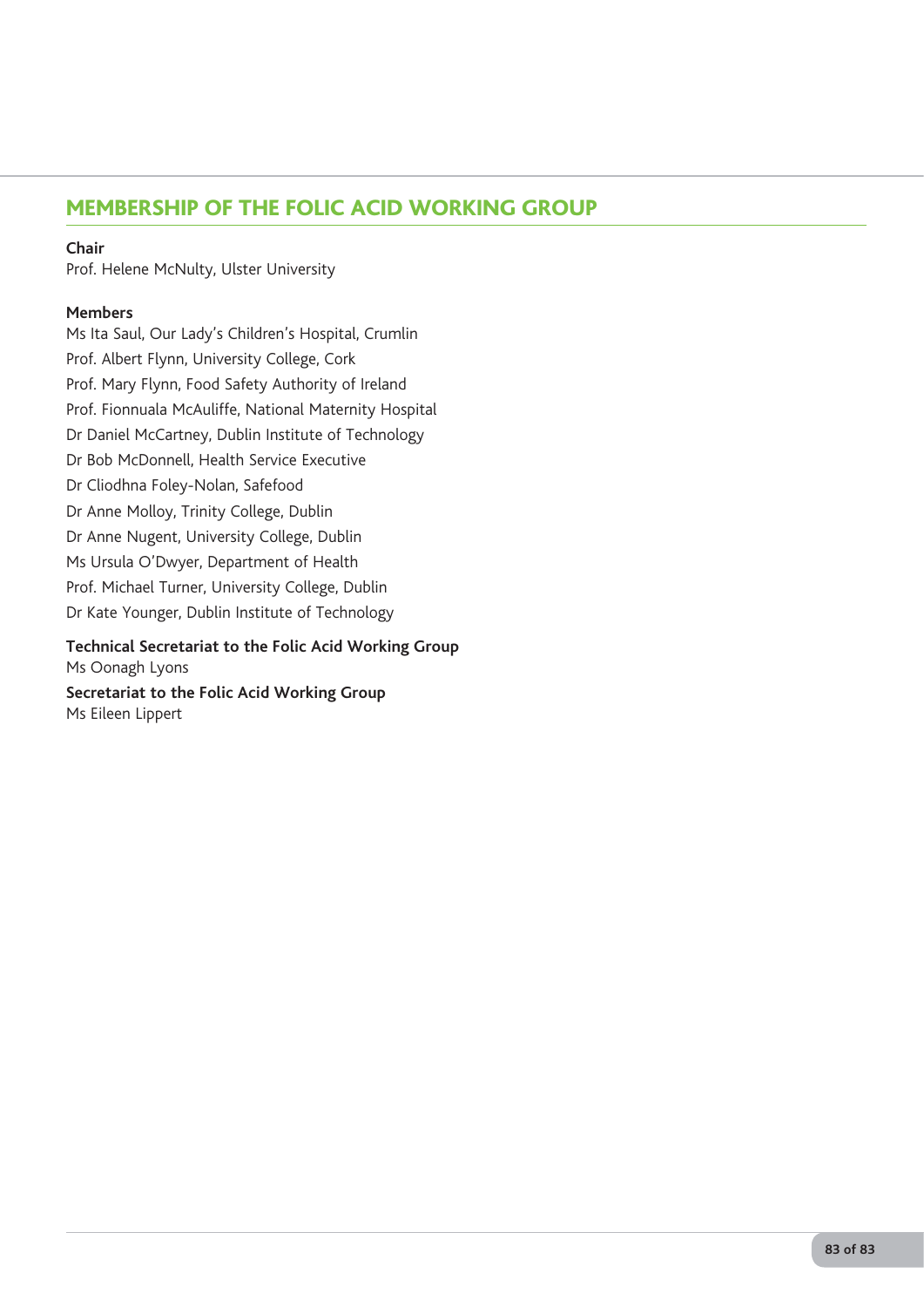# MEMBERSHIP OF THE FOLIC ACID WORKING GROUP

#### **Chair**

Prof. Helene McNulty, Ulster University

#### **Members**

Ms Ita Saul, Our Lady's Children's Hospital, Crumlin Prof. Albert Flynn, University College, Cork Prof. Mary Flynn, Food Safety Authority of Ireland Prof. Fionnuala McAuliffe, National Maternity Hospital Dr Daniel McCartney, Dublin Institute of Technology Dr Bob McDonnell, Health Service Executive Dr Cliodhna Foley-Nolan, Safefood Dr Anne Molloy, Trinity College, Dublin Dr Anne Nugent, University College, Dublin Ms Ursula O'Dwyer, Department of Health Prof. Michael Turner, University College, Dublin Dr Kate Younger, Dublin Institute of Technology

**Technical Secretariat to the Folic Acid Working Group** Ms Oonagh Lyons **Secretariat to the Folic Acid Working Group** Ms Eileen Lippert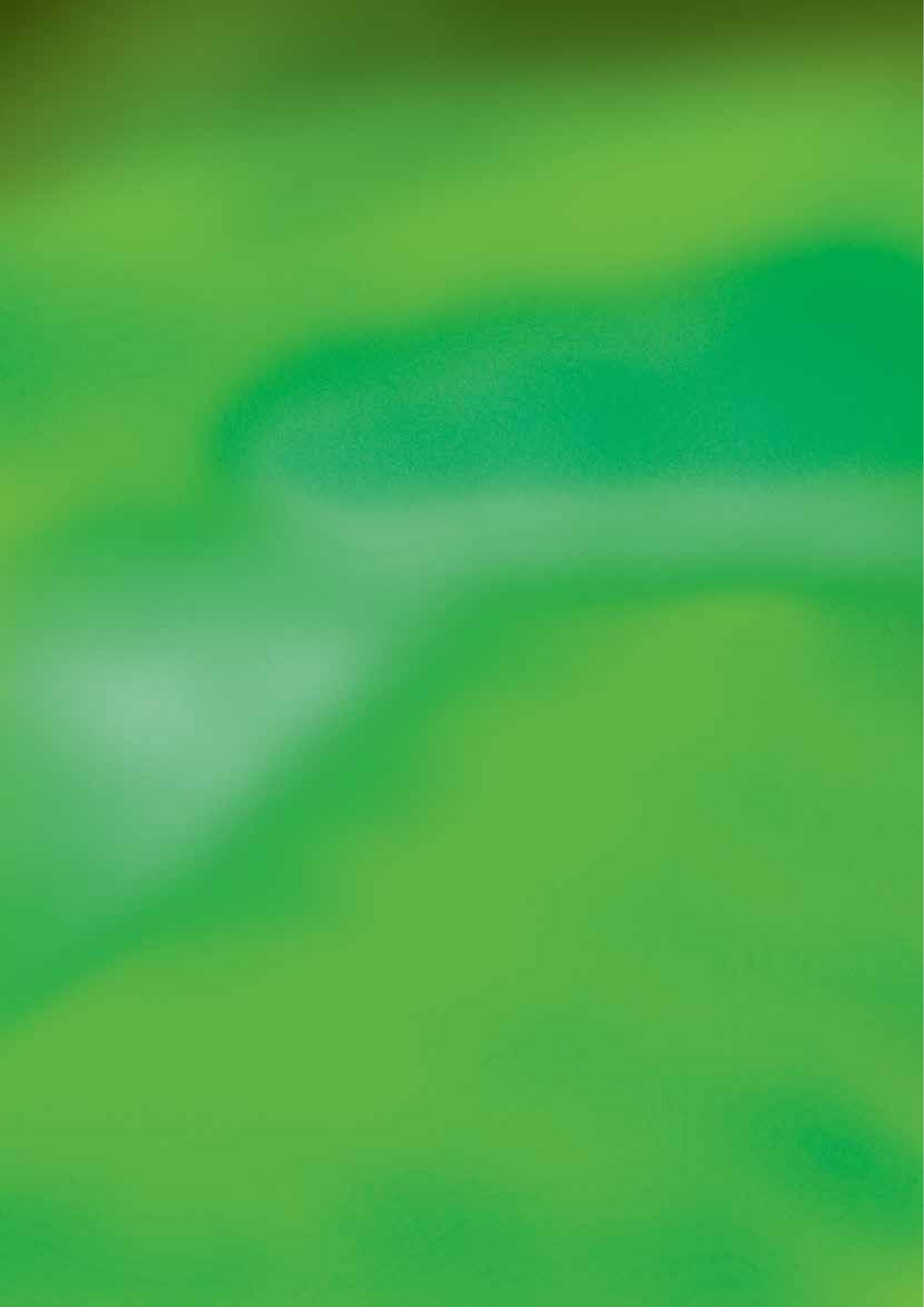